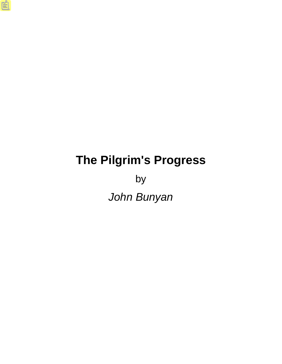# **The Pilgrim's Progress**

by *John Bunyan*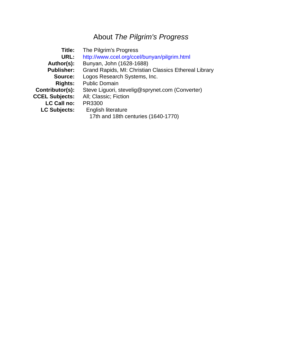# About *The Pilgrim's Progress*

<span id="page-1-0"></span>

| Title:                | The Pilgrim's Progress                                |
|-----------------------|-------------------------------------------------------|
| URL:                  | http://www.ccel.org/ccel/bunyan/pilgrim.html          |
| Author(s):            | Bunyan, John (1628-1688)                              |
| <b>Publisher:</b>     | Grand Rapids, MI: Christian Classics Ethereal Library |
| Source:               | Logos Research Systems, Inc.                          |
| <b>Rights:</b>        | <b>Public Domain</b>                                  |
| Contributor(s):       | Steve Liguori, stevelig@sprynet.com (Converter)       |
| <b>CCEL Subjects:</b> | All; Classic; Fiction                                 |
| <b>LC Call no:</b>    | PR3300                                                |
| <b>LC Subjects:</b>   | English literature                                    |
|                       | 17th and 18th centuries (1640-1770)                   |
|                       |                                                       |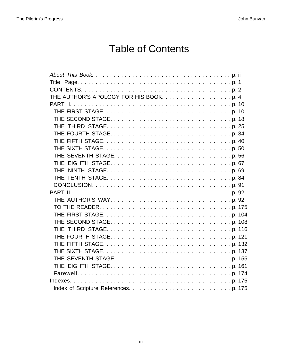# Table of Contents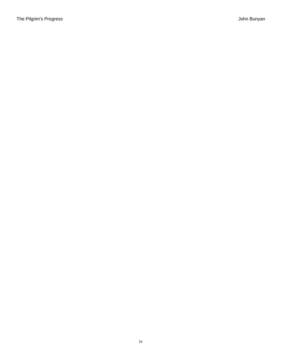The Pilgrim's Progress **The Pilgrim's Progress** John Bunyan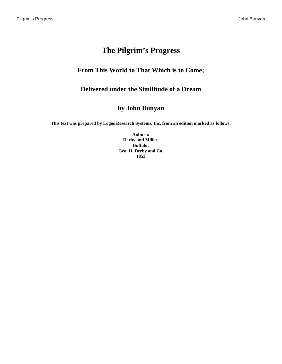## **The Pilgrim's Progress**

## <span id="page-4-0"></span>**From This World to That Which is to Come;**

### **Delivered under the Similitude of a Dream**

### **by John Bunyan**

**This text was prepared by Logos Research Systems, Inc. from an edition marked as follows:**

**Auburn: Derby and Miller. Buffalo: Geo. H. Derby and Co. 1853**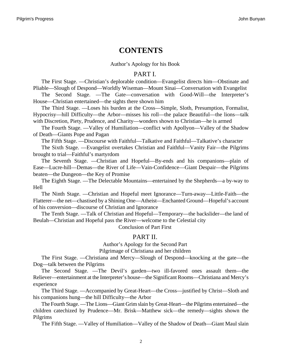## **CONTENTS**

#### [Author's Apology for his Book](#page-7-1)

#### [PART I.](#page-13-2)

<span id="page-5-0"></span>[The First Stage.](#page-13-3) —Christian's deplorable condition—Evangelist directs him—Obstinate and Pliable—Slough of Despond—Worldly Wiseman—Mount Sinai—Conversation with Evangelist

[The Second Stage.](#page-21-1) —The Gate—conversation with Good-Will—the Interpreter's House—Christian entertained—the sights there shown him

[The Third Stage.](#page-28-1) —Loses his burden at the Cross—Simple, Sloth, Presumption, Formalist, Hypocrisy—hill Difficulty—the Arbor—misses his roll—the palace Beautiful—the lions—talk with Discretion, Piety, Prudence, and Charity—wonders shown to Christian—he is armed

[The Fourth Stage.](#page-37-1) —Valley of Humiliation—conflict with Apollyon—Valley of the Shadow of Death—Giants Pope and Pagan

[The Fifth Stage.](#page-43-1) —Discourse with Faithful—Talkative and Faithful—Talkative's character

[The Sixth Stage.](#page-53-1) —Evangelist overtakes Christian and Faithful—Vanity Fair—the Pilgrims brought to trial—Faithful's martyrdom

[The Seventh Stage.](#page-59-1) —Christian and Hopeful—By-ends and his companions—plain of Ease—Lucre-hill—Demas—the River of Life—Vain-Confidence—Giant Despair—the Pilgrims beaten—the Dungeon—the Key of Promise

[The Eighth Stage.](#page-70-1) —The Delectable Mountains—entertained by the Shepherds—a by-way to Hell

[The Ninth Stage.](#page-72-1) —Christian and Hopeful meet Ignorance—Turn-away—Little-Faith—the Flatterer—the net—chastised by a Shining One—Atheist—Enchanted Ground—Hopeful's account of his conversion—discourse of Christian and Ignorance

[The Tenth Stage.](#page-87-1) —Talk of Christian and Hopeful—Temporary—the backslider—the land of Beulah—Christian and Hopeful pass the River—welcome to the Celestial city

[Conclusion of Part First](#page-94-1)

#### [PART II.](#page-95-2)

[Author's Apology for the Second Part](#page-95-3)

Pilgrimage of Christiana and her children

[The First Stage.](#page-107-1) —Christiana and Mercy—Slough of Despond—knocking at the gate—the Dog—talk between the Pilgrims

[The Second Stage.](#page-111-1) —The Devil's garden—two ill-favored ones assault them—the Reliever—entertainment at the Interpreter's house—the Significant Rooms—Christiana and Mercy's experience

[The Third Stage.](#page-119-1) —Accompanied by Great-Heart—the Cross—justified by Christ—Sloth and his companions hung—the hill Difficulty—the Arbor

[The Fourth Stage.](#page-124-1) —The Lions—Giant Grim slain by Great-Heart—the Pilgrims entertained—the children catechized by Prudence—Mr. Brisk—Matthew sick—the remedy—sights shown the Pilgrims

[The Fifth Stage.](#page-135-1) —Valley of Humiliation—Valley of the Shadow of Death—Giant Maul slain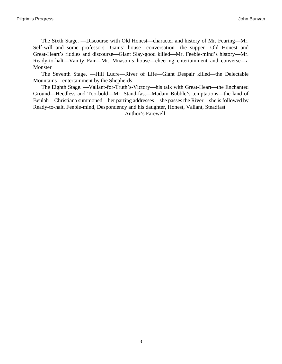[The Sixth Stage.](#page-140-1) —Discourse with Old Honest—character and history of Mr. Fearing—Mr. Self-will and some professors—Gaius' house—conversation—the supper—Old Honest and Great-Heart's riddles and discourse—Giant Slay-good killed—Mr. Feeble-mind's history—Mr. Ready-to-halt—Vanity Fair—Mr. Mnason's house—cheering entertainment and converse—a Monster

[The Seventh Stage.](#page-158-1) —Hill Lucre—River of Life—Giant Despair killed—the Delectable Mountains—entertainment by the Shepherds

[The Eighth Stage.](#page-164-1) —Valiant-for-Truth's-Victory—his talk with Great-Heart—the Enchanted Ground—Heedless and Too-bold—Mr. Stand-fast—Madam Bubble's temptations—the land of Beulah—Christiana summoned—her parting addresses—she passes the River—she is followed by Ready-to-halt, Feeble-mind, Despondency and his daughter, Honest, Valiant, Steadfast

Author's Farewell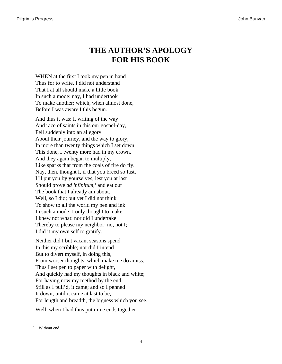# **THE AUTHOR'S APOLOGY FOR HIS BOOK**

<span id="page-7-1"></span><span id="page-7-0"></span>WHEN at the first I took my pen in hand Thus for to write, I did not understand That I at all should make a little book In such a mode: nay, I had undertook To make another; which, when almost done, Before I was aware I this begun.

And thus it was: I, writing of the way And race of saints in this our gospel-day, Fell suddenly into an allegory About their journey, and the way to glory, In more than twenty things which I set down This done, I twenty more had in my crown, And they again began to multiply, Like sparks that from the coals of fire do fly. Nay, then, thought I, if that you breed so fast, I'll put you by yourselves, lest you at last Should prove *ad infinitum*, 1 and eat out The book that I already am about. Well, so I did; but yet I did not think To show to all the world my pen and ink In such a mode; I only thought to make I knew not what: nor did I undertake Thereby to please my neighbor; no, not I; I did it my own self to gratify.

Neither did I but vacant seasons spend In this my scribble; nor did I intend But to divert myself, in doing this, From worser thoughts, which make me do amiss. Thus I set pen to paper with delight, And quickly had my thoughts in black and white; For having now my method by the end, Still as I pull'd, it came; and so I penned It down; until it came at last to be, For length and breadth, the bigness which you see.

Well, when I had thus put mine ends together

<sup>1</sup> Without end.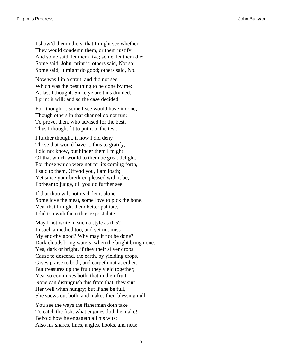I show'd them others, that I might see whether They would condemn them, or them justify: And some said, let them live; some, let them die: Some said, John, print it; others said, Not so: Some said, It might do good; others said, No.

Now was I in a strait, and did not see Which was the best thing to be done by me: At last I thought, Since ye are thus divided, I print it will; and so the case decided.

For, thought I, some I see would have it done, Though others in that channel do not run: To prove, then, who advised for the best, Thus I thought fit to put it to the test.

I further thought, if now I did deny Those that would have it, thus to gratify; I did not know, but hinder them I might Of that which would to them be great delight. For those which were not for its coming forth, I said to them, Offend you, I am loath; Yet since your brethren pleased with it be, Forbear to judge, till you do further see.

If that thou wilt not read, let it alone; Some love the meat, some love to pick the bone. Yea, that I might them better palliate, I did too with them thus expostulate:

May I not write in such a style as this? In such a method too, and yet not miss My end-thy good? Why may it not be done? Dark clouds bring waters, when the bright bring none. Yea, dark or bright, if they their silver drops Cause to descend, the earth, by yielding crops, Gives praise to both, and carpeth not at either, But treasures up the fruit they yield together; Yea, so commixes both, that in their fruit None can distinguish this from that; they suit Her well when hungry; but if she be full, She spews out both, and makes their blessing null.

You see the ways the fisherman doth take To catch the fish; what engines doth he make! Behold how he engageth all his wits; Also his snares, lines, angles, hooks, and nets: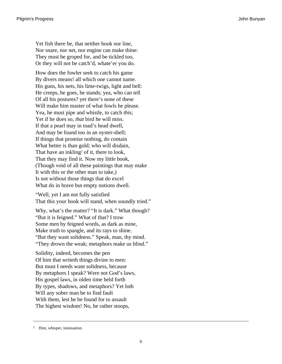Yet fish there be, that neither hook nor line, Nor snare, nor net, nor engine can make thine: They must be groped for, and be tickled too, Or they will not be catch'd, whate'er you do.

How does the fowler seek to catch his game By divers means! all which one cannot name. His guns, his nets, his lime-twigs, light and bell: He creeps, he goes, he stands; yea, who can tell Of all his postures? yet there's none of these Will make him master of what fowls he please. Yea, he must pipe and whistle, to catch *this*; Yet if he does so, *that* bird he will miss. If that a pearl may in toad's head dwell, And may be found too in an oyster-shell; If things that promise nothing, do contain What better is than gold; who will disdain, That have an inkling<sup>2</sup> of it, there to look, That they may find it. Now my little book, (Though void of all these paintings that may make It with this or the other man to take,) Is not without those things that do excel What do in brave but empty notions dwell.

"Well, yet I am not fully satisfied That this your book will stand, when soundly tried."

Why, what's the matter? "It is dark." What though? "But it is feigned." What of that? I trow Some men by feigned words, as dark as mine, Make truth to spangle, and its rays to shine. "But they want solidness." Speak, man, thy mind. "They drown the weak; metaphors make us blind."

Solidity, indeed, becomes the pen Of him that writeth things divine to men: But must I needs want solidness, because By metaphors I speak? Were not God's laws, His gospel laws, in olden time held forth By types, shadows, and metaphors? Yet loth Will any sober man be to find fault With them, lest he be found for to assault The highest wisdom! No, he rather stoops,

<sup>2</sup> Hint, whisper, insinuation.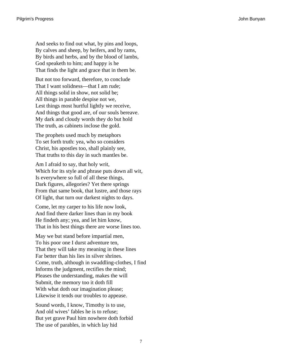And seeks to find out what, by pins and loops, By calves and sheep, by heifers, and by rams, By birds and herbs, and by the blood of lambs, God speaketh to him; and happy is he That finds the light and grace that in them be.

But not too forward, therefore, to conclude That I want solidness—that I am rude; All things solid in show, not solid be; All things in parable despise not we, Lest things most hurtful lightly we receive, And things that good are, of our souls bereave. My dark and cloudy words they do but hold The truth, as cabinets inclose the gold.

The prophets used much by metaphors To set forth truth: yea, who so considers Christ, his apostles too, shall plainly see, That truths to this day in such mantles be.

Am I afraid to say, that holy writ, Which for its style and phrase puts down all wit, Is everywhere so full of all these things, Dark figures, allegories? Yet there springs From that same book, that lustre, and those rays Of light, that turn our darkest nights to days.

Come, let my carper to his life now look, And find there darker lines than in my book He findeth any; yea, and let him know, That in his best things there are worse lines too.

May we but stand before impartial men, To his poor one I durst adventure ten, That they will take my meaning in these lines Far better than his lies in silver shrines. Come, truth, although in swaddling-clothes, I find Informs the judgment, rectifies the mind; Pleases the understanding, makes the will Submit, the memory too it doth fill With what doth our imagination please; Likewise it tends our troubles to appease.

Sound words, I know, Timothy is to use, And old wives' fables he is to refuse; But yet grave Paul him nowhere doth forbid The use of parables, in which lay hid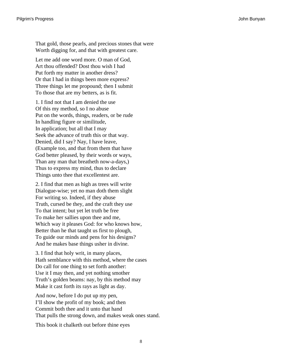That gold, those pearls, and precious stones that were Worth digging for, and that with greatest care.

Let me add one word more. O man of God, Art thou offended? Dost thou wish I had Put forth my matter in another dress? Or that I had in things been more express? Three things let me propound; then I submit To those that are my betters, as is fit.

1. I find not that I am denied the use Of this my method, so I no abuse Put on the words, things, readers, or be rude In handling figure or similitude, In application; but all that I may Seek the advance of truth this or that way. Denied, did I say? Nay, I have leave, (Example too, and that from them that have God better pleased, by their words or ways, Than any man that breatheth now-a-days,) Thus to express my mind, thus to declare Things unto thee that excellentest are.

2. I find that men as high as trees will write Dialogue-wise; yet no man doth them slight For writing so. Indeed, if they abuse Truth, cursed be they, and the craft they use To that intent; but yet let truth be free To make her sallies upon thee and me, Which way it pleases God: for who knows how, Better than he that taught us first to plough, To guide our minds and pens for his designs? And he makes base things usher in divine.

3. I find that holy writ, in many places, Hath semblance with this method, where the cases Do call for one thing to set forth another: Use it I may then, and yet nothing smother Truth's golden beams: nay, by this method may Make it cast forth its rays as light as day.

And now, before I do put up my pen, I'll show the profit of my book; and then Commit both thee and it unto that hand That pulls the strong down, and makes weak ones stand.

This book it chalketh out before thine eyes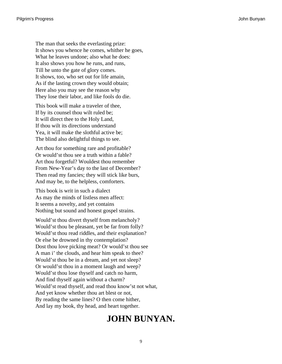The man that seeks the everlasting prize: It shows you whence he comes, whither he goes, What he leaves undone; also what he does: It also shows you how he runs, and runs, Till he unto the gate of glory comes. It shows, too, who set out for life amain, As if the lasting crown they would obtain; Here also you may see the reason why They lose their labor, and like fools do die.

This book will make a traveler of thee, If by its counsel thou wilt ruled be; It will direct thee to the Holy Land, If thou wilt its directions understand Yea, it will make the slothful active be; The blind also delightful things to see.

Art thou for something rare and profitable? Or would'st thou see a truth within a fable? Art thou forgetful? Wouldest thou remember From New-Year's day to the last of December? Then read my fancies; they will stick like burs, And may be, to the helpless, comforters.

This book is writ in such a dialect As may the minds of listless men affect: It seems a novelty, and yet contains Nothing but sound and honest gospel strains.

Would'st thou divert thyself from melancholy? Would'st thou be pleasant, yet be far from folly? Would'st thou read riddles, and their explanation? Or else be drowned in thy contemplation? Dost thou love picking meat? Or would'st thou see A man i' the clouds, and hear him speak to thee? Would'st thou be in a dream, and yet not sleep? Or would'st thou in a moment laugh and weep? Would'st thou lose thyself and catch no harm, And find thyself again without a charm? Would'st read thyself, and read thou know'st not what, And yet know whether thou art blest or not, By reading the same lines? O then come hither, And lay my book, thy head, and heart together.

# **JOHN BUNYAN.**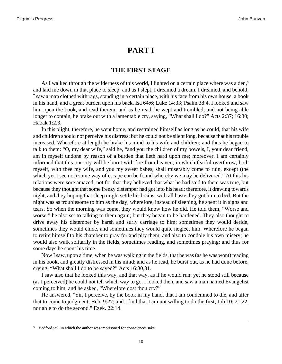## **PART I**

#### **THE FIRST STAGE**

<span id="page-13-3"></span><span id="page-13-2"></span><span id="page-13-1"></span><span id="page-13-0"></span>As I walked through the wilderness of this world, I lighted on a certain place where was a den,<sup>3</sup> and laid me down in that place to sleep; and as I slept, I dreamed a dream. I dreamed, and behold, I saw a man clothed with rags, standing in a certain place, with his face from his own house, a book in his hand, and a great burden upon his back. [Isa 64:6](http://www.ccel.org/b/bible/asv/xml/asv.Isa.64.xml#Isa.64.6); [Luke 14:33](http://www.ccel.org/b/bible/asv/xml/asv.Luke.14.xml#Luke.14.33); [Psalm 38:4.](http://www.ccel.org/b/bible/asv/xml/asv.Ps.38.xml#Ps.38.4) I looked and saw him open the book, and read therein; and as he read, he wept and trembled; and not being able longer to contain, he brake out with a lamentable cry, saying, "What shall I do?" [Acts 2:37](http://www.ccel.org/b/bible/asv/xml/asv.Acts.2.xml#Acts.2.37); [16:30;](http://www.ccel.org/b/bible/asv/xml/asv.Acts.16.xml#Acts.16.30) [Habak 1:2,3.](http://www.ccel.org/b/bible/asv/xml/asv.Hab.1.xml#Hab.1.2 Bible:Hab.1.3)

In this plight, therefore, he went home, and restrained himself as long as he could, that his wife and children should not perceive his distress; but he could not be silent long, because that his trouble increased. Wherefore at length he brake his mind to his wife and children; and thus he began to talk to them: "O, my dear wife," said he, "and you the children of my bowels, I, your dear friend, am in myself undone by reason of a burden that lieth hard upon me; moreover, I am certainly informed that this our city will be burnt with fire from heaven; in which fearful overthrow, both myself, with thee my wife, and you my sweet babes, shall miserably come to ruin, except (the which yet I see not) some way of escape can be found whereby we may be delivered." At this his relations were sore amazed; not for that they believed that what he had said to them was true, but because they thought that some frenzy distemper had got into his head; therefore, it drawing towards night, and they hoping that sleep might settle his brains, with all haste they got him to bed. But the night was as troublesome to him as the day; wherefore, instead of sleeping, he spent it in sighs and tears. So when the morning was come, they would know how he did. He told them, "Worse and worse:" he also set to talking to them again; but they began to be hardened. They also thought to drive away his distemper by harsh and surly carriage to him; sometimes they would deride, sometimes they would chide, and sometimes they would quite neglect him. Wherefore he began to retire himself to his chamber to pray for and pity them, and also to condole his own misery; he would also walk solitarily in the fields, sometimes reading, and sometimes praying: and thus for some days he spent his time.

Now I saw, upon a time, when he was walking in the fields, that he was (as he was wont) reading in his book, and greatly distressed in his mind; and as he read, he burst out, as he had done before, crying, "What shall I do to be saved?" [Acts 16:30,31.](http://www.ccel.org/b/bible/asv/xml/asv.Acts.16.xml#Acts.16.30 Bible:Acts.16.31)

I saw also that he looked this way, and that way, as if he would run; yet he stood still because (as I perceived) he could not tell which way to go. I looked then, and saw a man named Evangelist coming to him, and he asked, "Wherefore dost thou cry?"

He answered, "Sir, I perceive, by the book in my hand, that I am condemned to die, and after that to come to judgment, [Heb. 9:27](http://www.ccel.org/b/bible/asv/xml/asv.Heb.9.xml#Heb.9.27); and I find that I am not willing to do the first, [Job 10: 21,22](http://www.ccel.org/b/bible/asv/xml/asv.Job.10.xml#Job.10.21 Bible:Job.10.22), nor able to do the second." [Ezek. 22:14.](http://www.ccel.org/b/bible/asv/xml/asv.Ezek.22.xml#Ezek.22.14)

<sup>&</sup>lt;sup>3</sup> Bedford jail, in which the author was imprisoned for conscience' sake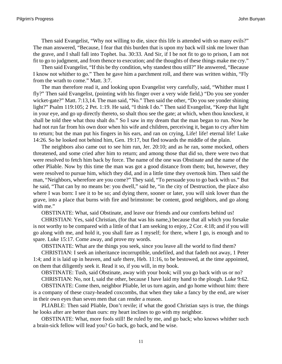Then said Evangelist, "Why not willing to die, since this life is attended with so many evils?" The man answered, "Because, I fear that this burden that is upon my back will sink me lower than the grave, and I shall fall into Tophet. [Isa. 30:33](http://www.ccel.org/b/bible/asv/xml/asv.Isa.30.xml#Isa.30.33). And Sir, if I be not fit to go to prison, I am not fit to go to judgment, and from thence to execution; and the thoughts of these things make me cry."

Then said Evangelist, "If this be thy condition, why standest thou still?" He answered, "Because I know not whither to go." Then he gave him a parchment roll, and there was written within, "Fly from the wrath to come." [Matt. 3:7.](http://www.ccel.org/b/bible/asv/xml/asv.Matt.3.xml#Matt.3.7)

The man therefore read it, and looking upon Evangelist very carefully, said, "Whither must I fly?" Then said Evangelist, (pointing with his finger over a very wide field,) "Do you see yonder wicket-gate?" [Matt. 7:13,14.](http://www.ccel.org/b/bible/asv/xml/asv.Matt.7.xml#Matt.7.13 Bible:Matt.7.14) The man said, "No." Then said the other, "Do you see yonder shining light?" [Psalm 119:105](http://www.ccel.org/b/bible/asv/xml/asv.Ps.119.xml#Ps.119.105); [2 Pet. 1:19.](http://www.ccel.org/b/bible/asv/xml/asv.iiPet.1.xml#iiPet.1.19) He said, "I think I do." Then said Evangelist, "Keep that light in your eye, and go up directly thereto, so shalt thou see the gate; at which, when thou knockest, it shall be told thee what thou shalt do." So I saw in my dream that the man began to run. Now he had not run far from his own door when his wife and children, perceiving it, began to cry after him to return; but the man put his fingers in his ears, and ran on crying, Life! life! eternal life! [Luke](http://www.ccel.org/b/bible/asv/xml/asv.Luke.14.xml#Luke.14.26) [14:26](http://www.ccel.org/b/bible/asv/xml/asv.Luke.14.xml#Luke.14.26). So he looked not behind him, [Gen. 19:17](http://www.ccel.org/b/bible/asv/xml/asv.Gen.19.xml#Gen.19.17), but fled towards the middle of the plain.

The neighbors also came out to see him run, [Jer. 20:10;](http://www.ccel.org/b/bible/asv/xml/asv.Jer.20.xml#Jer.20.10) and as he ran, some mocked, others threatened, and some cried after him to return; and among those that did so, there were two that were resolved to fetch him back by force. The name of the one was Obstinate and the name of the other Pliable. Now by this time the man was got a good distance from them; but, however, they were resolved to pursue him, which they did, and in a little time they overtook him. Then said the man, "Neighbors, wherefore are you come?" They said, "To persuade you to go back with us." But he said, "That can by no means be: you dwell," said he, "in the city of Destruction, the place also where I was born: I see it to be so; and dying there, sooner or later, you will sink lower than the grave, into a place that burns with fire and brimstone: be content, good neighbors, and go along with me."

OBSTINATE: What, said Obstinate, and leave our friends and our comforts behind us!

CHRISTIAN: Yes, said Christian, (for that was his name,) because that all which you forsake is not worthy to be compared with a little of that I am seeking to enjoy, [2 Cor. 4:18;](http://www.ccel.org/b/bible/asv/xml/asv.iiCor.4.xml#iiCor.4.18) and if you will go along with me, and hold it, you shall fare as I myself; for there, where I go, is enough and to spare. [Luke 15:17](http://www.ccel.org/b/bible/asv/xml/asv.Luke.15.xml#Luke.15.17). Come away, and prove my words.

OBSTINATE: What are the things you seek, since you leave all the world to find them?

CHRISTIAN: I seek an inheritance incorruptible, undefiled, and that fadeth not away, [1 Peter](http://www.ccel.org/b/bible/asv/xml/asv.iPet.1.xml#iPet.1.4) [1:4](http://www.ccel.org/b/bible/asv/xml/asv.iPet.1.xml#iPet.1.4); and it is laid up in heaven, and safe there, [Heb. 11:16,](http://www.ccel.org/b/bible/asv/xml/asv.Heb.11.xml#Heb.11.16) to be bestowed, at the time appointed, on them that diligently seek it. Read it so, if you will, in my book.

OBSTINATE: Tush, said Obstinate, away with your book; will you go back with us or no?

CHRISTIAN: No, not I, said the other, because I have laid my hand to the plough. [Luke 9:62](http://www.ccel.org/b/bible/asv/xml/asv.Luke.9.xml#Luke.9.62).

OBSTINATE: Come then, neighbor Pliable, let us turn again, and go home without him: there is a company of these crazy-headed coxcombs, that when they take a fancy by the end, are wiser in their own eyes than seven men that can render a reason.

PLIABLE: Then said Pliable, Don't revile; if what the good Christian says is true, the things he looks after are better than ours: my heart inclines to go with my neighbor.

OBSTINATE: What, more fools still! Be ruled by me, and go back; who knows whither such a brain-sick fellow will lead you? Go back, go back, and be wise.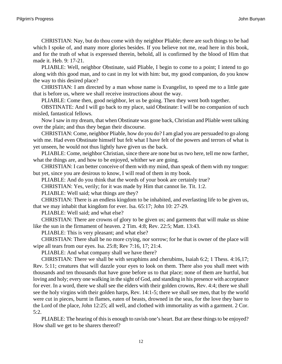CHRISTIAN: Nay, but do thou come with thy neighbor Pliable; there are such things to be had which I spoke of, and many more glories besides. If you believe not me, read here in this book, and for the truth of what is expressed therein, behold, all is confirmed by the blood of Him that made it. [Heb. 9: 17-21.](http://www.ccel.org/b/bible/asv/xml/asv.Heb.9.xml#Heb.9.17)

PLIABLE: Well, neighbor Obstinate, said Pliable, I begin to come to a point; I intend to go along with this good man, and to cast in my lot with him: but, my good companion, do you know the way to this desired place?

CHRISTIAN: I am directed by a man whose name is Evangelist, to speed me to a little gate that is before us, where we shall receive instructions about the way.

PLIABLE: Come then, good neighbor, let us be going. Then they went both together.

OBSTINATE: And I will go back to my place, said Obstinate: I will be no companion of such misled, fantastical fellows.

Now I saw in my dream, that when Obstinate was gone back, Christian and Pliable went talking over the plain; and thus they began their discourse.

CHRISTIAN: Come, neighbor Pliable, how do you do? I am glad you are persuaded to go along with me. Had even Obstinate himself but felt what I have felt of the powers and terrors of what is yet unseen, he would not thus lightly have given us the back.

PLIABLE: Come, neighbor Christian, since there are none but us two here, tell me now farther, what the things are, and how to be enjoyed, whither we are going.

CHRISTIAN: I can better conceive of them with my mind, than speak of them with my tongue: but yet, since you are desirous to know, I will read of them in my book.

PLIABLE: And do you think that the words of your book are certainly true?

CHRISTIAN: Yes, verily; for it was made by Him that cannot lie. [Tit. 1:2](http://www.ccel.org/b/bible/asv/xml/asv.Titus.1.xml#Titus.1.2).

PLIABLE: Well said; what things are they?

CHRISTIAN: There is an endless kingdom to be inhabited, and everlasting life to be given us, that we may inhabit that kingdom for ever. [Isa. 65:17;](http://www.ccel.org/b/bible/asv/xml/asv.Isa.65.xml#Isa.65.17) [John 10: 27-29.](http://www.ccel.org/b/bible/asv/xml/asv.John.10.xml#John.10.27)

PLIABLE: Well said; and what else?

CHRISTIAN: There are crowns of glory to be given us; and garments that will make us shine like the sun in the firmament of heaven. [2 Tim. 4:8;](http://www.ccel.org/b/bible/asv/xml/asv.iiTim.4.xml#iiTim.4.8) [Rev. 22:5;](http://www.ccel.org/b/bible/asv/xml/asv.Rev.22.xml#Rev.22.5) [Matt. 13:43.](http://www.ccel.org/b/bible/asv/xml/asv.Matt.13.xml#Matt.13.43)

PLIABLE: This is very pleasant; and what else?

CHRISTIAN: There shall be no more crying, nor sorrow; for he that is owner of the place will wipe all tears from our eyes. [Isa. 25:8;](http://www.ccel.org/b/bible/asv/xml/asv.Isa.25.xml#Isa.25.8) [Rev 7:16, 17;](http://www.ccel.org/b/bible/asv/xml/asv.Rev.7.xml#Rev.7.16 Bible:Rev.7.17) [21:4.](http://www.ccel.org/b/bible/asv/xml/asv.Rev.21.xml#Rev.21.4)

PLIABLE: And what company shall we have there?

CHRISTIAN: There we shall be with seraphims and cherubims, [Isaiah 6:2](http://www.ccel.org/b/bible/asv/xml/asv.Isa.6.xml#Isa.6.2); [1 Thess. 4:16,17;](http://www.ccel.org/b/bible/asv/xml/asv.iThess.4.xml#iThess.4.16 Bible:1Thess.4.17) [Rev. 5:11;](http://www.ccel.org/b/bible/asv/xml/asv.Rev.5.xml#Rev.5.11) creatures that will dazzle your eyes to look on them. There also you shall meet with thousands and ten thousands that have gone before us to that place; none of them are hurtful, but loving and holy; every one walking in the sight of God, and standing in his presence with acceptance for ever. In a word, there we shall see the elders with their golden crowns, [Rev. 4:4;](http://www.ccel.org/b/bible/asv/xml/asv.Rev.4.xml#Rev.4.4) there we shall see the holy virgins with their golden harps, [Rev. 14:1-5;](http://www.ccel.org/b/bible/asv/xml/asv.Rev.14.xml#Rev.14.1) there we shall see men, that by the world were cut in pieces, burnt in flames, eaten of beasts, drowned in the seas, for the love they bare to the Lord of the place, [John 12:25](http://www.ccel.org/b/bible/asv/xml/asv.John.12.xml#John.12.25); all well, and clothed with immortality as with a garment. [2 Cor.](http://www.ccel.org/b/bible/asv/xml/asv.iiCor.5.xml#iiCor.5.2) [5:2](http://www.ccel.org/b/bible/asv/xml/asv.iiCor.5.xml#iiCor.5.2).

PLIABLE: The hearing of this is enough to ravish one's heart. But are these things to be enjoyed? How shall we get to be sharers thereof?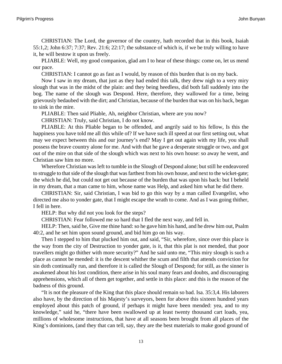CHRISTIAN: The Lord, the governor of the country, hath recorded that in this book, [Isaiah](http://www.ccel.org/b/bible/asv/xml/asv.Isa.55.xml#Isa.55.1 Bible:Isa.55.2) [55:1,2](http://www.ccel.org/b/bible/asv/xml/asv.Isa.55.xml#Isa.55.1 Bible:Isa.55.2); [John 6:37](http://www.ccel.org/b/bible/asv/xml/asv.John.6.xml#John.6.37); [7:37;](http://www.ccel.org/b/bible/asv/xml/asv.John.7.xml#John.7.37) [Rev. 21:6;](http://www.ccel.org/b/bible/asv/xml/asv.Rev.21.xml#Rev.21.6) [22:17](http://www.ccel.org/b/bible/asv/xml/asv.Rev.22.xml#Rev.22.17); the substance of which is, if we be truly willing to have it, he will bestow it upon us freely.

PLIABLE: Well, my good companion, glad am I to hear of these things: come on, let us mend our pace.

CHRISTIAN: I cannot go as fast as I would, by reason of this burden that is on my back.

Now I saw in my dream, that just as they had ended this talk, they drew nigh to a very miry slough that was in the midst of the plain: and they being heedless, did both fall suddenly into the bog. The name of the slough was Despond. Here, therefore, they wallowed for a time, being grievously bedaubed with the dirt; and Christian, because of the burden that was on his back, began to sink in the mire.

PLIABLE: Then said Pliable, Ah, neighbor Christian, where are you now?

CHRISTIAN: Truly, said Christian, I do not know.

PLIABLE: At this Pliable began to be offended, and angrily said to his fellow, Is this the happiness you have told me all this while of? If we have such ill speed at our first setting out, what may we expect between this and our journey's end? May I get out again with my life, you shall possess the brave country alone for me. And with that he gave a desperate struggle or two, and got out of the mire on that side of the slough which was next to his own house: so away he went, and Christian saw him no more.

Wherefore Christian was left to tumble in the Slough of Despond alone; but still he endeavored to struggle to that side of the slough that was farthest from his own house, and next to the wicket-gate; the which he did, but could not get out because of the burden that was upon his back: but I beheld in my dream, that a man came to him, whose name was Help, and asked him what he did there.

CHRISTIAN: Sir, said Christian, I was bid to go this way by a man called Evangelist, who directed me also to yonder gate, that I might escape the wrath to come. And as I was going thither, I fell in here.

HELP: But why did not you look for the steps?

CHRISTIAN: Fear followed me so hard that I fled the next way, and fell in.

HELP: Then, said he, Give me thine hand: so he gave him his hand, and he drew him out, [Psalm](http://www.ccel.org/b/bible/asv/xml/asv.Ps.40.xml#Ps.40.2) [40:2](http://www.ccel.org/b/bible/asv/xml/asv.Ps.40.xml#Ps.40.2), and he set him upon sound ground, and bid him go on his way.

Then I stepped to him that plucked him out, and said, "Sir, wherefore, since over this place is the way from the city of Destruction to yonder gate, is it, that this plat is not mended, that poor travellers might go thither with more security?" And he said unto me, "This miry slough is such a place as cannot be mended: it is the descent whither the scum and filth that attends conviction for sin doth continually run, and therefore it is called the Slough of Despond; for still, as the sinner is awakened about his lost condition, there arise in his soul many fears and doubts, and discouraging apprehensions, which all of them get together, and settle in this place: and this is the reason of the badness of this ground.

"It is not the pleasure of the King that this place should remain so bad. [Isa. 35:3,4](http://www.ccel.org/b/bible/asv/xml/asv.Isa.35.xml#Isa.35.3 Bible:Isa.35.4). His laborers also have, by the direction of his Majesty's surveyors, been for above this sixteen hundred years employed about this patch of ground, if perhaps it might have been mended: yea, and to my knowledge," said he, "there have been swallowed up at least twenty thousand cart loads, yea, millions of wholesome instructions, that have at all seasons been brought from all places of the King's dominions, (and they that can tell, say, they are the best materials to make good ground of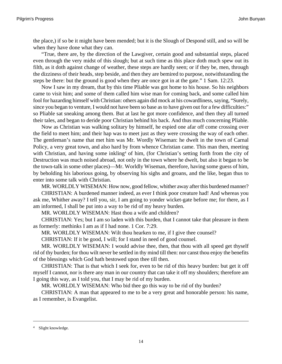the place,) if so be it might have been mended; but it is the Slough of Despond still, and so will be when they have done what they can.

"True, there are, by the direction of the Lawgiver, certain good and substantial steps, placed even through the very midst of this slough; but at such time as this place doth much spew out its filth, as it doth against change of weather, these steps are hardly seen; or if they be, men, through the dizziness of their heads, step beside, and then they are bemired to purpose, notwithstanding the steps be there: but the ground is good when they are once got in at the gate." [1 Sam. 12:23.](http://www.ccel.org/b/bible/asv/xml/asv.iSam.12.xml#iSam.12.23)

Now I saw in my dream, that by this time Pliable was got home to his house. So his neighbors came to visit him; and some of them called him wise man for coming back, and some called him fool for hazarding himself with Christian: others again did mock at his cowardliness, saying, "Surely, since you began to venture, I would not have been so base as to have given out for a few difficulties:" so Pliable sat sneaking among them. But at last he got more confidence, and then they all turned their tales, and began to deride poor Christian behind his back. And thus much concerning Pliable.

Now as Christian was walking solitary by himself, he espied one afar off come crossing over the field to meet him; and their hap was to meet just as they were crossing the way of each other. The gentleman's name that met him was Mr. Wordly Wiseman: he dwelt in the town of Carnal Policy, a very great town, and also hard by from whence Christian came. This man then, meeting with Christian, and having some inkling<sup>4</sup> of him, (for Christian's setting forth from the city of Destruction was much noised abroad, not only in the town where he dwelt, but also it began to be the town-talk in some other places)—Mr. Worldly Wiseman, therefore, having some guess of him, by beholding his laborious going, by observing his sighs and groans, and the like, began thus to enter into some talk with Christian.

MR. WORLDLY WISEMAN: How now, good fellow, whither away after this burdened manner?

CHRISTIAN: A burdened manner indeed, as ever I think poor creature had! And whereas you ask me, Whither away? I tell you, sir, I am going to yonder wicket-gate before me; for there, as I am informed, I shall be put into a way to be rid of my heavy burden.

MR. WORLDLY WISEMAN: Hast thou a wife and children?

CHRISTIAN: Yes; but I am so laden with this burden, that I cannot take that pleasure in them as formerly: methinks I am as if I had none. [1 Cor. 7:29](http://www.ccel.org/b/bible/asv/xml/asv.iCor.7.xml#iCor.7.29).

MR. WORLDLY WISEMAN: Wilt thou hearken to me, if I give thee counsel?

CHRISTIAN: If it be good, I will; for I stand in need of good counsel.

MR. WORLDLY WISEMAN: I would advise thee, then, that thou with all speed get thyself rid of thy burden; for thou wilt never be settled in thy mind till then: nor canst thou enjoy the benefits of the blessings which God hath bestowed upon thee till then.

CHRISTIAN: That is that which I seek for, even to be rid of this heavy burden: but get it off myself I cannot, nor is there any man in our country that can take it off my shoulders; therefore am I going this way, as I told you, that I may be rid of my burden.

MR. WORLDLY WISEMAN: Who bid thee go this way to be rid of thy burden?

CHRISTIAN: A man that appeared to me to be a very great and honorable person: his name, as I remember, is Evangelist.

<sup>4</sup> Slight knowledge.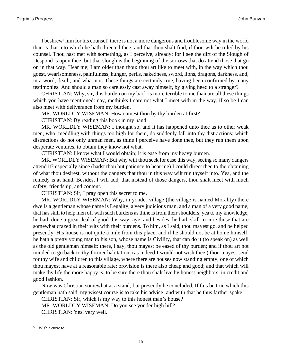I beshrew<sup>5</sup> him for his counsel! there is not a more dangerous and troublesome way in the world than is that into which he hath directed thee; and that thou shalt find, if thou wilt be ruled by his counsel. Thou hast met with something, as I perceive, already; for I see the dirt of the Slough of Despond is upon thee: but that slough is the beginning of the sorrows that do attend those that go on in that way. Hear me; I am older than thou: thou art like to meet with, in the way which thou goest, wearisomeness, painfulness, hunger, perils, nakedness, sword, lions, dragons, darkness, and, in a word, death, and what not. These things are certainly true, having been confirmed by many testimonies. And should a man so carelessly cast away himself, by giving heed to a stranger?

CHRISTIAN: Why, sir, this burden on my back is more terrible to me than are all these things which you have mentioned: nay, methinks I care not what I meet with in the way, if so be I can also meet with deliverance from my burden.

MR. WORLDLY WISEMAN: How camest thou by thy burden at first?

CHRISTIAN: By reading this book in my hand.

MR. WORLDLY WISEMAN: I thought so; and it has happened unto thee as to other weak men, who, meddling with things too high for them, do suddenly fall into thy distractions; which distractions do not only unman men, as thine I perceive have done thee, but they run them upon desperate ventures, to obtain they know not what.

CHRISTIAN: I know what I would obtain; it is ease from my heavy burden.

MR. WORLDLY WISEMAN: But why wilt thou seek for ease this way, seeing so many dangers attend it? especially since (hadst thou but patience to hear me) I could direct thee to the obtaining of what thou desirest, without the dangers that thou in this way wilt run thyself into. Yea, and the remedy is at hand. Besides, I will add, that instead of those dangers, thou shalt meet with much safety, friendship, and content.

CHRISTIAN: Sir, I pray open this secret to me.

MR. WORLDLY WISEMAN: Why, in yonder village (the village is named Morality) there dwells a gentleman whose name is Legality, a very judicious man, and a man of a very good name, that has skill to help men off with such burdens as thine is from their shoulders; yea to my knowledge, he hath done a great deal of good this way; aye, and besides, he hath skill to cure those that are somewhat crazed in their wits with their burdens. To him, as I said, thou mayest go, and be helped presently. His house is not quite a mile from this place; and if he should not be at home himself, he hath a pretty young man to his son, whose name is Civility, that can do it (to speak on) as well as the old gentleman himself: there, I say, thou mayest be eased of thy burden; and if thou art not minded to go back to thy former habitation, (as indeed I would not wish thee,) thou mayest send for thy wife and children to this village, where there are houses now standing empty, one of which thou mayest have at a reasonable rate: provision is there also cheap and good; and that which will make thy life the more happy is, to be sure there thou shalt live by honest neighbors, in credit and good fashion.

Now was Christian somewhat at a stand; but presently he concluded, If this be true which this gentleman hath said, my wisest course is to take his advice: and with that he thus farther spake.

CHRISTIAN: Sir, which is my way to this honest man's house? MR. WORLDLY WISEMAN: Do you see yonder high hill?

CHRISTIAN: Yes, very well.

<sup>5</sup> Wish a curse to.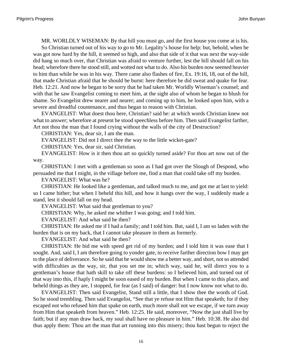MR. WORLDLY WISEMAN: By that hill you must go, and the first house you come at is his.

So Christian turned out of his way to go to Mr. Legality's house for help: but, behold, when he was got now hard by the hill, it seemed so high, and also that side of it that was next the way-side did hang so much over, that Christian was afraid to venture further, lest the hill should fall on his head; wherefore there he stood still, and wotted not what to do. Also his burden now seemed heavier to him than while he was in his way. There came also flashes of fire, [Ex. 19:16,](http://www.ccel.org/b/bible/asv/xml/asv.Exod.19.xml#Exod.19.16) [18,](http://www.ccel.org/b/bible/asv/xml/asv.Exod.19.xml#Exod.19.18) out of the hill, that made Christian afraid that he should be burnt: here therefore he did sweat and quake for fear. [Heb. 12:21](http://www.ccel.org/b/bible/asv/xml/asv.Heb.12.xml#Heb.12.21). And now he began to be sorry that he had taken Mr. Worldly Wiseman's counsel; and with that he saw Evangelist coming to meet him, at the sight also of whom he began to blush for shame. So Evangelist drew nearer and nearer; and coming up to him, he looked upon him, with a severe and dreadful countenance, and thus began to reason with Christian.

EVANGELIST: What doest thou here, Christian? said he: at which words Christian knew not what to answer; wherefore at present he stood speechless before him. Then said Evangelist farther, Art not thou the man that I found crying without the walls of the city of Destruction?

CHRISTIAN: Yes, dear sir, I am the man.

EVANGELIST: Did not I direct thee the way to the little wicket-gate?

CHRISTIAN: Yes, dear sir, said Christian.

EVANGELIST: How is it then thou art so quickly turned aside? For thou art now out of the way.

CHRISTIAN: I met with a gentleman so soon as I had got over the Slough of Despond, who persuaded me that I might, in the village before me, find a man that could take off my burden.

EVANGELIST: What was he?

CHRISTIAN: He looked like a gentleman, and talked much to me, and got me at last to yield: so I came hither; but when I beheld this hill, and how it hangs over the way, I suddenly made a stand, lest it should fall on my head.

EVANGELIST: What said that gentleman to you?

CHRISTIAN: Why, he asked me whither I was going; and I told him.

EVANGELIST: And what said he then?

CHRISTIAN: He asked me if I had a family; and I told him. But, said I, I am so laden with the burden that is on my back, that I cannot take pleasure in them as formerly.

EVANGELIST: And what said he then?

CHRISTIAN: He bid me with speed get rid of my burden; and I told him it was ease that I sought. And, said I, I am therefore going to yonder gate, to receive farther direction how I may get to the place of deliverance. So he said that he would show me a better way, and short, not so attended with difficulties as the way, sir, that you set me in; which way, said he, will direct you to a gentleman's house that hath skill to take off these burdens: so I believed him, and turned out of that way into this, if haply I might be soon eased of my burden. But when I came to this place, and beheld things as they are, I stopped, for fear (as I said) of danger: but I now know not what to do.

EVANGELIST: Then said Evangelist, Stand still a little, that I show thee the words of God. So he stood trembling. Then said Evangelist, "See that ye refuse not Him that speaketh; for if they escaped not who refused him that spake on earth, much more shall not we escape, if we turn away from Him that speaketh from heaven." [Heb. 12:25.](http://www.ccel.org/b/bible/asv/xml/asv.Heb.12.xml#Heb.12.25) He said, moreover, "Now the just shall live by faith; but if any man draw back, my soul shall have no pleasure in him." [Heb. 10:38.](http://www.ccel.org/b/bible/asv/xml/asv.Heb.10.xml#Heb.10.38) He also did thus apply them: Thou art the man that art running into this misery; thou hast begun to reject the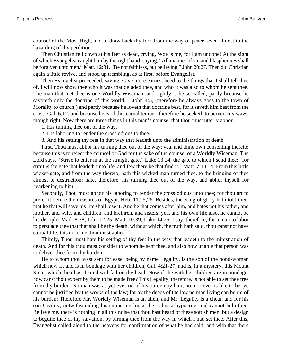counsel of the Most High, and to draw back thy foot from the way of peace, even almost to the hazarding of thy perdition.

Then Christian fell down at his feet as dead, crying, Woe is me, for I am undone! At the sight of which Evangelist caught him by the right hand, saying, "All manner of sin and blasphemies shall be forgiven unto men." [Matt. 12:31](http://www.ccel.org/b/bible/asv/xml/asv.Matt.12.xml#Matt.12.31). "Be not faithless, but believing." [John 20:27.](http://www.ccel.org/b/bible/asv/xml/asv.John.20.xml#John.20.27) Then did Christian again a little revive, and stood up trembling, as at first, before Evangelist.

Then Evangelist proceeded, saying, Give more earnest heed to the things that I shall tell thee of. I will now show thee who it was that deluded thee, and who it was also to whom he sent thee. The man that met thee is one Worldly Wiseman, and rightly is he so called; partly because he savoreth only the doctrine of this world, [1 John 4:5,](http://www.ccel.org/b/bible/asv/xml/asv.iJohn.4.xml#iJohn.4.5) (therefore he always goes to the town of Morality to church;) and partly because he loveth that doctrine best, for it saveth him best from the cross, [Gal. 6:12](http://www.ccel.org/b/bible/asv/xml/asv.Gal.6.xml#Gal.6.12): and because he is of this carnal temper, therefore he seeketh to pervert my ways, though right. Now there are three things in this man's counsel that thou must utterly abhor.

1. His turning thee out of the way.

- 2. His laboring to render the cross odious to thee.
- 3. And his setting thy feet in that way that leadeth unto the administration of death.

First, Thou must abhor his turning thee out of the way; yea, and thine own consenting thereto; because this is to reject the counsel of God for the sake of the counsel of a Worldly Wiseman. The Lord says, "Strive to enter in at the straight gate," [Luke 13:24,](http://www.ccel.org/b/bible/asv/xml/asv.Luke.13.xml#Luke.13.24) the gate to which I send thee; "for strait is the gate that leadeth unto life, and few there be that find it." [Matt. 7:13,14.](http://www.ccel.org/b/bible/asv/xml/asv.Matt.7.xml#Matt.7.13 Bible:Matt.7.14) From this little wicket-gate, and from the way thereto, hath this wicked man turned thee, to the bringing of thee almost to destruction: hate, therefore, his turning thee out of the way, and abhor thyself for hearkening to him.

Secondly, Thou must abhor his laboring to render the cross odious unto thee; for thou art to prefer it before the treasures of Egypt. [Heb. 11:25,26](http://www.ccel.org/b/bible/asv/xml/asv.Heb.11.xml#Heb.11.25 Bible:Heb.11.26). Besides, the King of glory hath told thee, that he that will save his life shall lose it. And he that comes after him, and hates not his father, and mother, and wife, and children, and brethren, and sisters, yea, and his own life also, he cannot be his disciple. [Mark 8:38](http://www.ccel.org/b/bible/asv/xml/asv.Mark.8.xml#Mark.8.38); [John 12:25](http://www.ccel.org/b/bible/asv/xml/asv.John.12.xml#John.12.25); [Matt. 10:39](http://www.ccel.org/b/bible/asv/xml/asv.Matt.10.xml#Matt.10.39); [Luke 14:26.](http://www.ccel.org/b/bible/asv/xml/asv.Luke.14.xml#Luke.14.26) I say, therefore, for a man to labor to persuade thee that that shall be thy death, without which, the truth hath said, thou canst not have eternal life, this doctrine thou must abhor.

Thirdly, Thou must hate his setting of thy feet in the way that leadeth to the ministration of death. And for this thou must consider to whom he sent thee, and also how unable that person was to deliver thee from thy burden.

He to whom thou wast sent for ease, being by name Legality, is the son of the bond-woman which now is, and is in bondage with her children, [Gal. 4:21-27](http://www.ccel.org/b/bible/asv/xml/asv.Gal.4.xml#Gal.4.21), and is, in a mystery, this Mount Sinai, which thou hast feared will fall on thy head. Now if she with her children are in bondage, how canst thou expect by them to be made free? This Legality, therefore, is not able to set thee free from thy burden. No man was as yet ever rid of his burden by him; no, nor ever is like to be: ye cannot be justified by the works of the law; for by the deeds of the law no man living can be rid of his burden: Therefore Mr. Worldly Wiseman is an alien, and Mr. Legality is a cheat; and for his son Civility, notwithstanding his simpering looks, he is but a hypocrite, and cannot help thee. Believe me, there is nothing in all this noise that thou hast heard of these sottish men, but a design to beguile thee of thy salvation, by turning thee from the way in which I had set thee. After this, Evangelist called aloud to the heavens for confirmation of what he had said; and with that there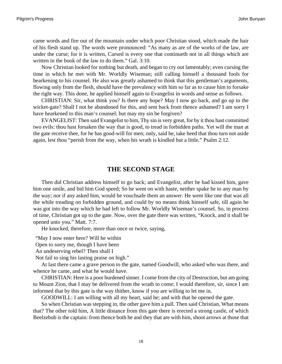came words and fire out of the mountain under which poor Christian stood, which made the hair of his flesh stand up. The words were pronounced: "As many as are of the works of the law, are under the curse; for it is written, Cursed is every one that continueth not in all things which are written in the book of the law to do them." [Gal. 3:10](http://www.ccel.org/b/bible/asv/xml/asv.Gal.3.xml#Gal.3.10).

Now Christian looked for nothing but death, and began to cry out lamentably; even cursing the time in which he met with Mr. Worldly Wiseman; still calling himself a thousand fools for hearkening to his counsel. He also was greatly ashamed to think that this gentleman's arguments, flowing only from the flesh, should have the prevalency with him so far as to cause him to forsake the right way. This done, he applied himself again to Evangelist in words and sense as follows.

CHRISTIAN: Sir, what think you? Is there any hope? May I now go back, and go up to the wicket-gate? Shall I not be abandoned for this, and sent back from thence ashamed? I am sorry I have hearkened to this man's counsel; but may my sin be forgiven?

<span id="page-21-0"></span>EVANGELIST: Then said Evangelist to him, Thy sin is very great, for by it thou hast committed two evils: thou hast forsaken the way that is good, to tread in forbidden paths. Yet will the man at the gate receive thee, for he has good-will for men; only, said he, take heed that thou turn not aside again, lest thou "perish from the way, when his wrath is kindled but a little." [Psalm 2:12.](http://www.ccel.org/b/bible/asv/xml/asv.Ps.2.xml#Ps.2.12)

#### **THE SECOND STAGE**

<span id="page-21-1"></span>Then did Christian address himself to go back; and Evangelist, after he had kissed him, gave him one smile, and bid him God speed; So he went on with haste, neither spake he to any man by the way; nor if any asked him, would he vouchsafe them an answer. He went like one that was all the while treading on forbidden ground, and could by no means think himself safe, till again he was got into the way which he had left to follow Mr. Worldly Wiseman's counsel. So, in process of time, Christian got up to the gate. Now, over the gate there was written, "Knock, and it shall be opened unto you." [Matt. 7:7](http://www.ccel.org/b/bible/asv/xml/asv.Matt.7.xml#Matt.7.7).

He knocked, therefore, more than once or twice, saying,

"May I now enter here? Will he within

Open to sorry me, though I have been

An undeserving rebel? Then shall I

Not fail to sing his lasting praise on high."

At last there came a grave person to the gate, named Goodwill, who asked who was there, and whence he came, and what he would have.

CHRISTIAN: Here is a poor burdened sinner. I come from the city of Destruction, but am going to Mount Zion, that I may be delivered from the wrath to come; I would therefore, sir, since I am informed that by this gate is the way thither, know if you are willing to let me in.

GOODWILL: I am willing with all my heart, said he; and with that he opened the gate.

So when Christian was stepping in, the other gave him a pull. Then said Christian, What means that? The other told him, A little distance from this gate there is erected a strong castle, of which Beelzebub is the captain: from thence both he and they that are with him, shoot arrows at those that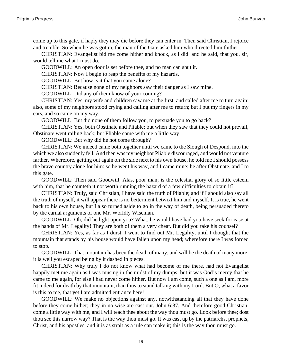come up to this gate, if haply they may die before they can enter in. Then said Christian, I rejoice and tremble. So when he was got in, the man of the Gate asked him who directed him thither.

CHRISTIAN: Evangelist bid me come hither and knock, as I did: and he said, that you, sir, would tell me what I must do.

GOODWILL: An open door is set before thee, and no man can shut it.

CHRISTIAN: Now I begin to reap the benefits of my hazards.

GOODWILL: But how is it that you came alone?

CHRISTIAN: Because none of my neighbors saw their danger as I saw mine.

GOODWILL: Did any of them know of your coming?

CHRISTIAN: Yes, my wife and children saw me at the first, and called after me to turn again: also, some of my neighbors stood crying and calling after me to return; but I put my fingers in my ears, and so came on my way.

GOODWILL: But did none of them follow you, to persuade you to go back?

CHRISTIAN: Yes, both Obstinate and Pliable; but when they saw that they could not prevail, Obstinate went railing back; but Pliable came with me a little way.

GOODWILL: But why did he not come through?

CHRISTIAN: We indeed came both together until we came to the Slough of Despond, into the which we also suddenly fell. And then was my neighbor Pliable discouraged, and would not venture farther. Wherefore, getting out again on the side next to his own house, he told me I should possess the brave country alone for him: so he went his way, and I came mine; he after Obstinate, and I to this gate.

GOODWILL: Then said Goodwill, Alas, poor man; is the celestial glory of so little esteem with him, that he counteth it not worth running the hazard of a few difficulties to obtain it?

CHRISTIAN: Truly, said Christian, I have said the truth of Pliable; and if I should also say all the truth of myself, it will appear there is no betterment betwixt him and myself. It is true, he went back to his own house, but I also turned aside to go in the way of death, being persuaded thereto by the carnal arguments of one Mr. Worldly Wiseman.

GOODWILL: Oh, did he light upon you? What, he would have had you have seek for ease at the hands of Mr. Legality! They are both of them a very cheat. But did you take his counsel?

CHRISTIAN: Yes, as far as I durst. I went to find out Mr. Legality, until I thought that the mountain that stands by his house would have fallen upon my head; wherefore there I was forced to stop.

GOODWILL: That mountain has been the death of many, and will be the death of many more: it is well you escaped being by it dashed in pieces.

CHRISTIAN: Why truly I do not know what had become of me there, had not Evangelist happily met me again as I was musing in the midst of my dumps; but it was God's mercy that he came to me again, for else I had never come hither. But now I am come, such a one as I am, more fit indeed for death by that mountain, than thus to stand talking with my Lord. But O, what a favor is this to me, that yet I am admitted entrance here!

GOODWILL: We make no objections against any, notwithstanding all that they have done before they come hither; they in no wise are cast out. [John 6:37.](http://www.ccel.org/b/bible/asv/xml/asv.John.6.xml#John.6.37) And therefore good Christian, come a little way with me, and I will teach thee about the way thou must go. Look before thee; dost thou see this narrow way? That is the way thou must go. It was cast up by the patriarchs, prophets, Christ, and his apostles, and it is as strait as a rule can make it; this is the way thou must go.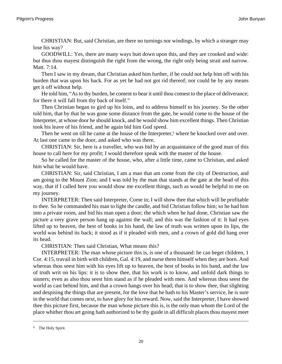CHRISTIAN: But, said Christian, are there no turnings nor windings, by which a stranger may lose his way?

GOODWILL: Yes, there are many ways butt down upon this, and they are crooked and wide: but thus thou mayest distinguish the right from the wrong, the right only being strait and narrow. [Matt. 7:14](http://www.ccel.org/b/bible/asv/xml/asv.Matt.7.xml#Matt.7.14).

Then I saw in my dream, that Christian asked him further, if he could not help him off with his burden that was upon his back. For as yet he had not got rid thereof; nor could he by any means get it off without help.

He told him, "As to thy burden, be content to bear it until thou comest to the place of deliverance; for there it will fall from thy back of itself."

Then Christian began to gird up his loins, and to address himself to his journey. So the other told him, that by that he was gone some distance from the gate, he would come to the house of the Interpreter, at whose door he should knock, and he would show him excellent things. Then Christian took his leave of his friend, and he again bid him God speed.

Then he went on till he came at the house of the Interpreter,<sup>6</sup> where he knocked over and over. At last one came to the door, and asked who was there.

CHRISTIAN: Sir, here is a traveller, who was bid by an acquaintance of the good man of this house to call here for my profit; I would therefore speak with the master of the house.

So he called for the master of the house, who, after a little time, came to Christian, and asked him what he would have.

CHRISTIAN: Sir, said Christian, I am a man that am come from the city of Destruction, and am going to the Mount Zion; and I was told by the man that stands at the gate at the head of this way, that if I called here you would show me excellent things, such as would be helpful to me on my journey.

INTERPRETER: Then said Interpreter, Come in; I will show thee that which will be profitable to thee. So he commanded his man to light the candle, and bid Christian follow him; so he had him into a private room, and bid his man open a door; the which when he had done, Christian saw the picture a very grave person hang up against the wall; and this was the fashion of it: It had eyes lifted up to heaven, the best of books in his hand, the law of truth was written upon its lips, the world was behind its back; it stood as if it pleaded with men, and a crown of gold did hang over its head.

CHRISTIAN: Then said Christian, What means this?

INTERPRETER: The man whose picture this is, is one of a thousand: he can beget children, [1](http://www.ccel.org/b/bible/asv/xml/asv.iCor.4.xml#iCor.4.15) [Cor. 4:15,](http://www.ccel.org/b/bible/asv/xml/asv.iCor.4.xml#iCor.4.15) travail in birth with children, [Gal. 4:19,](http://www.ccel.org/b/bible/asv/xml/asv.Gal.4.xml#Gal.4.19) and nurse them himself when they are born. And whereas thou seest him with his eyes lift up to heaven, the best of books in his hand, and the law of truth writ on his lips: it is to show thee, that his work is to know, and unfold dark things to sinners; even as also thou seest him stand as if he pleaded with men. And whereas thou seest the world as cast behind him, and that a crown hangs over his head; that is to show thee, that slighting and despising the things that are present, for the love that he hath to his Master's service, he is sure in the world that comes next, to have glory for his reward. Now, said the Interpreter, I have showed thee this picture first, because the man whose picture this is, is the only man whom the Lord of the place whither thou art going hath authorized to be thy guide in all difficult places thou mayest meet

<sup>&</sup>lt;sup>6</sup> The Holy Spirit.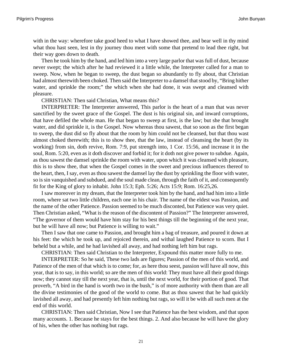with in the way: wherefore take good heed to what I have showed thee, and bear well in thy mind what thou hast seen, lest in thy journey thou meet with some that pretend to lead thee right, but their way goes down to death.

Then he took him by the hand, and led him into a very large parlor that was full of dust, because never swept; the which after he had reviewed it a little while, the Interpreter called for a man to sweep. Now, when he began to sweep, the dust began so abundantly to fly about, that Christian had almost therewith been choked. Then said the Interpreter to a damsel that stood by, "Bring hither water, and sprinkle the room;" the which when she had done, it was swept and cleansed with pleasure.

CHRISTIAN: Then said Christian, What means this?

INTERPRETER: The Interpreter answered, This parlor is the heart of a man that was never sanctified by the sweet grace of the Gospel. The dust is his original sin, and inward corruptions, that have defiled the whole man. He that began to sweep at first, is the law; but she that brought water, and did sprinkle it, is the Gospel. Now whereas thou sawest, that so soon as the first began to sweep, the dust did so fly about that the room by him could not be cleansed, but that thou wast almost choked therewith; this is to show thee, that the law, instead of cleansing the heart (by its working) from sin, doth revive, [Rom. 7:9](http://www.ccel.org/b/bible/asv/xml/asv.Rom.7.xml#Rom.7.9), put strength into, [1 Cor. 15:56,](http://www.ccel.org/b/bible/asv/xml/asv.iCor.15.xml#iCor.15.56) and increase it in the soul, [Rom. 5:20,](http://www.ccel.org/b/bible/asv/xml/asv.Rom.5.xml#Rom.5.20) even as it doth discover and forbid it; for it doth not give power to subdue. Again, as thou sawest the damsel sprinkle the room with water, upon which it was cleansed with pleasure, this is to show thee, that when the Gospel comes in the sweet and precious influences thereof to the heart, then, I say, even as thou sawest the damsel lay the dust by sprinkling the floor with water, so is sin vanquished and subdued, and the soul made clean, through the faith of it, and consequently fit for the King of glory to inhabit. [John 15:3](http://www.ccel.org/b/bible/asv/xml/asv.John.15.xml#John.15.3); [Eph. 5:26](http://www.ccel.org/b/bible/asv/xml/asv.Eph.5.xml#Eph.5.26); [Acts 15:9](http://www.ccel.org/b/bible/asv/xml/asv.Acts.15.xml#Acts.15.9); [Rom. 16:25,26](http://www.ccel.org/b/bible/asv/xml/asv.Rom.16.xml#Rom.16.25 Bible:Rom.16.26).

I saw moreover in my dream, that the Interpreter took him by the hand, and had him into a little room, where sat two little children, each one in his chair. The name of the eldest was Passion, and the name of the other Patience. Passion seemed to be much disconted, but Patience was very quiet. Then Christian asked, "What is the reason of the discontent of Passion?" The Interpreter answered, "The governor of them would have him stay for his best things till the beginning of the next year, but he will have all now; but Patience is willing to wait."

Then I saw that one came to Passion, and brought him a bag of treasure, and poured it down at his feet: the which he took up, and rejoiced therein, and withal laughed Patience to scorn. But I beheld but a while, and he had lavished all away, and had nothing left him but rags.

CHRISTIAN: Then said Christian to the Interpreter, Expound this matter more fully to me.

INTERPRETER: So he said, These two lads are figures; Passion of the men of this world, and Patience of the men of that which is to come; for, as here thou seest, passion will have all now, this year, that is to say, in this world; so are the men of this world: They must have all their good things now; they cannot stay till the next year, that is, until the next world, for their portion of good. That proverb, "A bird in the hand is worth two in the bush," is of more authority with them than are all the divine testimonies of the good of the world to come. But as thou sawest that he had quickly lavished all away, and had presently left him nothing but rags, so will it be with all such men at the end of this world.

CHRISTIAN: Then said Christian, Now I see that Patience has the best wisdom, and that upon many accounts. 1. Because he stays for the best things. 2. And also because he will have the glory of his, when the other has nothing but rags.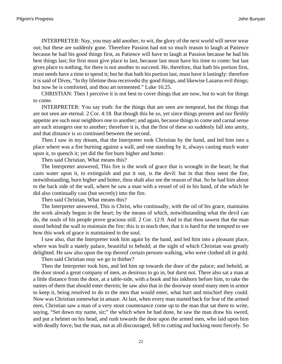INTERPRETER: Nay, you may add another, to wit, the glory of the next world will never wear out; but these are suddenly gone. Therefore Passion had not so much reason to laugh at Patience because he had his good things first, as Patience will have to laugh at Passion because he had his best things last; for first must give place to last, because last must have his time to come: but last gives place to nothing, for there is not another to succeed. He, therefore, that hath his portion first, must needs have a time to spend it; but he that hath his portion last, must have it lastingly: therefore it is said of Dives, "In thy lifetime thou receivedst thy good things, and likewise Lazarus evil things; but now he is comforted, and thou art tormented." [Luke 16:25.](http://www.ccel.org/b/bible/asv/xml/asv.Luke.16.xml#Luke.16.25)

CHRISTIAN: Then I perceive it is not best to cover things that are now, but to wait for things to come.

INTERPRETER: You say truth: for the things that are seen are temporal, but the things that are not seen are eternal. [2 Cor. 4:18](http://www.ccel.org/b/bible/asv/xml/asv.iiCor.4.xml#iiCor.4.18). But though this be so, yet since things present and our fleshly appetite are such near neighbors one to another; and again, because things to come and carnal sense are such strangers one to another; therefore it is, that the first of these so suddenly fall into amity, and that distance is so continued between the second.

Then I saw in my dream, that the Interpreter took Christian by the hand, and led him into a place where was a fire burning against a wall, and one standing by it, always casting much water upon it, to quench it; yet did the fire burn higher and hotter.

Then said Christian, What means this?

The Interpreter answered, This fire is the work of grace that is wrought in the heart; he that casts water upon it, to extinguish and put it out, is the devil: but in that thou seest the fire, notwithstanding, burn higher and hotter, thou shalt also see the reason of that. So he had him about to the back side of the wall, where he saw a man with a vessel of oil in his hand, of the which he did also continually cast (but secretly) into the fire.

Then said Christian, What means this?

The Interpreter answered, This is Christ, who continually, with the oil of his grace, maintains the work already begun in the heart; by the means of which, notwithstanding what the devil can do, the souls of his people prove gracious still. [2 Cor. 12:9.](http://www.ccel.org/b/bible/asv/xml/asv.iiCor.12.xml#iiCor.12.9) And in that thou sawest that the man stood behind the wall to maintain the fire; this is to teach thee, that it is hard for the tempted to see how this work of grace is maintained in the soul.

I saw also, that the Interpreter took him again by the hand, and led him into a pleasant place, where was built a stately palace, beautiful to behold; at the sight of which Christian was greatly delighted. He saw also upon the top thereof certain persons walking, who were clothed all in gold.

Then said Christian may we go in thither?

Then the Interpreter took him, and led him up towards the door of the palace; and behold, at the door stood a great company of men, as desirous to go in, but durst not. There also sat a man at a little distance from the door, at a table-side, with a book and his inkhorn before him, to take the names of them that should enter therein; he saw also that in the doorway stood many men in armor to keep it, being resolved to do to the men that would enter, what hurt and mischief they could. Now was Christian somewhat in amaze. At last, when every man started back for fear of the armed men, Christian saw a man of a very stout countenance come up to the man that sat there to write, saying, "Set down my name, sir;" the which when he had done, he saw the man draw his sword, and put a helmet on his head, and rush towards the door upon the armed men, who laid upon him with deadly force; but the man, not at all discouraged, fell to cutting and hacking most fiercely. So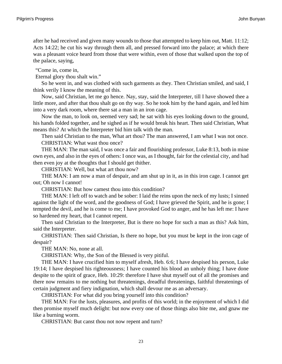after he had received and given many wounds to those that attempted to keep him out, [Matt. 11:12;](http://www.ccel.org/b/bible/asv/xml/asv.Matt.11.xml#Matt.11.12) [Acts 14:22;](http://www.ccel.org/b/bible/asv/xml/asv.Acts.14.xml#Acts.14.22) he cut his way through them all, and pressed forward into the palace; at which there was a pleasant voice heard from those that were within, even of those that walked upon the top of the palace, saying,

"Come in, come in,

Eternal glory thou shalt win."

So he went in, and was clothed with such garments as they. Then Christian smiled, and said, I think verily I know the meaning of this.

Now, said Christian, let me go hence. Nay, stay, said the Interpreter, till I have showed thee a little more, and after that thou shalt go on thy way. So he took him by the hand again, and led him into a very dark room, where there sat a man in an iron cage.

Now the man, to look on, seemed very sad; he sat with his eyes looking down to the ground, his hands folded together, and he sighed as if he would break his heart. Then said Christian, What means this? At which the Interpreter bid him talk with the man.

Then said Christian to the man, What art thou? The man answered, I am what I was not once. CHRISTIAN: What wast thou once?

THE MAN: The man said, I was once a fair and flourishing professor, [Luke 8:13](http://www.ccel.org/b/bible/asv/xml/asv.Luke.8.xml#Luke.8.13), both in mine own eyes, and also in the eyes of others: I once was, as I thought, fair for the celestial city, and had then even joy at the thoughts that I should get thither.

CHRISTIAN: Well, but what art thou now?

THE MAN: I am now a man of despair, and am shut up in it, as in this iron cage. I cannot get out; Oh now I cannot!

CHRISTIAN: But how camest thou into this condition?

THE MAN: I left off to watch and be sober: I laid the reins upon the neck of my lusts; I sinned against the light of the word, and the goodness of God; I have grieved the Spirit, and he is gone; I tempted the devil, and he is come to me; I have provoked God to anger, and he has left me: I have so hardened my heart, that I cannot repent.

Then said Christian to the Interpreter, But is there no hope for such a man as this? Ask him, said the Interpreter.

CHRISTIAN: Then said Christian, Is there no hope, but you must be kept in the iron cage of despair?

THE MAN: No, none at all.

CHRISTIAN: Why, the Son of the Blessed is very pitiful.

THE MAN: I have crucified him to myself afresh, [Heb. 6:6](http://www.ccel.org/b/bible/asv/xml/asv.Heb.6.xml#Heb.6.6); I have despised his person, [Luke](http://www.ccel.org/b/bible/asv/xml/asv.Luke.19.xml#Luke.19.14) [19:14](http://www.ccel.org/b/bible/asv/xml/asv.Luke.19.xml#Luke.19.14); I have despised his righteousness; I have counted his blood an unholy thing; I have done despite to the spirit of grace, [Heb. 10:29](http://www.ccel.org/b/bible/asv/xml/asv.Heb.10.xml#Heb.10.29): therefore I have shut myself out of all the promises and there now remains to me nothing but threatenings, dreadful threatenings, faithful threatenings of certain judgment and fiery indignation, which shall devour me as an adversary.

CHRISTIAN: For what did you bring yourself into this condition?

THE MAN: For the lusts, pleasures, and profits of this world; in the enjoyment of which I did then promise myself much delight: but now every one of those things also bite me, and gnaw me like a burning worm.

CHRISTIAN: But canst thou not now repent and turn?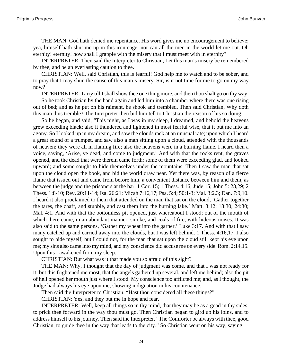THE MAN: God hath denied me repentance. His word gives me no encouragement to believe; yea, himself hath shut me up in this iron cage: nor can all the men in the world let me out. Oh eternity! eternity! how shall I grapple with the misery that I must meet with in eternity?

INTERPRETER: Then said the Interpreter to Christian, Let this man's misery be remembered by thee, and be an everlasting caution to thee.

CHRISTIAN: Well, said Christian, this is fearful! God help me to watch and to be sober, and to pray that I may shun the cause of this man's misery. Sir, is it not time for me to go on my way now?

INTERPRETER: Tarry till I shall show thee one thing more, and then thou shalt go on thy way.

So he took Christian by the hand again and led him into a chamber where there was one rising out of bed; and as he put on his raiment, he shook and trembled. Then said Christian, Why doth this man thus tremble? The Interpreter then bid him tell to Christian the reason of his so doing.

So he began, and said, "This night, as I was in my sleep, I dreamed, and behold the heavens grew exceeding black; also it thundered and lightened in most fearful wise, that it put me into an agony. So I looked up in my dream, and saw the clouds rack at an unusual rate; upon which I heard a great sound of a trumpet, and saw also a man sitting upon a cloud, attended with the thousands of heaven: they were all in flaming fire; also the heavens were in a burning flame. I heard then a voice, saying, 'Arise, ye dead, and come to judgment.' And with that the rocks rent, the graves opened, and the dead that were therein came forth: some of them were exceeding glad, and looked upward; and some sought to hide themselves under the mountains. Then I saw the man that sat upon the cloud open the book, and bid the world draw near. Yet there was, by reason of a fierce flame that issued out and came from before him, a convenient distance between him and them, as between the judge and the prisoners at the bar. [1 Cor. 15;](http://www.ccel.org/b/bible/asv/xml/asv.iCor.15.xml#iCor.15.1) [1 Thess. 4:16](http://www.ccel.org/b/bible/asv/xml/asv.iThess.4.xml#iThess.4.16); [Jude 15](http://www.ccel.org/b/bible/asv/xml/asv.Jude.1.xml#Jude.1.15); [John 5: 28,29;](http://www.ccel.org/b/bible/asv/xml/asv.John.5.xml#John.5.28 Bible:John.5.29) [2](http://www.ccel.org/b/bible/asv/xml/asv.iiThess.1.xml#iiThess.1.8) [Thess. 1:8-10;](http://www.ccel.org/b/bible/asv/xml/asv.iiThess.1.xml#iiThess.1.8) [Rev. 20:11-14](http://www.ccel.org/b/bible/asv/xml/asv.Rev.20.xml#Rev.20.11); [Isa. 26:21;](http://www.ccel.org/b/bible/asv/xml/asv.Isa.26.xml#Isa.26.21) [Micah 7:16,17](http://www.ccel.org/b/bible/asv/xml/asv.Mic.7.xml#Mic.7.16 Bible:Mic.7.17); [Psa. 5:4;](http://www.ccel.org/b/bible/asv/xml/asv.Ps.5.xml#Ps.5.4) [50:1-3](http://www.ccel.org/b/bible/asv/xml/asv.Ps.50.xml#Ps.50.1); [Mal. 3:2,3](http://www.ccel.org/b/bible/asv/xml/asv.Mal.3.xml#Mal.3.2 Bible:Mal.3.3); [Dan. 7:9,10](http://www.ccel.org/b/bible/asv/xml/asv.Dan.7.xml#Dan.7.9 Bible:Dan.7.10). I heard it also proclaimed to them that attended on the man that sat on the cloud, 'Gather together the tares, the chaff, and stubble, and cast them into the burning lake.' [Matt. 3:12;](http://www.ccel.org/b/bible/asv/xml/asv.Matt.3.xml#Matt.3.12) [18:30](http://www.ccel.org/b/bible/asv/xml/asv.Matt.18.xml#Matt.18.30); [24:30;](http://www.ccel.org/b/bible/asv/xml/asv.Matt.24.xml#Matt.24.30) [Mal. 4:1](http://www.ccel.org/b/bible/asv/xml/asv.Mal.4.xml#Mal.4.1). And with that the bottomless pit opened, just whereabout I stood; out of the mouth of which there came, in an abundant manner, smoke, and coals of fire, with hideous noises. It was also said to the same persons, 'Gather my wheat into the garner.' [Luke 3:17](http://www.ccel.org/b/bible/asv/xml/asv.Luke.3.xml#Luke.3.17). And with that I saw many catched up and carried away into the clouds, but I was left behind. [1 Thess. 4:16,17](http://www.ccel.org/b/bible/asv/xml/asv.iThess.4.xml#iThess.4.16 Bible:1Thess.4.17). I also sought to hide myself, but I could not, for the man that sat upon the cloud still kept his eye upon me; my sins also came into my mind, and my conscience did accuse me on every side. [Rom. 2:14,15](http://www.ccel.org/b/bible/asv/xml/asv.Rom.2.xml#Rom.2.14 Bible:Rom.2.15). Upon this I awakened from my sleep."

CHRISTIAN: But what was it that made you so afraid of this sight?

THE MAN: Why, I thought that the day of judgment was come, and that I was not ready for it: but this frightened me most, that the angels gathered up several, and left me behind; also the pit of hell opened her mouth just where I stood. My conscience too afflicted me; and, as I thought, the Judge had always his eye upon me, showing indignation in his countenance.

Then said the Interpreter to Christian, "Hast thou considered all these things?"

CHRISTIAN: Yes, and they put me in hope and fear.

INTERPRETER: Well, keep all things so in thy mind, that they may be as a goad in thy sides, to prick thee forward in the way thou must go. Then Christian began to gird up his loins, and to address himself to his journey. Then said the Interpreter, "The Comforter be always with thee, good Christian, to guide thee in the way that leads to the city." So Christian went on his way, saying,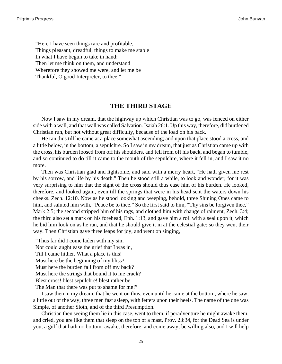"Here I have seen things rare and profitable, Things pleasant, dreadful, things to make me stable In what I have begun to take in hand: Then let me think on them, and understand Wherefore they showed me were, and let me be Thankful, O good Interpreter, to thee."

#### **THE THIRD STAGE**

<span id="page-28-1"></span><span id="page-28-0"></span>Now I saw in my dream, that the highway up which Christian was to go, was fenced on either side with a wall, and that wall was called Salvation. [Isaiah 26:1](http://www.ccel.org/b/bible/asv/xml/asv.Isa.26.xml#Isa.26.1). Up this way, therefore, did burdened Christian run, but not without great difficulty, because of the load on his back.

He ran thus till he came at a place somewhat ascending; and upon that place stood a cross, and a little below, in the bottom, a sepulchre. So I saw in my dream, that just as Christian came up with the cross, his burden loosed from off his shoulders, and fell from off his back, and began to tumble, and so continued to do till it came to the mouth of the sepulchre, where it fell in, and I saw it no more.

Then was Christian glad and lightsome, and said with a merry heart, "He hath given me rest by his sorrow, and life by his death." Then he stood still a while, to look and wonder; for it was very surprising to him that the sight of the cross should thus ease him of his burden. He looked, therefore, and looked again, even till the springs that were in his head sent the waters down his cheeks. [Zech. 12:10.](http://www.ccel.org/b/bible/asv/xml/asv.Zech.12.xml#Zech.12.10) Now as he stood looking and weeping, behold, three Shining Ones came to him, and saluted him with, "Peace be to thee." So the first said to him, "Thy sins be forgiven thee," [Mark 2:5](http://www.ccel.org/b/bible/asv/xml/asv.Mark.2.xml#Mark.2.5); the second stripped him of his rags, and clothed him with change of raiment, [Zech. 3:4;](http://www.ccel.org/b/bible/asv/xml/asv.Zech.3.xml#Zech.3.4) the third also set a mark on his forehead, [Eph. 1:13,](http://www.ccel.org/b/bible/asv/xml/asv.Eph.1.xml#Eph.1.13) and gave him a roll with a seal upon it, which he bid him look on as he ran, and that he should give it in at the celestial gate: so they went their way. Then Christian gave three leaps for joy, and went on singing,

"Thus far did I come laden with my sin, Nor could aught ease the grief that I was in, Till I came hither. What a place is this! Must here be the beginning of my bliss? Must here the burden fall from off my back? Must here the strings that bound it to me crack? Blest cross! blest sepulchre! blest rather be The Man that there was put to shame for me!"

I saw then in my dream, that he went on thus, even until he came at the bottom, where he saw, a little out of the way, three men fast asleep, with fetters upon their heels. The name of the one was Simple, of another Sloth, and of the third Presumption.

Christian then seeing them lie in this case, went to them, if peradventure he might awake them, and cried, you are like them that sleep on the top of a mast, [Prov. 23:34](http://www.ccel.org/b/bible/asv/xml/asv.Prov.23.xml#Prov.23.34), for the Dead Sea is under you, a gulf that hath no bottom: awake, therefore, and come away; be willing also, and I will help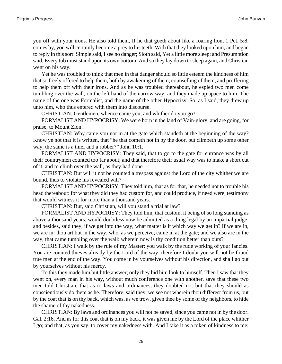you off with your irons. He also told them, If he that goeth about like a roaring lion, [1 Pet. 5:8,](http://www.ccel.org/b/bible/asv/xml/asv.iPet.5.xml#iPet.5.8) comes by, you will certainly become a prey to his teeth. With that they looked upon him, and began to reply in this sort: Simple said, I see no danger; Sloth said, Yet a little more sleep; and Presumption said, Every tub must stand upon its own bottom. And so they lay down to sleep again, and Christian went on his way.

Yet he was troubled to think that men in that danger should so little esteem the kindness of him that so freely offered to help them, both by awakening of them, counselling of them, and proffering to help them off with their irons. And as he was troubled thereabout, he espied two men come tumbling over the wall, on the left hand of the narrow way; and they made up apace to him. The name of the one was Formalist, and the name of the other Hypocrisy. So, as I said, they drew up unto him, who thus entered with them into discourse.

CHRISTIAN: Gentlemen, whence came you, and whither do you go?

FORMALIST AND HYPOCRISY: We were born in the land of Vain-glory, and are going, for praise, to Mount Zion.

CHRISTIAN: Why came you not in at the gate which standeth at the beginning of the way? Know ye not that it is written, that "he that cometh not in by the door, but climbeth up some other way, the same is a thief and a robber?" [John 10:1](http://www.ccel.org/b/bible/asv/xml/asv.John.10.xml#John.10.1).

FORMALIST AND HYPOCRISY: They said, that to go to the gate for entrance was by all their countrymen counted too far about; and that therefore their usual way was to make a short cut of it, and to climb over the wall, as they had done.

CHRISTIAN: But will it not be counted a trespass against the Lord of the city whither we are bound, thus to violate his revealed will?

FORMALIST AND HYPOCRISY: They told him, that as for that, he needed not to trouble his head thereabout: for what they did they had custom for, and could produce, if need were, testimony that would witness it for more than a thousand years.

CHRISTIAN: But, said Christian, will you stand a trial at law?

FORMALIST AND HYPOCRISY: They told him, that custom, it being of so long standing as above a thousand years, would doubtless now be admitted as a thing legal by an impartial judge: and besides, said they, if we get into the way, what matter is it which way we get in? If we are in, we are in: thou art but in the way, who, as we perceive, came in at the gate; and we also are in the way, that came tumbling over the wall: wherein now is thy condition better than ours?

CHRISTIAN: I walk by the rule of my Master: you walk by the rude working of your fancies. You are counted thieves already by the Lord of the way: therefore I doubt you will not be found true men at the end of the way. You come in by yourselves without his direction, and shall go out by yourselves without his mercy.

To this they made him but little answer; only they bid him look to himself. Then I saw that they went on, every man in his way, without much conference one with another, save that these two men told Christian, that as to laws and ordinances, they doubted not but that they should as conscientiously do them as he. Therefore, said they, we see not wherein thou differest from us, but by the coat that is on thy back, which was, as we trow, given thee by some of thy neighbors, to hide the shame of thy nakedness.

CHRISTIAN: By laws and ordinances you will not be saved, since you came not in by the door. [Gal. 2:16](http://www.ccel.org/b/bible/asv/xml/asv.Gal.2.xml#Gal.2.16). And as for this coat that is on my back, it was given me by the Lord of the place whither I go; and that, as you say, to cover my nakedness with. And I take it as a token of kindness to me;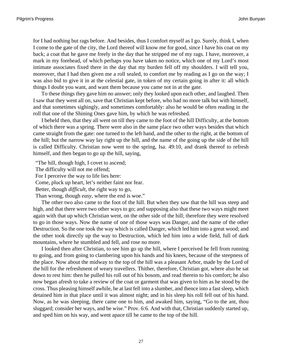for I had nothing but rags before. And besides, thus I comfort myself as I go. Surely, think I, when I come to the gate of the city, the Lord thereof will know me for good, since I have his coat on my back; a coat that he gave me freely in the day that he stripped me of my rags. I have, moreover, a mark in my forehead, of which perhaps you have taken no notice, which one of my Lord's most intimate associates fixed there in the day that my burden fell off my shoulders. I will tell you, moreover, that I had then given me a roll sealed, to comfort me by reading as I go on the way; I was also bid to give it in at the celestial gate, in token of my certain going in after it: all which things I doubt you want, and want them because you came not in at the gate.

To these things they gave him no answer; only they looked upon each other, and laughed. Then I saw that they went all on, save that Christian kept before, who had no more talk but with himself, and that sometimes sighingly, and sometimes comfortably: also he would be often reading in the roll that one of the Shining Ones gave him, by which he was refreshed.

I beheld then, that they all went on till they came to the foot of the hill Difficulty, at the bottom of which there was a spring. There were also in the same place two other ways besides that which came straight from the gate: one turned to the left hand, and the other to the right, at the bottom of the hill; but the narrow way lay right up the hill, and the name of the going up the side of the hill is called Difficulty. Christian now went to the spring, [Isa. 49:10](http://www.ccel.org/b/bible/asv/xml/asv.Isa.49.xml#Isa.49.10), and drank thereof to refresh himself, and then began to go up the hill, saying,

"The hill, though high, I covet to ascend;

The difficulty will not me offend;

For I perceive the way to life lies here:

Come, pluck up heart, let's neither faint nor fear.

Better, though *difficult*, the right way to go,

Than wrong, though *easy*, where the end is woe."

The other two also came to the foot of the hill. But when they saw that the hill was steep and high, and that there were two other ways to go; and supposing also that these two ways might meet again with that up which Christian went, on the other side of the hill; therefore they were resolved to go in those ways. Now the name of one of those ways was Danger, and the name of the other Destruction. So the one took the way which is called Danger, which led him into a great wood; and the other took directly up the way to Destruction, which led him into a wide field, full of dark mountains, where he stumbled and fell, and rose no more.

I looked then after Christian, to see him go up the hill, where I perceived he fell from running to going, and from going to clambering upon his hands and his knees, because of the steepness of the place. Now about the midway to the top of the hill was a pleasant Arbor, made by the Lord of the hill for the refreshment of weary travellers. Thither, therefore, Christian got, where also he sat down to rest him: then he pulled his roll out of his bosom, and read therein to his comfort; he also now began afresh to take a review of the coat or garment that was given to him as he stood by the cross. Thus pleasing himself awhile, he at last fell into a slumber, and thence into a fast sleep, which detained him in that place until it was almost night; and in his sleep his roll fell out of his hand. Now, as he was sleeping, there came one to him, and awaked him, saying, "Go to the ant, thou sluggard; consider her ways, and be wise." [Prov. 6:6](http://www.ccel.org/b/bible/asv/xml/asv.Prov.6.xml#Prov.6.6). And with that, Christian suddenly started up, and sped him on his way, and went apace till he came to the top of the hill.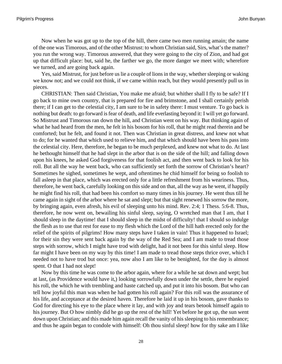Now when he was got up to the top of the hill, there came two men running amain; the name of the one was Timorous, and of the other Mistrust: to whom Christian said, Sirs, what's the matter? you run the wrong way. Timorous answered, that they were going to the city of Zion, and had got up that difficult place: but, said he, the farther we go, the more danger we meet with; wherefore we turned, and are going back again.

Yes, said Mistrust, for just before us lie a couple of lions in the way, whether sleeping or waking we know not; and we could not think, if we came within reach, but they would presently pull us in pieces.

CHRISTIAN: Then said Christian, You make me afraid; but whither shall I fly to be safe? If I go back to mine own country, that is prepared for fire and brimstone, and I shall certainly perish there; if I can get to the celestial city, I am sure to be in safety there: I must venture. To go back is nothing but death: to go forward is fear of death, and life everlasting beyond it: I will yet go forward. So Mistrust and Timorous ran down the hill, and Christian went on his way. But thinking again of what he had heard from the men, he felt in his bosom for his roll, that he might read therein and be comforted; but he felt, and found it not. Then was Christian in great distress, and knew not what to do; for he wanted that which used to relieve him, and that which should have been his pass into the celestial city. Here, therefore, he began to be much perplexed, and knew not what to do. At last he bethought himself that he had slept in the arbor that is on the side of the hill; and falling down upon his knees, he asked God forgiveness for that foolish act, and then went back to look for his roll. But all the way he went back, who can sufficiently set forth the sorrow of Christian's heart? Sometimes he sighed, sometimes he wept, and oftentimes he chid himself for being so foolish to fall asleep in that place, which was erected only for a little refreshment from his weariness. Thus, therefore, he went back, carefully looking on this side and on that, all the way as he went, if happily he might find his roll, that had been his comfort so many times in his journey. He went thus till he came again in sight of the arbor where he sat and slept; but that sight renewed his sorrow the more, by bringing again, even afresh, his evil of sleeping unto his mind. [Rev. 2:4;](http://www.ccel.org/b/bible/asv/xml/asv.Rev.2.xml#Rev.2.4) [1 Thess. 5:6-8.](http://www.ccel.org/b/bible/asv/xml/asv.iThess.5.xml#iThess.5.6) Thus, therefore, he now went on, bewailing his sinful sleep, saying, O wretched man that I am, that I should sleep in the daytime! that I should sleep in the midst of difficulty! that I should so indulge the flesh as to use that rest for ease to my flesh which the Lord of the hill hath erected only for the relief of the spirits of pilgrims! How many steps have I taken in vain! Thus it happened to Israel; for their sin they were sent back again by the way of the Red Sea; and I am made to tread those steps with sorrow, which I might have trod with delight, had it not been for this sinful sleep. How far might I have been on my way by this time! I am made to tread those steps thrice over, which I needed not to have trod but once: yea, now also I am like to be benighted, for the day is almost spent. O that I had not slept!

Now by this time he was come to the arbor again, where for a while he sat down and wept; but at last, (as Providence would have it,) looking sorrowfully down under the settle, there he espied his roll, the which he with trembling and haste catched up, and put it into his bosom. But who can tell how joyful this man was when he had gotten his roll again? For this roll was the assurance of his life, and acceptance at the desired haven. Therefore he laid it up in his bosom, gave thanks to God for directing his eye to the place where it lay, and with joy and tears betook himself again to his journey. But O how nimbly did he go up the rest of the hill! Yet before he got up, the sun went down upon Christian; and this made him again recall the vanity of his sleeping to his remembrance; and thus he again began to condole with himself: Oh thou sinful sleep! how for thy sake am I like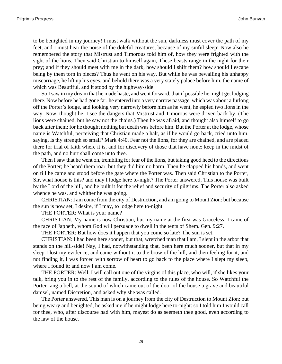to be benighted in my journey! I must walk without the sun, darkness must cover the path of my feet, and I must hear the noise of the doleful creatures, because of my sinful sleep! Now also he remembered the story that Mistrust and Timorous told him of, how they were frighted with the sight of the lions. Then said Christian to himself again, These beasts range in the night for their prey; and if they should meet with me in the dark, how should I shift them? how should I escape being by them torn in pieces? Thus he went on his way. But while he was bewailing his unhappy miscarriage, he lift up his eyes, and behold there was a very stately palace before him, the name of which was Beautiful, and it stood by the highway-side.

So I saw in my dream that he made haste, and went forward, that if possible he might get lodging there. Now before he had gone far, he entered into a very narrow passage, which was about a furlong off the Porter's lodge, and looking very narrowly before him as he went, he espied two lions in the way. Now, thought he, I see the dangers that Mistrust and Timorous were driven back by. (The lions were chained, but he saw not the chains.) Then he was afraid, and thought also himself to go back after them; for he thought nothing but death was before him. But the Porter at the lodge, whose name is Watchful, perceiving that Christian made a halt, as if he would go back, cried unto him, saying, Is thy strength so small? [Mark 4:40](http://www.ccel.org/b/bible/asv/xml/asv.Mark.4.xml#Mark.4.40). Fear not the lions, for they are chained, and are placed there for trial of faith where it is, and for discovery of those that have none: keep in the midst of the path, and no hurt shall come unto thee.

Then I saw that he went on, trembling for fear of the lions, but taking good heed to the directions of the Porter; he heard them roar, but they did him no harm. Then he clapped his hands, and went on till he came and stood before the gate where the Porter was. Then said Christian to the Porter, Sir, what house is this? and may I lodge here to-night? The Porter answered, This house was built by the Lord of the hill, and he built it for the relief and security of pilgrims. The Porter also asked whence he was, and whither he was going.

CHRISTIAN: I am come from the city of Destruction, and am going to Mount Zion: but because the sun is now set, I desire, if I may, to lodge here to-night.

THE PORTER: What is your name?

CHRISTIAN: My name is now Christian, but my name at the first was Graceless: I came of the race of Japheth, whom God will persuade to dwell in the tents of Shem. [Gen. 9:27.](http://www.ccel.org/b/bible/asv/xml/asv.Gen.9.xml#Gen.9.27)

THE PORTER: But how does it happen that you come so late? The sun is set.

CHRISTIAN: I had been here sooner, but that, wretched man that I am, I slept in the arbor that stands on the hill-side! Nay, I had, notwithstanding that, been here much sooner, but that in my sleep I lost my evidence, and came without it to the brow of the hill; and then feeling for it, and not finding it, I was forced with sorrow of heart to go back to the place where I slept my sleep, where I found it; and now I am come.

THE PORTER: Well, I will call out one of the virgins of this place, who will, if she likes your talk, bring you in to the rest of the family, according to the rules of the house. So Watchful the Porter rang a bell, at the sound of which came out of the door of the house a grave and beautiful damsel, named Discretion, and asked why she was called.

The Porter answered, This man is on a journey from the city of Destruction to Mount Zion; but being weary and benighted, he asked me if he might lodge here to-night: so I told him I would call for thee, who, after discourse had with him, mayest do as seemeth thee good, even according to the law of the house.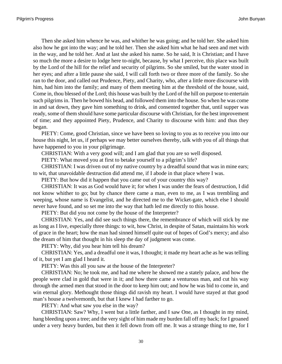Then she asked him whence he was, and whither he was going; and he told her. She asked him also how he got into the way; and he told her. Then she asked him what he had seen and met with in the way, and he told her. And at last she asked his name. So he said, It is Christian; and I have so much the more a desire to lodge here to-night, because, by what I perceive, this place was built by the Lord of the hill for the relief and security of pilgrims. So she smiled, but the water stood in her eyes; and after a little pause she said, I will call forth two or three more of the family. So she ran to the door, and called out Prudence, Piety, and Charity, who, after a little more discourse with him, had him into the family; and many of them meeting him at the threshold of the house, said, Come in, thou blessed of the Lord; this house was built by the Lord of the hill on purpose to entertain such pilgrims in. Then he bowed his head, and followed them into the house. So when he was come in and sat down, they gave him something to drink, and consented together that, until supper was ready, some of them should have some particular discourse with Christian, for the best improvement of time; and they appointed Piety, Prudence, and Charity to discourse with him: and thus they began.

PIETY: Come, good Christian, since we have been so loving to you as to receive you into our house this night, let us, if perhaps we may better ourselves thereby, talk with you of all things that have happened to you in your pilgrimage.

CHRISTIAN: With a very good will; and I am glad that you are so well disposed.

PIETY: What moved you at first to betake yourself to a pilgrim's life?

CHRISTIAN: I was driven out of my native country by a dreadful sound that was in mine ears; to wit, that unavoidable destruction did attend me, if I abode in that place where I was.

PIETY: But how did it happen that you came out of your country this way?

CHRISTIAN: It was as God would have it; for when I was under the fears of destruction, I did not know whither to go; but by chance there came a man, even to me, as I was trembling and weeping, whose name is Evangelist, and he directed me to the Wicket-gate, which else I should never have found, and so set me into the way that hath led me directly to this house.

PIETY: But did you not come by the house of the Interpreter?

CHRISTIAN: Yes, and did see such things there, the remembrance of which will stick by me as long as I live, especially three things: to wit, how Christ, in despite of Satan, maintains his work of grace in the heart; how the man had sinned himself quite out of hopes of God's mercy; and also the dream of him that thought in his sleep the day of judgment was come.

PIETY: Why, did you hear him tell his dream?

CHRISTIAN: Yes, and a dreadful one it was, I thought; it made my heart ache as he was telling of it, but yet I am glad I heard it.

PIETY: Was this all you saw at the house of the Interpreter?

CHRISTIAN: No; he took me, and had me where he showed me a stately palace, and how the people were clad in gold that were in it; and how there came a venturous man, and cut his way through the armed men that stood in the door to keep him out; and how he was bid to come in, and win eternal glory. Methought those things did ravish my heart. I would have stayed at that good man's house a twelvemonth, but that I knew I had farther to go.

PIETY: And what saw you else in the way?

CHRISTIAN: Saw? Why, I went but a little farther, and I saw One, as I thought in my mind, hang bleeding upon a tree; and the very sight of him made my burden fall off my back; for I groaned under a very heavy burden, but then it fell down from off me. It was a strange thing to me, for I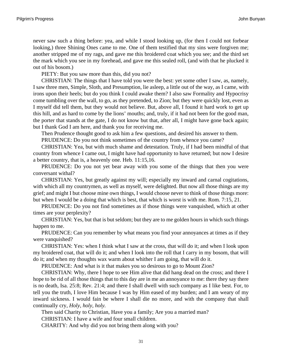never saw such a thing before: yea, and while I stood looking up, (for then I could not forbear looking,) three Shining Ones came to me. One of them testified that my sins were forgiven me; another stripped me of my rags, and gave me this broidered coat which you see; and the third set the mark which you see in my forehead, and gave me this sealed roll, (and with that he plucked it out of his bosom.)

PIETY: But you saw more than this, did you not?

CHRISTIAN: The things that I have told you were the best: yet some other I saw, as, namely, I saw three men, Simple, Sloth, and Presumption, lie asleep, a little out of the way, as I came, with irons upon their heels; but do you think I could awake them? I also saw Formality and Hypocrisy come tumbling over the wall, to go, as they pretended, to Zion; but they were quickly lost, even as I myself did tell them, but they would not believe. But, above all, I found it hard work to get up this hill, and as hard to come by the lions' mouths; and, truly, if it had not been for the good man, the porter that stands at the gate, I do not know but that, after all, I might have gone back again; but I thank God I am here, and thank you for receiving me.

Then Prudence thought good to ask him a few questions, and desired his answer to them.

PRUDENCE: Do you not think sometimes of the country from whence you came?

CHRISTIAN: Yea, but with much shame and detestation. Truly, if I had been mindful of that country from whence I came out, I might have had opportunity to have returned; but now I desire a better country, that is, a heavenly one. [Heb. 11:15,16.](http://www.ccel.org/b/bible/asv/xml/asv.Heb.11.xml#Heb.11.15 Bible:Heb.11.16)

PRUDENCE: Do you not yet bear away with you some of the things that then you were conversant withal?

CHRISTIAN: Yes, but greatly against my will; especially my inward and carnal cogitations, with which all my countrymen, as well as myself, were delighted. But now all those things are my grief; and might I but choose mine own things, I would choose never to think of those things more: but when I would be a doing that which is best, that which is worst is with me. [Rom. 7:15,](http://www.ccel.org/b/bible/asv/xml/asv.Rom.7.xml#Rom.7.15) [21.](http://www.ccel.org/b/bible/asv/xml/asv.Rom.7.xml#Rom.7.21)

PRUDENCE: Do you not find sometimes as if those things were vanquished, which at other times are your perplexity?

CHRISTIAN: Yes, but that is but seldom; but they are to me golden hours in which such things happen to me.

PRUDENCE: Can you remember by what means you find your annoyances at times as if they were vanquished?

CHRISTIAN: Yes: when I think what I saw at the cross, that will do it; and when I look upon my broidered coat, that will do it; and when I look into the roll that I carry in my bosom, that will do it; and when my thoughts wax warm about whither I am going, that will do it.

PRUDENCE: And what is it that makes you so desirous to go to Mount Zion?

CHRISTIAN: Why, there I hope to see Him alive that did hang dead on the cross; and there I hope to be rid of all those things that to this day are in me an annoyance to me: there they say there is no death, [Isa. 25:8](http://www.ccel.org/b/bible/asv/xml/asv.Isa.25.xml#Isa.25.8); [Rev. 21:4;](http://www.ccel.org/b/bible/asv/xml/asv.Rev.21.xml#Rev.21.4) and there I shall dwell with such company as I like best. For, to tell you the truth, I love Him because I was by Him eased of my burden; and I am weary of my inward sickness. I would fain be where I shall die no more, and with the company that shall continually cry, *Holy, holy, holy.*

Then said Charity to Christian, Have you a family; Are you a married man?

CHRISTIAN: I have a wife and four small children.

CHARITY: And why did you not bring them along with you?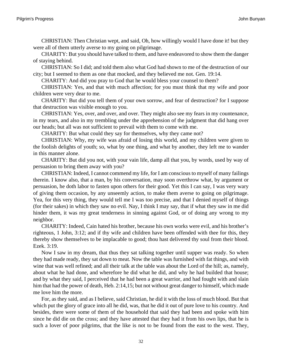CHRISTIAN: Then Christian wept, and said, Oh, how willingly would I have done it! but they were all of them utterly averse to my going on pilgrimage.

CHARITY: But you should have talked to them, and have endeavored to show them the danger of staying behind.

CHRISTIAN: So I did; and told them also what God had shown to me of the destruction of our city; but I seemed to them as one that mocked, and they believed me not. [Gen. 19:14](http://www.ccel.org/b/bible/asv/xml/asv.Gen.19.xml#Gen.19.14).

CHARITY: And did you pray to God that he would bless your counsel to them?

CHRISTIAN: Yes, and that with much affection; for you must think that my wife and poor children were very dear to me.

CHARITY: But did you tell them of your own sorrow, and fear of destruction? for I suppose that destruction was visible enough to you.

CHRISTIAN: Yes, over, and over, and over. They might also see my fears in my countenance, in my tears, and also in my trembling under the apprehension of the judgment that did hang over our heads; but all was not sufficient to prevail with them to come with me.

CHARITY: But what could they say for themselves, why they came not?

CHRISTIAN: Why, my wife was afraid of losing this world, and my children were given to the foolish delights of youth; so, what by one thing, and what by another, they left me to wander in this manner alone.

CHARITY: But did you not, with your vain life, damp all that you, by words, used by way of persuasion to bring them away with you?

CHRISTIAN: Indeed, I cannot commend my life, for I am conscious to myself of many failings therein. I know also, that a man, by his conversation, may soon overthrow what, by argument or persuasion, he doth labor to fasten upon others for their good. Yet this I can say, I was very wary of giving them occasion, by any unseemly action, to make them averse to going on pilgrimage. Yea, for this very thing, they would tell me I was too precise, and that I denied myself of things (for their sakes) in which they saw no evil. Nay, I think I may say, that if what they saw in me did hinder them, it was my great tenderness in sinning against God, or of doing any wrong to my neighbor.

CHARITY: Indeed, Cain hated his brother, because his own works were evil, and his brother's righteous, [1 John, 3:12;](http://www.ccel.org/b/bible/asv/xml/asv.John.3.xml#John.3.12) and if thy wife and children have been offended with thee for this, they thereby show themselves to be implacable to good; thou hast delivered thy soul from their blood. [Ezek. 3:19](http://www.ccel.org/b/bible/asv/xml/asv.Ezek.3.xml#Ezek.3.19).

Now I saw in my dream, that thus they sat talking together until supper was ready. So when they had made ready, they sat down to meat. Now the table was furnished with fat things, and with wine that was well refined; and all their talk at the table was about the Lord of the hill; as, namely, about what he had done, and wherefore he did what he did, and why he had builded that house; and by what they said, I perceived that he had been a great warrior, and had fought with and slain him that had the power of death, [Heb. 2:14,15;](http://www.ccel.org/b/bible/asv/xml/asv.Heb.2.xml#Heb.2.14 Bible:Heb.2.15) but not without great danger to himself, which made me love him the more.

For, as they said, and as I believe, said Christian, he did it with the loss of much blood. But that which put the glory of grace into all he did, was, that he did it out of pure love to his country. And besides, there were some of them of the household that said they had been and spoke with him since he did die on the cross; and they have attested that they had it from his own lips, that he is such a lover of poor pilgrims, that the like is not to be found from the east to the west. They,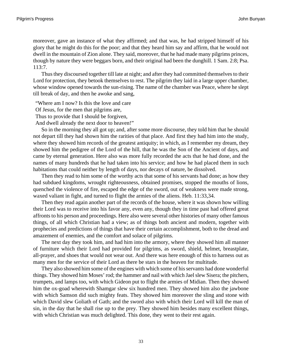moreover, gave an instance of what they affirmed; and that was, he had stripped himself of his glory that he might do this for the poor; and that they heard him say and affirm, that he would not dwell in the mountain of Zion alone. They said, moreover, that he had made many pilgrims princes, though by nature they were beggars born, and their original had been the dunghill. [1 Sam. 2:8](http://www.ccel.org/b/bible/asv/xml/asv.iSam.2.xml#iSam.2.8); [Psa.](http://www.ccel.org/b/bible/asv/xml/asv.Ps.113.xml#Ps.113.7) [113:7](http://www.ccel.org/b/bible/asv/xml/asv.Ps.113.xml#Ps.113.7).

Thus they discoursed together till late at night; and after they had committed themselves to their Lord for protection, they betook themselves to rest. The pilgrim they laid in a large upper chamber, whose window opened towards the sun-rising. The name of the chamber was Peace, where he slept till break of day, and then he awoke and sang,

"Where am I now? Is this the love and care

Of Jesus, for the men that pilgrims are,

Thus to provide that I should be forgiven,

And dwell already the next door to heaven!"

So in the morning they all got up; and, after some more discourse, they told him that he should not depart till they had shown him the rarities of that place. And first they had him into the study, where they showed him records of the greatest antiquity; in which, as I remember my dream, they showed him the pedigree of the Lord of the hill, that he was the Son of the Ancient of days, and came by eternal generation. Here also was more fully recorded the acts that he had done, and the names of many hundreds that he had taken into his service; and how he had placed them in such habitations that could neither by length of days, nor decays of nature, be dissolved.

Then they read to him some of the worthy acts that some of his servants had done; as how they had subdued kingdoms, wrought righteousness, obtained promises, stopped the mouths of lions, quenched the violence of fire, escaped the edge of the sword, out of weakness were made strong, waxed valiant in fight, and turned to flight the armies of the aliens. [Heb. 11:33,34.](http://www.ccel.org/b/bible/asv/xml/asv.Heb.11.xml#Heb.11.33 Bible:Heb.11.34)

Then they read again another part of the records of the house, where it was shown how willing their Lord was to receive into his favor any, even any, though they in time past had offered great affronts to his person and proceedings. Here also were several other histories of many other famous things, of all which Christian had a view; as of things both ancient and modern, together with prophecies and predictions of things that have their certain accomplishment, both to the dread and amazement of enemies, and the comfort and solace of pilgrims.

The next day they took him, and had him into the armory, where they showed him all manner of furniture which their Lord had provided for pilgrims, as sword, shield, helmet, breastplate, all-prayer, and shoes that would not wear out. And there was here enough of this to harness out as many men for the service of their Lord as there be stars in the heaven for multitude.

They also showed him some of the engines with which some of his servants had done wonderful things. They showed him Moses' rod; the hammer and nail with which Jael slew Sisera; the pitchers, trumpets, and lamps too, with which Gideon put to flight the armies of Midian. Then they showed him the ox-goad wherewith Shamgar slew six hundred men. They showed him also the jawbone with which Samson did such mighty feats. They showed him moreover the sling and stone with which David slew Goliath of Gath; and the sword also with which their Lord will kill the man of sin, in the day that he shall rise up to the prey. They showed him besides many excellent things, with which Christian was much delighted. This done, they went to their rest again.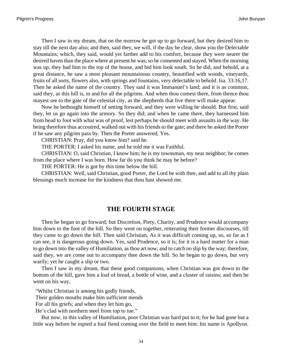Then I saw in my dream, that on the morrow he got up to go forward, but they desired him to stay till the next day also; and then, said they, we will, if the day be clear, show you the Delectable Mountains; which, they said, would yet farther add to his comfort, because they were nearer the desired haven than the place where at present he was; so he consented and stayed. When the morning was up, they had him to the top of the house, and bid him look south. So he did, and behold, at a great distance, he saw a most pleasant mountainous country, beautified with woods, vineyards, fruits of all sorts, flowers also, with springs and fountains, very delectable to behold. [Isa. 33:16,17](http://www.ccel.org/b/bible/asv/xml/asv.Isa.33.xml#Isa.33.16 Bible:Isa.33.17). Then he asked the name of the country. They said it was Immanuel's land; and it is as common, said they, as this hill is, to and for all the pilgrims. And when thou comest there, from thence thou mayest see to the gate of the celestial city, as the shepherds that live there will make appear.

Now he bethought himself of setting forward, and they were willing he should. But first, said they, let us go again into the armory. So they did; and when he came there, they harnessed him from head to foot with what was of proof, lest perhaps he should meet with assaults in the way. He being therefore thus accoutred, walked out with his friends to the gate; and there he asked the Porter if he saw any pilgrim pass by. Then the Porter answered, Yes.

CHRISTIAN: Pray, did you know him? said he.

THE PORTER: I asked his name, and he told me it was Faithful.

CHRISTIAN: O, said Christian, I know him; he is my townsman, my near neighbor; he comes from the place where I was born. How far do you think he may be before?

THE PORTER: He is got by this time below the hill.

CHRISTIAN: Well, said Christian, good Porter, the Lord be with thee, and add to all thy plain blessings much increase for the kindness that thou hast showed me.

### **THE FOURTH STAGE**

Then he began to go forward; but Discretion, Piety, Charity, and Prudence would accompany him down to the foot of the hill. So they went on together, reiterating their former discourses, till they came to go down the hill. Then said Christian, As it was difficult coming up, so, so far as I can see, it is dangerous going down. Yes, said Prudence, so it is; for it is a hard matter for a man to go down into the valley of Humiliation, as thou art now, and to catch no slip by the way; therefore, said they, we are come out to accompany thee down the hill. So he began to go down, but very warily; yet he caught a slip or two.

Then I saw in my dream, that these good companions, when Christian was got down to the bottom of the hill, gave him a loaf of bread, a bottle of wine, and a cluster of raisins; and then he went on his way,

"Whilst Christian is among his godly friends,

Their golden mouths make him sufficient mends

For all his griefs; and when they let him go,

He's clad with northern steel from top to toe."

But now, in this valley of Humiliation, poor Christian was hard put to it; for he had gone but a little way before he espied a foul fiend coming over the field to meet him: his name is Apollyon.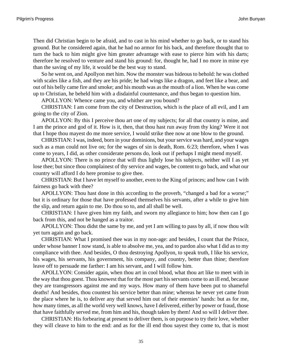Then did Christian begin to be afraid, and to cast in his mind whether to go back, or to stand his ground. But he considered again, that he had no armor for his back, and therefore thought that to turn the back to him might give him greater advantage with ease to pierce him with his darts; therefore he resolved to venture and stand his ground: for, thought he, had I no more in mine eye than the saving of my life, it would be the best way to stand.

So he went on, and Apollyon met him. Now the monster was hideous to behold: he was clothed with scales like a fish, and they are his pride; he had wings like a dragon, and feet like a bear, and out of his belly came fire and smoke; and his mouth was as the mouth of a lion. When he was come up to Christian, he beheld him with a disdainful countenance, and thus began to question him.

APOLLYON: Whence came you, and whither are you bound?

CHRISTIAN: I am come from the city of Destruction, which is the place of all evil, and I am going to the city of Zion.

APOLLYON: By this I perceive thou art one of my subjects; for all that country is mine, and I am the prince and god of it. How is it, then, that thou hast run away from thy king? Were it not that I hope thou mayest do me more service, I would strike thee now at one blow to the ground.

CHRISTIAN: I was, indeed, born in your dominions, but your service was hard, and your wages such as a man could not live on; for the wages of sin is death, [Rom. 6:23;](http://www.ccel.org/b/bible/asv/xml/asv.Rom.6.xml#Rom.6.23) therefore, when I was come to years, I did, as other considerate persons do, look out if perhaps I might mend myself.

APOLLYON: There is no prince that will thus lightly lose his subjects, neither will I as yet lose thee; but since thou complainest of thy service and wages, be content to go back, and what our country will afford I do here promise to give thee.

CHRISTIAN: But I have let myself to another, even to the King of princes; and how can I with fairness go back with thee?

APOLLYON: Thou hast done in this according to the proverb, "changed a bad for a worse;" but it is ordinary for those that have professed themselves his servants, after a while to give him the slip, and return again to me. Do thou so to, and all shall be well.

CHRISTIAN: I have given him my faith, and sworn my allegiance to him; how then can I go back from this, and not be hanged as a traitor.

APOLLYON: Thou didst the same by me, and yet I am willing to pass by all, if now thou wilt yet turn again and go back.

CHRISTIAN: What I promised thee was in my non-age: and besides, I count that the Prince, under whose banner I now stand, is able to absolve me, yea, and to pardon also what I did as to my compliance with thee. And besides, O thou destroying Apollyon, to speak truth, I like his service, his wages, his servants, his government, his company, and country, better than thine; therefore leave off to persuade me farther: I am his servant, and I will follow him.

APOLLYON: Consider again, when thou art in cool blood, what thou art like to meet with in the way that thou goest. Thou knowest that for the most part his servants come to an ill end, because they are transgressors against me and my ways. How many of them have been put to shameful deaths! And besides, thou countest his service better than mine; whereas he never yet came from the place where he is, to deliver any that served him out of their enemies' hands: but as for me, how many times, as all the world very well knows, have I delivered, either by power or fraud, those that have faithfully served me, from him and his, though taken by them! And so will I deliver thee.

CHRISTIAN: His forbearing at present to deliver them, is on purpose to try their love, whether they will cleave to him to the end: and as for the ill end thou sayest they come to, that is most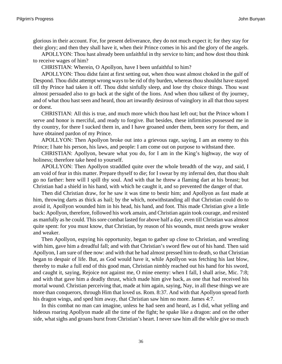glorious in their account. For, for present deliverance, they do not much expect it; for they stay for their glory; and then they shall have it, when their Prince comes in his and the glory of the angels.

APOLLYON: Thou hast already been unfaithful in thy service to him; and how dost thou think to receive wages of him?

CHRISTIAN: Wherein, O Apollyon, have I been unfaithful to him?

APOLLYON: Thou didst faint at first setting out, when thou wast almost choked in the gulf of Despond. Thou didst attempt wrong ways to be rid of thy burden, whereas thou shouldst have stayed till thy Prince had taken it off. Thou didst sinfully sleep, and lose thy choice things. Thou wast almost persuaded also to go back at the sight of the lions. And when thou talkest of thy journey, and of what thou hast seen and heard, thou art inwardly desirous of vainglory in all that thou sayest or doest.

CHRISTIAN: All this is true, and much more which thou hast left out; but the Prince whom I serve and honor is merciful, and ready to forgive. But besides, these infirmities possessed me in thy country, for there I sucked them in, and I have groaned under them, been sorry for them, and have obtained pardon of my Prince.

APOLLYON: Then Apollyon broke out into a grievous rage, saying, I am an enemy to this Prince; I hate his person, his laws, and people: I am come out on purpose to withstand thee.

CHRISTIAN: Apollyon, beware what you do, for I am in the King's highway, the way of holiness; therefore take heed to yourself.

APOLLYON: Then Apollyon straddled quite over the whole breadth of the way, and said, I am void of fear in this matter. Prepare thyself to die; for I swear by my infernal den, that thou shalt go no farther: here will I spill thy soul. And with that he threw a flaming dart at his breast; but Christian had a shield in his hand, with which he caught it, and so prevented the danger of that.

Then did Christian draw, for he saw it was time to bestir him; and Apollyon as fast made at him, throwing darts as thick as hail; by the which, notwithstanding all that Christian could do to avoid it, Apollyon wounded him in his head, his hand, and foot. This made Christian give a little back: Apollyon, therefore, followed his work amain, and Christian again took courage, and resisted as manfully as he could. This sore combat lasted for above half a day, even till Christian was almost quite spent: for you must know, that Christian, by reason of his wounds, must needs grow weaker and weaker.

Then Apollyon, espying his opportunity, began to gather up close to Christian, and wrestling with him, gave him a dreadful fall; and with that Christian's sword flew out of his hand. Then said Apollyon, I am sure of thee now: and with that he had almost pressed him to death, so that Christian began to despair of life. But, as God would have it, while Apollyon was fetching his last blow, thereby to make a full end of this good man, Christian nimbly reached out his hand for his sword, and caught it, saying, Rejoice not against me, O mine enemy: when I fall, I shall arise, [Mic. 7:8;](http://www.ccel.org/b/bible/asv/xml/asv.Mic.7.xml#Mic.7.8) and with that gave him a deadly thrust, which made him give back, as one that had received his mortal wound. Christian perceiving that, made at him again, saying, Nay, in all these things we are more than conquerors, through Him that loved us. [Rom. 8:37.](http://www.ccel.org/b/bible/asv/xml/asv.Rom.8.xml#Rom.8.37) And with that Apollyon spread forth his dragon wings, and sped him away, that Christian saw him no more. [James 4:7.](http://www.ccel.org/b/bible/asv/xml/asv.Jas.4.xml#Jas.4.7)

In this combat no man can imagine, unless he had seen and heard, as I did, what yelling and hideous roaring Apollyon made all the time of the fight; he spake like a dragon: and on the other side, what sighs and groans burst from Christian's heart. I never saw him all the while give so much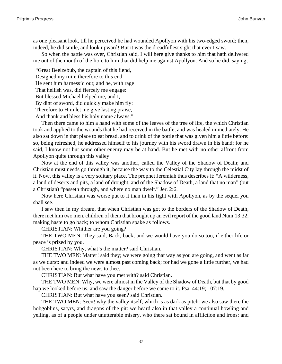as one pleasant look, till he perceived he had wounded Apollyon with his two-edged sword; then, indeed, he did smile, and look upward! But it was the dreadfullest sight that ever I saw.

So when the battle was over, Christian said, I will here give thanks to him that hath delivered me out of the mouth of the lion, to him that did help me against Apollyon. And so he did, saying,

"Great Beelzebub, the captain of this fiend, Designed my ruin; therefore to this end He sent him harness'd out; and he, with rage That hellish was, did fiercely me engage: But blessed Michael helped me, and I, By dint of sword, did quickly make him fly: Therefore to Him let me give lasting praise, And thank and bless his holy name always."

Then there came to him a hand with some of the leaves of the tree of life, the which Christian took and applied to the wounds that he had received in the battle, and was healed immediately. He also sat down in that place to eat bread, and to drink of the bottle that was given him a little before: so, being refreshed, he addressed himself to his journey with his sword drawn in his hand; for he said, I know not but some other enemy may be at hand. But he met with no other affront from Apollyon quite through this valley.

Now at the end of this valley was another, called the Valley of the Shadow of Death; and Christian must needs go through it, because the way to the Celestial City lay through the midst of it. Now, this valley is a very solitary place. The prophet Jeremiah thus describes it: "A wilderness, a land of deserts and pits, a land of drought, and of the Shadow of Death, a land that no man" (but a Christian) "passeth through, and where no man dwelt." [Jer. 2:6.](http://www.ccel.org/b/bible/asv/xml/asv.Jer.2.xml#Jer.2.6)

Now here Christian was worse put to it than in his fight with Apollyon, as by the sequel you shall see.

I saw then in my dream, that when Christian was got to the borders of the Shadow of Death, there met him two men, children of them that brought up an evil report of the good land [Num.13:32](http://www.ccel.org/b/bible/asv/xml/asv.Num.13.xml#Num.13.32), making haste to go back; to whom Christian spake as follows.

CHRISTIAN: Whither are you going?

THE TWO MEN: They said, Back, back; and we would have you do so too, if either life or peace is prized by you.

CHRISTIAN: Why, what's the matter? said Christian.

THE TWO MEN: Matter! said they; we were going that way as you are going, and went as far as we durst: and indeed we were almost past coming back; for had we gone a little further, we had not been here to bring the news to thee.

CHRISTIAN: But what have you met with? said Christian.

THE TWO MEN: Why, we were almost in the Valley of the Shadow of Death, but that by good hap we looked before us, and saw the danger before we came to it. [Psa. 44:19;](http://www.ccel.org/b/bible/asv/xml/asv.Ps.44.xml#Ps.44.19) [107:19](http://www.ccel.org/b/bible/asv/xml/asv.Ps.107.xml#Ps.107.19).

CHRISTIAN: But what have you seen? said Christian.

THE TWO MEN: Seen! why the valley itself, which is as dark as pitch: we also saw there the hobgoblins, satyrs, and dragons of the pit: we heard also in that valley a continual howling and yelling, as of a people under unutterable misery, who there sat bound in affliction and irons: and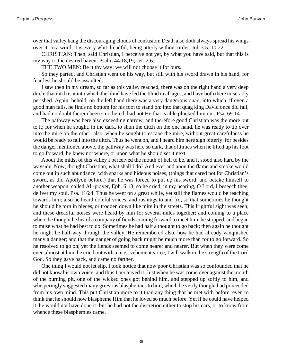over that valley hang the discouraging clouds of confusion: Death also doth always spread his wings over it. In a word, it is every whit dreadful, being utterly without order. [Job 3:5;](http://www.ccel.org/b/bible/asv/xml/asv.Job.3.xml#Job.3.5) [10:22](http://www.ccel.org/b/bible/asv/xml/asv.Job.10.xml#Job.10.22).

CHRISTIAN: Then, said Christian, I perceive not yet, by what you have said, but that this is my way to the desired haven. [Psalm 44:18,19](http://www.ccel.org/b/bible/asv/xml/asv.Ps.44.xml#Ps.44.18 Bible:Ps.44.19); [Jer. 2:6.](http://www.ccel.org/b/bible/asv/xml/asv.Jer.2.xml#Jer.2.6)

THE TWO MEN: Be it thy way; we will not choose it for ours.

So they parted, and Christian went on his way, but still with his sword drawn in his hand, for fear lest he should be assaulted.

I saw then in my dream, so far as this valley reached, there was on the right hand a very deep ditch; that ditch is it into which the blind have led the blind in all ages, and have both there miserably perished. Again, behold, on the left hand there was a very dangerous quag, into which, if even a good man falls, he finds no bottom for his foot to stand on: into that quag king David once did fall, and had no doubt therein been smothered, had not He that is able plucked him out. [Psa. 69:14.](http://www.ccel.org/b/bible/asv/xml/asv.Ps.69.xml#Ps.69.14)

The pathway was here also exceeding narrow, and therefore good Christian was the more put to it; for when he sought, in the dark, to shun the ditch on the one hand, he was ready to tip over into the mire on the other; also, when he sought to escape the mire, without great carefulness he would be ready to fall into the ditch. Thus he went on, and I heard him here sigh bitterly; for besides the danger mentioned above, the pathway was here so dark, that ofttimes when he lifted up his foot to go forward, he knew not where, or upon what he should set it next.

About the midst of this valley I perceived the mouth of hell to be, and it stood also hard by the wayside. Now, thought Christian, what shall I do? And ever and anon the flame and smoke would come out in such abundance, with sparks and hideous noises, (things that cared not for Christian's sword, as did Apollyon before,) that he was forced to put up his sword, and betake himself to another weapon, called All-prayer, [Eph. 6:18](http://www.ccel.org/b/bible/asv/xml/asv.Eph.6.xml#Eph.6.18); so he cried, in my hearing, O Lord, I beseech thee, deliver my soul. [Psa. 116:4.](http://www.ccel.org/b/bible/asv/xml/asv.Ps.116.xml#Ps.116.4) Thus he went on a great while, yet still the flames would be reaching towards him; also he heard doleful voices, and rushings to and fro, so that sometimes he thought he should be torn in pieces, or trodden down like mire in the streets. This frightful sight was seen, and these dreadful noises were heard by him for several miles together; and coming to a place where he thought he heard a company of fiends coming forward to meet him, he stopped, and began to muse what he had best to do. Sometimes he had half a thought to go back; then again he thought he might be half-way through the valley. He remembered also, how he had already vanquished many a danger; and that the danger of going back might be much more than for to go forward. So he resolved to go on; yet the fiends seemed to come nearer and nearer. But when they were come even almost at him, he cried out with a most vehement voice, I will walk in the strength of the Lord God. So they gave back, and came no farther.

One thing I would not let slip. I took notice that now poor Christian was so confounded that he did not know his own voice; and thus I perceived it. Just when he was come over against the mouth of the burning pit, one of the wicked ones got behind him, and stepped up softly to him, and whisperingly suggested many grievous blasphemies to him, which he verily thought had proceeded from his own mind. This put Christian more to it than any thing that he met with before, even to think that he should now blaspheme Him that he loved so much before. Yet if he could have helped it, he would not have done it; but he had not the discretion either to stop his ears, or to know from whence these blasphemies came.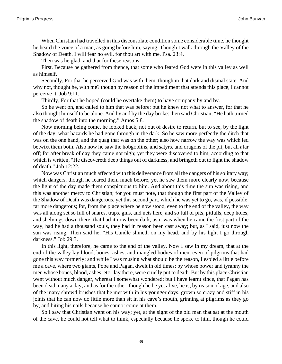When Christian had travelled in this disconsolate condition some considerable time, he thought he heard the voice of a man, as going before him, saying, Though I walk through the Valley of the Shadow of Death, I will fear no evil, for thou art with me. [Psa. 23:4.](http://www.ccel.org/b/bible/asv/xml/asv.Ps.23.xml#Ps.23.4)

Then was he glad, and that for these reasons:

First, Because he gathered from thence, that some who feared God were in this valley as well as himself.

Secondly, For that he perceived God was with them, though in that dark and dismal state. And why not, thought he, with me? though by reason of the impediment that attends this place, I cannot perceive it. [Job 9:11](http://www.ccel.org/b/bible/asv/xml/asv.Job.9.xml#Job.9.11).

Thirdly, For that he hoped (could he overtake them) to have company by and by.

So he went on, and called to him that was before; but he knew not what to answer, for that he also thought himself to be alone. And by and by the day broke: then said Christian, "He hath turned the shadow of death into the morning." [Amos 5:8.](http://www.ccel.org/b/bible/asv/xml/asv.Amos.5.xml#Amos.5.8)

Now morning being come, he looked back, not out of desire to return, but to see, by the light of the day, what hazards he had gone through in the dark. So he saw more perfectly the ditch that was on the one hand, and the quag that was on the other; also how narrow the way was which led betwixt them both. Also now he saw the hobgoblins, and satyrs, and dragons of the pit, but all afar off; for after break of day they came not nigh; yet they were discovered to him, according to that which is written, "He discovereth deep things out of darkness, and bringeth out to light the shadow of death." [Job 12:22](http://www.ccel.org/b/bible/asv/xml/asv.Job.12.xml#Job.12.22).

Now was Christian much affected with this deliverance from all the dangers of his solitary way; which dangers, though he feared them much before, yet he saw them more clearly now, because the light of the day made them conspicuous to him. And about this time the sun was rising, and this was another mercy to Christian; for you must note, that though the first part of the Valley of the Shadow of Death was dangerous, yet this second part, which he was yet to go, was, if possible, far more dangerous; for, from the place where he now stood, even to the end of the valley, the way was all along set so full of snares, traps, gins, and nets here, and so full of pits, pitfalls, deep holes, and shelvings-down there, that had it now been dark, as it was when he came the first part of the way, had he had a thousand souls, they had in reason been cast away; but, as I said, just now the sun was rising. Then said he, "His Candle shineth on my head, and by his light I go through darkness." [Job 29:3](http://www.ccel.org/b/bible/asv/xml/asv.Job.29.xml#Job.29.3).

In this light, therefore, he came to the end of the valley. Now I saw in my dream, that at the end of the valley lay blood, bones, ashes, and mangled bodies of men, even of pilgrims that had gone this way formerly; and while I was musing what should be the reason, I espied a little before me a cave, where two giants, Pope and Pagan, dwelt in old times; by whose power and tyranny the men whose bones, blood, ashes, etc., lay there, were cruelly put to death. But by this place Christian went without much danger, whereat I somewhat wondered; but I have learnt since, that Pagan has been dead many a day; and as for the other, though he be yet alive, he is, by reason of age, and also of the many shrewd brushes that he met with in his younger days, grown so crazy and stiff in his joints that he can now do little more than sit in his cave's mouth, grinning at pilgrims as they go by, and biting his nails because he cannot come at them.

So I saw that Christian went on his way; yet, at the sight of the old man that sat at the mouth of the cave, he could not tell what to think, especially because he spoke to him, though he could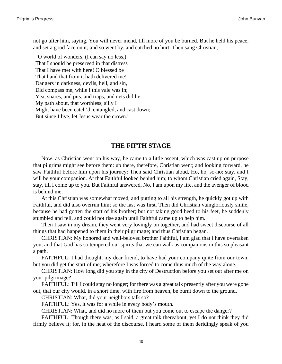not go after him, saying, You will never mend, till more of you be burned. But he held his peace, and set a good face on it; and so went by, and catched no hurt. Then sang Christian,

"O world of wonders, (I can say no less,) That I should be preserved in that distress That I have met with here! O blessed be That hand that from it hath delivered me! Dangers in darkness, devils, hell, and sin, Did compass me, while I this vale was in; Yea, snares, and pits, and traps, and nets did lie My path about, that worthless, silly I Might have been catch'd, entangled, and cast down; But since I live, let Jesus wear the crown."

## **THE FIFTH STAGE**

Now, as Christian went on his way, he came to a little ascent, which was cast up on purpose that pilgrims might see before them: up there, therefore, Christian went; and looking forward, he saw Faithful before him upon his journey: Then said Christian aloud, Ho, ho; so-ho; stay, and I will be your companion. At that Faithful looked behind him; to whom Christian cried again, Stay, stay, till I come up to you. But Faithful answered, No, I am upon my life, and the avenger of blood is behind me.

At this Christian was somewhat moved, and putting to all his strength, he quickly got up with Faithful, and did also overrun him; so the last was first. Then did Christian vaingloriously smile, because he had gotten the start of his brother; but not taking good heed to his feet, he suddenly stumbled and fell, and could not rise again until Faithful came up to help him.

Then I saw in my dream, they went very lovingly on together, and had sweet discourse of all things that had happened to them in their pilgrimage; and thus Christian began.

CHRISTIAN: My honored and well-beloved brother Faithful, I am glad that I have overtaken you, and that God has so tempered our spirits that we can walk as companions in this so pleasant a path.

FAITHFUL: I had thought, my dear friend, to have had your company quite from our town, but you did get the start of me; wherefore I was forced to come thus much of the way alone.

CHRISTIAN: How long did you stay in the city of Destruction before you set out after me on your pilgrimage?

FAITHFUL: Till I could stay no longer; for there was a great talk presently after you were gone out, that our city would, in a short time, with fire from heaven, be burnt down to the ground.

CHRISTIAN: What, did your neighbors talk so?

FAITHFUL: Yes, it was for a while in every body's mouth.

CHRISTIAN: What, and did no more of them but you come out to escape the danger?

FAITHFUL: Though there was, as I said, a great talk thereabout, yet I do not think they did firmly believe it; for, in the heat of the discourse, I heard some of them deridingly speak of you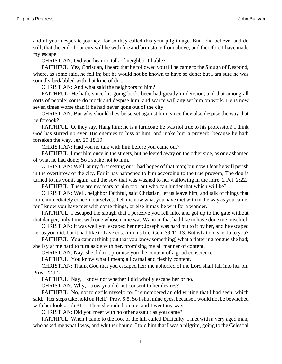and of your desperate journey, for so they called this your pilgrimage. But I did believe, and do still, that the end of our city will be with fire and brimstone from above; and therefore I have made my escape.

CHRISTIAN: Did you hear no talk of neighbor Pliable?

FAITHFUL: Yes, Christian, I heard that he followed you till he came to the Slough of Despond, where, as some said, he fell in; but he would not be known to have so done: but I am sure he was soundly bedabbled with that kind of dirt.

CHRISTIAN: And what said the neighbors to him?

FAITHFUL: He hath, since his going back, been had greatly in derision, and that among all sorts of people: some do mock and despise him, and scarce will any set him on work. He is now seven times worse than if he had never gone out of the city.

CHRISTIAN: But why should they be so set against him, since they also despise the way that he forsook?

FAITHFUL: O, they say, Hang him; he is a turncoat; he was not true to his profession! I think God has stirred up even His enemies to hiss at him, and make him a proverb, because he hath forsaken the way. [Jer. 29:18,19](http://www.ccel.org/b/bible/asv/xml/asv.Jer.29.xml#Jer.29.18 Bible:Jer.29.19).

CHRISTIAN: Had you no talk with him before you came out?

FAITHFUL: I met him once in the streets, but he leered away on the other side, as one ashamed of what he had done; So I spake not to him.

CHRISTIAN: Well, at my first setting out I had hopes of that man; but now I fear he will perish in the overthrow of the city. For it has happened to him according to the true proverb, The dog is turned to his vomit again, and the sow that was washed to her wallowing in the mire. [2 Pet. 2:22.](http://www.ccel.org/b/bible/asv/xml/asv.iiPet.2.xml#iiPet.2.22)

FAITHFUL: These are my fears of him too; but who can hinder that which will be?

CHRISTIAN: Well, neighbor Faithful, said Christian, let us leave him, and talk of things that more immediately concern ourselves. Tell me now what you have met with in the way as you came; for I know you have met with some things, or else it may be writ for a wonder.

FAITHFUL: I escaped the slough that I perceive you fell into, and got up to the gate without that danger; only I met with one whose name was Wanton, that had like to have done me mischief.

CHRISTIAN: It was well you escaped her net: Joseph was hard put to it by her, and he escaped her as you did; but it had like to have cost him his life. [Gen. 39:11-13](http://www.ccel.org/b/bible/asv/xml/asv.Gen.39.xml#Gen.39.11). But what did she do to you?

FAITHFUL: You cannot think (but that you know something) what a flattering tongue she had; she lay at me hard to turn aside with her, promising me all manner of content.

CHRISTIAN: Nay, she did not promise you the content of a good conscience.

FAITHFUL: You know what I mean; all carnal and fleshly content.

CHRISTIAN: Thank God that you escaped her: the abhorred of the Lord shall fall into her pit. [Prov. 22:14](http://www.ccel.org/b/bible/asv/xml/asv.Prov.22.xml#Prov.22.14).

FAITHFUL: Nay, I know not whether I did wholly escape her or no.

CHRISTIAN: Why, I trow you did not consent to her desires?

FAITHFUL: No, not to defile myself; for I remembered an old writing that I had seen, which said, "Her steps take hold on Hell." [Prov. 5:5](http://www.ccel.org/b/bible/asv/xml/asv.Prov.5.xml#Prov.5.5). So I shut mine eyes, because I would not be bewitched with her looks. [Job 31:1.](http://www.ccel.org/b/bible/asv/xml/asv.Job.31.xml#Job.31.1) Then she railed on me, and I went my way.

CHRISTIAN: Did you meet with no other assault as you came?

FAITHFUL: When I came to the foot of the hill called Difficulty, I met with a very aged man, who asked me what I was, and whither bound. I told him that I was a pilgrim, going to the Celestial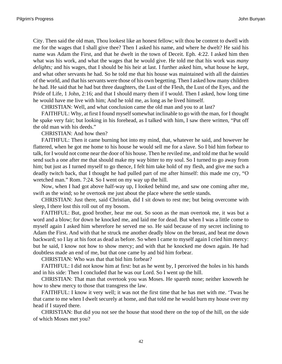City. Then said the old man, Thou lookest like an honest fellow; wilt thou be content to dwell with me for the wages that I shall give thee? Then I asked his name, and where he dwelt? He said his name was Adam the First, and that he dwelt in the town of Deceit. [Eph. 4:22](http://www.ccel.org/b/bible/asv/xml/asv.Eph.4.xml#Eph.4.22). I asked him then what was his work, and what the wages that he would give. He told me that his work was *many delights;* and his wages, that I should be his heir at last. I further asked him, what house he kept, and what other servants he had. So he told me that his house was maintained with all the dainties of the world, and that his servants were those of his own begetting. Then I asked how many children he had. He said that he had but three daughters, the Lust of the Flesh, the Lust of the Eyes, and the Pride of Life, [1 John, 2:16;](http://www.ccel.org/b/bible/asv/xml/asv.iJohn.2.xml#iJohn.2.16) and that I should marry them if I would. Then I asked, how long time he would have me live with him; And he told me, as long as he lived himself.

CHRISTIAN: Well, and what conclusion came the old man and you to at last?

FAITHFUL: Why, at first I found myself somewhat inclinable to go with the man, for I thought he spake very fair; but looking in his forehead, as I talked with him, I saw there written, "Put off the old man with his deeds."

CHRISTIAN: And how then?

FAITHFUL: Then it came burning hot into my mind, that, whatever he said, and however he flattered, when he got me home to his house he would sell me for a slave. So I bid him forbear to talk, for I would not come near the door of his house. Then he reviled me, and told me that he would send such a one after me that should make my way bitter to my soul. So I turned to go away from him; but just as I turned myself to go thence, I felt him take hold of my flesh, and give me such a deadly twitch back, that I thought he had pulled part of me after himself: this made me cry, "O wretched man." [Rom. 7:24.](http://www.ccel.org/b/bible/asv/xml/asv.Rom.7.xml#Rom.7.24) So I went on my way up the hill.

Now, when I had got above half-way up, I looked behind me, and saw one coming after me, swift as the wind; so he overtook me just about the place where the settle stands.

CHRISTIAN: Just there, said Christian, did I sit down to rest me; but being overcome with sleep, I there lost this roll out of my bosom.

FAITHFUL: But, good brother, hear me out. So soon as the man overtook me, it was but a word and a blow; for down he knocked me, and laid me for dead. But when I was a little come to myself again I asked him wherefore he served me so. He said because of my secret inclining to Adam the First. And with that he struck me another deadly blow on the breast, and beat me down backward; so I lay at his foot as dead as before. So when I came to myself again I cried him mercy: but he said, I know not how to show mercy; and with that he knocked me down again. He had doubtless made an end of me, but that one came by and bid him forbear.

CHRISTIAN: Who was that that bid him forbear?

FAITHFUL: I did not know him at first: but as he went by, I perceived the holes in his hands and in his side: Then I concluded that he was our Lord. So I went up the hill.

CHRISTIAN: That man that overtook you was Moses. He spareth none; neither knoweth he how to shew mercy to those that transgress the law.

FAITHFUL: I know it very well; it was not the first time that he has met with me. 'Twas he that came to me when I dwelt securely at home, and that told me he would burn my house over my head if I stayed there.

CHRISTIAN: But did you not see the house that stood there on the top of the hill, on the side of which Moses met you?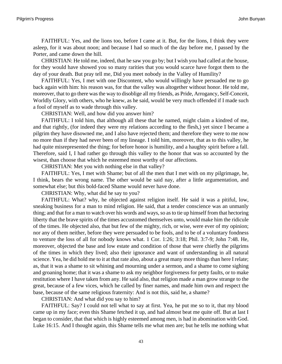FAITHFUL: Yes, and the lions too, before I came at it. But, for the lions, I think they were asleep, for it was about noon; and because I had so much of the day before me, I passed by the Porter, and came down the hill.

CHRISTIAN: He told me, indeed, that he saw you go by; but I wish you had called at the house, for they would have showed you so many rarities that you would scarce have forgot them to the day of your death. But pray tell me, Did you meet nobody in the Valley of Humility?

FAITHFUL: Yes, I met with one Discontent, who would willingly have persuaded me to go back again with him: his reason was, for that the valley was altogether without honor. He told me, moreover, that to go there was the way to disoblige all my friends, as Pride, Arrogancy, Self-Conceit, Worldly Glory, with others, who he knew, as he said, would be very much offended if I made such a fool of myself as to wade through this valley.

CHRISTIAN: Well, and how did you answer him?

FAITHFUL: I told him, that although all these that he named, might claim a kindred of me, and that rightly, (for indeed they were my relations according to the flesh,) yet since I became a pilgrim they have disowned me, and I also have rejected them; and therefore they were to me now no more than if they had never been of my lineage. I told him, moreover, that as to this valley, he had quite misrepresented the thing; for before honor is humility, and a haughty spirit before a fall. Therefore, said I, I had rather go through this valley to the honor that was so accounted by the wisest, than choose that which he esteemed most worthy of our affections.

CHRISTIAN: Met you with nothing else in that valley?

FAITHFUL: Yes, I met with Shame; but of all the men that I met with on my pilgrimage, he, I think, bears the wrong name. The other would be said nay, after a little argumentation, and somewhat else; but this bold-faced Shame would never have done.

CHRISTIAN: Why, what did he say to you?

FAITHFUL: What? why, he objected against religion itself. He said it was a pitiful, low, sneaking business for a man to mind religion. He said, that a tender conscience was an unmanly thing; and that for a man to watch over his words and ways, so as to tie up himself from that hectoring liberty that the brave spirits of the times accustomed themselves unto, would make him the ridicule of the times. He objected also, that but few of the mighty, rich, or wise, were ever of my opinion; nor any of them neither, before they were persuaded to be fools, and to be of a voluntary fondness to venture the loss of all for nobody knows what. [1 Cor. 1:26](http://www.ccel.org/b/bible/asv/xml/asv.iCor.1.xml#iCor.1.26); [3:18;](http://www.ccel.org/b/bible/asv/xml/asv.iCor.3.xml#iCor.3.18) [Phil. 3:7-9](http://www.ccel.org/b/bible/asv/xml/asv.Phil.3.xml#Phil.3.7); [John 7:48](http://www.ccel.org/b/bible/asv/xml/asv.John.7.xml#John.7.48). He, moreover, objected the base and low estate and condition of those that were chiefly the pilgrims of the times in which they lived; also their ignorance and want of understanding in all natural science. Yea, he did hold me to it at that rate also, about a great many more things than here I relate; as, that it was a shame to sit whining and mourning under a sermon, and a shame to come sighing and groaning home; that it was a shame to ask my neighbor forgiveness for petty faults, or to make restitution where I have taken from any. He said also, that religion made a man grow strange to the great, because of a few vices, which he called by finer names, and made him own and respect the base, because of the same religious fraternity: And is not this, said he, a shame?

CHRISTIAN: And what did you say to him?

FAITHFUL: Say? I could not tell what to say at first. Yea, he put me so to it, that my blood came up in my face; even this Shame fetched it up, and had almost beat me quite off. But at last I began to consider, that that which is highly esteemed among men, is had in abomination with God. [Luke 16:15](http://www.ccel.org/b/bible/asv/xml/asv.Luke.16.xml#Luke.16.15). And I thought again, this Shame tells me what men are; but he tells me nothing what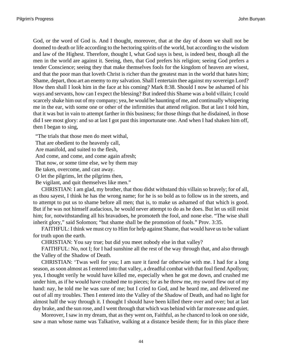God, or the word of God is. And I thought, moreover, that at the day of doom we shall not be doomed to death or life according to the hectoring spirits of the world, but according to the wisdom and law of the Highest. Therefore, thought I, what God says is best, is indeed best, though all the men in the world are against it. Seeing, then, that God prefers his religion; seeing God prefers a tender Conscience; seeing they that make themselves fools for the kingdom of heaven are wisest, and that the poor man that loveth Christ is richer than the greatest man in the world that hates him; Shame, depart, thou art an enemy to my salvation. Shall I entertain thee against my sovereign Lord? How then shall I look him in the face at his coming? [Mark 8:38.](http://www.ccel.org/b/bible/asv/xml/asv.Mark.8.xml#Mark.8.38) Should I now be ashamed of his ways and servants, how can I expect the blessing? But indeed this Shame was a bold villain; I could scarcely shake him out of my company; yea, he would be haunting of me, and continually whispering me in the ear, with some one or other of the infirmities that attend religion. But at last I told him, that it was but in vain to attempt farther in this business; for those things that he disdained, in those did I see most glory: and so at last I got past this importunate one. And when I had shaken him off, then I began to sing,

"The trials that those men do meet withal,

That are obedient to the heavenly call,

Are manifold, and suited to the flesh,

And come, and come, and come again afresh;

That now, or some time else, we by them may

Be taken, overcome, and cast away.

O let the pilgrims, let the pilgrims then,

Be vigilant, and quit themselves like men."

CHRISTIAN: I am glad, my brother, that thou didst withstand this villain so bravely; for of all, as thou sayest, I think he has the wrong name; for he is so bold as to follow us in the streets, and to attempt to put us to shame before all men; that is, to make us ashamed of that which is good. But if he was not himself audacious, he would never attempt to do as he does. But let us still resist him; for, notwithstanding all his bravadoes, he promoteth the fool, and none else. "The wise shall inherit glory," said Solomon; "but shame shall be the promotion of fools." [Prov. 3:35](http://www.ccel.org/b/bible/asv/xml/asv.Prov.3.xml#Prov.3.35).

FAITHFUL: I think we must cry to Him for help against Shame, that would have us to be valiant for truth upon the earth.

CHRISTIAN: You say true; but did you meet nobody else in that valley?

FAITHFUL: No, not I; for I had sunshine all the rest of the way through that, and also through the Valley of the Shadow of Death.

CHRISTIAN: 'Twas well for you; I am sure it fared far otherwise with me. I had for a long season, as soon almost as I entered into that valley, a dreadful combat with that foul fiend Apollyon; yea, I thought verily he would have killed me, especially when he got me down, and crushed me under him, as if he would have crushed me to pieces; for as he threw me, my sword flew out of my hand: nay, he told me he was sure of me; but I cried to God, and he heard me, and delivered me out of all my troubles. Then I entered into the Valley of the Shadow of Death, and had no light for almost half the way through it. I thought I should have been killed there over and over; but at last day brake, and the sun rose, and I went through that which was behind with far more ease and quiet.

Moreover, I saw in my dream, that as they went on, Faithful, as he chanced to look on one side, saw a man whose name was Talkative, walking at a distance beside them; for in this place there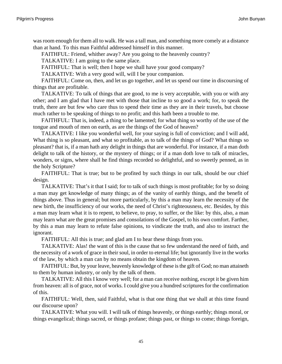was room enough for them all to walk. He was a tall man, and something more comely at a distance than at hand. To this man Faithful addressed himself in this manner.

FAITHFUL: Friend, whither away? Are you going to the heavenly country?

TALKATIVE: I am going to the same place.

FAITHFUL: That is well; then I hope we shall have your good company?

TALKATIVE: With a very good will, will I be your companion.

FAITHFUL: Come on, then, and let us go together, and let us spend our time in discoursing of things that are profitable.

TALKATIVE: To talk of things that are good, to me is very acceptable, with you or with any other; and I am glad that I have met with those that incline to so good a work; for, to speak the truth, there are but few who care thus to spend their time as they are in their travels, but choose much rather to be speaking of things to no profit; and this hath been a trouble to me.

FAITHFUL: That is, indeed, a thing to be lamented; for what thing so worthy of the use of the tongue and mouth of men on earth, as are the things of the God of heaven?

TALKATIVE: I like you wonderful well, for your saying is full of conviction; and I will add, What thing is so pleasant, and what so profitable, as to talk of the things of God? What things so pleasant? that is, if a man hath any delight in things that are wonderful. For instance, if a man doth delight to talk of the history, or the mystery of things; or if a man doth love to talk of miracles, wonders, or signs, where shall he find things recorded so delightful, and so sweetly penned, as in the holy Scripture?

FAITHFUL: That is true; but to be profited by such things in our talk, should be our chief design.

TALKATIVE: That's it that I said; for to talk of such things is most profitable; for by so doing a man may get knowledge of many things; as of the vanity of earthly things, and the benefit of things above. Thus in general; but more particularly, by this a man may learn the necessity of the new birth, the insufficiency of our works, the need of Christ's righteousness, etc. Besides, by this a man may learn what it is to repent, to believe, to pray, to suffer, or the like: by this, also, a man may learn what are the great promises and consolations of the Gospel, to his own comfort. Farther, by this a man may learn to refute false opinions, to vindicate the truth, and also to instruct the ignorant.

FAITHFUL: All this is true; and glad am I to hear these things from you.

TALKATIVE: Alas! the want of this is the cause that so few understand the need of faith, and the necessity of a work of grace in their soul, in order to eternal life; but ignorantly live in the works of the law, by which a man can by no means obtain the kingdom of heaven.

FAITHFUL: But, by your leave, heavenly knowledge of these is the gift of God; no man attaineth to them by human industry, or only by the talk of them.

TALKATIVE: All this I know very well; for a man can receive nothing, except it be given him from heaven: all is of grace, not of works. I could give you a hundred scriptures for the confirmation of this.

FAITHFUL: Well, then, said Faithful, what is that one thing that we shall at this time found our discourse upon?

TALKATIVE: What you will. I will talk of things heavenly, or things earthly; things moral, or things evangelical; things sacred, or things profane; things past, or things to come; things foreign,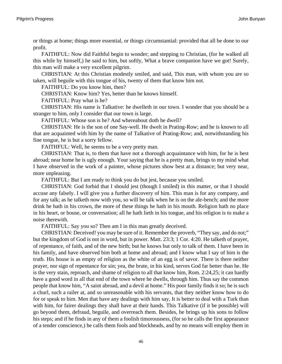or things at home; things more essential, or things circumstantial: provided that all be done to our profit.

FAITHFUL: Now did Faithful begin to wonder; and stepping to Christian, (for he walked all this while by himself,) he said to him, but softly, What a brave companion have we got! Surely, this man will make a very excellent pilgrim.

CHRISTIAN: At this Christian modestly smiled, and said, This man, with whom you are so taken, will beguile with this tongue of his, twenty of them that know him not.

FAITHFUL: Do you know him, then?

CHRISTIAN: Know him? Yes, better than he knows himself.

FAITHFUL: Pray what is he?

CHRISTIAN: His name is Talkative: he dwelleth in our town. I wonder that you should be a stranger to him, only I consider that our town is large.

FAITHFUL: Whose son is he? And whereabout doth he dwell?

CHRISTIAN: He is the son of one Say-well. He dwelt in Prating-Row; and he is known to all that are acquainted with him by the name of Talkative of Prating-Row; and, notwithstanding his fine tongue, he is but a sorry fellow.

FAITHFUL: Well, he seems to be a very pretty man.

CHRISTIAN: That is, to them that have not a thorough acquaintance with him, for he is best abroad; near home he is ugly enough. Your saying that he is a pretty man, brings to my mind what I have observed in the work of a painter, whose pictures show best at a distance; but very near, more unpleasing.

FAITHFUL: But I am ready to think you do but jest, because you smiled.

CHRISTIAN: God forbid that I should jest (though I smiled) in this matter, or that I should accuse any falsely. I will give you a further discovery of him. This man is for any company, and for any talk; as he talketh now with you, so will he talk when he is on the ale-bench; and the more drink he hath in his crown, the more of these things he hath in his mouth. Religion hath no place in his heart, or house, or conversation; all he hath lieth in his tongue, and his religion is to make a noise therewith.

FAITHFUL: Say you so? Then am I in this man greatly deceived.

CHRISTIAN: Deceived! you may be sure of it. Remember the proverb, "They say, and do not;" but the kingdom of God is not in word, but in power. [Matt. 23:3;](http://www.ccel.org/b/bible/asv/xml/asv.Matt.23.xml#Matt.23.3) [1 Cor. 4:20.](http://www.ccel.org/b/bible/asv/xml/asv.iCor.4.xml#iCor.4.20) He talketh of prayer, of repentance, of faith, and of the new birth; but he knows but only to talk of them. I have been in his family, and have observed him both at home and abroad; and I know what I say of him is the truth. His house is as empty of religion as the white of an egg is of savor. There is there neither prayer, nor sign of repentance for sin; yea, the brute, in his kind, serves God far better than he. He is the very stain, reproach, and shame of religion to all that know him, [Rom. 2:24,25](http://www.ccel.org/b/bible/asv/xml/asv.Rom.2.xml#Rom.2.24 Bible:Rom.2.25); it can hardly have a good word in all that end of the town where he dwells, through him. Thus say the common people that know him, "A saint abroad, and a devil at home." His poor family finds it so; he is such a churl, such a railer at, and so unreasonable with his servants, that they neither know how to do for or speak to him. Men that have any dealings with him say, It is better to deal with a Turk than with him, for fairer dealings they shall have at their hands. This Talkative (if it be possible) will go beyond them, defraud, beguile, and overreach them. Besides, he brings up his sons to follow his steps; and if he finds in any of them a foolish timorousness, (for so he calls the first appearance of a tender conscience,) he calls them fools and blockheads, and by no means will employ them in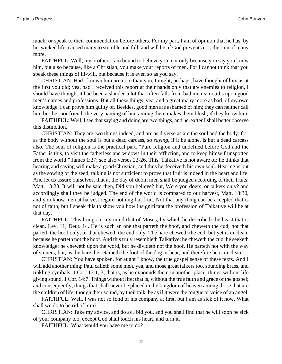much, or speak to their commendation before others. For my part, I am of opinion that he has, by his wicked life, caused many to stumble and fall; and will be, if God prevents not, the ruin of many more.

FAITHFUL: Well, my brother, I am bound to believe you, not only because you say you know him, but also because, like a Christian, you make your reports of men. For I cannot think that you speak these things of ill-will, but because it is even so as you say.

CHRISTIAN: Had I known him no more than you, I might, perhaps, have thought of him as at the first you did; yea, had I received this report at their hands only that are enemies to religion, I should have thought it had been a slander-a lot that often falls from bad men's mouths upon good men's names and professions. But all these things, yea, and a great many more as bad, of my own knowledge, I can prove him guilty of. Besides, good men are ashamed of him; they can neither call him brother nor friend; the very naming of him among them makes them blush, if they know him.

FAITHFUL: Well, I see that saying and doing are two things, and hereafter I shall better observe this distinction.

CHRISTIAN: They are two things indeed, and are as diverse as are the soul and the body; for, as the body without the soul is but a dead carcass, so *saying*, if it be alone, is but a dead carcass also. The soul of religion is the practical part. "Pure religion and undefiled before God and the Father is this, to visit the fatherless and widows in their affliction, and to keep himself unspotted from the world." [James 1:27;](http://www.ccel.org/b/bible/asv/xml/asv.Jas.1.xml#Jas.1.27) see also [verses 22-26.](http://www.ccel.org/b/bible/asv/xml/asv.Jas.1.xml#Jas.1.22) This, Talkative is not aware of; he thinks that hearing and saying will make a good Christian; and thus he deceiveth his own soul. Hearing is but as the sowing of the seed; talking is not sufficient to prove that fruit is indeed in the heart and life. And let us assure ourselves, that at the day of doom men shall be judged according to their fruits. [Matt. 13:23](http://www.ccel.org/b/bible/asv/xml/asv.Matt.13.xml#Matt.13.23). It will not be said then, Did you believe? but, Were you doers, or talkers only? and accordingly shall they be judged. The end of the world is compared to our harvest, [Matt. 13:30,](http://www.ccel.org/b/bible/asv/xml/asv.Matt.13.xml#Matt.13.30) and you know men at harvest regard nothing but fruit. Not that any thing can be accepted that is not of faith; but I speak this to show you how insignificant the profession of Talkative will be at that day.

FAITHFUL: This brings to my mind that of Moses, by which he describeth the beast that is clean. [Lev. 11;](http://www.ccel.org/b/bible/asv/xml/asv.Lev.11.xml#Lev.11.1) [Deut. 14.](http://www.ccel.org/b/bible/asv/xml/asv.Deut.14.xml#Deut.14.1) He is such an one that parteth the hoof, and cheweth the cud; not that parteth the hoof only, or that cheweth the cud only. The hare cheweth the cud, but yet is unclean, because he parteth not the hoof. And this truly resembleth Talkative: he cheweth the cud, he seeketh knowledge; he cheweth upon the word, but he divideth not the hoof. He parteth not with the way of sinners; but, as the hare, he retaineth the foot of the dog or bear, and therefore he is unclean.

CHRISTIAN: You have spoken, for aught I know, the true gospel sense of these texts. And I will add another thing: Paul calleth some men, yea, and those great talkers too, sounding brass, and tinkling cymbals, [1 Cor. 13:1,](http://www.ccel.org/b/bible/asv/xml/asv.iCor.13.xml#iCor.13.1) [3;](http://www.ccel.org/b/bible/asv/xml/asv.iCor.13.xml#iCor.13.3) that is, as he expounds them in another place, things without life giving sound. [1 Cor. 14:7.](http://www.ccel.org/b/bible/asv/xml/asv.iCor.14.xml#iCor.14.7) Things without life; that is, without the true faith and grace of the gospel; and consequently, things that shall never be placed in the kingdom of heaven among those that are the children of life; though their sound, by their talk, be as if it were the tongue or voice of an angel.

FAITHFUL: Well, I was not so fond of his company at first, but I am as sick of it now. What shall we do to be rid of him?

CHRISTIAN: Take my advice, and do as I bid you, and you shall find that he will soon be sick of your company too, except God shall touch his heart, and turn it.

FAITHFUL: What would you have me to do?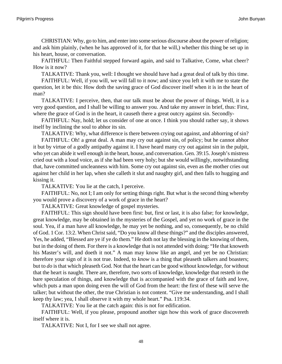CHRISTIAN: Why, go to him, and enter into some serious discourse about the power of religion; and ask him plainly, (when he has approved of it, for that he will,) whether this thing be set up in his heart, house, or conversation.

FAITHFUL: Then Faithful stepped forward again, and said to Talkative, Come, what cheer? How is it now?

TALKATIVE: Thank you, well: I thought we should have had a great deal of talk by this time.

FAITHFUL: Well, if you will, we will fall to it now; and since you left it with me to state the question, let it be this: How doth the saving grace of God discover itself when it is in the heart of man?

TALKATIVE: I perceive, then, that our talk must be about the power of things. Well, it is a very good question, and I shall be willing to answer you. And take my answer in brief, thus: First, where the grace of God is in the heart, it causeth there a great outcry against sin. Secondly-

FAITHFUL: Nay, hold; let us consider of one at once. I think you should rather say, it shows itself by inclining the soul to abhor its sin.

TALKATIVE: Why, what difference is there between crying out against, and abhorring of sin?

FAITHFUL: Oh! a great deal. A man may cry out against sin, of policy; but he cannot abhor it but by virtue of a godly antipathy against it. I have heard many cry out against sin in the pulpit, who yet can abide it well enough in the heart, house, and conversation. [Gen. 39:15](http://www.ccel.org/b/bible/asv/xml/asv.Gen.39.xml#Gen.39.15). Joseph's mistress cried out with a loud voice, as if she had been very holy; but she would willingly, notwithstanding that, have committed uncleanness with him. Some cry out against sin, even as the mother cries out against her child in her lap, when she calleth it slut and naughty girl, and then falls to hugging and kissing it.

TALKATIVE: You lie at the catch, I perceive.

FAITHFUL: No, not I; I am only for setting things right. But what is the second thing whereby you would prove a discovery of a work of grace in the heart?

TALKATIVE: Great knowledge of gospel mysteries.

FAITHFUL: This sign should have been first: but, first or last, it is also false; for knowledge, great knowledge, may be obtained in the mysteries of the Gospel, and yet no work of grace in the soul. Yea, if a man have all knowledge, he may yet be nothing, and so, consequently, be no child of God. [1 Cor. 13:2](http://www.ccel.org/b/bible/asv/xml/asv.iCor.13.xml#iCor.13.2). When Christ said, "Do you know all these things?" and the disciples answered, Yes, he added, "Blessed are ye if ye do them." He doth not lay the blessing in the knowing of them, but in the doing of them. For there is a knowledge that is not attended with doing: "He that knoweth his Master's will, and doeth it not." A man may know like an angel, and yet be no Christian: therefore your sign of it is not true. Indeed, to *know* is a thing that pleaseth talkers and boasters; but to *do* is that which pleaseth God. Not that the heart can be good without knowledge, for without that the heart is naught. There are, therefore, two sorts of knowledge, knowledge that resteth in the bare speculation of things, and knowledge that is accompanied with the grace of faith and love, which puts a man upon doing even the will of God from the heart: the first of these will serve the talker; but without the other, the true Christian is not content. "Give me understanding, and I shall keep thy law; yea, I shall observe it with my whole heart." [Psa. 119:34](http://www.ccel.org/b/bible/asv/xml/asv.Ps.119.xml#Ps.119.34).

TALKATIVE: You lie at the catch again: this is not for edification.

FAITHFUL: Well, if you please, propound another sign how this work of grace discovereth itself where it is.

TALKATIVE: Not I, for I see we shall not agree.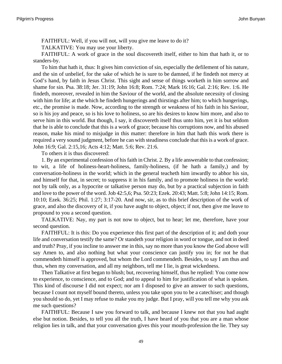FAITHFUL: Well, if you will not, will you give me leave to do it?

TALKATIVE: You may use your liberty.

FAITHFUL: A work of grace in the soul discovereth itself, either to him that hath it, or to standers-by.

To him that hath it, thus: It gives him conviction of sin, especially the defilement of his nature, and the sin of unbelief, for the sake of which he is sure to be damned, if he findeth not mercy at God's hand, by faith in Jesus Christ. This sight and sense of things worketh in him sorrow and shame for sin. [Psa. 38:18](http://www.ccel.org/b/bible/asv/xml/asv.Ps.38.xml#Ps.38.18); [Jer. 31:19](http://www.ccel.org/b/bible/asv/xml/asv.Jer.31.xml#Jer.31.19); [John 16:8;](http://www.ccel.org/b/bible/asv/xml/asv.John.16.xml#John.16.8) [Rom. 7:24](http://www.ccel.org/b/bible/asv/xml/asv.Rom.7.xml#Rom.7.24); [Mark 16:16](http://www.ccel.org/b/bible/asv/xml/asv.Mark.16.xml#Mark.16.16); [Gal. 2:16](http://www.ccel.org/b/bible/asv/xml/asv.Gal.2.xml#Gal.2.16); [Rev. 1:6.](http://www.ccel.org/b/bible/asv/xml/asv.Rev.1.xml#Rev.1.6) He findeth, moreover, revealed in him the Saviour of the world, and the absolute necessity of closing with him for life; at the which he findeth hungerings and thirstings after him; to which hungerings, etc., the promise is made. Now, according to the strength or weakness of his faith in his Saviour, so is his joy and peace, so is his love to holiness, so are his desires to know him more, and also to serve him in this world. But though, I say, it discovereth itself thus unto him, yet it is but seldom that he is able to conclude that this is a work of grace; because his corruptions now, and his abused reason, make his mind to misjudge in this matter: therefore in him that hath this work there is required a very sound judgment, before he can with steadiness conclude that this is a work of grace. [John 16:9](http://www.ccel.org/b/bible/asv/xml/asv.John.16.xml#John.16.9); [Gal. 2:15,16](http://www.ccel.org/b/bible/asv/xml/asv.Gal.2.xml#Gal.2.15 Bible:Gal.2.16); [Acts 4:12;](http://www.ccel.org/b/bible/asv/xml/asv.Acts.4.xml#Acts.4.12) [Matt. 5:6](http://www.ccel.org/b/bible/asv/xml/asv.Matt.5.xml#Matt.5.6); [Rev. 21:6](http://www.ccel.org/b/bible/asv/xml/asv.Rev.21.xml#Rev.21.6).

To others it is thus discovered:

1. By an experimental confession of his faith in Christ. 2. By a life answerable to that confession; to wit, a life of holiness-heart-holiness, family-holiness, (if he hath a family,) and by conversation-holiness in the world; which in the general teacheth him inwardly to abhor his sin, and himself for that, in secret; to suppress it in his family, and to promote holiness in the world: not by talk only, as a hypocrite or talkative person may do, but by a practical subjection in faith and love to the power of the word. [Job 42:5,6;](http://www.ccel.org/b/bible/asv/xml/asv.Job.42.xml#Job.42.5 Bible:Job.42.6) [Psa. 50:23;](http://www.ccel.org/b/bible/asv/xml/asv.Ps.50.xml#Ps.50.23) [Ezek. 20:43](http://www.ccel.org/b/bible/asv/xml/asv.Ezek.20.xml#Ezek.20.43); [Matt. 5:8](http://www.ccel.org/b/bible/asv/xml/asv.Matt.5.xml#Matt.5.8); [John 14:15](http://www.ccel.org/b/bible/asv/xml/asv.John.14.xml#John.14.15); [Rom.](http://www.ccel.org/b/bible/asv/xml/asv.Rom.10.xml#Rom.10.10) [10:10](http://www.ccel.org/b/bible/asv/xml/asv.Rom.10.xml#Rom.10.10); [Ezek. 36:25](http://www.ccel.org/b/bible/asv/xml/asv.Ezek.36.xml#Ezek.36.25); [Phil. 1:27](http://www.ccel.org/b/bible/asv/xml/asv.Phil.1.xml#Phil.1.27); [3:17-20.](http://www.ccel.org/b/bible/asv/xml/asv.Phil.3.xml#Phil.3.17) And now, sir, as to this brief description of the work of grace, and also the discovery of it, if you have aught to object, object; if not, then give me leave to propound to you a second question.

TALKATIVE: Nay, my part is not now to object, but to hear; let me, therefore, have your second question.

FAITHFUL: It is this: Do you experience this first part of the description of it; and doth your life and conversation testify the same? Or standeth your religion in word or tongue, and not in deed and truth? Pray, if you incline to answer me in this, say no more than you know the God above will say Amen to, and also nothing but what your conscience can justify you in; for not he that commendeth himself is approved, but whom the Lord commendeth. Besides, to say I am thus and thus, when my conversation, and all my neighbors, tell me I lie, is great wickedness.

Then Talkative at first began to blush; but, recovering himself, thus he replied: You come now to experience, to conscience, and to God; and to appeal to him for justification of what is spoken. This kind of discourse I did not expect; nor am I disposed to give an answer to such questions, because I count not myself bound thereto, unless you take upon you to be a catechiser; and though you should so do, yet I may refuse to make you my judge. But I pray, will you tell me why you ask me such questions?

FAITHFUL: Because I saw you forward to talk, and because I knew not that you had aught else but notion. Besides, to tell you all the truth, I have heard of you that you are a man whose religion lies in talk, and that your conversation gives this your mouth-profession the lie. They say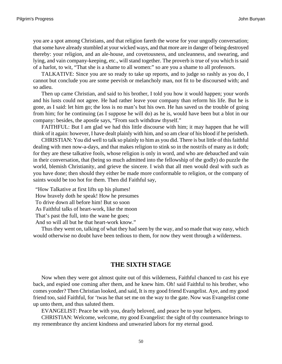you are a spot among Christians, and that religion fareth the worse for your ungodly conversation; that some have already stumbled at your wicked ways, and that more are in danger of being destroyed thereby: your religion, and an ale-house, and covetousness, and uncleanness, and swearing, and lying, and vain company-keeping, etc., will stand together. The proverb is true of you which is said of a harlot, to wit, "That she is a shame to all women:" so are you a shame to all professors.

TALKATIVE: Since you are so ready to take up reports, and to judge so rashly as you do, I cannot but conclude you are some peevish or melancholy man, not fit to be discoursed with; and so adieu.

Then up came Christian, and said to his brother, I told you how it would happen; your words and his lusts could not agree. He had rather leave your company than reform his life. But he is gone, as I said: let him go; the loss is no man's but his own. He has saved us the trouble of going from him; for he continuing (as I suppose he will do) as he is, would have been but a blot in our company: besides, the apostle says, "From such withdraw thyself."

FAITHFUL: But I am glad we had this little discourse with him; it may happen that he will think of it again: however, I have dealt plainly with him, and so am clear of his blood if he perisheth.

CHRISTIAN: You did well to talk so plainly to him as you did. There is but little of this faithful dealing with men now-a-days, and that makes religion to stink so in the nostrils of many as it doth; for they are these talkative fools, whose religion is only in word, and who are debauched and vain in their conversation, that (being so much admitted into the fellowship of the godly) do puzzle the world, blemish Christianity, and grieve the sincere. I wish that all men would deal with such as you have done; then should they either be made more conformable to religion, or the company of saints would be too hot for them. Then did Faithful say,

"How Talkative at first lifts up his plumes! How bravely doth he speak! How he presumes To drive down all before him! But so soon As Faithful talks of heart-work, like the moon That's past the full, into the wane he goes; And so will all but he that heart-work know."

Thus they went on, talking of what they had seen by the way, and so made that way easy, which would otherwise no doubt have been tedious to them, for now they went through a wilderness.

### **THE SIXTH STAGE**

Now when they were got almost quite out of this wilderness, Faithful chanced to cast his eye back, and espied one coming after them, and he knew him. Oh! said Faithful to his brother, who comes yonder? Then Christian looked, and said, It is my good friend Evangelist. Aye, and my good friend too, said Faithful, for 'twas he that set me on the way to the gate. Now was Evangelist come up unto them, and thus saluted them.

EVANGELIST: Peace be with you, dearly beloved, and peace be to your helpers.

CHRISTIAN: Welcome, welcome, my good Evangelist: the sight of thy countenance brings to my remembrance thy ancient kindness and unwearied labors for my eternal good.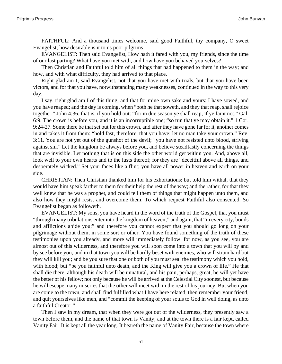FAITHFUL: And a thousand times welcome, said good Faithful, thy company, O sweet Evangelist; how desirable is it to us poor pilgrims!

EVANGELIST: Then said Evangelist, How hath it fared with you, my friends, since the time of our last parting? What have you met with, and how have you behaved yourselves?

Then Christian and Faithful told him of all things that had happened to them in the way; and how, and with what difficulty, they had arrived to that place.

Right glad am I, said Evangelist, not that you have met with trials, but that you have been victors, and for that you have, notwithstanding many weaknesses, continued in the way to this very day.

I say, right glad am I of this thing, and that for mine own sake and yours: I have sowed, and you have reaped; and the day is coming, when "both he that soweth, and they that reap, shall rejoice together," [John 4:36;](http://www.ccel.org/b/bible/asv/xml/asv.John.4.xml#John.4.36) that is, if you hold out: "for in due season ye shall reap, if ye faint not." [Gal.](http://www.ccel.org/b/bible/asv/xml/asv.Gal.6.xml#Gal.6.9) [6:9](http://www.ccel.org/b/bible/asv/xml/asv.Gal.6.xml#Gal.6.9). The crown is before you, and it is an incorruptible one; "so run that ye may obtain it." [1 Cor.](http://www.ccel.org/b/bible/asv/xml/asv.iCor.9.xml#iCor.9.24) [9:24-27](http://www.ccel.org/b/bible/asv/xml/asv.iCor.9.xml#iCor.9.24). Some there be that set out for this crown, and after they have gone far for it, another comes in and takes it from them: "hold fast, therefore, that you have; let no man take your crown." [Rev.](http://www.ccel.org/b/bible/asv/xml/asv.Rev.3.xml#Rev.3.11) [3:11](http://www.ccel.org/b/bible/asv/xml/asv.Rev.3.xml#Rev.3.11). You are not yet out of the gunshot of the devil; "you have not resisted unto blood, striving against sin." Let the kingdom be always before you, and believe steadfastly concerning the things that are invisible. Let nothing that is on this side the other world get within you. And, above all, look well to your own hearts and to the lusts thereof; for they are "deceitful above all things, and desperately wicked." Set your faces like a flint; you have all power in heaven and earth on your side.

CHRISTIAN: Then Christian thanked him for his exhortations; but told him withal, that they would have him speak farther to them for their help the rest of the way; and the rather, for that they well knew that he was a prophet, and could tell them of things that might happen unto them, and also how they might resist and overcome them. To which request Faithful also consented. So Evangelist began as followeth.

EVANGELIST: My sons, you have heard in the word of the truth of the Gospel, that you must "through many tribulations enter into the kingdom of heaven;" and again, that "in every city, bonds and afflictions abide you;" and therefore you cannot expect that you should go long on your pilgrimage without them, in some sort or other. You have found something of the truth of these testimonies upon you already, and more will immediately follow: for now, as you see, you are almost out of this wilderness, and therefore you will soon come into a town that you will by and by see before you; and in that town you will be hardly beset with enemies, who will strain hard but they will kill you; and be you sure that one or both of you must seal the testimony which you hold, with blood; but "be you faithful unto death, and the King will give you a crown of life." He that shall die there, although his death will be unnatural, and his pain, perhaps, great, he will yet have the better of his fellow; not only because he will be arrived at the Celestial City soonest, but because he will escape many miseries that the other will meet with in the rest of his journey. But when you are come to the town, and shall find fulfilled what I have here related, then remember your friend, and quit yourselves like men, and "commit the keeping of your souls to God in well doing, as unto a faithful Creator."

Then I saw in my dream, that when they were got out of the wilderness, they presently saw a town before them, and the name of that town is Vanity; and at the town there is a fair kept, called Vanity Fair. It is kept all the year long. It beareth the name of Vanity Fair, because the town where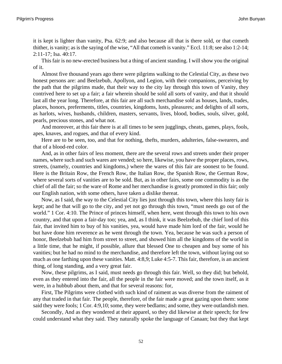it is kept is lighter than vanity, [Psa. 62:9;](http://www.ccel.org/b/bible/asv/xml/asv.Ps.62.xml#Ps.62.9) and also because all that is there sold, or that cometh thither, is vanity; as is the saying of the wise, "All that cometh is vanity." [Eccl. 11:8](http://www.ccel.org/b/bible/asv/xml/asv.Eccl.11.xml#Eccl.11.8); see also [1:2-14;](http://www.ccel.org/b/bible/asv/xml/asv.Eccl.1.xml#Eccl.1.2) [2:11-17](http://www.ccel.org/b/bible/asv/xml/asv.Eccl.2.xml#Eccl.2.11); [Isa. 40:17.](http://www.ccel.org/b/bible/asv/xml/asv.Isa.40.xml#Isa.40.17)

This fair is no new-erected business but a thing of ancient standing. I will show you the original of it.

Almost five thousand years ago there were pilgrims walking to the Celestial City, as these two honest persons are: and Beelzebub, Apollyon, and Legion, with their companions, perceiving by the path that the pilgrims made, that their way to the city lay through this town of Vanity, they contrived here to set up a fair; a fair wherein should be sold all sorts of vanity, and that it should last all the year long. Therefore, at this fair are all such merchandise sold as houses, lands, trades, places, honors, preferments, titles, countries, kingdoms, lusts, pleasures; and delights of all sorts, as harlots, wives, husbands, children, masters, servants, lives, blood, bodies, souls, silver, gold, pearls, precious stones, and what not.

And moreover, at this fair there is at all times to be seen jugglings, cheats, games, plays, fools, apes, knaves, and rogues, and that of every kind.

Here are to be seen, too, and that for nothing, thefts, murders, adulteries, false-swearers, and that of a blood-red color.

And, as in other fairs of less moment, there are the several rows and streets under their proper names, where such and such wares are vended; so here, likewise, you have the proper places, rows, streets, (namely, countries and kingdoms,) where the wares of this fair are soonest to be found. Here is the Britain Row, the French Row, the Italian Row, the Spanish Row, the German Row, where several sorts of vanities are to be sold. But, as in other fairs, some one commodity is as the chief of all the fair; so the ware of Rome and her merchandise is greatly promoted in this fair; only our English nation, with some others, have taken a dislike thereat.

Now, as I said, the way to the Celestial City lies just through this town, where this lusty fair is kept; and he that will go to the city, and yet not go through this town, "must needs go out of the world." [1 Cor. 4:10.](http://www.ccel.org/b/bible/asv/xml/asv.iCor.4.xml#iCor.4.10) The Prince of princes himself, when here, went through this town to his own country, and that upon a fair-day too; yea, and, as I think, it was Beelzebub, the chief lord of this fair, that invited him to buy of his vanities, yea, would have made him lord of the fair, would he but have done him reverence as he went through the town. Yea, because he was such a person of honor, Beelzebub had him from street to street, and showed him all the kingdoms of the world in a little time, that he might, if possible, allure that blessed One to cheapen and buy some of his vanities; but he had no mind to the merchandise, and therefore left the town, without laying out so much as one farthing upon these vanities. [Matt. 4:8,9;](http://www.ccel.org/b/bible/asv/xml/asv.Matt.4.xml#Matt.4.8 Bible:Matt.4.9) [Luke 4:5-7.](http://www.ccel.org/b/bible/asv/xml/asv.Luke.4.xml#Luke.4.5) This fair, therefore, is an ancient thing, of long standing, and a very great fair.

Now, these pilgrims, as I said, must needs go through this fair. Well, so they did; but behold, even as they entered into the fair, all the people in the fair were moved; and the town itself, as it were, in a hubbub about them, and that for several reasons: for,

First, The Pilgrims were clothed with such kind of raiment as was diverse from the raiment of any that traded in that fair. The people, therefore, of the fair made a great gazing upon them: some said they were fools; [1 Cor. 4:9,10](http://www.ccel.org/b/bible/asv/xml/asv.iCor.4.xml#iCor.4.9 Bible:1Cor.4.10); some, they were bedlams; and some, they were outlandish men.

Secondly, And as they wondered at their apparel, so they did likewise at their speech; for few could understand what they said. They naturally spoke the language of Canaan; but they that kept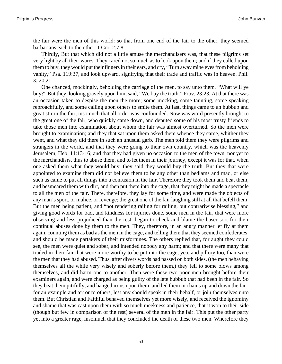the fair were the men of this world: so that from one end of the fair to the other, they seemed barbarians each to the other. [1 Cor. 2:7,8.](http://www.ccel.org/b/bible/asv/xml/asv.iCor.2.xml#iCor.2.7 Bible:1Cor.2.8)

Thirdly, But that which did not a little amuse the merchandisers was, that these pilgrims set very light by all their wares. They cared not so much as to look upon them; and if they called upon them to buy, they would put their fingers in their ears, and cry, "Turn away mine eyes from beholding vanity," [Psa. 119:37,](http://www.ccel.org/b/bible/asv/xml/asv.Ps.119.xml#Ps.119.37) and look upward, signifying that their trade and traffic was in heaven. [Phil.](http://www.ccel.org/b/bible/asv/xml/asv.Phil.3.xml#Phil.3.20 Bible:Phil.3.21) [3: 20,21](http://www.ccel.org/b/bible/asv/xml/asv.Phil.3.xml#Phil.3.20 Bible:Phil.3.21).

One chanced, mockingly, beholding the carriage of the men, to say unto them, "What will ye buy?" But they, looking gravely upon him, said, "We buy the truth." [Prov. 23:23](http://www.ccel.org/b/bible/asv/xml/asv.Prov.23.xml#Prov.23.23). At that there was an occasion taken to despise the men the more; some mocking, some taunting, some speaking reproachfully, and some calling upon others to smite them. At last, things came to an hubbub and great stir in the fair, insomuch that all order was confounded. Now was word presently brought to the great one of the fair, who quickly came down, and deputed some of his most trusty friends to take those men into examination about whom the fair was almost overturned. So the men were brought to examination; and they that sat upon them asked them whence they came, whither they went, and what they did there in such an unusual garb. The men told them they were pilgrims and strangers in the world, and that they were going to their own country, which was the heavenly Jerusalem, [Heb. 11:13-16;](http://www.ccel.org/b/bible/asv/xml/asv.Heb.11.xml#Heb.11.13) and that they had given no occasion to the men of the town, nor yet to the merchandisrs, thus to abuse them, and to let them in their journey, except it was for that, when one asked them what they would buy, they said they would buy the truth. But they that were appointed to examine them did not believe them to be any other than bedlams and mad, or else such as came to put all things into a confusion in the fair. Therefore they took them and beat them, and besmeared them with dirt, and then put them into the cage, that they might be made a spectacle to all the men of the fair. There, therefore, they lay for some time, and were made the objects of any man's sport, or malice, or revenge; the great one of the fair laughing still at all that befell them. But the men being patient, and "not rendering railing for railing, but contrariwise blessing," and giving good words for bad, and kindness for injuries done, some men in the fair, that were more observing and less prejudiced than the rest, began to check and blame the baser sort for their continual abuses done by them to the men. They, therefore, in an angry manner let fly at them again, counting them as bad as the men in the cage, and telling them that they seemed confederates, and should be made partakers of their misfortunes. The others replied that, for aught they could see, the men were quiet and sober, and intended nobody any harm; and that there were many that traded in their fair that were more worthy to be put into the cage, yea, and pillory too, than were the men that they had abused. Thus, after divers words had passed on both sides, (the men behaving themselves all the while very wisely and soberly before them,) they fell to some blows among themselves, and did harm one to another. Then were these two poor men brought before their examiners again, and were charged as being guilty of the late hubbub that had been in the fair. So they beat them pitifully, and hanged irons upon them, and led them in chains up and down the fair, for an example and terror to others, lest any should speak in their behalf, or join themselves unto them. But Christian and Faithful behaved themselves yet more wisely, and received the ignominy and shame that was cast upon them with so much meekness and patience, that it won to their side (though but few in comparison of the rest) several of the men in the fair. This put the other party yet into a greater rage, insomuch that they concluded the death of these two men. Wherefore they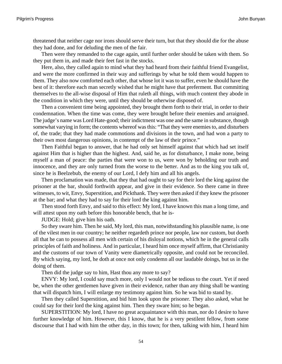threatened that neither cage nor irons should serve their turn, but that they should die for the abuse they had done, and for deluding the men of the fair.

Then were they remanded to the cage again, until further order should be taken with them. So they put them in, and made their feet fast in the stocks.

Here, also, they called again to mind what they had heard from their faithful friend Evangelist, and were the more confirmed in their way and sufferings by what he told them would happen to them. They also now comforted each other, that whose lot it was to suffer, even he should have the best of it: therefore each man secretly wished that he might have that preferment. But committing themselves to the all-wise disposal of Him that ruleth all things, with much content they abode in the condition in which they were, until they should be otherwise disposed of.

Then a convenient time being appointed, they brought them forth to their trial, in order to their condemnation. When the time was come, they were brought before their enemies and arraigned. The judge's name was Lord Hate-good; their indictment was one and the same in substance, though somewhat varying in form; the contents whereof was this: "That they were enemies to, and disturbers of, the trade; that they had made commotions and divisions in the town, and had won a party to their own most dangerous opinions, in contempt of the law of their prince."

Then Faithful began to answer, that he had only set himself against that which had set itself against Him that is higher than the highest. And, said he, as for disturbance, I make none, being myself a man of peace: the parties that were won to us, were won by beholding our truth and innocence, and they are only turned from the worse to the better. And as to the king you talk of, since he is Beelzebub, the enemy of our Lord, I defy him and all his angels.

Then proclamation was made, that they that had ought to say for their lord the king against the prisoner at the bar, should forthwith appear, and give in their evidence. So there came in three witnesses, to wit, Envy, Superstition, and Pickthank. They were then asked if they knew the prisoner at the bar; and what they had to say for their lord the king against him.

Then stood forth Envy, and said to this effect: My lord, I have known this man a long time, and will attest upon my oath before this honorable bench, that he is-

JUDGE: Hold; give him his oath.

So they sware him. Then he said, My lord, this man, notwithstanding his plausible name, is one of the vilest men in our country; he neither regardeth prince nor people, law nor custom, but doeth all that he can to possess all men with certain of his disloyal notions, which he in the general calls principles of faith and holiness. And in particular, I heard him once myself affirm, that Christianity and the customs of our town of Vanity were diametrically opposite, and could not be reconciled. By which saying, my lord, he doth at once not only condemn all our laudable doings, but us in the doing of them.

Then did the judge say to him, Hast thou any more to say?

ENVY: My lord, I could say much more, only I would not be tedious to the court. Yet if need be, when the other gentlemen have given in their evidence, rather than any thing shall be wanting that will dispatch him, I will enlarge my testimony against him. So he was bid to stand by.

Then they called Superstition, and bid him look upon the prisoner. They also asked, what he could say for their lord the king against him. Then they sware him; so he began.

SUPERSTITION: My lord, I have no great acquaintance with this man, nor do I desire to have further knowledge of him. However, this I know, that he is a very pestilent fellow, from some discourse that I had with him the other day, in this town; for then, talking with him, I heard him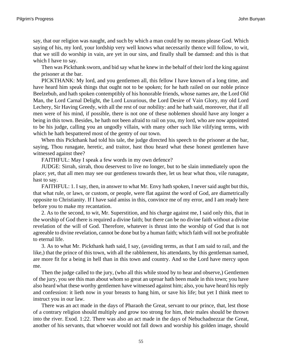say, that our religion was naught, and such by which a man could by no means please God. Which saying of his, my lord, your lordship very well knows what necessarily thence will follow, to wit, that we still do worship in vain, are yet in our sins, and finally shall be damned: and this is that which I have to say.

Then was Pickthank sworn, and bid say what he knew in the behalf of their lord the king against the prisoner at the bar.

PICKTHANK: My lord, and you gentlemen all, this fellow I have known of a long time, and have heard him speak things that ought not to be spoken; for he hath railed on our noble prince Beelzebub, and hath spoken contemptibly of his honorable friends, whose names are, the Lord Old Man, the Lord Carnal Delight, the Lord Luxurious, the Lord Desire of Vain Glory, my old Lord Lechery, Sir Having Greedy, with all the rest of our nobility: and he hath said, moreover, that if all men were of his mind, if possible, there is not one of these noblemen should have any longer a being in this town. Besides, he hath not been afraid to rail on you, my lord, who are now appointed to be his judge, calling you an ungodly villain, with many other such like vilifying terms, with which he hath bespattered most of the gentry of our town.

When this Pickthank had told his tale, the judge directed his speech to the prisoner at the bar, saying, Thou runagate, heretic, and traitor, hast thou heard what these honest gentlemen have witnessed against thee?

FAITHFUL: May I speak a few words in my own defence?

JUDGE: Sirrah, sirrah, thou deservest to live no longer, but to be slain immediately upon the place; yet, that all men may see our gentleness towards thee, let us hear what thou, vile runagate, hast to say.

FAITHFUL: 1. I say, then, in answer to what Mr. Envy hath spoken, I never said aught but this, that what rule, or laws, or custom, or people, were flat against the word of God, are diametrically opposite to Christianity. If I have said amiss in this, convince me of my error, and I am ready here before you to make my recantation.

2. As to the second, to wit, Mr. Superstition, and his charge against me, I said only this, that in the worship of God there is required a divine faith; but there can be no divine faith without a divine revelation of the will of God. Therefore, whatever is thrust into the worship of God that is not agreeable to divine revelation, cannot be done but by a human faith; which faith will not be profitable to eternal life.

3. As to what Mr. Pickthank hath said, I say, (avoiding terms, as that I am said to rail, and the like,) that the prince of this town, with all the rabblement, his attendants, by this gentleman named, are more fit for a being in hell than in this town and country. And so the Lord have mercy upon me.

Then the judge called to the jury, (who all this while stood by to hear and observe,) Gentlemen of the jury, you see this man about whom so great an uproar hath been made in this town; you have also heard what these worthy gentlemen have witnessed against him; also, you have heard his reply and confession: it lieth now in your breasts to hang him, or save his life; but yet I think meet to instruct you in our law.

There was an act made in the days of Pharaoh the Great, servant to our prince, that, lest those of a contrary religion should multiply and grow too strong for him, their males should be thrown into the river. [Exod. 1:22](http://www.ccel.org/b/bible/asv/xml/asv.Exod.1.xml#Exod.1.22). There was also an act made in the days of Nebuchadnezzar the Great, another of his servants, that whoever would not fall down and worship his golden image, should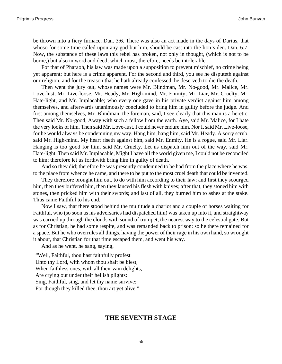be thrown into a fiery furnace. [Dan. 3:6.](http://www.ccel.org/b/bible/asv/xml/asv.Dan.3.xml#Dan.3.6) There was also an act made in the days of Darius, that whoso for some time called upon any god but him, should be cast into the lion's den. [Dan. 6:7.](http://www.ccel.org/b/bible/asv/xml/asv.Dan.6.xml#Dan.6.7) Now, the substance of these laws this rebel has broken, not only in thought, (which is not to be borne,) but also in word and deed; which must, therefore, needs be intolerable.

For that of Pharaoh, his law was made upon a supposition to prevent mischief, no crime being yet apparent; but here is a crime apparent. For the second and third, you see he disputeth against our religion; and for the treason that he hath already confessed, he deserveth to die the death.

Then went the jury out, whose names were Mr. Blindman, Mr. No-good, Mr. Malice, Mr. Love-lust, Mr. Live-loose, Mr. Heady, Mr. High-mind, Mr. Enmity, Mr. Liar, Mr. Cruelty, Mr. Hate-light, and Mr. Implacable; who every one gave in his private verdict against him among themselves, and afterwards unanimously concluded to bring him in guilty before the judge. And first among themselves, Mr. Blindman, the foreman, said, I see clearly that this man is a heretic. Then said Mr. No-good, Away with such a fellow from the earth. Aye, said Mr. Malice, for I hate the very looks of him. Then said Mr. Love-lust, I could never endure him. Nor I, said Mr. Live-loose, for he would always be condemning my way. Hang him, hang him, said Mr. Heady. A sorry scrub, said Mr. High-mind. My heart riseth against him, said Mr. Enmity. He is a rogue, said Mr. Liar. Hanging is too good for him, said Mr. Cruelty. Let us dispatch him out of the way, said Mr. Hate-light. Then said Mr. Implacable, Might I have all the world given me, I could not be reconciled to him; therefore let us forthwith bring him in guilty of death.

And so they did; therefore he was presently condemned to be had from the place where he was, to the place from whence he came, and there to be put to the most cruel death that could be invented.

They therefore brought him out, to do with him according to their law; and first they scourged him, then they buffeted him, then they lanced his flesh with knives; after that, they stoned him with stones, then pricked him with their swords; and last of all, they burned him to ashes at the stake. Thus came Faithful to his end.

Now I saw, that there stood behind the multitude a chariot and a couple of horses waiting for Faithful, who (so soon as his adversaries had dispatched him) was taken up into it, and straightway was carried up through the clouds with sound of trumpet, the nearest way to the celestial gate. But as for Christian, he had some respite, and was remanded back to prison: so he there remained for a space. But he who overrules all things, having the power of their rage in his own hand, so wrought it about, that Christian for that time escaped them, and went his way.

And as he went, he sang, saying,

"Well, Faithful, thou hast faithfully profest Unto thy Lord, with whom thou shalt be blest, When faithless ones, with all their vain delights, Are crying out under their hellish plights: Sing, Faithful, sing, and let thy name survive; For though they killed thee, thou art yet alive."

### **THE SEVENTH STAGE**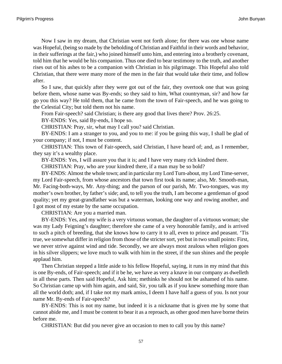Now I saw in my dream, that Christian went not forth alone; for there was one whose name was Hopeful, (being so made by the beholding of Christian and Faithful in their words and behavior, in their sufferings at the fair,) who joined himself unto him, and entering into a brotherly covenant, told him that he would be his companion. Thus one died to bear testimony to the truth, and another rises out of his ashes to be a companion with Christian in his pilgrimage. This Hopeful also told Christian, that there were many more of the men in the fair that would take their time, and follow after.

So I saw, that quickly after they were got out of the fair, they overtook one that was going before them, whose name was By-ends; so they said to him, What countryman, sir? and how far go you this way? He told them, that he came from the town of Fair-speech, and he was going to the Celestial City; but told them not his name.

From Fair-speech? said Christian; is there any good that lives there? [Prov. 26:25](http://www.ccel.org/b/bible/asv/xml/asv.Prov.26.xml#Prov.26.25).

BY-ENDS: Yes, said By-ends, I hope so.

CHRISTIAN: Pray, sir, what may I call you? said Christian.

BY-ENDS: I am a stranger to you, and you to me: if you be going this way, I shall be glad of your company; if not, I must be content.

CHRISTIAN: This town of Fair-speech, said Christian, I have heard of; and, as I remember, they say it's a wealthy place.

BY-ENDS: Yes, I will assure you that it is; and I have very many rich kindred there.

CHRISTIAN: Pray, who are your kindred there, if a man may be so bold?

BY-ENDS: Almost the whole town; and in particular my Lord Turn-about, my Lord Time-server, my Lord Fair-speech, from whose ancestors that town first took its name; also, Mr. Smooth-man, Mr. Facing-both-ways, Mr. Any-thing; and the parson of our parish, Mr. Two-tongues, was my mother's own brother, by father's side; and, to tell you the truth, I am become a gentleman of good quality; yet my great-grandfather was but a waterman, looking one way and rowing another, and I got most of my estate by the same occupation.

CHRISTIAN: Are you a married man.

BY-ENDS: Yes, and my wife is a very virtuous woman, the daughter of a virtuous woman; she was my Lady Feigning's daughter; therefore she came of a very honorable family, and is arrived to such a pitch of breeding, that she knows how to carry it to all, even to prince and peasant. 'Tis true, we somewhat differ in religion from those of the stricter sort, yet but in two small points: First, we never strive against wind and tide. Secondly, we are always most zealous when religion goes in his silver slippers; we love much to walk with him in the street, if the sun shines and the people applaud him.

Then Christian stepped a little aside to his fellow Hopeful, saying, it runs in my mind that this is one By-ends, of Fair-speech; and if it be he, we have as very a knave in our company as dwelleth in all these parts. Then said Hopeful, Ask him; methinks he should not be ashamed of his name. So Christian came up with him again, and said, Sir, you talk as if you knew something more than all the world doth; and, if I take not my mark amiss, I deem I have half a guess of you. Is not your name Mr. By-ends of Fair-speech?

BY-ENDS: This is not my name, but indeed it is a nickname that is given me by some that cannot abide me, and I must be content to bear it as a reproach, as other good men have borne theirs before me.

CHRISTIAN: But did you never give an occasion to men to call you by this name?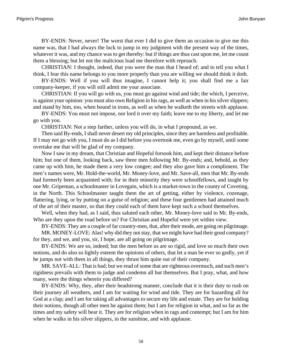BY-ENDS: Never, never! The worst that ever I did to give them an occasion to give me this name was, that I had always the luck to jump in my judgment with the present way of the times, whatever it was, and my chance was to get thereby: but if things are thus cast upon me, let me count them a blessing; but let not the malicious load me therefore with reproach.

CHRISTIAN: I thought, indeed, that you were the man that I heard of; and to tell you what I think, I fear this name belongs to you more properly than you are willing we should think it doth.

BY-ENDS: Well if you will thus imagine, I cannot help it; you shall find me a fair company-keeper, if you will still admit me your associate.

CHRISTIAN: If you will go with us, you must go against wind and tide; the which, I perceive, is against your opinion: you must also own Religion in his rags, as well as when in his silver slippers; and stand by him, too, when bound in irons, as well as when he walketh the streets with applause.

BY-ENDS: You must not impose, nor lord it over my faith; leave me to my liberty, and let me go with you.

CHRISTIAN: Not a step farther, unless you will do, in what I propound, as we.

Then said By-ends, I shall never desert my old principles, since they are harmless and profitable. If I may not go with you, I must do as I did before you overtook me, even go by myself, until some overtake me that will be glad of my company.

Now I saw in my dream, that Christian and Hopeful forsook him, and kept their distance before him; but one of them, looking back, saw three men following Mr. By-ends; and, behold, as they came up with him, he made them a very low congee; and they also gave him a compliment. The men's names were, Mr. Hold-the-world, Mr. Money-love, and Mr. Save-all, men that Mr. By-ends had formerly been acquainted with; for in their minority they were schoolfellows, and taught by one Mr. Gripeman, a schoolmaster in Lovegain, which is a market-town in the county of Coveting, in the North. This Schoolmaster taught them the art of getting, either by violence, cozenage, flattering, lying, or by putting on a guise of religion; and these four gentlemen had attained much of the art of their master, so that they could each of them have kept such a school themselves.

Well, when they had, as I said, thus saluted each other, Mr. Money-love said to Mr. By-ends, Who are they upon the road before us? For Christian and Hopeful were yet within view.

BY-ENDS: They are a couple of far country-men, that, after their mode, are going on pilgrimage.

MR. MONEY-LOVE: Alas! why did they not stay, that we might have had their good company? for they, and we, and you, sir, I hope, are all going on pilgrimage.

BY-ENDS: We are so, indeed; but the men before us are so rigid, and love so much their own notions, and do also so lightly esteem the opinions of others, that let a man be ever so godly, yet if he jumps not with them in all things, they thrust him quite out of their company.

MR. SAVE-ALL: That is bad; but we read of some that are righteous overmuch, and such men's rigidness prevails with them to judge and condemn all but themselves. But I pray, what, and how many, were the things wherein you differed?

BY-ENDS: Why, they, after their headstrong manner, conclude that it is their duty to rush on their journey all weathers, and I am for waiting for wind and tide. They are for hazarding all for God at a clap; and I am for taking all advantages to secure my life and estate. They are for holding their notions, though all other men be against them; but I am for religion in what, and so far as the times and my safety will bear it. They are for religion when in rags and contempt; but I am for him when he walks in his silver slippers, in the sunshine, and with applause.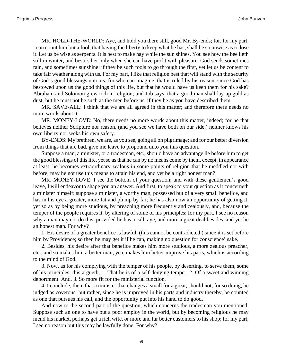MR. HOLD-THE-WORLD: Aye, and hold you there still, good Mr. By-ends; for, for my part, I can count him but a fool, that having the liberty to keep what he has, shall be so unwise as to lose it. Let us be wise as serpents. It is best to make hay while the sun shines. You see how the bee lieth still in winter, and bestirs her only when she can have profit with pleasure. God sends sometimes rain, and sometimes sunshine: if they be such fools to go through the first, yet let us be content to take fair weather along with us. For my part, I like that religion best that will stand with the security of God's good blessings unto us; for who can imagine, that is ruled by his reason, since God has bestowed upon us the good things of this life, but that he would have us keep them for his sake? Abraham and Solomon grew rich in religion; and Job says, that a good man shall lay up gold as dust; but he must not be such as the men before us, if they be as you have described them.

MR. SAVE-ALL: I think that we are all agreed in this matter; and therefore there needs no more words about it.

MR. MONEY-LOVE: No, there needs no more words about this matter, indeed; for he that believes neither Scripture nor reason, (and you see we have both on our side,) neither knows his own liberty nor seeks his own safety.

BY-ENDS: My brethren, we are, as you see, going all on pilgrimage; and for our better diversion from things that are bad, give me leave to propound unto you this question.

Suppose a man, a minister, or a tradesman, etc., should have an advantage lie before him to get the good blessings of this life, yet so as that he can by no means come by them, except, in appearance at least, he becomes extraordinary zealous in some points of religion that he meddled not with before; may he not use this means to attain his end, and yet be a right honest man?

MR. MONEY-LOVE: I see the bottom of your question; and with these gentlemen's good leave, I will endeavor to shape you an answer. And first, to speak to your question as it concerneth a minister himself: suppose a minister, a worthy man, possessed but of a very small benefice, and has in his eye a greater, more fat and plump by far; he has also now an opportunity of getting it, yet so as by being more studious, by preaching more frequently and zealously, and, because the temper of the people requires it, by altering of some of his principles; for my part, I see no reason why a man may not do this, provided he has a call, aye, and more a great deal besides, and yet be an honest man. For why?

1. His desire of a greater benefice is lawful, (this cannot be contradicted,) since it is set before him by Providence; so then he may get it if he can, making no question for conscience' sake.

2. Besides, his desire after that benefice makes him more studious, a more zealous preacher, etc., and so makes him a better man, yea, makes him better improve his parts, which is according to the mind of God.

3. Now, as for his complying with the temper of his people, by deserting, to serve them, some of his principles, this argueth, 1. That he is of a self-denying temper. 2. Of a sweet and winning deportment. And, 3. So more fit for the ministerial function.

4. I conclude, then, that a minister that changes a small for a great, should not, for so doing, be judged as covetous; but rather, since he is improved in his parts and industry thereby, be counted as one that pursues his call, and the opportunity put into his hand to do good.

And now to the second part of the question, which concerns the tradesman you mentioned. Suppose such an one to have but a poor employ in the world, but by becoming religious he may mend his market, perhaps get a rich wife, or more and far better customers to his shop; for my part, I see no reason but this may be lawfully done. For why?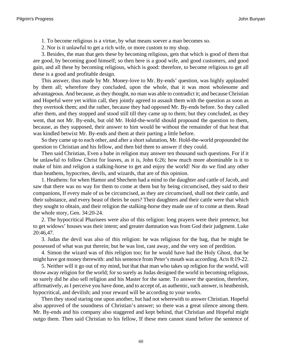1. To become religious is a virtue, by what means soever a man becomes so.

2. Nor is it unlawful to get a rich wife, or more custom to my shop.

3. Besides, the man that gets these by becoming religious, gets that which is good of them that are good, by becoming good himself; so then here is a good wife, and good customers, and good gain, and all these by becoming religious, which is good: therefore, to become religious to get all these is a good and profitable design.

This answer, thus made by Mr. Money-love to Mr. By-ends' question, was highly applauded by them all; wherefore they concluded, upon the whole, that it was most wholesome and advantageous. And because, as they thought, no man was able to contradict it; and because Christian and Hopeful were yet within call, they jointly agreed to assault them with the question as soon as they overtook them; and the rather, because they had opposed Mr. By-ends before. So they called after them, and they stopped and stood still till they came up to them; but they concluded, as they went, that not Mr. By-ends, but old Mr. Hold-the-world should propound the question to them, because, as they supposed, their answer to him would be without the remainder of that heat that was kindled betwixt Mr. By-ends and them at their parting a little before.

So they came up to each other, and after a short salutation, Mr. Hold-the-world propounded the question to Christian and his fellow, and then bid them to answer if they could.

Then said Christian, Even a babe in religion may answer ten thousand such questions. For if it be unlawful to follow Christ for loaves, as it is, [John 6:26;](http://www.ccel.org/b/bible/asv/xml/asv.John.6.xml#John.6.26) how much more abominable is it to make of him and religion a stalking-horse to get and enjoy the world! Nor do we find any other than heathens, hypocrites, devils, and wizards, that are of this opinion.

1. Heathens: for when Hamor and Shechem had a mind to the daughter and cattle of Jacob, and saw that there was no way for them to come at them but by being circumcised, they said to their companions, If every male of us be circumcised, as they are circumcised, shall not their cattle, and their substance, and every beast of theirs be ours? Their daughters and their cattle were that which they sought to obtain, and their religion the stalking-horse they made use of to come at them. Read the whole story, [Gen. 34:20-24](http://www.ccel.org/b/bible/asv/xml/asv.Gen.34.xml#Gen.34.20).

2. The hypocritical Pharisees were also of this religion: long prayers were their pretence, but to get widows' houses was their intent; and greater damnation was from God their judgment. [Luke](http://www.ccel.org/b/bible/asv/xml/asv.Luke.20.xml#Luke.20.46 Bible:Luke.20.47) [20:46,47](http://www.ccel.org/b/bible/asv/xml/asv.Luke.20.xml#Luke.20.46 Bible:Luke.20.47).

3. Judas the devil was also of this religion: he was religious for the bag, that he might be possessed of what was put therein; but he was lost, cast away, and the very son of perdition.

4. Simon the wizard was of this religion too; for he would have had the Holy Ghost, that he might have got money therewith: and his sentence from Peter's mouth was according. [Acts 8:19-22](http://www.ccel.org/b/bible/asv/xml/asv.Acts.8.xml#Acts.8.19).

5. Neither will it go out of my mind, but that that man who takes up religion for the world, will throw away religion for the world; for so surely as Judas designed the world in becoming religious, so surely did he also sell religion and his Master for the same. To answer the question, therefore, affirmatively, as I perceive you have done, and to accept of, as authentic, such answer, is heathenish, hypocritical, and devilish; and your reward will be according to your works.

Then they stood staring one upon another, but had not wherewith to answer Christian. Hopeful also approved of the soundness of Christian's answer; so there was a great silence among them. Mr. By-ends and his company also staggered and kept behind, that Christian and Hopeful might outgo them. Then said Christian to his fellow, If these men cannot stand before the sentence of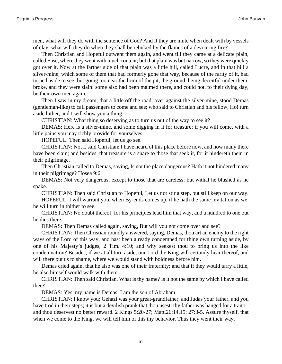men, what will they do with the sentence of God? And if they are mute when dealt with by vessels of clay, what will they do when they shall be rebuked by the flames of a devouring fire?

Then Christian and Hopeful outwent them again, and went till they came at a delicate plain, called Ease, where they went with much content; but that plain was but narrow, so they were quickly got over it. Now at the farther side of that plain was a little hill, called Lucre, and in that hill a silver-mine, which some of them that had formerly gone that way, because of the rarity of it, had turned aside to see; but going too near the brim of the pit, the ground, being deceitful under them, broke, and they were slain: some also had been maimed there, and could not, to their dying day, be their own men again.

Then I saw in my dream, that a little off the road, over against the silver-mine, stood Demas (gentleman-like) to call passengers to come and see; who said to Christian and his fellow, Ho! turn aside hither, and I will show you a thing.

CHRISTIAN: What thing so deserving as to turn us out of the way to see it?

DEMAS: Here is a silver-mine, and some digging in it for treasure; if you will come, with a little pains you may richly provide for yourselves.

HOPEFUL: Then said Hopeful, let us go see.

CHRISTIAN: Not I, said Christian: I have heard of this place before now, and how many there have been slain; and besides, that treasure is a snare to those that seek it, for it hindereth them in their pilgrimage.

Then Christian called to Demas, saying, Is not the place dangerous? Hath it not hindered many in their pilgrimage? [Hosea 9:6.](http://www.ccel.org/b/bible/asv/xml/asv.Hos.9.xml#Hos.9.6)

DEMAS: Not very dangerous, except to those that are careless; but withal he blushed as he spake.

CHRISTIAN: Then said Christian to Hopeful, Let us not stir a step, but still keep on our way.

HOPEFUL: I will warrant you, when By-ends comes up, if he hath the same invitation as we, he will turn in thither to see.

CHRISTIAN: No doubt thereof, for his principles lead him that way, and a hundred to one but he dies there.

DEMAS: Then Demas called again, saying, But will you not come over and see?

CHRISTIAN: Then Christian roundly answered, saying, Demas, thou art an enemy to the right ways of the Lord of this way, and hast been already condemned for thine own turning aside, by one of his Majesty's judges, [2 Tim. 4:10;](http://www.ccel.org/b/bible/asv/xml/asv.iiTim.4.xml#iiTim.4.10) and why seekest thou to bring us into the like condemnation? Besides, if we at all turn aside, our Lord the King will certainly hear thereof, and will there put us to shame, where we would stand with boldness before him.

Demas cried again, that he also was one of their fraternity; and that if they would tarry a little, he also himself would walk with them.

CHRISTIAN: Then said Christian, What is thy name? Is it not the same by which I have called thee?

DEMAS: Yes, my name is Demas; I am the son of Abraham.

CHRISTIAN: I know you; Gehazi was your great-grandfather, and Judas your father, and you have trod in their steps; it is but a devilish prank that thou usest: thy father was hanged for a traitor, and thou deservest no better reward. [2 Kings 5:20-27](http://www.ccel.org/b/bible/asv/xml/asv.iiKgs.5.xml#iiKgs.5.20); [Matt.26:14,15;](http://www.ccel.org/b/bible/asv/xml/asv.Matt.26.xml#Matt.26.14 Bible:Matt.26.15) [27:3-5](http://www.ccel.org/b/bible/asv/xml/asv.Matt.27.xml#Matt.27.3). Assure thyself, that when we come to the King, we will tell him of this thy behavior. Thus they went their way.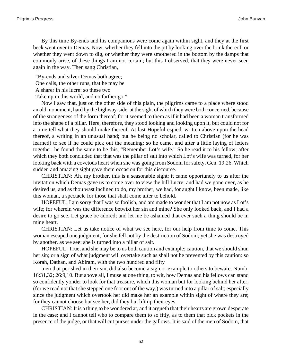By this time By-ends and his companions were come again within sight, and they at the first beck went over to Demas. Now, whether they fell into the pit by looking over the brink thereof, or whether they went down to dig, or whether they were smothered in the bottom by the damps that commonly arise, of these things I am not certain; but this I observed, that they were never seen again in the way. Then sang Christian,

"By-ends and silver Demas both agree; One calls, the other runs, that he may be A sharer in his lucre: so these two Take up in this world, and no farther go."

Now I saw that, just on the other side of this plain, the pilgrims came to a place where stood an old monument, hard by the highway-side, at the sight of which they were both concerned, because of the strangeness of the form thereof; for it seemed to them as if it had been a woman transformed into the shape of a pillar. Here, therefore, they stood looking and looking upon it, but could not for a time tell what they should make thereof. At last Hopeful espied, written above upon the head thereof, a writing in an unusual hand; but he being no scholar, called to Christian (for he was learned) to see if he could pick out the meaning: so he came, and after a little laying of letters together, he found the same to be this, "Remember Lot's wife." So he read it to his fellow; after which they both concluded that that was the pillar of salt into which Lot's wife was turned, for her looking back with a covetous heart when she was going from Sodom for safety. [Gen. 19:26.](http://www.ccel.org/b/bible/asv/xml/asv.Gen.19.xml#Gen.19.26) Which sudden and amazing sight gave them occasion for this discourse.

CHRISTIAN: Ah, my brother, this is a seasonable sight: it came opportunely to us after the invitation which Demas gave us to come over to view the hill Lucre; and had we gone over, as he desired us, and as thou wast inclined to do, my brother, we had, for aught I know, been made, like this woman, a spectacle for those that shall come after to behold.

HOPEFUL: I am sorry that I was so foolish, and am made to wonder that I am not now as Lot's wife; for wherein was the difference betwixt her sin and mine? She only looked back, and I had a desire to go see. Let grace be adored; and let me be ashamed that ever such a thing should be in mine heart.

CHRISTIAN: Let us take notice of what we see here, for our help from time to come. This woman escaped one judgment, for she fell not by the destruction of Sodom; yet she was destroyed by another, as we see: she is turned into a pillar of salt.

HOPEFUL: True, and she may be to us both caution and example; caution, that we should shun her sin; or a sign of what judgment will overtake such as shall not be prevented by this caution: so Korah, Dathan, and Abiram, with the two hundred and fifty

men that perished in their sin, did also become a sign or example to others to beware. [Numb.](http://www.ccel.org/b/bible/asv/xml/asv.Num.16.xml#Num.16.31 Bible:Num.16.32) [16:31,32](http://www.ccel.org/b/bible/asv/xml/asv.Num.16.xml#Num.16.31 Bible:Num.16.32); [26:9,10.](http://www.ccel.org/b/bible/asv/xml/asv.Num.26.xml#Num.26.9 Bible:Num.26.10) But above all, I muse at one thing, to wit, how Demas and his fellows can stand so confidently yonder to look for that treasure, which this woman but for looking behind her after, (for we read not that she stepped one foot out of the way,) was turned into a pillar of salt; especially since the judgment which overtook her did make her an example within sight of where they are; for they cannot choose but see her, did they but lift up their eyes.

CHRISTIAN: It is a thing to be wondered at, and it argueth that their hearts are grown desperate in the case; and I cannot tell who to compare them to so fitly, as to them that pick pockets in the presence of the judge, or that will cut purses under the gallows. It is said of the men of Sodom, that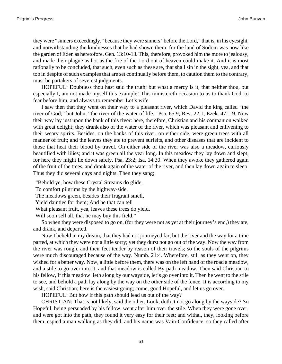they were "sinners exceedingly," because they were sinners "before the Lord," that is, in his eyesight, and notwithstanding the kindnesses that he had shown them; for the land of Sodom was now like the garden of Eden as heretofore. [Gen. 13:10-13.](http://www.ccel.org/b/bible/asv/xml/asv.Gen.13.xml#Gen.13.10) This, therefore, provoked him the more to jealousy, and made their plague as hot as the fire of the Lord out of heaven could make it. And it is most rationally to be concluded, that such, even such as these are, that shall sin in the sight, yea, and that too in despite of such examples that are set continually before them, to caution them to the contrary, must be partakers of severest judgments.

HOPEFUL: Doubtless thou hast said the truth; but what a mercy is it, that neither thou, but especially I, am not made myself this example! This ministereth occasion to us to thank God, to fear before him, and always to remember Lot's wife.

I saw then that they went on their way to a pleasant river, which David the king called "the river of God;" but John, "the river of the water of life." [Psa. 65:9](http://www.ccel.org/b/bible/asv/xml/asv.Ps.65.xml#Ps.65.9); [Rev. 22:1;](http://www.ccel.org/b/bible/asv/xml/asv.Rev.22.xml#Rev.22.1) [Ezek. 47:1-9](http://www.ccel.org/b/bible/asv/xml/asv.Ezek.47.xml#Ezek.47.1). Now their way lay just upon the bank of this river: here, therefore, Christian and his companion walked with great delight; they drank also of the water of the river, which was pleasant and enlivening to their weary spirits. Besides, on the banks of this river, on either side, were green trees with all manner of fruit; and the leaves they ate to prevent surfeits, and other diseases that are incident to those that heat their blood by travel. On either side of the river was also a meadow, curiously beautified with lilies; and it was green all the year long. In this meadow they lay down and slept, for here they might lie down safely. [Psa. 23:2;](http://www.ccel.org/b/bible/asv/xml/asv.Ps.23.xml#Ps.23.2) [Isa. 14:30](http://www.ccel.org/b/bible/asv/xml/asv.Isa.14.xml#Isa.14.30). When they awoke they gathered again of the fruit of the trees, and drank again of the water of the river, and then lay down again to sleep. Thus they did several days and nights. Then they sang;

"Behold ye, how these Crystal Streams do glide,

To comfort pilgrims by the highway-side.

The meadows green, besides their fragrant smell,

Yield dainties for them; And he that can tell

What pleasant fruit, yea, leaves these trees do yield,

Will soon sell all, that he may buy this field."

So when they were disposed to go on, (for they were not as yet at their journey's end,) they ate, and drank, and departed.

Now I beheld in my dream, that they had not journeyed far, but the river and the way for a time parted, at which they were not a little sorry; yet they durst not go out of the way. Now the way from the river was rough, and their feet tender by reason of their travels; so the souls of the pilgrims were much discouraged because of the way. [Numb. 21:4](http://www.ccel.org/b/bible/asv/xml/asv.Num.21.xml#Num.21.4). Wherefore, still as they went on, they wished for a better way. Now, a little before them, there was on the left hand of the road a meadow, and a stile to go over into it, and that meadow is called By-path meadow. Then said Christian to his fellow, If this meadow lieth along by our wayside, let's go over into it. Then he went to the stile to see, and behold a path lay along by the way on the other side of the fence. It is according to my wish, said Christian; here is the easiest going; come, good Hopeful, and let us go over.

HOPEFUL: But how if this path should lead us out of the way?

CHRISTIAN: That is not likely, said the other. Look, doth it not go along by the wayside? So Hopeful, being persuaded by his fellow, went after him over the stile. When they were gone over, and were got into the path, they found it very easy for their feet; and withal, they, looking before them, espied a man walking as they did, and his name was Vain-Confidence: so they called after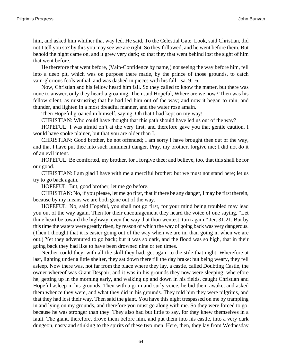him, and asked him whither that way led. He said, To the Celestial Gate. Look, said Christian, did not I tell you so? by this you may see we are right. So they followed, and he went before them. But behold the night came on, and it grew very dark; so that they that went behind lost the sight of him that went before.

He therefore that went before, (Vain-Confidence by name,) not seeing the way before him, fell into a deep pit, which was on purpose there made, by the prince of those grounds, to catch vain-glorious fools withal, and was dashed in pieces with his fall. [Isa. 9:16](http://www.ccel.org/b/bible/asv/xml/asv.Isa.9.xml#Isa.9.16).

Now, Christian and his fellow heard him fall. So they called to know the matter, but there was none to answer, only they heard a groaning. Then said Hopeful, Where are we now? Then was his fellow silent, as mistrusting that he had led him out of the way; and now it began to rain, and thunder, and lighten in a most dreadful manner, and the water rose amain.

Then Hopeful groaned in himself, saying, Oh that I had kept on my way!

CHRISTIAN: Who could have thought that this path should have led us out of the way?

HOPEFUL: I was afraid on't at the very first, and therefore gave you that gentle caution. I would have spoke plainer, but that you are older than I.

CHRISTIAN: Good brother, be not offended; I am sorry I have brought thee out of the way, and that I have put thee into such imminent danger. Pray, my brother, forgive me; I did not do it of an evil intent.

HOPEFUL: Be comforted, my brother, for I forgive thee; and believe, too, that this shall be for our good.

CHRISTIAN: I am glad I have with me a merciful brother: but we must not stand here; let us try to go back again.

HOPEFUL: But, good brother, let me go before.

CHRISTIAN: No, if you please, let me go first, that if there be any danger, I may be first therein, because by my means we are both gone out of the way.

HOPEFUL: No, said Hopeful, you shall not go first, for your mind being troubled may lead you out of the way again. Then for their encouragement they heard the voice of one saying, "Let thine heart be toward the highway, even the way that thou wentest: turn again." [Jer. 31:21.](http://www.ccel.org/b/bible/asv/xml/asv.Jer.31.xml#Jer.31.21) But by this time the waters were greatly risen, by reason of which the way of going back was very dangerous. (Then I thought that it is easier going out of the way when we are in, than going in when we are out.) Yet they adventured to go back; but it was so dark, and the flood was so high, that in their going back they had like to have been drowned nine or ten times.

Neither could they, with all the skill they had, get again to the stile that night. Wherefore at last, lighting under a little shelter, they sat down there till the day brake; but being weary, they fell asleep. Now there was, not far from the place where they lay, a castle, called Doubting Castle, the owner whereof was Giant Despair, and it was in his grounds they now were sleeping: wherefore he, getting up in the morning early, and walking up and down in his fields, caught Christian and Hopeful asleep in his grounds. Then with a grim and surly voice, he bid them awake, and asked them whence they were, and what they did in his grounds. They told him they were pilgrims, and that they had lost their way. Then said the giant, You have this night trespassed on me by trampling in and lying on my grounds, and therefore you must go along with me. So they were forced to go, because he was stronger than they. They also had but little to say, for they knew themselves in a fault. The giant, therefore, drove them before him, and put them into his castle, into a very dark dungeon, nasty and stinking to the spirits of these two men. Here, then, they lay from Wednesday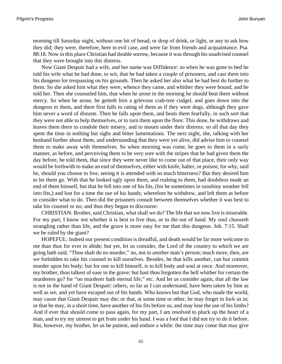morning till Saturday night, without one bit of bread, or drop of drink, or light, or any to ask how they did; they were, therefore, here in evil case, and were far from friends and acquaintance. [Psa.](http://www.ccel.org/b/bible/asv/xml/asv.Ps.88.xml#Ps.88.18) [88:18](http://www.ccel.org/b/bible/asv/xml/asv.Ps.88.xml#Ps.88.18). Now in this place Christian had double sorrow, because it was through his unadvised counsel that they were brought into this distress.

Now Giant Despair had a wife, and her name was Diffidence: so when he was gone to bed he told his wife what he had done, to wit, that he had taken a couple of prisoners, and cast them into his dungeon for trespassing on his grounds. Then he asked her also what he had best do further to them. So she asked him what they were, whence they came, and whither they were bound, and he told her. Then she counseled him, that when he arose in the morning he should beat them without mercy. So when he arose, he getteth him a grievous crab-tree cudgel, and goes down into the dungeon to them, and there first falls to rating of them as if they were dogs, although they gave him never a word of distaste. Then he falls upon them, and beats them fearfully, in such sort that they were not able to help themselves, or to turn them upon the floor. This done, he withdraws and leaves them there to condole their misery, and to mourn under their distress: so all that day they spent the time in nothing but sighs and bitter lamentations. The next night, she, talking with her husband further about them, and understanding that they were yet alive, did advise him to counsel them to make away with themselves. So when morning was come, he goes to them in a surly manner, as before, and perceiving them to be very sore with the stripes that he had given them the day before, he told them, that since they were never like to come out of that place, their only way would be forthwith to make an end of themselves, either with knife, halter, or poison; for why, said he, should you choose to live, seeing it is attended with so much bitterness? But they desired him to let them go. With that he looked ugly upon them, and rushing to them, had doubtless made an end of them himself, but that he fell into one of his fits, (for he sometimes in sunshiny weather fell into fits,) and lost for a time the use of his hands; wherefore he withdrew, and left them as before to consider what to do. Then did the prisoners consult between themselves whether it was best to take his counsel or no; and thus they began to discourse:

CHRISTIAN: Brother, said Christian, what shall we do? The life that we now live is miserable. For my part, I know not whether it is best to live thus, or to die out of hand. My soul chooseth strangling rather than life, and the grave is more easy for me than this dungeon. [Job. 7:15.](http://www.ccel.org/b/bible/asv/xml/asv.Job.7.xml#Job.7.15) Shall we be ruled by the giant?

HOPEFUL: Indeed our present condition is dreadful, and death would be far more welcome to me than thus for ever to abide; but yet, let us consider, the Lord of the country to which we are going hath said, "Thou shalt do no murder," no, not to another man's person; much more, then, are we forbidden to take his counsel to kill ourselves. Besides, he that kills another, can but commit murder upon his body; but for one to kill himself, is to kill body and soul at once. And moreover, my brother, thou talkest of ease in the grave; but hast thou forgotten the hell whither for certain the murderers go? for "no murderer hath eternal life," etc. And let us consider again, that all the law is not in the hand of Giant Despair: others, so far as I can understand, have been taken by him as well as we, and yet have escaped out of his hands. Who knows but that God, who made the world, may cause that Giant Despair may die; or that, at some time or other, he may forget to lock us in; or that he may, in a short time, have another of his fits before us, and may lose the use of his limbs? And if ever that should come to pass again, for my part, I am resolved to pluck up the heart of a man, and to try my utmost to get from under his hand. I was a fool that I did not try to do it before. But, however, my brother, let us be patient, and endure a while: the time may come that may give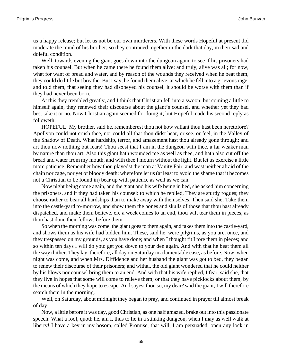us a happy release; but let us not be our own murderers. With these words Hopeful at present did moderate the mind of his brother; so they continued together in the dark that day, in their sad and doleful condition.

Well, towards evening the giant goes down into the dungeon again, to see if his prisoners had taken his counsel. But when he came there he found them alive; and truly, alive was all; for now, what for want of bread and water, and by reason of the wounds they received when he beat them, they could do little but breathe. But I say, he found them alive; at which he fell into a grievous rage, and told them, that seeing they had disobeyed his counsel, it should be worse with them than if they had never been born.

At this they trembled greatly, and I think that Christian fell into a swoon; but coming a little to himself again, they renewed their discourse about the giant's counsel, and whether yet they had best take it or no. Now Christian again seemed for doing it; but Hopeful made his second reply as followeth:

HOPEFUL: My brother, said he, rememberest thou not how valiant thou hast been heretofore? Apollyon could not crush thee, nor could all that thou didst hear, or see, or feel, in the Valley of the Shadow of Death. What hardship, terror, and amazement hast thou already gone through; and art thou now nothing but fears! Thou seest that I am in the dungeon with thee, a far weaker man by nature than thou art. Also this giant hath wounded me as well as thee, and hath also cut off the bread and water from my mouth, and with thee I mourn without the light. But let us exercise a little more patience. Remember how thou playedst the man at Vanity Fair, and wast neither afraid of the chain nor cage, nor yet of bloody death: wherefore let us (at least to avoid the shame that it becomes not a Christian to be found in) bear up with patience as well as we can.

Now night being come again, and the giant and his wife being in bed, she asked him concerning the prisoners, and if they had taken his counsel: to which he replied, They are sturdy rogues; they choose rather to bear all hardships than to make away with themselves. Then said she, Take them into the castle-yard to-morrow, and show them the bones and skulls of those that thou hast already dispatched, and make them believe, ere a week comes to an end, thou wilt tear them in pieces, as thou hast done their fellows before them.

So when the morning was come, the giant goes to them again, and takes them into the castle-yard, and shows them as his wife had bidden him. These, said he, were pilgrims, as you are, once, and they trespassed on my grounds, as you have done; and when I thought fit I tore them in pieces; and so within ten days I will do you: get you down to your den again. And with that he beat them all the way thither. They lay, therefore, all day on Saturday in a lamentable case, as before. Now, when night was come, and when Mrs. Diffidence and her husband the giant was got to bed, they began to renew their discourse of their prisoners; and withal, the old giant wondered that he could neither by his blows nor counsel bring them to an end. And with that his wife replied, I fear, said she, that they live in hopes that some will come to relieve them; or that they have picklocks about them, by the means of which they hope to escape. And sayest thou so, my dear? said the giant; I will therefore search them in the morning.

Well, on Saturday, about midnight they began to pray, and continued in prayer till almost break of day.

Now, a little before it was day, good Christian, as one half amazed, brake out into this passionate speech: What a fool, quoth he, am I, thus to lie in a stinking dungeon, when I may as well walk at liberty! I have a key in my bosom, called Promise, that will, I am persuaded, open any lock in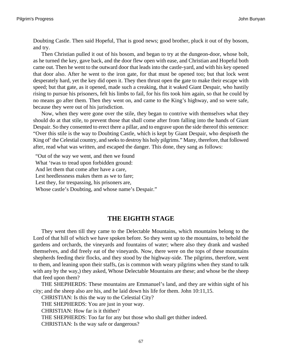Doubting Castle. Then said Hopeful, That is good news; good brother, pluck it out of thy bosom, and try.

Then Christian pulled it out of his bosom, and began to try at the dungeon-door, whose bolt, as he turned the key, gave back, and the door flew open with ease, and Christian and Hopeful both came out. Then he went to the outward door that leads into the castle-yard, and with his key opened that door also. After he went to the iron gate, for that must be opened too; but that lock went desperately hard, yet the key did open it. They then thrust open the gate to make their escape with speed; but that gate, as it opened, made such a creaking, that it waked Giant Despair, who hastily rising to pursue his prisoners, felt his limbs to fail, for his fits took him again, so that he could by no means go after them. Then they went on, and came to the King's highway, and so were safe, because they were out of his jurisdiction.

Now, when they were gone over the stile, they began to contrive with themselves what they should do at that stile, to prevent those that shall come after from falling into the hands of Giant Despair. So they consented to erect there a pillar, and to engrave upon the side thereof this sentence: "Over this stile is the way to Doubting Castle, which is kept by Giant Despair, who despiseth the King of' the Celestial country, and seeks to destroy his holy pilgrims." Many, therefore, that followed after, read what was written, and escaped the danger. This done, they sang as follows:

"Out of the way we went, and then we found What 'twas to tread upon forbidden ground: And let them that come after have a care, Lest heedlessness makes them as we to fare; Lest they, for trespassing, his prisoners are, Whose castle's Doubting, and whose name's Despair."

# **THE EIGHTH STAGE**

They went then till they came to the Delectable Mountains, which mountains belong to the Lord of that hill of which we have spoken before. So they went up to the mountains, to behold the gardens and orchards, the vineyards and fountains of water; where also they drank and washed themselves, and did freely eat of the vineyards. Now, there were on the tops of these mountains shepherds feeding their flocks, and they stood by the highway-side. The pilgrims, therefore, went to them, and leaning upon their staffs, (as is common with weary pilgrims when they stand to talk with any by the way,) they asked, Whose Delectable Mountains are these; and whose be the sheep that feed upon them?

THE SHEPHERDS: These mountains are Emmanuel's land, and they are within sight of his city; and the sheep also are his, and he laid down his life for them. [John 10:11,15.](http://www.ccel.org/b/bible/asv/xml/asv.John.10.xml#John.10.11 Bible:John.10.15)

CHRISTIAN: Is this the way to the Celestial City?

THE SHEPHERDS: You are just in your way.

CHRISTIAN: How far is it thither?

THE SHEPHERDS: Too far for any but those who shall get thither indeed.

CHRISTIAN: Is the way safe or dangerous?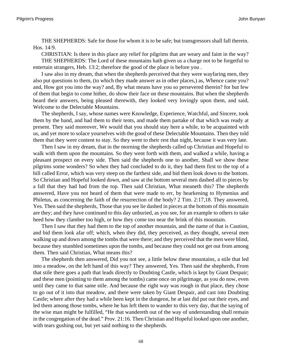THE SHEPHERDS: Safe for those for whom it is to be safe; but transgressors shall fall therein. [Hos. 14:9.](http://www.ccel.org/b/bible/asv/xml/asv.Hos.14.xml#Hos.14.9)

CHRISTIAN: Is there in this place any relief for pilgrims that are weary and faint in the way? THE SHEPHERDS: The Lord of these mountains hath given us a charge not to be forgetful to entertain strangers, [Heb. 13:2;](http://www.ccel.org/b/bible/asv/xml/asv.Heb.13.xml#Heb.13.2) therefore the good of the place is before you .

I saw also in my dream, that when the shepherds perceived that they were wayfaring men, they also put questions to them, (to which they made answer as in other places,) as, Whence came you? and, How got you into the way? and, By what means have you so persevered therein? for but few of them that begin to come hither, do show their face on these mountains. But when the shepherds heard their answers, being pleased therewith, they looked very lovingly upon them, and said, Welcome to the Delectable Mountains.

The shepherds, I say, whose names were Knowledge, Experience, Watchful, and Sincere, took them by the hand, and had them to their tents, and made them partake of that which was ready at present. They said moreover, We would that you should stay here a while, to be acquainted with us, and yet more to solace yourselves with the good of these Delectable Mountains. Then they told them that they were content to stay. So they went to their rest that night, because it was very late.

Then I saw in my dream, that in the morning the shepherds called up Christian and Hopeful to walk with them upon the mountains. So they went forth with them, and walked a while, having a pleasant prospect on every side. Then said the shepherds one to another, Shall we show these pilgrims some wonders? So when they had concluded to do it, they had them first to the top of a hill called Error, which was very steep on the farthest side, and bid them look down to the bottom. So Christian and Hopeful looked down, and saw at the bottom several men dashed all to pieces by a fall that they had had from the top. Then said Christian, What meaneth this? The shepherds answered, Have you not heard of them that were made to err, by hearkening to Hymenius and Philetus, as concerning the faith of the resurrection of the body? [2 Tim. 2:17,18.](http://www.ccel.org/b/bible/asv/xml/asv.iiTim.2.xml#iiTim.2.17 Bible:2Tim.2.18) They answered, Yes. Then said the shepherds, Those that you see lie dashed in pieces at the bottom of this mountain are they; and they have continued to this day unburied, as you see, for an example to others to take heed how they clamber too high, or how they come too near the brink of this mountain.

Then I saw that they had them to the top of another mountain, and the name of that is Caution, and bid them look afar off; which, when they did, they perceived, as they thought, several men walking up and down among the tombs that were there; and they perceived that the men were blind, because they stumbled sometimes upon the tombs, and because they could not get out from among them. Then said Christian, What means this?

The shepherds then answered, Did you not see, a little below these mountains, a stile that led into a meadow, on the left hand of this way? They answered, Yes. Then said the shepherds, From that stile there goes a path that leads directly to Doubting Castle, which is kept by Giant Despair; and these men (pointing to them among the tombs) came once on pilgrimage, as you do now, even until they came to that same stile. And because the right way was rough in that place, they chose to go out of it into that meadow, and there were taken by Giant Despair, and cast into Doubting Castle; where after they had a while been kept in the dungeon, he at last did put out their eyes, and led them among those tombs, where he has left them to wander to this very day, that the saying of the wise man might be fulfilled, "He that wandereth out of the way of understanding shall remain in the congregation of the dead." [Prov. 21:16](http://www.ccel.org/b/bible/asv/xml/asv.Prov.21.xml#Prov.21.16). Then Christian and Hopeful looked upon one another, with tears gushing out, but yet said nothing to the shepherds.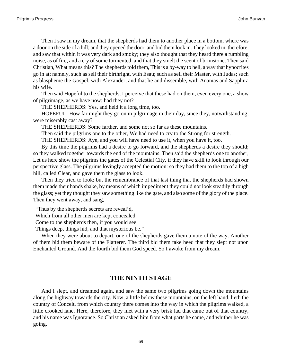Then I saw in my dream, that the shepherds had them to another place in a bottom, where was a door on the side of a hill; and they opened the door, and bid them look in. They looked in, therefore, and saw that within it was very dark and smoky; they also thought that they heard there a rumbling noise, as of fire, and a cry of some tormented, and that they smelt the scent of brimstone. Then said Christian, What means this? The shepherds told them, This is a by-way to hell, a way that hypocrites go in at; namely, such as sell their birthright, with Esau; such as sell their Master, with Judas; such as blaspheme the Gospel, with Alexander; and that lie and dissemble, with Ananias and Sapphira his wife.

Then said Hopeful to the shepherds, I perceive that these had on them, even every one, a show of pilgrimage, as we have now; had they not?

THE SHEPHERDS: Yes, and held it a long time, too.

HOPEFUL: How far might they go on in pilgrimage in their day, since they, notwithstanding, were miserably cast away?

THE SHEPHERDS: Some farther, and some not so far as these mountains.

Then said the pilgrims one to the other, We had need to cry to the Strong for strength.

THE SHEPHERDS: Aye, and you will have need to use it, when you have it, too.

By this time the pilgrims had a desire to go forward, and the shepherds a desire they should; so they walked together towards the end of the mountains. Then said the shepherds one to another, Let us here show the pilgrims the gates of the Celestial City, if they have skill to look through our perspective glass. The pilgrims lovingly accepted the motion: so they had them to the top of a high hill, called Clear, and gave them the glass to look.

Then they tried to look; but the remembrance of that last thing that the shepherds had shown them made their hands shake, by means of which impediment they could not look steadily through the glass; yet they thought they saw something like the gate, and also some of the glory of the place. Then they went away, and sang,

"Thus by the shepherds secrets are reveal'd,

Which from all other men are kept concealed:

Come to the shepherds then, if you would see

Things deep, things hid, and that mysterious be."

When they were about to depart, one of the shepherds gave them a note of the way. Another of them bid them beware of the Flatterer. The third bid them take heed that they slept not upon Enchanted Ground. And the fourth bid them God speed. So I awoke from my dream.

### **THE NINTH STAGE**

And I slept, and dreamed again, and saw the same two pilgrims going down the mountains along the highway towards the city. Now, a little below these mountains, on the left hand, lieth the country of Conceit, from which country there comes into the way in which the pilgrims walked, a little crooked lane. Here, therefore, they met with a very brisk lad that came out of that country, and his name was Ignorance. So Christian asked him from what parts he came, and whither he was going.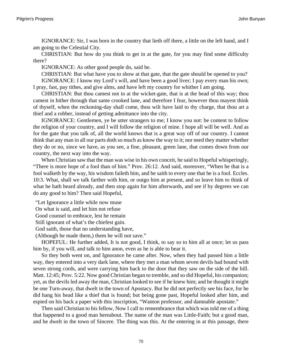IGNORANCE: Sir, I was born in the country that lieth off there, a little on the left hand, and I am going to the Celestial City.

CHRISTIAN: But how do you think to get in at the gate, for you may find some difficulty there?

IGNORANCE: As other good people do, said he.

CHRISTIAN: But what have you to show at that gate, that the gate should be opened to you? IGNORANCE: I know my Lord's will, and have been a good liver; I pay every man his own; I pray, fast, pay tithes, and give alms, and have left my country for whither I am going.

CHRISTIAN: But thou camest not in at the wicket-gate, that is at the head of this way; thou camest in hither through that same crooked lane, and therefore I fear, however thou mayest think of thyself, when the reckoning-day shall come, thou wilt have laid to thy charge, that thou art a thief and a robber, instead of getting admittance into the city.

IGNORANCE: Gentlemen, ye be utter strangers to me; I know you not: be content to follow the religion of your country, and I will follow the religion of mine. I hope all will be well. And as for the gate that you talk of, all the world knows that is a great way off of our country. I cannot think that any man in all our parts doth so much as know the way to it; nor need they matter whether they do or no, since we have, as you see, a fine, pleasant, green lane, that comes down from our country, the next way into the way.

When Christian saw that the man was wise in his own conceit, he said to Hopeful whisperingly, "There is more hope of a fool than of him." [Prov. 26:12](http://www.ccel.org/b/bible/asv/xml/asv.Prov.26.xml#Prov.26.12). And said, moreover, "When he that is a fool walketh by the way, his wisdom faileth him, and he saith to every one that he is a fool. [Eccles.](http://www.ccel.org/b/bible/asv/xml/asv.Eccl.10.xml#Eccl.10.3) [10:3](http://www.ccel.org/b/bible/asv/xml/asv.Eccl.10.xml#Eccl.10.3). What, shall we talk farther with him, or outgo him at present, and so leave him to think of what he hath heard already, and then stop again for him afterwards, and see if by degrees we can do any good to him? Then said Hopeful,

"Let Ignorance a little while now muse On what is said, and let him not refuse Good counsel to embrace, lest he remain Still ignorant of what's the chiefest gain. God saith, those that no understanding have,

(Although he made them,) them he will not save."

HOPEFUL: He further added, It is not good, I think, to say so to him all at once; let us pass him by, if you will, and talk to him anon, even as he is able to bear it.

So they both went on, and Ignorance he came after. Now, when they had passed him a little way, they entered into a very dark lane, where they met a man whom seven devils had bound with seven strong cords, and were carrying him back to the door that they saw on the side of the hill. [Matt. 12:45](http://www.ccel.org/b/bible/asv/xml/asv.Matt.12.xml#Matt.12.45); [Prov. 5:22.](http://www.ccel.org/b/bible/asv/xml/asv.Prov.5.xml#Prov.5.22) Now good Christian began to tremble, and so did Hopeful, his companion; yet, as the devils led away the man, Christian looked to see if he knew him; and he thought it might be one Turn-away, that dwelt in the town of Apostacy. But he did not perfectly see his face, for he did hang his head like a thief that is found; but being gone past, Hopeful looked after him, and espied on his back a paper with this inscription, "Wanton professor, and damnable apostate."

Then said Christian to his fellow, Now I call to remembrance that which was told me of a thing that happened to a good man hereabout. The name of the man was Little-Faith; but a good man, and he dwelt in the town of Sincere. The thing was this. At the entering in at this passage, there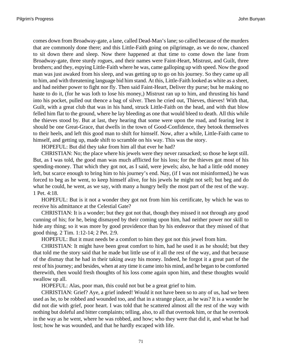comes down from Broadway-gate, a lane, called Dead-Man's lane; so called because of the murders that are commonly done there; and this Little-Faith going on pilgrimage, as we do now, chanced to sit down there and sleep. Now there happened at that time to come down the lane from Broadway-gate, three sturdy rogues, and their names were Faint-Heart, Mistrust, and Guilt, three brothers; and they, espying Little-Faith where he was, came galloping up with speed. Now the good man was just awaked from his sleep, and was getting up to go on his journey. So they came up all to him, and with threatening language bid him stand. At this, Little-Faith looked as white as a sheet, and had neither power to fight nor fly. Then said Faint-Heart, Deliver thy purse; but he making no haste to do it, (for he was loth to lose his money,) Mistrust ran up to him, and thrusting his hand into his pocket, pulled out thence a bag of silver. Then he cried out, Thieves, thieves! With that, Guilt, with a great club that was in his hand, struck Little-Faith on the head, and with that blow felled him flat to the ground, where he lay bleeding as one that would bleed to death. All this while the thieves stood by. But at last, they hearing that some were upon the road, and fearing lest it should be one Great-Grace, that dwells in the town of Good-Confidence, they betook themselves to their heels, and left this good man to shift for himself. Now, after a while, Little-Faith came to himself, and getting up, made shift to scramble on his way. This was the story.

HOPEFUL: But did they take from him all that ever he had?

CHRISTIAN: No; the place where his jewels were they never ransacked; so those he kept still. But, as I was told, the good man was much afflicted for his loss; for the thieves got most of his spending-money. That which they got not, as I said, were jewels; also, he had a little odd money left, but scarce enough to bring him to his journey's end. Nay, (if I was not misinformed,) he was forced to beg as he went, to keep himself alive, for his jewels he might not sell; but beg and do what he could, he went, as we say, with many a hungry belly the most part of the rest of the way. [1 Pet. 4:18.](http://www.ccel.org/b/bible/asv/xml/asv.iPet.4.xml#iPet.4.18)

HOPEFUL: But is it not a wonder they got not from him his certificate, by which he was to receive his admittance at the Celestial Gate?

CHRISTIAN: It is a wonder; but they got not that, though they missed it not through any good cunning of his; for he, being dismayed by their coming upon him, had neither power nor skill to hide any thing; so it was more by good providence than by his endeavor that they missed of that good thing. [2 Tim. 1:12-14](http://www.ccel.org/b/bible/asv/xml/asv.iiTim.1.xml#iiTim.1.12); [2 Pet. 2:9](http://www.ccel.org/b/bible/asv/xml/asv.iiPet.2.xml#iiPet.2.9).

HOPEFUL: But it must needs be a comfort to him they got not this jewel from him.

CHRISTIAN: It might have been great comfort to him, had he used it as he should; but they that told me the story said that he made but little use of it all the rest of the way, and that because of the dismay that he had in their taking away his money. Indeed, he forgot it a great part of the rest of his journey; and besides, when at any time it came into his mind, and he began to be comforted therewith, then would fresh thoughts of his loss come again upon him, and these thoughts would swallow up all.

HOPEFUL: Alas, poor man, this could not but be a great grief to him.

CHRISTIAN: Grief? Aye, a grief indeed! Would it not have been so to any of us, had we been used as he, to be robbed and wounded too, and that in a strange place, as he was? It is a wonder he did not die with grief, poor heart. I was told that he scattered almost all the rest of the way with nothing but doleful and bitter complaints; telling, also, to all that overtook him, or that he overtook in the way as he went, where he was robbed, and how; who they were that did it, and what he had lost; how he was wounded, and that he hardly escaped with life.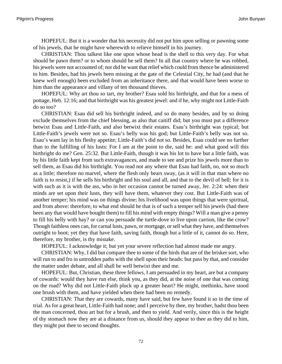HOPEFUL: But it is a wonder that his necessity did not put him upon selling or pawning some of his jewels, that he might have wherewith to relieve himself in his journey.

CHRISTIAN: Thou talkest like one upon whose head is the shell to this very day. For what should he pawn them? or to whom should he sell them? In all that country where he was robbed, his jewels were not accounted of; nor did he want that relief which could from thence be administered to him. Besides, had his jewels been missing at the gate of the Celestial City, he had (and that he knew well enough) been excluded from an inheritance there, and that would have been worse to him than the appearance and villany of ten thousand thieves.

HOPEFUL: Why art thou so tart, my brother? Esau sold his birthright, and that for a mess of pottage, [Heb. 12:16;](http://www.ccel.org/b/bible/asv/xml/asv.Heb.12.xml#Heb.12.16) and that birthright was his greatest jewel: and if he, why might not Little-Faith do so too?

CHRISTIAN: Esau did sell his birthright indeed, and so do many besides, and by so doing exclude themselves from the chief blessing, as also that caitiff did; but you must put a difference betwixt Esau and Little-Faith, and also betwixt their estates. Esau's birthright was typical; but Little-Faith's jewels were not so. Esau's belly was his god; but Little-Faith's belly was not so. Esau's want lay in his fleshy appetite; Little-Faith's did not so. Besides, Esau could see no further than to the fulfilling of his lusts: For I am at the point to die, said he: and what good will this birthright do me? [Gen. 25:32.](http://www.ccel.org/b/bible/asv/xml/asv.Gen.25.xml#Gen.25.32) But Little-Faith, though it was his lot to have but a little faith, was by his little faith kept from such extravagances, and made to see and prize his jewels more than to sell them, as Esau did his birthright. You read not any where that Esau had faith, no, not so much as a little; therefore no marvel, where the flesh only bears sway, (as it will in that man where no faith is to resist,) if he sells his birthright and his soul and all, and that to the devil of hell; for it is with such as it is with the ass, who in her occasion cannot be turned away, [Jer. 2:24:](http://www.ccel.org/b/bible/asv/xml/asv.Jer.2.xml#Jer.2.24) when their minds are set upon their lusts, they will have them, whatever they cost. But Little-Faith was of another temper; his mind was on things divine; his livelihood was upon things that were spiritual, and from above: therefore, to what end should he that is of such a temper sell his jewels (had there been any that would have bought them) to fill his mind with empty things? Will a man give a penny to fill his belly with hay? or can you persuade the turtle-dove to live upon carrion, like the crow? Though faithless ones can, for carnal lusts, pawn, or mortgage, or sell what they have, and themselves outright to boot; yet they that have faith, saving faith, though but a little of it, cannot do so. Here, therefore, my brother, is thy mistake.

HOPEFUL: I acknowledge it; but yet your severe reflection had almost made me angry.

CHRISTIAN: Why, I did but compare thee to some of the birds that are of the brisker sort, who will run to and fro in untrodden paths with the shell upon their heads: but pass by that, and consider the matter under debate, and all shall be well betwixt thee and me.

HOPEFUL: But, Christian, these three fellows, I am persuaded in my heart, are but a company of cowards: would they have run else, think you, as they did, at the noise of one that was coming on the road? Why did not Little-Faith pluck up a greater heart? He might, methinks, have stood one brush with them, and have yielded when there had been no remedy.

CHRISTIAN: That they are cowards, many have said, but few have found it so in the time of trial. As for a great heart, Little-Faith had none; and I perceive by thee, my brother, hadst thou been the man concerned, thou art but for a brush, and then to yield. And verily, since this is the height of thy stomach now they are at a distance from us, should they appear to thee as they did to him, they might put thee to second thoughts.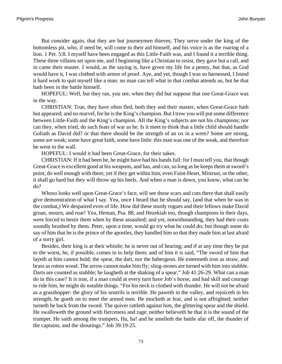But consider again, that they are but journeymen thieves; They serve under the king of the bottomless pit, who, if need be, will come to their aid himself, and his voice is as the roaring of a lion. [1 Pet. 5:8.](http://www.ccel.org/b/bible/asv/xml/asv.iPet.5.xml#iPet.5.8) I myself have been engaged as this Little-Faith was, and I found it a terrible thing. These three villains set upon me, and I beginning like a Christian to resist, they gave but a call, and in came their master. I would, as the saying is, have given my life for a penny, but that, as God would have it, I was clothed with armor of proof. Aye, and yet, though I was so harnessed, I found it hard work to quit myself like a man: no man can tell what in that combat attends us, but he that hath been in the battle himself.

HOPEFUL: Well, but they ran, you see, when they did but suppose that one Great-Grace was in the way.

CHRISTIAN: True, they have often fled, both they and their master, when Great-Grace hath but appeared; and no marvel, for he is the King's champion. But I trow you will put some difference between Little-Faith and the King's champion. All the King's subjects are not his champions; nor can they, when tried, do such feats of war as he. Is it meet to think that a little child should handle Goliath as David did? or that there should be the strength of an ox in a wren? Some are strong, some are weak; some have great faith, some have little: this man was one of the weak, and therefore he went to the wall.

HOPEFUL: I would it had been Great-Grace, for their sakes.

CHRISTIAN: If it had been he, he might have had his hands full: for I must tell you, that though Great-Grace is excellent good at his weapons, and has, and can, so long as he keeps them at sword's point, do well enough with them; yet if they get within him, even Faint-Heart, Mistrust, or the other, it shall go hard but they will throw up his heels. And when a man is down, you know, what can he do?

Whoso looks well upon Great-Grace's face, will see those scars and cuts there that shall easily give demonstration of what I say. Yea, once I heard that he should say, (and that when he was in the combat,) We despaired even of life. How did these sturdy rogues and their fellows make David groan, mourn, and roar! Yea, Heman, [Psa. 88](http://www.ccel.org/b/bible/asv/xml/asv.Ps.88.xml#Ps.88.1), and Hezekiah too, though champions in their days, were forced to bestir them when by these assaulted; and yet, notwithstanding, they had their coats soundly brushed by them. Peter, upon a time, would go try what he could do; but though some do say of him that he is the prince of the apostles, they handled him so that they made him at last afraid of a sorry girl.

Besides, their king is at their whistle; he is never out of hearing; and if at any time they be put to the worst, he, if possible, comes in to help them; and of him it is said, "The sword of him that layeth at him cannot hold; the spear, the dart, nor the habergeon. He esteemeth iron as straw, and brass as rotten wood. The arrow cannot make him fly; sling-stones are turned with him into stubble. Darts are counted as stubble; he laugheth at the shaking of a spear." [Job 41:26-29.](http://www.ccel.org/b/bible/asv/xml/asv.Job.41.xml#Job.41.26) What can a man do in this case? It is true, if a man could at every turn have Job's horse, and had skill and courage to ride him, he might do notable things. "For his neck is clothed with thunder. He will not be afraid as a grasshopper: the glory of his nostrils is terrible. He paweth in the valley, and rejoiceth in his strength; he goeth on to meet the armed men. He mocketh at fear, and is not affrighted; neither turneth he back from the sword. The quiver rattleth against him, the glittering spear and the shield. He swalloweth the ground with fierceness and rage; neither believeth he that it is the sound of the trumpet. He saith among the trumpets, Ha, ha! and he smelleth the battle afar off, the thunder of the captains, and the shoutings." [Job 39:19-25](http://www.ccel.org/b/bible/asv/xml/asv.Job.39.xml#Job.39.19).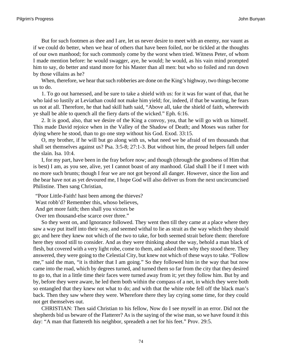But for such footmen as thee and I are, let us never desire to meet with an enemy, nor vaunt as if we could do better, when we hear of others that have been foiled, nor be tickled at the thoughts of our own manhood; for such commonly come by the worst when tried. Witness Peter, of whom I made mention before: he would swagger, aye, he would; he would, as his vain mind prompted him to say, do better and stand more for his Master than all men: but who so foiled and run down by those villains as he?

When, therefore, we hear that such robberies are done on the King's highway, two things become us to do.

1. To go out harnessed, and be sure to take a shield with us: for it was for want of that, that he who laid so lustily at Leviathan could not make him yield; for, indeed, if that be wanting, he fears us not at all. Therefore, he that had skill hath said, "Above all, take the shield of faith, wherewith ye shall be able to quench all the fiery darts of the wicked." [Eph. 6:16](http://www.ccel.org/b/bible/asv/xml/asv.Eph.6.xml#Eph.6.16).

2. It is good, also, that we desire of the King a convoy, yea, that he will go with us himself. This made David rejoice when in the Valley of the Shadow of Death; and Moses was rather for dying where he stood, than to go one step without his God. [Exod. 33:15.](http://www.ccel.org/b/bible/asv/xml/asv.Exod.33.xml#Exod.33.15)

O, my brother, if he will but go along with us, what need we be afraid of ten thousands that shall set themselves against us? [Psa. 3:5-8](http://www.ccel.org/b/bible/asv/xml/asv.Ps.3.xml#Ps.3.5); [27:1-3](http://www.ccel.org/b/bible/asv/xml/asv.Ps.27.xml#Ps.27.1). But without him, the proud helpers fall under the slain. [Isa. 10:4.](http://www.ccel.org/b/bible/asv/xml/asv.Isa.10.xml#Isa.10.4)

I, for my part, have been in the fray before now; and though (through the goodness of Him that is best) I am, as you see, alive, yet I cannot boast of any manhood. Glad shall I be if I meet with no more such brunts; though I fear we are not got beyond all danger. However, since the lion and the bear have not as yet devoured me, I hope God will also deliver us from the next uncircumcised Philistine. Then sang Christian,

"Poor Little-Faith! hast been among the thieves? Wast robb'd? Remember this, whoso believes, And get more faith; then shall you victors be Over ten thousand-else scarce over three."

So they went on, and Ignorance followed. They went then till they came at a place where they saw a way put itself into their way, and seemed withal to lie as strait as the way which they should go; and here they knew not which of the two to take, for both seemed strait before them: therefore here they stood still to consider. And as they were thinking about the way, behold a man black of flesh, but covered with a very light robe, come to them, and asked them why they stood there. They answered, they were going to the Celestial City, but knew not which of these ways to take. "Follow me," said the man, "it is thither that I am going." So they followed him in the way that but now came into the road, which by degrees turned, and turned them so far from the city that they desired to go to, that in a little time their faces were turned away from it; yet they follow him. But by and by, before they were aware, he led them both within the compass of a net, in which they were both so entangled that they knew not what to do; and with that the white robe fell off the black man's back. Then they saw where they were. Wherefore there they lay crying some time, for they could not get themselves out.

CHRISTIAN: Then said Christian to his fellow, Now do I see myself in an error. Did not the shepherds bid us beware of the Flatterer? As is the saying of the wise man, so we have found it this day: "A man that flattereth his neighbor, spreadeth a net for his feet." [Prov. 29:5.](http://www.ccel.org/b/bible/asv/xml/asv.Prov.29.xml#Prov.29.5)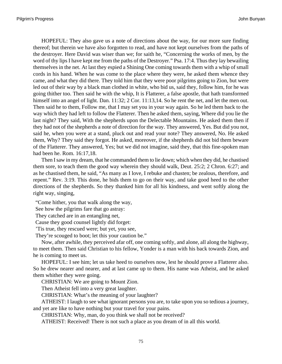HOPEFUL: They also gave us a note of directions about the way, for our more sure finding thereof; but therein we have also forgotten to read, and have not kept ourselves from the paths of the destroyer. Here David was wiser than we; for saith he, "Concerning the works of men, by the word of thy lips I have kept me from the paths of the Destroyer." [Psa. 17:4.](http://www.ccel.org/b/bible/asv/xml/asv.Ps.17.xml#Ps.17.4) Thus they lay bewailing themselves in the net. At last they espied a Shining One coming towards them with a whip of small cords in his hand. When he was come to the place where they were, he asked them whence they came, and what they did there. They told him that they were poor pilgrims going to Zion, but were led out of their way by a black man clothed in white, who bid us, said they, follow him, for he was going thither too. Then said he with the whip, It is Flatterer, a false apostle, that hath transformed himself into an angel of light. [Dan. 11:32](http://www.ccel.org/b/bible/asv/xml/asv.Dan.11.xml#Dan.11.32); [2 Cor. 11:13,14](http://www.ccel.org/b/bible/asv/xml/asv.iiCor.11.xml#iiCor.11.13 Bible:2Cor.11.14). So he rent the net, and let the men out. Then said he to them, Follow me, that I may set you in your way again. So he led them back to the way which they had left to follow the Flatterer. Then he asked them, saying, Where did you lie the last night? They said, With the shepherds upon the Delectable Mountains. He asked them then if they had not of the shepherds a note of direction for the way. They answered, Yes. But did you not, said he, when you were at a stand, pluck out and read your note? They answered, No. He asked them, Why? They said they forgot. He asked, moreover, if the shepherds did not bid them beware of the Flatterer. They answered, Yes; but we did not imagine, said they, that this fine-spoken man had been he. [Rom. 16:17,18.](http://www.ccel.org/b/bible/asv/xml/asv.Rom.16.xml#Rom.16.17 Bible:Rom.16.18)

Then I saw in my dream, that he commanded them to lie down; which when they did, he chastised them sore, to teach them the good way wherein they should walk, [Deut. 25:2;](http://www.ccel.org/b/bible/asv/xml/asv.Deut.25.xml#Deut.25.2) [2 Chron. 6:27](http://www.ccel.org/b/bible/asv/xml/asv.iiChr.6.xml#iiChr.6.27); and as he chastised them, he said, "As many as I love, I rebuke and chasten; be zealous, therefore, and repent." [Rev. 3:19](http://www.ccel.org/b/bible/asv/xml/asv.Rev.3.xml#Rev.3.19). This done, he bids them to go on their way, and take good heed to the other directions of the shepherds. So they thanked him for all his kindness, and went softly along the right way, singing,

"Come hither, you that walk along the way,

See how the pilgrims fare that go astray:

They catched are in an entangling net,

Cause they good counsel lightly did forget:

'Tis true, they rescued were; but yet, you see,

They're scouged to boot; let this your caution be."

Now, after awhile, they perceived afar off, one coming softly, and alone, all along the highway, to meet them. Then said Christian to his fellow, Yonder is a man with his back towards Zion, and he is coming to meet us.

HOPEFUL: I see him; let us take heed to ourselves now, lest he should prove a Flatterer also. So he drew nearer and nearer, and at last came up to them. His name was Atheist, and he asked them whither they were going.

CHRISTIAN: We are going to Mount Zion.

Then Atheist fell into a very great laughter.

CHRISTIAN: What's the meaning of your laughter?

ATHEIST: I laugh to see what ignorant persons you are, to take upon you so tedious a journey, and yet are like to have nothing but your travel for your pains.

CHRISTIAN: Why, man, do you think we shall not be received?

ATHEIST: Received! There is not such a place as you dream of in all this world.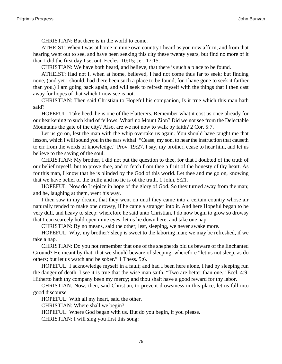CHRISTIAN: But there is in the world to come.

ATHEIST: When I was at home in mine own country I heard as you now affirm, and from that hearing went out to see, and have been seeking this city these twenty years, but find no more of it than I did the first day I set out. [Eccles. 10:15;](http://www.ccel.org/b/bible/asv/xml/asv.Eccl.10.xml#Eccl.10.15) [Jer. 17:15](http://www.ccel.org/b/bible/asv/xml/asv.Jer.17.xml#Jer.17.15).

CHRISTIAN: We have both heard, and believe, that there is such a place to be found.

ATHEIST: Had not I, when at home, believed, I had not come thus far to seek; but finding none, (and yet I should, had there been such a place to be found, for I have gone to seek it farther than you,) I am going back again, and will seek to refresh myself with the things that I then cast away for hopes of that which I now see is not.

CHRISTIAN: Then said Christian to Hopeful his companion, Is it true which this man hath said?

HOPEFUL: Take heed, he is one of the Flatterers. Remember what it cost us once already for our hearkening to such kind of fellows. What! no Mount Zion? Did we not see from the Delectable Mountains the gate of the city? Also, are we not now to walk by faith? [2 Cor. 5:7.](http://www.ccel.org/b/bible/asv/xml/asv.iiCor.5.xml#iiCor.5.7)

Let us go on, lest the man with the whip overtake us again. You should have taught me that lesson, which I will sound you in the ears withal: "Cease, my son, to hear the instruction that causeth to err from the words of knowledge." [Prov. 19:27](http://www.ccel.org/b/bible/asv/xml/asv.Prov.19.xml#Prov.19.27). I say, my brother, cease to hear him, and let us believe to the saving of the soul.

CHRISTIAN: My brother, I did not put the question to thee, for that I doubted of the truth of our belief myself, but to prove thee, and to fetch from thee a fruit of the honesty of thy heart. As for this man, I know that he is blinded by the God of this world. Let thee and me go on, knowing that we have belief of the truth; and no lie is of the truth. [1 John, 5:21](http://www.ccel.org/b/bible/asv/xml/asv.iJohn.5.xml#iJohn.5.21).

HOPEFUL: Now do I rejoice in hope of the glory of God. So they turned away from the man; and he, laughing at them, went his way.

I then saw in my dream, that they went on until they came into a certain country whose air naturally tended to make one drowsy, if he came a stranger into it. And here Hopeful began to be very dull, and heavy to sleep: wherefore he said unto Christian, I do now begin to grow so drowsy that I can scarcely hold open mine eyes; let us lie down here, and take one nap.

CHRISTIAN: By no means, said the other; lest, sleeping, we never awake more.

HOPEFUL: Why, my brother? sleep is sweet to the laboring man; we may be refreshed, if we take a nap.

CHRISTIAN: Do you not remember that one of the shepherds bid us beware of the Enchanted Ground? He meant by that, that we should beware of sleeping; wherefore "let us not sleep, as do others; but let us watch and be sober." [1 Thess. 5:6.](http://www.ccel.org/b/bible/asv/xml/asv.iThess.5.xml#iThess.5.6)

HOPEFUL: I acknowledge myself in a fault; and had I been here alone, I had by sleeping run the danger of death. I see it is true that the wise man saith, "Two are better than one." [Eccl. 4:9.](http://www.ccel.org/b/bible/asv/xml/asv.Eccl.4.xml#Eccl.4.9) Hitherto hath thy company been my mercy; and thou shalt have a good reward for thy labor.

CHRISTIAN: Now, then, said Christian, to prevent drowsiness in this place, let us fall into good discourse.

HOPEFUL: With all my heart, said the other.

CHRISTIAN: Where shall we begin?

HOPEFUL: Where God began with us. But do you begin, if you please.

CHRISTIAN: I will sing you first this song: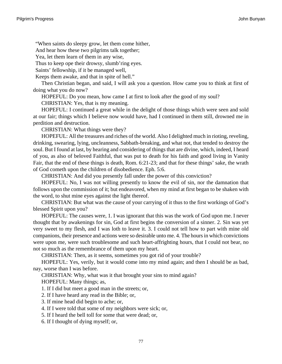"When saints do sleepy grow, let them come hither,

And hear how these two pilgrims talk together;

Yea, let them learn of them in any wise,

Thus to keep ope their drowsy, slumb'ring eyes.

Saints' fellowship, if it be managed well,

Keeps them awake, and that in spite of hell."

Then Christian began, and said, I will ask you a question. How came you to think at first of doing what you do now?

HOPEFUL: Do you mean, how came I at first to look after the good of my soul?

CHRISTIAN: Yes, that is my meaning.

HOPEFUL: I continued a great while in the delight of those things which were seen and sold at our fair; things which I believe now would have, had I continued in them still, drowned me in perdition and destruction.

CHRISTIAN: What things were they?

HOPEFUL: All the treasures and riches of the world. Also I delighted much in rioting, reveling, drinking, swearing, lying, uncleanness, Sabbath-breaking, and what not, that tended to destroy the soul. But I found at last, by hearing and considering of things that are divine, which, indeed, I heard of you, as also of beloved Faithful, that was put to death for his faith and good living in Vanity Fair, that the end of these things is death, [Rom. 6:21-23;](http://www.ccel.org/b/bible/asv/xml/asv.Rom.6.xml#Rom.6.21) and that for these things' sake, the wrath of God cometh upon the children of disobedience. [Eph. 5:6](http://www.ccel.org/b/bible/asv/xml/asv.Eph.5.xml#Eph.5.6).

CHRISTIAN: And did you presently fall under the power of this conviction?

HOPEFUL: No, I was not willing presently to know the evil of sin, nor the damnation that follows upon the commission of it; but endeavored, when my mind at first began to be shaken with the word, to shut mine eyes against the light thereof.

CHRISTIAN: But what was the cause of your carrying of it thus to the first workings of God's blessed Spirit upon you?

HOPEFUL: The causes were, 1. I was ignorant that this was the work of God upon me. I never thought that by awakenings for sin, God at first begins the conversion of a sinner. 2. Sin was yet very sweet to my flesh, and I was loth to leave it. 3. I could not tell how to part with mine old companions, their presence and actions were so desirable unto me. 4. The hours in which convictions were upon me, were such troublesome and such heart-affrighting hours, that I could not bear, no not so much as the remembrance of them upon my heart.

CHRISTIAN: Then, as it seems, sometimes you got rid of your trouble?

HOPEFUL: Yes, verily, but it would come into my mind again; and then I should be as bad, nay, worse than I was before.

CHRISTIAN: Why, what was it that brought your sins to mind again? HOPEFUL: Many things; as,

1. If I did but meet a good man in the streets; or,

2. If I have heard any read in the Bible; or,

3. If mine head did begin to ache; or,

4. If I were told that some of my neighbors were sick; or,

5. If I heard the bell toll for some that were dead; or,

6. If I thought of dying myself; or,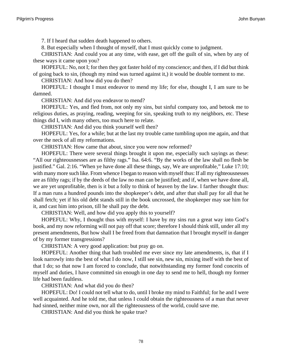7. If I heard that sudden death happened to others.

8. But especially when I thought of myself, that I must quickly come to judgment.

CHRISTIAN: And could you at any time, with ease, get off the guilt of sin, when by any of these ways it came upon you?

HOPEFUL: No, not I; for then they got faster hold of my conscience; and then, if I did but think of going back to sin, (though my mind was turned against it,) it would be double torment to me.

CHRISTIAN: And how did you do then?

HOPEFUL: I thought I must endeavor to mend my life; for else, thought I, I am sure to be damned.

CHRISTIAN: And did you endeavor to mend?

HOPEFUL: Yes, and fled from, not only my sins, but sinful company too, and betook me to religious duties, as praying, reading, weeping for sin, speaking truth to my neighbors, etc. These things did I, with many others, too much here to relate.

CHRISTIAN: And did you think yourself well then?

HOPEFUL: Yes, for a while; but at the last my trouble came tumbling upon me again, and that over the neck of all my reformations.

CHRISTIAN: How came that about, since you were now reformed?

HOPEFUL: There were several things brought it upon me, especially such sayings as these: "All our righteousnesses are as filthy rags." [Isa. 64:6](http://www.ccel.org/b/bible/asv/xml/asv.Isa.64.xml#Isa.64.6). "By the works of the law shall no flesh be justified." [Gal. 2:16](http://www.ccel.org/b/bible/asv/xml/asv.Gal.2.xml#Gal.2.16). "When ye have done all these things, say, We are unprofitable," [Luke 17:10;](http://www.ccel.org/b/bible/asv/xml/asv.Luke.17.xml#Luke.17.10) with many more such like. From whence I began to reason with myself thus: If all my righteousnesses are as filthy rags; if by the deeds of the law no man can be justified; and if, when we have done all, we are yet unprofitable, then is it but a folly to think of heaven by the law. I farther thought thus: If a man runs a hundred pounds into the shopkeeper's debt, and after that shall pay for all that he shall fetch; yet if his old debt stands still in the book uncrossed, the shopkeeper may sue him for it, and cast him into prison, till he shall pay the debt.

CHRISTIAN: Well, and how did you apply this to yourself?

HOPEFUL: Why, I thought thus with myself: I have by my sins run a great way into God's book, and my now reforming will not pay off that score; therefore I should think still, under all my present amendments, But how shall I be freed from that damnation that I brought myself in danger of by my former transgressions?

CHRISTIAN: A very good application: but pray go on.

HOPEFUL: Another thing that hath troubled me ever since my late amendments, is, that if I look narrowly into the best of what I do now, I still see sin, new sin, mixing itself with the best of that I do; so that now I am forced to conclude, that notwithstanding my former fond conceits of myself and duties, I have committed sin enough in one day to send me to hell, though my former life had been faultless.

CHRISTIAN: And what did you do then?

HOPEFUL: Do! I could not tell what to do, until I broke my mind to Faithful; for he and I were well acquainted. And he told me, that unless I could obtain the righteousness of a man that never had sinned, neither mine own, nor all the righteousness of the world, could save me.

CHRISTIAN: And did you think he spake true?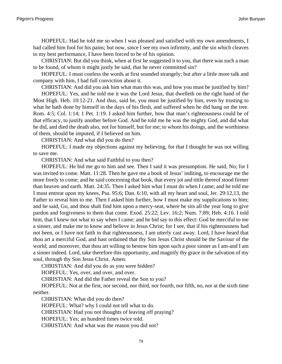HOPEFUL: Had he told me so when I was pleased and satisfied with my own amendments, I had called him fool for his pains; but now, since I see my own infirmity, and the sin which cleaves to my best performance, I have been forced to be of his opinion.

CHRISTIAN: But did you think, when at first he suggested it to you, that there was such a man to be found, of whom it might justly be said, that he never committed sin?

HOPEFUL: I must confess the words at first sounded strangely; but after a little more talk and company with him, I had full conviction about it.

CHRISTIAN: And did you ask him what man this was, and how you must be justified by him?

HOPEFUL: Yes, and he told me it was the Lord Jesus, that dwelleth on the right hand of the Most High. [Heb. 10:12-21](http://www.ccel.org/b/bible/asv/xml/asv.Heb.10.xml#Heb.10.12). And thus, said he, you must be justified by him, even by trusting to what he hath done by himself in the days of his flesh, and suffered when he did hang on the tree. [Rom. 4:5](http://www.ccel.org/b/bible/asv/xml/asv.Rom.4.xml#Rom.4.5); [Col. 1:14;](http://www.ccel.org/b/bible/asv/xml/asv.Col.1.xml#Col.1.14) [1 Pet. 1:19.](http://www.ccel.org/b/bible/asv/xml/asv.iPet.1.xml#iPet.1.19) I asked him further, how that man's righteousness could be of that efficacy, to justify another before God. And he told me he was the mighty God, and did what he did, and died the death also, not for himself, but for me; to whom his doings, and the worthiness of them, should be imputed, if I believed on him.

CHRISTIAN: And what did you do then?

HOPEFUL: I made my objections against my believing, for that I thought he was not willing to save me.

CHRISTIAN: And what said Faithful to you then?

HOPEFUL: He bid me go to him and see. Then I said it was presumption. He said, No; for I was invited to come. [Matt. 11:28.](http://www.ccel.org/b/bible/asv/xml/asv.Matt.11.xml#Matt.11.28) Then he gave me a book of Jesus' inditing, to encourage me the more freely to come; and he said concerning that book, that every jot and tittle thereof stood firmer than heaven and earth. [Matt. 24:35.](http://www.ccel.org/b/bible/asv/xml/asv.Matt.24.xml#Matt.24.35) Then I asked him what I must do when I came; and he told me I must entreat upon my knees, [Psa. 95:6;](http://www.ccel.org/b/bible/asv/xml/asv.Ps.95.xml#Ps.95.6) [Dan. 6:10,](http://www.ccel.org/b/bible/asv/xml/asv.Dan.6.xml#Dan.6.10) with all my heart and soul, [Jer. 29:12,13](http://www.ccel.org/b/bible/asv/xml/asv.Jer.29.xml#Jer.29.12 Bible:Jer.29.13), the Father to reveal him to me. Then I asked him further, how I must make my supplications to him; and he said, Go, and thou shalt find him upon a mercy-seat, where he sits all the year long to give pardon and forgiveness to them that come. [Exod. 25:22](http://www.ccel.org/b/bible/asv/xml/asv.Exod.25.xml#Exod.25.22); [Lev. 16:2](http://www.ccel.org/b/bible/asv/xml/asv.Lev.16.xml#Lev.16.2); [Num. 7:89;](http://www.ccel.org/b/bible/asv/xml/asv.Num.7.xml#Num.7.89) [Heb. 4:16.](http://www.ccel.org/b/bible/asv/xml/asv.Heb.4.xml#Heb.4.16) I told him, that I knew not what to say when I came; and he bid say to this effect: God be merciful to me a sinner, and make me to know and believe in Jesus Christ; for I see, that if his righteousness had not been, or I have not faith in that righteousness, I am utterly cast away. Lord, I have heard that thou art a merciful God, and hast ordained that thy Son Jesus Christ should be the Saviour of the world; and moreover, that thou art willing to bestow him upon such a poor sinner as I am-and I am a sinner indeed. Lord, take therefore this opportunity, and magnify thy grace in the salvation of my soul, through thy Son Jesus Christ. Amen.

CHRISTIAN: And did you do as you were bidden?

HOPEFUL: Yes, over, and over, and over.

CHRISTIAN: And did the Father reveal the Son to you?

HOPEFUL: Not at the first, nor second, nor third, nor fourth, nor fifth, no, nor at the sixth time neither.

CHRISTIAN: What did you do then? HOPEFUL: What? why I could not tell what to do. CHRISTIAN: Had you not thoughts of leaving off praying? HOPEFUL: Yes; an hundred times twice told.

CHRISTIAN: And what was the reason you did not?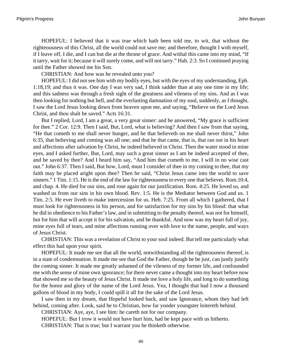HOPEFUL: I believed that it was true which hath been told me, to wit, that without the righteousness of this Christ, all the world could not save me; and therefore, thought I with myself, if I leave off, I die, and I can but die at the throne of grace. And withal this came into my mind, "If it tarry, wait for it; because it will surely come, and will not tarry." [Hab. 2:3.](http://www.ccel.org/b/bible/asv/xml/asv.Hab.2.xml#Hab.2.3) So I continued praying until the Father showed me his Son.

CHRISTIAN: And how was he revealed unto you?

HOPEFUL: I did not see him with my bodily eyes, but with the eyes of my understanding, [Eph.](http://www.ccel.org/b/bible/asv/xml/asv.Eph.1.xml#Eph.1.18 Bible:Eph.1.19) [1:18,19](http://www.ccel.org/b/bible/asv/xml/asv.Eph.1.xml#Eph.1.18 Bible:Eph.1.19); and thus it was. One day I was very sad, I think sadder than at any one time in my life; and this sadness was through a fresh sight of the greatness and vileness of my sins. And as I was then looking for nothing but hell, and the everlasting damnation of my soul, suddenly, as I thought, I saw the Lord Jesus looking down from heaven upon me, and saying, "Believe on the Lord Jesus Christ, and thou shalt be saved." [Acts 16:31.](http://www.ccel.org/b/bible/asv/xml/asv.Acts.16.xml#Acts.16.31)

But I replied, Lord, I am a great, a very great sinner: and he answered, "My grace is sufficient for thee." [2 Cor. 12:9](http://www.ccel.org/b/bible/asv/xml/asv.iiCor.12.xml#iiCor.12.9). Then I said, But, Lord, what is believing? And then I saw from that saying, "He that cometh to me shall never hunger, and he that believeth on me shall never thirst," [John](http://www.ccel.org/b/bible/asv/xml/asv.John.6.xml#John.6.35) [6:35](http://www.ccel.org/b/bible/asv/xml/asv.John.6.xml#John.6.35), that believing and coming was all one; and that he that came, that is, that ran out in his heart and affections after salvation by Christ, he indeed believed in Christ. Then the water stood in mine eyes, and I asked further, But, Lord, may such a great sinner as I am be indeed accepted of thee, and be saved by thee? And I heard him say, "And him that cometh to me, I will in no wise cast out." [John 6:37](http://www.ccel.org/b/bible/asv/xml/asv.John.6.xml#John.6.37). Then I said, But how, Lord, must I consider of thee in my coming to thee, that my faith may be placed aright upon thee? Then he said, "Christ Jesus came into the world to save sinners." [1 Tim. 1:15.](http://www.ccel.org/b/bible/asv/xml/asv.iTim.1.xml#iTim.1.15) He is the end of the law for righteousness to every one that believes. [Rom.10:4](http://www.ccel.org/b/bible/asv/xml/asv.Rom.10.xml#Rom.10.4), and chap. [4.](http://www.ccel.org/b/bible/asv/xml/asv.Rom.4.xml#Rom.4.1) He died for our sins, and rose again for our justification. [Rom. 4:25](http://www.ccel.org/b/bible/asv/xml/asv.Rom.4.xml#Rom.4.25). He loved us, and washed us from our sins in his own blood. [Rev. 1:5.](http://www.ccel.org/b/bible/asv/xml/asv.Rev.1.xml#Rev.1.5) He is the Mediator between God and us. [1](http://www.ccel.org/b/bible/asv/xml/asv.iTim.2.xml#iTim.2.5) [Tim. 2:5.](http://www.ccel.org/b/bible/asv/xml/asv.iTim.2.xml#iTim.2.5) He ever liveth to make intercession for us. [Heb. 7:25](http://www.ccel.org/b/bible/asv/xml/asv.Heb.7.xml#Heb.7.25). From all which I gathered, that I must look for righteousness in his person, and for satisfaction for my sins by his blood: that what he did in obedience to his Father's law, and in submitting to the penalty thereof, was not for himself, but for him that will accept it for his salvation, and be thankful. And now was my heart full of joy, mine eyes full of tears, and mine affections running over with love to the name, people, and ways of Jesus Christ.

CHRISTIAN: This was a revelation of Christ to your soul indeed. But tell me particularly what effect this had upon your spirit.

HOPEFUL: It made me see that all the world, notwithstanding all the righteousness thereof, is in a state of condemnation. It made me see that God the Father, though he be just, can justly justify the coming sinner. It made me greatly ashamed of the vileness of my former life, and confounded me with the sense of mine own ignorance; for there never came a thought into my heart before now that showed me so the beauty of Jesus Christ. It made me love a holy life, and long to do something for the honor and glory of the name of the Lord Jesus. Yea, I thought that had I now a thousand gallons of blood in my body, I could spill it all for the sake of the Lord Jesus.

I saw then in my dream, that Hopeful looked back, and saw Ignorance, whom they had left behind, coming after. Look, said he to Christian, how far yonder youngster loitereth behind.

CHRISTIAN: Aye, aye, I see him: he careth not for our company.

HOPEFUL: But I trow it would not have hurt him, had he kept pace with us hitherto.

CHRISTIAN: That is true; but I warrant you he thinketh otherwise.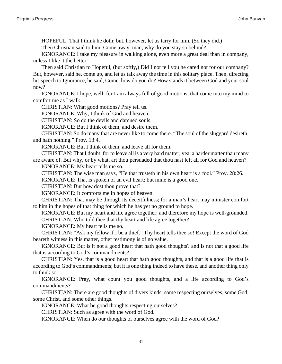HOPEFUL: That I think he doth; but, however, let us tarry for him. (So they did.) Then Christian said to him, Come away, man; why do you stay so behind?

IGNORANCE: I take my pleasure in walking alone, even more a great deal than in company, unless I like it the better.

Then said Christian to Hopeful, (but softly,) Did I not tell you he cared not for our company? But, however, said he, come up, and let us talk away the time in this solitary place. Then, directing his speech to Ignorance, he said, Come, how do you do? How stands it between God and your soul now?

IGNORANCE: I hope, well; for I am always full of good motions, that come into my mind to comfort me as I walk.

CHRISTIAN: What good motions? Pray tell us.

IGNORANCE: Why, I think of God and heaven.

CHRISTIAN: So do the devils and damned souls.

IGNORANCE: But I think of them, and desire them.

CHRISTIAN: So do many that are never like to come there. "The soul of the sluggard desireth, and hath nothing." [Prov. 13:4.](http://www.ccel.org/b/bible/asv/xml/asv.Prov.13.xml#Prov.13.4)

IGNORANCE: But I think of them, and leave all for them.

CHRISTIAN: That I doubt: for to leave all is a very hard matter; yea, a harder matter than many are aware of. But why, or by what, art thou persuaded that thou hast left all for God and heaven?

IGNORANCE: My heart tells me so.

CHRISTIAN: The wise man says, "He that trusteth in his own heart is a fool." [Prov. 28:26.](http://www.ccel.org/b/bible/asv/xml/asv.Prov.28.xml#Prov.28.26) IGNORANCE: That is spoken of an evil heart; but mine is a good one.

CHRISTIAN: But how dost thou prove that?

IGNORANCE: It comforts me in hopes of heaven.

CHRISTIAN: That may be through its deceitfulness; for a man's heart may minister comfort to him in the hopes of that thing for which he has yet no ground to hope.

IGNORANCE: But my heart and life agree together; and therefore my hope is well-grounded. CHRISTIAN: Who told thee that thy heart and life agree together?

IGNORANCE: My heart tells me so.

CHRISTIAN: "Ask my fellow if I be a thief." Thy heart tells thee so! Except the word of God beareth witness in this matter, other testimony is of no value.

IGNORANCE: But is it not a good heart that hath good thoughts? and is not that a good life that is according to God's commandments?

CHRISTIAN: Yes, that is a good heart that hath good thoughts, and that is a good life that is according to God's commandments; but it is one thing indeed to have these, and another thing only to think so.

IGNORANCE: Pray, what count you good thoughts, and a life according to God's commandments?

CHRISTIAN: There are good thoughts of divers kinds; some respecting ourselves, some God, some Christ, and some other things.

IGNORANCE: What be good thoughts respecting ourselves?

CHRISTIAN: Such as agree with the word of God.

IGNORANCE: When do our thoughts of ourselves agree with the word of God?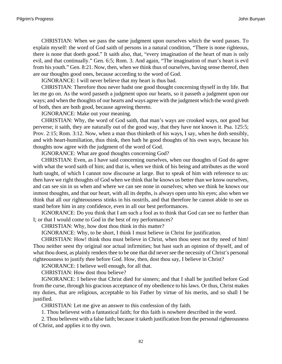CHRISTIAN: When we pass the same judgment upon ourselves which the word passes. To explain myself: the word of God saith of persons in a natural condition, "There is none righteous, there is none that doeth good." It saith also, that, "every imagination of the heart of man is only evil, and that continually." [Gen. 6:5](http://www.ccel.org/b/bible/asv/xml/asv.Gen.6.xml#Gen.6.5); [Rom. 3](http://www.ccel.org/b/bible/asv/xml/asv.Rom.3.xml#Rom.3.1). And again, "The imagination of man's heart is evil from his youth." [Gen. 8:21.](http://www.ccel.org/b/bible/asv/xml/asv.Gen.8.xml#Gen.8.21) Now, then, when we think thus of ourselves, having sense thereof, then are our thoughts good ones, because according to the word of God.

IGNORANCE: I will never believe that my heart is thus bad.

CHRISTIAN: Therefore thou never hadst one good thought concerning thyself in thy life. But let me go on. As the word passeth a judgment upon our hearts, so it passeth a judgment upon our ways; and when the thoughts of our hearts and ways agree with the judgment which the word giveth of both, then are both good, because agreeing thereto.

IGNORANCE: Make out your meaning.

CHRISTIAN: Why, the word of God saith, that man's ways are crooked ways, not good but perverse; it saith, they are naturally out of the good way, that they have not known it. [Psa. 125:5;](http://www.ccel.org/b/bible/asv/xml/asv.Ps.125.xml#Ps.125.5) [Prov. 2:15;](http://www.ccel.org/b/bible/asv/xml/asv.Prov.2.xml#Prov.2.15) [Rom. 3:12.](http://www.ccel.org/b/bible/asv/xml/asv.Rom.3.xml#Rom.3.12) Now, when a man thus thinketh of his ways, I say, when he doth sensibly, and with heart-humiliation, thus think, then hath he good thoughts of his own ways, because his thoughts now agree with the judgment of the word of God.

IGNORANCE: What are good thoughts concerning God?

CHRISTIAN: Even, as I have said concerning ourselves, when our thoughts of God do agree with what the word saith of him; and that is, when we think of his being and attributes as the word hath taught, of which I cannot now discourse at large. But to speak of him with reference to us: then have we right thoughts of God when we think that he knows us better than we know ourselves, and can see sin in us when and where we can see none in ourselves; when we think he knows our inmost thoughts, and that our heart, with all its depths, is always open unto his eyes; also when we think that all our righteousness stinks in his nostrils, and that therefore he cannot abide to see us stand before him in any confidence, even in all our best performances.

IGNORANCE: Do you think that I am such a fool as to think that God can see no further than I; or that I would come to God in the best of my performances?

CHRISTIAN: Why, how dost thou think in this matter?

IGNORANCE: Why, to be short, I think I must believe in Christ for justification.

CHRISTIAN: How! think thou must believe in Christ, when thou seest not thy need of him! Thou neither seest thy original nor actual infirmities; but hast such an opinion of thyself, and of what thou doest, as plainly renders thee to be one that did never see the necessity of Christ's personal righteousness to justify thee before God. How, then, dost thou say, I believe in Christ?

IGNORANCE: I believe well enough, for all that.

CHRISTIAN: How dost thou believe?

IGNORANCE: I believe that Christ died for sinners; and that I shall be justified before God from the curse, through his gracious acceptance of my obedience to his laws. Or thus, Christ makes my duties, that are religious, acceptable to his Father by virtue of his merits, and so shall I be justified.

CHRISTIAN: Let me give an answer to this confession of thy faith.

1. Thou believest with a fantastical faith; for this faith is nowhere described in the word.

2. Thou believest with a false faith; because it taketh justification from the personal righteousness of Christ, and applies it to thy own.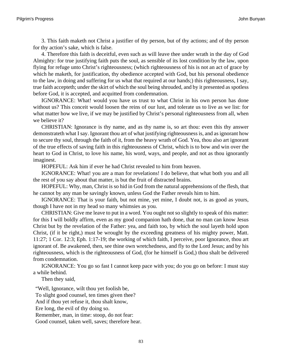3. This faith maketh not Christ a justifier of thy person, but of thy actions; and of thy person for thy action's sake, which is false.

4. Therefore this faith is deceitful, even such as will leave thee under wrath in the day of God Almighty: for true justifying faith puts the soul, as sensible of its lost condition by the law, upon flying for refuge unto Christ's righteousness; (which righteousness of his is not an act of grace by which he maketh, for justification, thy obedience accepted with God, but his personal obedience to the law, in doing and suffering for us what that required at our hands;) this righteousness, I say, true faith accepteth; under the skirt of which the soul being shrouded, and by it presented as spotless before God, it is accepted, and acquitted from condemnation.

IGNORANCE: What! would you have us trust to what Christ in his own person has done without us? This conceit would loosen the reins of our lust, and tolerate us to live as we list: for what matter how we live, if we may be justified by Christ's personal righteousness from all, when we believe it?

CHRISTIAN: Ignorance is thy name, and as thy name is, so art thou: even this thy answer demonstrateth what I say. Ignorant thou art of what justifying righteousness is, and as ignorant how to secure thy soul, through the faith of it, from the heavy wrath of God. Yea, thou also art ignorant of the true effects of saving faith in this righteousness of Christ, which is to bow and win over the heart to God in Christ, to love his name, his word, ways, and people, and not as thou ignorantly imaginest.

HOPEFUL: Ask him if ever he had Christ revealed to him from heaven.

IGNORANCE: What! you are a man for revelations! I do believe, that what both you and all the rest of you say about that matter, is but the fruit of distracted brains.

HOPEFUL: Why, man, Christ is so hid in God from the natural apprehensions of the flesh, that he cannot by any man be savingly known, unless God the Father reveals him to him.

IGNORANCE: That is your faith, but not mine, yet mine, I doubt not, is as good as yours, though I have not in my head so many whimsies as you.

CHRISTIAN: Give me leave to put in a word. You ought not so slightly to speak of this matter: for this I will boldly affirm, even as my good companion hath done, that no man can know Jesus Christ but by the revelation of the Father: yea, and faith too, by which the soul layeth hold upon Christ, (if it be right,) must be wrought by the exceeding greatness of his mighty power, [Matt.](http://www.ccel.org/b/bible/asv/xml/asv.Matt.11.xml#Matt.11.27) [11:27](http://www.ccel.org/b/bible/asv/xml/asv.Matt.11.xml#Matt.11.27); [1 Cor. 12:3](http://www.ccel.org/b/bible/asv/xml/asv.iCor.12.xml#iCor.12.3); [Eph. 1:17-19](http://www.ccel.org/b/bible/asv/xml/asv.Eph.1.xml#Eph.1.17); the working of which faith, I perceive, poor Ignorance, thou art ignorant of. Be awakened, then, see thine own wretchedness, and fly to the Lord Jesus; and by his righteousness, which is the righteousness of God, (for he himself is God,) thou shalt be delivered from condemnation.

IGNORANCE: You go so fast I cannot keep pace with you; do you go on before: I must stay a while behind.

Then they said,

"Well, Ignorance, wilt thou yet foolish be, To slight good counsel, ten times given thee? And if thou yet refuse it, thou shalt know, Ere long, the evil of thy doing so. Remember, man, in time: stoop, do not fear: Good counsel, taken well, saves; therefore hear.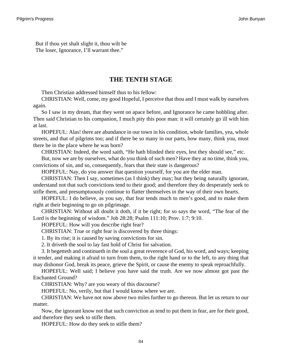But if thou yet shalt slight it, thou wilt be The loser, Ignorance, I'll warrant thee."

# **THE TENTH STAGE**

Then Christian addressed himself thus to his fellow:

CHRISTIAN: Well, come, my good Hopeful, I perceive that thou and I must walk by ourselves again.

So I saw in my dream, that they went on apace before, and Ignorance he came hobbling after. Then said Christian to his companion, I much pity this poor man: it will certainly go ill with him at last.

HOPEFUL: Alas! there are abundance in our town in his condition, whole families, yea, whole streets, and that of pilgrims too; and if there be so many in our parts, how many, think you, must there be in the place where he was born?

CHRISTIAN: Indeed, the word saith, "He hath blinded their eyes, lest they should see," etc.

But, now we are by ourselves, what do you think of such men? Have they at no time, think you, convictions of sin, and so, consequently, fears that their state is dangerous?

HOPEFUL: Nay, do you answer that question yourself, for you are the elder man.

CHRISTIAN: Then I say, sometimes (as I think) they may; but they being naturally ignorant, understand not that such convictions tend to their good; and therefore they do desperately seek to stifle them, and presumptuously continue to flatter themselves in the way of their own hearts.

HOPEFUL: I do believe, as you say, that fear tends much to men's good, and to make them right at their beginning to go on pilgrimage.

CHRISTIAN: Without all doubt it doth, if it be right; for so says the word, "The fear of the Lord is the beginning of wisdom." [Job 28:28](http://www.ccel.org/b/bible/asv/xml/asv.Job.28.xml#Job.28.28); [Psalm 111:10](http://www.ccel.org/b/bible/asv/xml/asv.Ps.111.xml#Ps.111.10); [Prov. 1:7;](http://www.ccel.org/b/bible/asv/xml/asv.Prov.1.xml#Prov.1.7) [9:10](http://www.ccel.org/b/bible/asv/xml/asv.Prov.9.xml#Prov.9.10).

HOPEFUL: How will you describe right fear?

CHRISTIAN: True or right fear is discovered by three things:

1. By its rise; it is caused by saving convictions for sin.

2. It driveth the soul to lay fast hold of Christ for salvation.

3. It begetteth and continueth in the soul a great reverence of God, his word, and ways; keeping it tender, and making it afraid to turn from them, to the right hand or to the left, to any thing that may dishonor God, break its peace, grieve the Spirit, or cause the enemy to speak reproachfully.

HOPEFUL: Well said; I believe you have said the truth. Are we now almost got past the Enchanted Ground?

CHRISTIAN: Why? are you weary of this discourse?

HOPEFUL: No, verily, but that I would know where we are.

CHRISTIAN: We have not now above two miles further to go thereon. But let us return to our matter.

Now, the ignorant know not that such conviction as tend to put them in fear, are for their good, and therefore they seek to stifle them.

HOPEFUL: How do they seek to stifle them?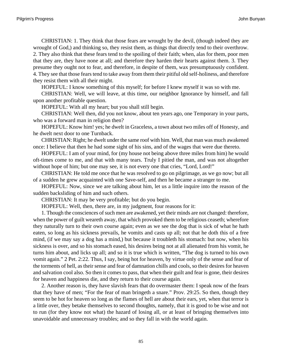CHRISTIAN: 1. They think that those fears are wrought by the devil, (though indeed they are wrought of God,) and thinking so, they resist them, as things that directly tend to their overthrow. 2. They also think that these fears tend to the spoiling of their faith; when, alas for them, poor men that they are, they have none at all; and therefore they harden their hearts against them. 3. They presume they ought not to fear, and therefore, in despite of them, wax presumptuously confident. 4. They see that those fears tend to take away from them their pitiful old self-holiness, and therefore they resist them with all their might.

HOPEFUL: I know something of this myself; for before I knew myself it was so with me.

CHRISTIAN: Well, we will leave, at this time, our neighbor Ignorance by himself, and fall upon another profitable question.

HOPEFUL: With all my heart; but you shall still begin.

CHRISTIAN: Well then, did you not know, about ten years ago, one Temporary in your parts, who was a forward man in religion then?

HOPEFUL: Know him! yes; he dwelt in Graceless, a town about two miles off of Honesty, and he dwelt next door to one Turnback.

CHRISTIAN: Right; he dwelt under the same roof with him. Well, that man was much awakened once: I believe that then he had some sight of his sins, and of the wages that were due thereto.

HOPEFUL: I am of your mind, for (my house not being above three miles from him) he would oft-times come to me, and that with many tears. Truly I pitied the man, and was not altogether without hope of him; but one may see, it is not every one that cries, "Lord, Lord!"

CHRISTIAN: He told me once that he was resolved to go on pilgrimage, as we go now; but all of a sudden he grew acquainted with one Save-self, and then he became a stranger to me.

HOPEFUL: Now, since we are talking about him, let us a little inquire into the reason of the sudden backsliding of him and such others.

CHRISTIAN: It may be very profitable; but do you begin.

HOPEFUL: Well, then, there are, in my judgment, four reasons for it:

1. Though the consciences of such men are awakened, yet their minds are not changed: therefore, when the power of guilt weareth away, that which provoked them to be religious ceaseth; wherefore they naturally turn to their own course again; even as we see the dog that is sick of what he hath eaten, so long as his sickness prevails, he vomits and casts up all; not that he doth this of a free mind, (if we may say a dog has a mind,) but because it troubleth his stomach: but now, when his sickness is over, and so his stomach eased, his desires being not at all alienated from his vomit, he turns him about, and licks up all; and so it is true which is written, "The dog is turned to his own vomit again." [2 Pet. 2:22](http://www.ccel.org/b/bible/asv/xml/asv.iiPet.2.xml#iiPet.2.22). Thus, I say, being hot for heaven, by virtue only of the sense and fear of the torments of hell, as their sense and fear of damnation chills and cools, so their desires for heaven and salvation cool also. So then it comes to pass, that when their guilt and fear is gone, their desires for heaven and happiness die, and they return to their course again.

2. Another reason is, they have slavish fears that do overmaster them: I speak now of the fears that they have of men; "For the fear of man bringeth a snare." [Prov. 29:25](http://www.ccel.org/b/bible/asv/xml/asv.Prov.29.xml#Prov.29.25). So then, though they seem to be hot for heaven so long as the flames of hell are about their ears, yet, when that terror is a little over, they betake themselves to second thoughts, namely, that it is good to be wise and not to run (for they know not what) the hazard of losing all, or at least of bringing themselves into unavoidable and unnecessary troubles; and so they fall in with the world again.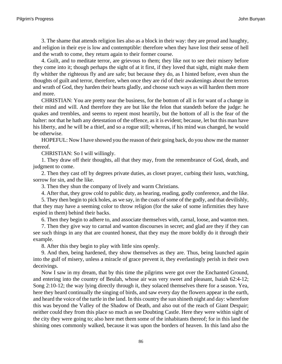3. The shame that attends religion lies also as a block in their way: they are proud and haughty, and religion in their eye is low and contemptible: therefore when they have lost their sense of hell and the wrath to come, they return again to their former course.

4. Guilt, and to meditate terror, are grievous to them; they like not to see their misery before they come into it; though perhaps the sight of at it first, if they loved that sight, might make them fly whither the righteous fly and are safe; but because they do, as I hinted before, even shun the thoughts of guilt and terror, therefore, when once they are rid of their awakenings about the terrors and wrath of God, they harden their hearts gladly, and choose such ways as will harden them more and more.

CHRISTIAN: You are pretty near the business, for the bottom of all is for want of a change in their mind and will. And therefore they are but like the felon that standeth before the judge: he quakes and trembles, and seems to repent most heartily, but the bottom of all is the fear of the halter: not that he hath any detestation of the offence, as it is evident; because, let but this man have his liberty, and he will be a thief, and so a rogue still; whereas, if his mind was changed, he would be otherwise.

HOPEFUL: Now I have showed you the reason of their going back, do you show me the manner thereof.

CHRISTIAN: So I will willingly.

1. They draw off their thoughts, all that they may, from the remembrance of God, death, and judgment to come.

2. Then they cast off by degrees private duties, as closet prayer, curbing their lusts, watching, sorrow for sin, and the like.

3. Then they shun the company of lively and warm Christians.

4. After that, they grow cold to public duty, as hearing, reading, godly conference, and the like.

5. They then begin to pick holes, as we say, in the coats of some of the godly, and that devilishly, that they may have a seeming color to throw religion (for the sake of some infirmities they have espied in them) behind their backs.

6. Then they begin to adhere to, and associate themselves with, carnal, loose, and wanton men.

7. Then they give way to carnal and wanton discourses in secret; and glad are they if they can see such things in any that are counted honest, that they may the more boldly do it through their example.

8. After this they begin to play with little sins openly.

9. And then, being hardened, they show themselves as they are. Thus, being launched again into the gulf of misery, unless a miracle of grace prevent it, they everlastingly perish in their own deceivings.

Now I saw in my dream, that by this time the pilgrims were got over the Enchanted Ground, and entering into the country of Beulah, whose air was very sweet and pleasant, [Isaiah 62:4-12;](http://www.ccel.org/b/bible/asv/xml/asv.Isa.62.xml#Isa.62.4) [Song 2:10-12](http://www.ccel.org/b/bible/asv/xml/asv.Song.2.xml#Song.2.10); the way lying directly through it, they solaced themselves there for a season. Yea, here they heard continually the singing of birds, and saw every day the flowers appear in the earth, and heard the voice of the turtle in the land. In this country the sun shineth night and day: wherefore this was beyond the Valley of the Shadow of Death, and also out of the reach of Giant Despair; neither could they from this place so much as see Doubting Castle. Here they were within sight of the city they were going to; also here met them some of the inhabitants thereof; for in this land the shining ones commonly walked, because it was upon the borders of heaven. In this land also the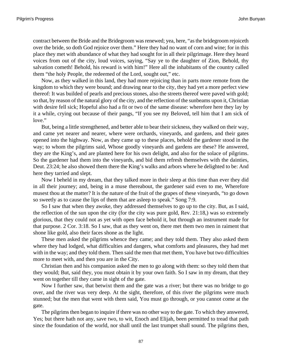contract between the Bride and the Bridegroom was renewed; yea, here, "as the bridegroom rejoiceth over the bride, so doth God rejoice over them." Here they had no want of corn and wine; for in this place they met with abundance of what they had sought for in all their pilgrimage. Here they heard voices from out of the city, loud voices, saying, "Say ye to the daughter of Zion, Behold, thy salvation cometh! Behold, his reward is with him!" Here all the inhabitants of the country called them "the holy People, the redeemed of the Lord, sought out," etc.

Now, as they walked in this land, they had more rejoicing than in parts more remote from the kingdom to which they were bound; and drawing near to the city, they had yet a more perfect view thereof: It was builded of pearls and precious stones, also the streets thereof were paved with gold; so that, by reason of the natural glory of the city, and the reflection of the sunbeams upon it, Christian with desire fell sick; Hopeful also had a fit or two of the same disease: wherefore here they lay by it a while, crying out because of their pangs, "If you see my Beloved, tell him that I am sick of love."

But, being a little strengthened, and better able to bear their sickness, they walked on their way, and came yet nearer and nearer, where were orchards, vineyards, and gardens, and their gates opened into the highway. Now, as they came up to these places, behold the gardener stood in the way; to whom the pilgrims said, Whose goodly vineyards and gardens are these? He answered, they are the King's, and are planted here for his own delight, and also for the solace of pilgrims. So the gardener had them into the vineyards, and bid them refresh themselves with the dainties, [Deut. 23:24](http://www.ccel.org/b/bible/asv/xml/asv.Deut.23.xml#Deut.23.24); he also showed them there the King's walks and arbors where he delighted to be: And here they tarried and slept.

Now I beheld in my dream, that they talked more in their sleep at this time than ever they did in all their journey; and, being in a muse thereabout, the gardener said even to me, Wherefore musest thou at the matter? It is the nature of the fruit of the grapes of these vineyards, "to go down so sweetly as to cause the lips of them that are asleep to speak." [Song 7:9.](http://www.ccel.org/b/bible/asv/xml/asv.Song.7.xml#Song.7.9)

So I saw that when they awoke, they addressed themselves to go up to the city. But, as I said, the reflection of the sun upon the city (for the city was pure gold, [Rev. 21:18,](http://www.ccel.org/b/bible/asv/xml/asv.Rev.21.xml#Rev.21.18)) was so extremely glorious, that they could not as yet with open face behold it, but through an instrument made for that purpose. [2 Cor. 3:18](http://www.ccel.org/b/bible/asv/xml/asv.iiCor.3.xml#iiCor.3.18). So I saw, that as they went on, there met them two men in raiment that shone like gold, also their faces shone as the light.

These men asked the pilgrims whence they came; and they told them. They also asked them where they had lodged, what difficulties and dangers, what comforts and pleasures, they had met with in the way; and they told them. Then said the men that met them, You have but two difficulties more to meet with, and then you are in the City.

Christian then and his companion asked the men to go along with them: so they told them that they would; But, said they, you must obtain it by your own faith. So I saw in my dream, that they went on together till they came in sight of the gate.

Now I further saw, that betwixt them and the gate was a river; but there was no bridge to go over, and the river was very deep. At the sight, therefore, of this river the pilgrims were much stunned; but the men that went with them said, You must go through, or you cannot come at the gate.

The pilgrims then began to inquire if there was no other way to the gate. To which they answered, Yes; but there hath not any, save two, to wit, Enoch and Elijah, been permitted to tread that path since the foundation of the world, nor shall until the last trumpet shall sound. The pilgrims then,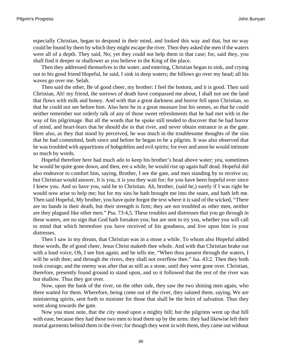especially Christian, began to despond in their mind, and looked this way and that, but no way could be found by them by which they might escape the river. Then they asked the men if the waters were all of a depth. They said, No; yet they could not help them in that case; for, said they, you shall find it deeper or shallower as you believe in the King of the place.

Then they addressed themselves to the water, and entering, Christian began to sink, and crying out to his good friend Hopeful, he said, I sink in deep waters; the billows go over my head; all his waves go over me. Selah.

Then said the other, Be of good cheer, my brother: I feel the bottom, and it is good. Then said Christian, Ah! my friend, the sorrows of death have compassed me about, I shall not see the land that flows with milk and honey. And with that a great darkness and horror fell upon Christian, so that he could not see before him. Also here he in a great measure lost his senses, so that he could neither remember nor orderly talk of any of those sweet refreshments that he had met with in the way of his pilgrimage. But all the words that he spoke still tended to discover that he had horror of mind, and heart-fears that he should die in that river, and never obtain entrance in at the gate. Here also, as they that stood by perceived, he was much in the troublesome thoughts of the sins that he had committed, both since and before he began to be a pilgrim. It was also observed that he was troubled with apparitions of hobgoblins and evil spirits; for ever and anon he would intimate so much by words.

Hopeful therefore here had much ado to keep his brother's head above water; yea, sometimes he would be quite gone down, and then, ere a while, he would rise up again half dead. Hopeful did also endeavor to comfort him, saying, Brother, I see the gate, and men standing by to receive us; but Christian would answer, It is you, it is you they wait for; for you have been hopeful ever since I knew you. And so have you, said he to Christian. Ah, brother, (said he,) surely if I was right he would now arise to help me; but for my sins he hath brought me into the snare, and hath left me. Then said Hopeful, My brother, you have quite forgot the text where it is said of the wicked, "There are no bands in their death, but their strength is firm; they are not troubled as other men, neither are they plagued like other men." [Psa. 73:4,5](http://www.ccel.org/b/bible/asv/xml/asv.Ps.73.xml#Ps.73.4 Bible:Ps.73.5). These troubles and distresses that you go through in these waters, are no sign that God hath forsaken you; but are sent to try you, whether you will call to mind that which heretofore you have received of his goodness, and live upon him in your distresses.

Then I saw in my dream, that Christian was in a muse a while. To whom also Hopeful added these words, Be of good cheer, Jesus Christ maketh thee whole. And with that Christian brake out with a loud voice, Oh, I see him again; and he tells me, "When thou passest through the waters, I will be with thee; and through the rivers, they shall not overflow thee." [Isa. 43:2.](http://www.ccel.org/b/bible/asv/xml/asv.Isa.43.xml#Isa.43.2) Then they both took courage, and the enemy was after that as still as a stone, until they were gone over. Christian, therefore, presently found ground to stand upon, and so it followed that the rest of the river was but shallow. Thus they got over.

Now, upon the bank of the river, on the other side, they saw the two shining men again, who there waited for them. Wherefore, being come out of the river, they saluted them, saying, We are ministering spirits, sent forth to minister for those that shall be the heirs of salvation. Thus they went along towards the gate.

Now you must note, that the city stood upon a mighty hill; but the pilgrims went up that hill with ease, because they had these two men to lead them up by the arms: they had likewise left their mortal garments behind them in the river; for though they went in with them, they came out without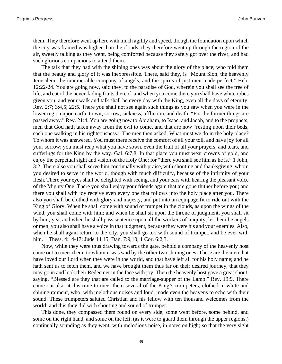them. They therefore went up here with much agility and speed, though the foundation upon which the city was framed was higher than the clouds; they therefore went up through the region of the air, sweetly talking as they went, being comforted because they safely got over the river, and had such glorious companions to attend them.

The talk that they had with the shining ones was about the glory of the place; who told them that the beauty and glory of it was inexpressible. There, said they, is "Mount Sion, the heavenly Jerusalem, the innumerable company of angels, and the spirits of just men made perfect." [Heb.](http://www.ccel.org/b/bible/asv/xml/asv.Heb.12.xml#Heb.12.22) [12:22-24](http://www.ccel.org/b/bible/asv/xml/asv.Heb.12.xml#Heb.12.22). You are going now, said they, to the paradise of God, wherein you shall see the tree of life, and eat of the never-fading fruits thereof: and when you come there you shall have white robes given you, and your walk and talk shall be every day with the King, even all the days of eternity. [Rev. 2:7;](http://www.ccel.org/b/bible/asv/xml/asv.Rev.2.xml#Rev.2.7) [3:4,5;](http://www.ccel.org/b/bible/asv/xml/asv.Rev.3.xml#Rev.3.4 Bible:Rev.3.5) [22:5.](http://www.ccel.org/b/bible/asv/xml/asv.Rev.22.xml#Rev.22.5) There you shall not see again such things as you saw when you were in the lower region upon earth; to wit, sorrow, sickness, affliction, and death; "For the former things are passed away." [Rev. 21:4](http://www.ccel.org/b/bible/asv/xml/asv.Rev.21.xml#Rev.21.4). You are going now to Abraham, to Isaac, and Jacob, and to the prophets, men that God hath taken away from the evil to come, and that are now "resting upon their beds, each one walking in his righteousness." The men then asked, What must we do in the holy place? To whom it was answered, You must there receive the comfort of all your toil, and have joy for all your sorrow; you must reap what you have sown, even the fruit of all your prayers, and tears, and sufferings for the King by the way. [Gal. 6:7,8](http://www.ccel.org/b/bible/asv/xml/asv.Gal.6.xml#Gal.6.7 Bible:Gal.6.8). In that place you must wear crowns of gold, and enjoy the perpetual sight and vision of the Holy One; for "there you shall see him as he is." [1 John,](http://www.ccel.org/b/bible/asv/xml/asv.iJohn.3.xml#iJohn.3.2) [3:2](http://www.ccel.org/b/bible/asv/xml/asv.iJohn.3.xml#iJohn.3.2). There also you shall serve him continually with praise, with shouting and thanksgiving, whom you desired to serve in the world, though with much difficulty, because of the infirmity of your flesh. There your eyes shall be delighted with seeing, and your ears with hearing the pleasant voice of the Mighty One. There you shall enjoy your friends again that are gone thither before you; and there you shall with joy receive even every one that follows into the holy place after you. There also you shall be clothed with glory and majesty, and put into an equipage fit to ride out with the King of Glory. When he shall come with sound of trumpet in the clouds, as upon the wings of the wind, you shall come with him; and when he shall sit upon the throne of judgment, you shall sit by him; yea, and when he shall pass sentence upon all the workers of iniquity, let them be angels or men, you also shall have a voice in that judgment, because they were his and your enemies. Also, when he shall again return to the city, you shall go too with sound of trumpet, and be ever with him. [1 Thess. 4:14-17](http://www.ccel.org/b/bible/asv/xml/asv.iThess.4.xml#iThess.4.14); [Jude 14,15](http://www.ccel.org/b/bible/asv/xml/asv.Jude.1.xml#Jude.1.14 Bible:Jude.1.15); [Dan. 7:9,10;](http://www.ccel.org/b/bible/asv/xml/asv.Dan.7.xml#Dan.7.9 Bible:Dan.7.10) [1 Cor. 6:2,3.](http://www.ccel.org/b/bible/asv/xml/asv.iCor.6.xml#iCor.6.2 Bible:1Cor.6.3)

Now, while they were thus drawing towards the gate, behold a company of the heavenly host came out to meet them: to whom it was said by the other two shining ones, These are the men that have loved our Lord when they were in the world, and that have left all for his holy name; and he hath sent us to fetch them, and we have brought them thus far on their desired journey, that they may go in and look their Redeemer in the face with joy. Then the heavenly host gave a great shout, saying, "Blessed are they that are called to the marriage-supper of the Lamb." [Rev. 19:9](http://www.ccel.org/b/bible/asv/xml/asv.Rev.19.xml#Rev.19.9). There came out also at this time to meet them several of the King's trumpeters, clothed in white and shining raiment, who, with melodious noises and loud, made even the heavens to echo with their sound. These trumpeters saluted Christian and his fellow with ten thousand welcomes from the world; and this they did with shouting and sound of trumpet.

This done, they compassed them round on every side; some went before, some behind, and some on the right hand, and some on the left, (as it were to guard them through the upper regions,) continually sounding as they went, with melodious noise, in notes on high; so that the very sight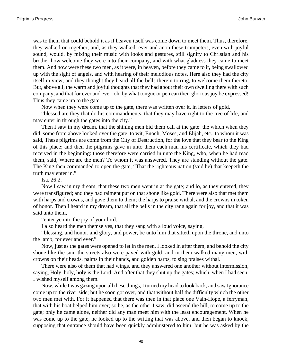was to them that could behold it as if heaven itself was come down to meet them. Thus, therefore, they walked on together; and, as they walked, ever and anon these trumpeters, even with joyful sound, would, by mixing their music with looks and gestures, still signify to Christian and his brother how welcome they were into their company, and with what gladness they came to meet them. And now were these two men, as it were, in heaven, before they came to it, being swallowed up with the sight of angels, and with hearing of their melodious notes. Here also they had the city itself in view; and they thought they heard all the bells therein to ring, to welcome them thereto. But, above all, the warm and joyful thoughts that they had about their own dwelling there with such company, and that for ever and ever; oh, by what tongue or pen can their glorious joy be expressed! Thus they came up to the gate.

Now when they were come up to the gate, there was written over it, in letters of gold,

"blessed are they that do his commandments, that they may have right to the tree of life, and may enter in through the gates into the city."

Then I saw in my dream, that the shining men bid them call at the gate: the which when they did, some from above looked over the gate, to wit, Enoch, Moses, and Elijah, etc., to whom it was said, These pilgrims are come from the City of Destruction, for the love that they bear to the King of this place; and then the pilgrims gave in unto them each man his certificate, which they had received in the beginning: those therefore were carried in unto the King, who, when he had read them, said, Where are the men? To whom it was answered, They are standing without the gate. The King then commanded to open the gate, "That the righteous nation (said he) that keepeth the truth may enter in."

[Isa. 26:2](http://www.ccel.org/b/bible/asv/xml/asv.Isa.26.xml#Isa.26.2).

Now I saw in my dream, that these two men went in at the gate; and lo, as they entered, they were transfigured; and they had raiment put on that shone like gold. There were also that met them with harps and crowns, and gave them to them; the harps to praise withal, and the crowns in token of honor. Then I heard in my dream, that all the bells in the city rang again for joy, and that it was said unto them,

"enter ye into the joy of your lord."

I also heard the men themselves, that they sang with a loud voice, saying,

"blessing, and honor, and glory, and power, be unto him that sitteth upon the throne, and unto the lamb, for ever and ever."

Now, just as the gates were opened to let in the men, I looked in after them, and behold the city shone like the sun; the streets also were paved with gold; and in them walked many men, with crowns on their heads, palms in their hands, and golden harps, to sing praises withal.

There were also of them that had wings, and they answered one another without intermission, saying, Holy, holy, holy is the Lord. And after that they shut up the gates; which, when I had seen, I wished myself among them.

Now, while I was gazing upon all these things, I turned my head to look back, and saw Ignorance come up to the river side; but he soon got over, and that without half the difficulty which the other two men met with. For it happened that there was then in that place one Vain-Hope, a ferryman, that with his boat helped him over; so he, as the other I saw, did ascend the hill, to come up to the gate; only he came alone, neither did any man meet him with the least encouragement. When he was come up to the gate, he looked up to the writing that was above, and then began to knock, supposing that entrance should have been quickly administered to him; but he was asked by the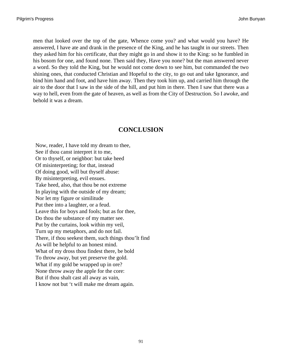men that looked over the top of the gate, Whence come you? and what would you have? He answered, I have ate and drank in the presence of the King, and he has taught in our streets. Then they asked him for his certificate, that they might go in and show it to the King: so he fumbled in his bosom for one, and found none. Then said they, Have you none? but the man answered never a word. So they told the King, but he would not come down to see him, but commanded the two shining ones, that conducted Christian and Hopeful to the city, to go out and take Ignorance, and bind him hand and foot, and have him away. Then they took him up, and carried him through the air to the door that I saw in the side of the hill, and put him in there. Then I saw that there was a way to hell, even from the gate of heaven, as well as from the City of Destruction. So I awoke, and behold it was a dream.

# **CONCLUSION**

Now, reader, I have told my dream to thee, See if thou canst interpret it to me, Or to thyself, or neighbor: but take heed Of misinterpreting; for that, instead Of doing good, will but thyself abuse: By misinterpreting, evil ensues. Take heed, also, that thou be not extreme In playing with the outside of my dream; Nor let my figure or similitude Put thee into a laughter, or a feud. Leave this for boys and fools; but as for thee, Do thou the substance of my matter see. Put by the curtains, look within my veil, Turn up my metaphors, and do not fail. There, if thou seekest them, such things thou'lt find As will be helpful to an honest mind. What of my dross thou findest there, be bold To throw away, but yet preserve the gold. What if my gold be wrapped up in ore? None throw away the apple for the core: But if thou shalt cast all away as vain, I know not but 't will make me dream again.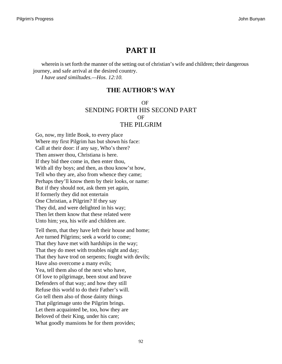# **PART II**

wherein is set forth the manner of the setting out of christian's wife and children; their dangerous journey, and safe arrival at the desired country.

*I have used similtudes.—[Hos. 12:10](http://www.ccel.org/b/bible/asv/xml/asv.Hos.12.xml#Hos.12.10).*

## **THE AUTHOR'S WAY**

# OF SENDING FORTH HIS SECOND PART OF THE PILGRIM

Go, now, my little Book, to every place Where my first Pilgrim has but shown his face: Call at their door: if any say, Who's there? Then answer thou, Christiana is here. If they bid thee come in, then enter thou, With all thy boys; and then, as thou know'st how, Tell who they are, also from whence they came; Perhaps they'll know them by their looks, or name: But if they should not, ask them yet again, If formerly they did not entertain One Christian, a Pilgrim? If they say They did, and were delighted in his way; Then let them know that these related were Unto him; yea, his wife and children are.

Tell them, that they have left their house and home; Are turned Pilgrims; seek a world to come; That they have met with hardships in the way; That they do meet with troubles night and day; That they have trod on serpents; fought with devils; Have also overcome a many evils; Yea, tell them also of the next who have, Of love to pilgrimage, been stout and brave Defenders of that way; and how they still Refuse this world to do their Father's will. Go tell them also of those dainty things That pilgrimage unto the Pilgrim brings. Let them acquainted be, too, how they are Beloved of their King, under his care; What goodly mansions he for them provides;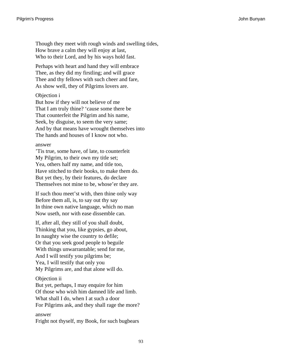Though they meet with rough winds and swelling tides, How brave a calm they will enjoy at last, Who to their Lord, and by his ways hold fast.

Perhaps with heart and hand they will embrace Thee, as they did my firstling; and will grace Thee and thy fellows with such cheer and fare, As show well, they of Pilgrims lovers are.

#### Objection i

But how if they will not believe of me That I am truly thine? 'cause some there be That counterfeit the Pilgrim and his name, Seek, by disguise, to seem the very same; And by that means have wrought themselves into The hands and houses of I know not who.

#### answer

'Tis true, some have, of late, to counterfeit My Pilgrim, to their own my title set; Yea, others half my name, and title too, Have stitched to their books, to make them do. But yet they, by their features, do declare Themselves not mine to be, whose'er they are.

If such thou meet'st with, then thine only way Before them all, is, to say out thy say In thine own native language, which no man Now useth, nor with ease dissemble can.

If, after all, they still of you shall doubt, Thinking that you, like gypsies, go about, In naughty wise the country to defile; Or that you seek good people to beguile With things unwarrantable; send for me, And I will testify you pilgrims be; Yea, I will testify that only you My Pilgrims are, and that alone will do.

#### Objection ii

But yet, perhaps, I may enquire for him Of those who wish him damned life and limb. What shall I do, when I at such a door For Pilgrims ask, and they shall rage the more?

#### answer

Fright not thyself, my Book, for such bugbears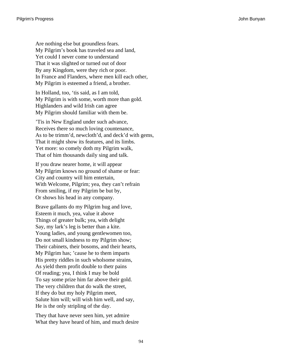Are nothing else but groundless fears. My Pilgrim's book has traveled sea and land, Yet could I never come to understand That it was slighted or turned out of door By any Kingdom, were they rich or poor. In France and Flanders, where men kill each other, My Pilgrim is esteemed a friend, a brother.

In Holland, too, 'tis said, as I am told, My Pilgrim is with some, worth more than gold. Highlanders and wild Irish can agree My Pilgrim should familiar with them be.

'Tis in New England under such advance, Receives there so much loving countenance, As to be trimm'd, newcloth'd, and deck'd with gems, That it might show its features, and its limbs. Yet more: so comely doth my Pilgrim walk, That of him thousands daily sing and talk.

If you draw nearer home, it will appear My Pilgrim knows no ground of shame or fear: City and country will him entertain, With Welcome, Pilgrim; yea, they can't refrain From smiling, if my Pilgrim be but by, Or shows his head in any company.

Brave gallants do my Pilgrim hug and love, Esteem it much, yea, value it above Things of greater bulk; yea, with delight Say, my lark's leg is better than a kite. Young ladies, and young gentlewomen too, Do not small kindness to my Pilgrim show; Their cabinets, their bosoms, and their hearts, My Pilgrim has; 'cause he to them imparts His pretty riddles in such wholsome strains, As yield them profit double to thetr pains Of reading; yea, I think I may be bold To say some prize him far above their gold. The very children that do walk the street, If they do but my holy Pilgrim meet, Salute him will; will wish him well, and say, He is the only stripling of the day.

They that have never seen him, yet admire What they have heard of him, and much desire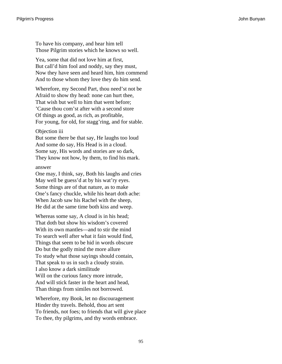To have his company, and hear him tell Those Pilgrim stories which he knows so well.

Yea, some that did not love him at first, But call'd him fool and noddy, say they must, Now they have seen and heard him, him commend And to those whom they love they do him send.

Wherefore, my Second Part, thou need'st not be Afraid to show thy head: none can hurt thee, That wish but well to him that went before; 'Cause thou com'st after with a second store Of things as good, as rich, as profitable, For young, for old, for stagg'ring, and for stable.

#### Objection iii

But some there be that say, He laughs too loud And some do say, His Head is in a cloud. Some say, His words and stories are so dark, They know not how, by them, to find his mark.

#### answer

One may, I think, say, Both his laughs and cries May well be guess'd at by his wat'ry eyes. Some things are of that nature, as to make One's fancy chuckle, while his heart doth ache: When Jacob saw his Rachel with the sheep, He did at the same time both kiss and weep.

Whereas some say, A cloud is in his head; That doth but show his wisdom's covered With its own mantles—and to stir the mind To search well after what it fain would find, Things that seem to be hid in words obscure Do but the godly mind the more allure To study what those sayings should contain, That speak to us in such a cloudy strain. I also know a dark similitude Will on the curious fancy more intrude, And will stick faster in the heart and head, Than things from similes not borrowed.

Wherefore, my Book, let no discouragement Hinder thy travels. Behold, thou art sent To friends, not foes; to friends that will give place To thee, thy pilgrims, and thy words embrace.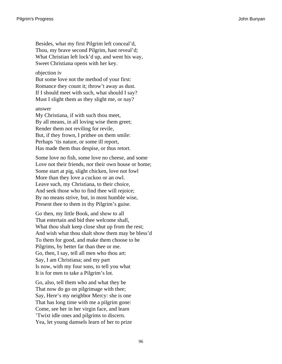Besides, what my first Pilgrim left conceal'd, Thou, my brave second Pilgrim, hast reveal'd; What Christian left lock'd up, and went his way, Sweet Christiana opens with her key.

#### objection iv

But some love not the method of your first: Romance they count it; throw't away as dust. If I should meet with such, what should I say? Must I slight them as they slight me, or nay?

#### answer

My Christiana, if with such thou meet, By all means, in all loving wise them greet; Render them not reviling for revile, But, if they frown, I prithee on them smile: Perhaps 'tis nature, or some ill report, Has made them thus despise, or thus retort.

Some love no fish, some love no cheese, and some Love not their friends, nor their own house or home; Some start at pig, slight chicken, love not fowl More than they love a cuckoo or an owl. Leave such, my Christiana, to their choice, And seek those who to find thee will rejoice; By no means strive, but, in most humble wise, Present thee to them in thy Pilgrim's guise.

Go then, my little Book, and show to all That entertain and bid thee welcome shall, What thou shalt keep close shut up from the rest; And wish what thou shalt show them may be bless'd To them for good, and make them choose to be Pilgrims, by better far than thee or me. Go, then, I say, tell all men who thou art: Say, I am Christiana; and my part Is now, with my four sons, to tell you what It is for men to take a Pilgrim's lot.

Go, also, tell them who and what they be That now do go on pilgrimage with thee; Say, Here's my neighbor Mercy: she is one That has long time with me a pilgrim gone: Come, see her in her virgin face, and learn 'Twixt idle ones and pilgrims to discern. Yea, let young damsels learn of her to prize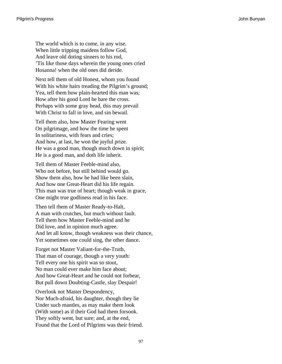The world which is to come, in any wise. When little tripping maidens follow God, And leave old doting sinners to his rod, 'Tis like those days wherein the young ones cried Hosanna! when the old ones did deride.

Next tell them of old Honest, whom you found With his white hairs treading the Pilgrim's ground; Yea, tell them how plain-hearted this man was; How after his good Lord he bare the cross. Perhaps with some gray head, this may prevail With Christ to fall in love, and sin bewail.

Tell them also, how Master Fearing went On pilgrimage, and how the time he spent In solitariness, with fears and cries; And how, at last, he won the joyful prize. He was a good man, though much down in spirit; He is a good man, and doth life inherit.

Tell them of Master Feeble-mind also, Who not before, but still behind would go. Show them also, how he had like been slain, And how one Great-Heart did his life regain. This man was true of heart; though weak in grace, One might true godliness read in his face.

Then tell them of Master Ready-to-Halt, A man with crutches, but much without fault. Tell them how Master Feeble-mind and he Did love, and in opinion much agree. And let all know, though weakness was their chance, Yet sometimes one could sing, the other dance.

Forget not Master Valiant-for-the-Truth, That man of courage, though a very youth: Tell every one his spirit was so stout, No man could ever make him face about; And how Great-Heart and he could not forbear, But pull down Doubting-Castle, slay Despair!

Overlook not Master Despondency, Nor Much-afraid, his daughter, though they lie Under such mantles, as may make them look (With some) as if their God had them forsook. They softly went, but sure; and, at the end, Found that the Lord of Pilgrims was their friend.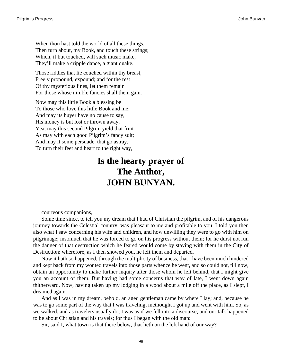When thou hast told the world of all these things, Then turn about, my Book, and touch these strings; Which, if but touched, will such music make, They'll make a cripple dance, a giant quake.

Those riddles that lie couched within thy breast, Freely propound, expound; and for the rest Of thy mysterious lines, let them remain For those whose nimble fancies shall them gain.

Now may this little Book a blessing be To those who love this little Book and me; And may its buyer have no cause to say, His money is but lost or thrown away. Yea, may this second Pilgrim yield that fruit As may with each good Pilgrim's fancy suit; And may it some persuade, that go astray, To turn their feet and heart to the right way,

# **Is the hearty prayer of The Author, JOHN BUNYAN.**

courteous companions,

Some time since, to tell you my dream that I had of Christian the pilgrim, and of his dangerous journey towards the Celestial country, was pleasant to me and profitable to you. I told you then also what I saw concerning his wife and children, and how unwilling they were to go with him on pilgrimage; insomuch that he was forced to go on his progress without them; for he durst not run the danger of that destruction which he feared would come by staying with them in the City of Destruction: wherefore, as I then showed you, he left them and departed.

Now it hath so happened, through the multiplicity of business, that I have been much hindered and kept back from my wonted travels into those parts whence he went, and so could not, till now, obtain an opportunity to make further inquiry after those whom he left behind, that I might give you an account of them. But having had some concerns that way of late, I went down again thitherward. Now, having taken up my lodging in a wood about a mile off the place, as I slept, I dreamed again.

And as I was in my dream, behold, an aged gentleman came by where I lay; and, because he was to go some part of the way that I was traveling, methought I got up and went with him. So, as we walked, and as travelers usually do, I was as if we fell into a discourse; and our talk happened to be about Christian and his travels; for thus I began with the old man:

Sir, said I, what town is that there below, that lieth on the left hand of our way?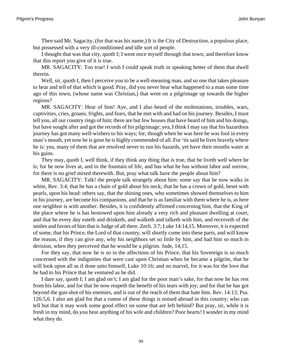Then said Mr. Sagacity, (for that was his name,) It is the City of Destruction, a populous place, but possessed with a very ill-conditioned and idle sort of people.

I thought that was that city, quoth I; I went once myself through that town; and therefore know that this report you give of it is true.

MR. SAGACITY: Too true! I wish I could speak truth in speaking better of them that dwell therein.

Well, sir, quoth I, then I perceive you to be a well-meaning man, and so one that takes pleasure to hear and tell of that which is good. Pray, did you never hear what happened to a man some time ago of this town, (whose name was Christian,) that went on a pilgrimage up towards the higher regions?

MR. SAGACITY: Hear of him! Aye, and I also heard of the molestations, troubles, wars, captivities, cries, groans, frights, and fears, that he met with and had on his journey. Besides, I must tell you, all our country rings of him; there are but few houses that have heard of him and his doings, but have sought after and got the records of his pilgrimage; yea, I think I may say that his hazardous journey has got many well-wishers to his ways; for, though when he was here he was fool in every man's mouth, yet now he is gone he is highly commended of all. For 'tis said he lives bravely where he is: yea, many of them that are resolved never to run his hazards, yet have their mouths water at his gains.

They may, quoth I, well think, if they think any thing that is true, that he liveth well where he is; for he now lives at, and in the fountain of life, and has what he has without labor and sorrow, for there is no grief mixed therewith. But, pray what talk have the people about him?

MR. SAGACITY: Talk! the people talk strangely about him: some say that he now walks in white, [Rev. 3:4](http://www.ccel.org/b/bible/asv/xml/asv.Rev.3.xml#Rev.3.4); that he has a chain of gold about his neck; that he has a crown of gold, beset with pearls, upon his head: others say, that the shining ones, who sometimes showed themselves to him in his journey, are become his companions, and that he is as familiar with them where he is, as here one neighbor is with another. Besides, it is confidently affirmed concerning him, that the King of the place where he is has bestowed upon him already a very rich and pleasant dwelling at court, and that he every day eateth and drinketh, and walketh and talketh with him, and receiveth of the smiles and favors of him that is Judge of all there. [Zech. 3:7;](http://www.ccel.org/b/bible/asv/xml/asv.Zech.3.xml#Zech.3.7) [Luke 14:14,15.](http://www.ccel.org/b/bible/asv/xml/asv.Luke.14.xml#Luke.14.14 Bible:Luke.14.15) Moreover, it is expected of some, that his Prince, the Lord of that country, will shortly come into these parts, and will know the reason, if they can give any, why his neighbors set so little by him, and had him so much in derision, when they perceived that he would be a pilgrim. [Jude, 14,15](http://www.ccel.org/b/bible/asv/xml/asv.Jude.1.xml#Jude.1.14 Bible:Jude.1.15).

For they say, that now he is so in the affections of his Prince, that his Sovereign is so much concerned with the indignities that were cast upon Christian when he became a pilgrim, that he will look upon all as if done unto himself, [Luke 10:16;](http://www.ccel.org/b/bible/asv/xml/asv.Luke.10.xml#Luke.10.16) and no marvel, for it was for the love that he had to his Prince that he ventured as he did.

I dare say, quoth I; I am glad on't; I am glad for the poor man's sake, for that now he has rest from his labor, and for that he now reapeth the benefit of his tears with joy; and for that he has got beyond the gun-shot of his enemies, and is out of the reach of them that hate him. [Rev. 14:13](http://www.ccel.org/b/bible/asv/xml/asv.Rev.14.xml#Rev.14.13); [Psa.](http://www.ccel.org/b/bible/asv/xml/asv.Ps.126.xml#Ps.126.5 Bible:Ps.126.6) [126:5,6](http://www.ccel.org/b/bible/asv/xml/asv.Ps.126.xml#Ps.126.5 Bible:Ps.126.6). I also am glad for that a rumor of these things is noised abroad in this country; who can tell but that it may work some good effect on some that are left behind? But pray, sir, while it is fresh in my mind, do you hear anything of his wife and children? Poor hearts! I wonder in my mind what they do.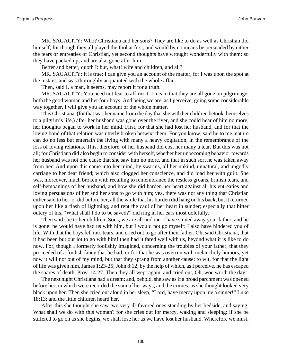MR. SAGACITY: Who? Christiana and her sons? They are like to do as well as Christian did himself; for though they all played the fool at first, and would by no means be persuaded by either the tears or entreaties of Christian, yet second thoughts have wrought wonderfully with them: so they have packed up, and are also gone after him.

Better and better, quoth I: but, what! wife and children, and all?

MR. SAGACITY: It is true: I can give you an account of the matter, for I was upon the spot at the instant, and was thoroughly acquainted with the whole affair.

Then, said I, a man, it seems, may report it for a truth.

MR. SAGACITY: You need not fear to affirm it: I mean, that they are all gone on pilgrimage, both the good woman and her four boys. And being we are, as I perceive, going some considerable way together, I will give you an account of the whole matter.

This Christiana, (for that was her name from the day that she with her children betook themselves to a pilgrim's life,) after her husband was gone over the river, and she could hear of him no more, her thoughts began to work in her mind. First, for that she had lost her husband, and for that the loving bond of that relation was utterly broken betwixt them. For you know, said he to me, nature can do no less but entertain the living with many a heavy cogitation, in the remembrance of the loss of loving relations. This, therefore, of her husband did cost her many a tear. But this was not all; for Christiana did also begin to consider with herself, whether her unbecoming behavior towards her husband was not one cause that she saw him no more, and that in such sort he was taken away from her. And upon this came into her mind, by swarms, all her unkind, unnatural, and ungodly carriage to her dear friend; which also clogged her conscience, and did load her with guilt. She was, moreover, much broken with recalling to remembrance the restless groans, brinish tears, and self-bemoanings of her husband, and how she did harden her heart against all his entreaties and loving persuasions of her and her sons to go with him; yea, there was not any thing that Christian either said to her, or did before her, all the while that his burden did hang on his back, but it returned upon her like a flash of lightning, and rent the caul of her heart in sunder; especially that bitter outcry of his, "What shall I do to be saved?" did ring in her ears most dolefully.

Then said she to her children, Sons, we are all undone. I have sinned away your father, and he is gone: he would have had us with him, but I would not go myself: I also have hindered you of life. With that the boys fell into tears, and cried out to go after their father. Oh, said Christiana, that it had been but our lot to go with him! then had it fared well with us, beyond what it is like to do now. For, though I formerly foolishly imagined, concerning the troubles of your father, that they proceeded of a foolish fancy that he had, or for that he was overrun with melancholy humors; yet now it will not out of my mind, but that they sprang from another cause; to wit, for that the light of life was given him, [James 1:23-25;](http://www.ccel.org/b/bible/asv/xml/asv.Jas.1.xml#Jas.1.23) [John 8:12;](http://www.ccel.org/b/bible/asv/xml/asv.John.8.xml#John.8.12) by the help of which, as I perceive, he has escaped the snares of death. [Prov. 14:27.](http://www.ccel.org/b/bible/asv/xml/asv.Prov.14.xml#Prov.14.27) Then they all wept again, and cried out, Oh, woe worth the day!

The next night Christiana had a dream; and, behold, she saw as if a broad parchment was opened before her, in which were recorded the sum of her ways; and the crimes, as she thought looked very black upon her. Then she cried out aloud in her sleep, "Lord, have mercy upon me a sinner!" [Luke](http://www.ccel.org/b/bible/asv/xml/asv.Luke.18.xml#Luke.18.13) [18:13](http://www.ccel.org/b/bible/asv/xml/asv.Luke.18.xml#Luke.18.13); and the little children heard her.

After this she thought she saw two very ill-favored ones standing by her bedside, and saying, What shall we do with this woman? for she cries out for mercy, waking and sleeping: if she be suffered to go on as she begins, we shall lose her as we have lost her husband. Wherefore we must,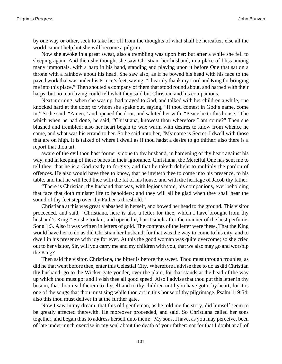by one way or other, seek to take her off from the thoughts of what shall be hereafter, else all the world cannot help but she will become a pilgrim.

Now she awoke in a great sweat, also a trembling was upon her: but after a while she fell to sleeping again. And then she thought she saw Christian, her husband, in a place of bliss among many immortals, with a harp in his hand, standing and playing upon it before One that sat on a throne with a rainbow about his head. She saw also, as if he bowed his head with his face to the paved work that was under his Prince's feet, saying, "I heartily thank my Lord and King for bringing me into this place." Then shouted a company of them that stood round about, and harped with their harps; but no man living could tell what they said but Christian and his companions.

Next morning, when she was up, had prayed to God, and talked with her children a while, one knocked hard at the door; to whom she spake out, saying, "If thou comest in God's name, come in." So he said, "Amen;" and opened the door, and saluted her with, "Peace be to this house." The which when he had done, he said, "Christiana, knowest thou wherefore I am come?" Then she blushed and trembled; also her heart began to wax warm with desires to know from whence he came, and what was his errand to her. So he said unto her, "My name is Secret; I dwell with those that are on high. It is talked of where I dwell as if thou hadst a desire to go thither: also there is a report that thou art

aware of the evil thou hast formerly done to thy husband, in hardening of thy heart against his way, and in keeping of these babes in their ignorance. Christiana, the Merciful One has sent me to tell thee, that he is a God ready to forgive, and that he taketh delight to multiply the pardon of offences. He also would have thee to know, that he inviteth thee to come into his presence, to his table, and that he will feed thee with the fat of his house, and with the heritage of Jacob thy father.

"There is Christian, thy husband that was, with legions more, his companions, ever beholding that face that doth minister life to beholders; and they will all be glad when they shall hear the sound of thy feet step over thy Father's threshold."

Christiana at this was greatly abashed in herself, and bowed her head to the ground. This visitor proceeded, and said, "Christiana, here is also a letter for thee, which I have brought from thy husband's King." So she took it, and opened it, but it smelt after the manner of the best perfume. [Song 1:3.](http://www.ccel.org/b/bible/asv/xml/asv.Song.1.xml#Song.1.3) Also it was written in letters of gold. The contents of the letter were these, That the King would have her to do as did Christian her husband; for that was the way to come to his city, and to dwell in his presence with joy for ever. At this the good woman was quite overcome; so she cried out to her visitor, Sir, will you carry me and my children with you, that we also may go and worship the King?

Then said the visitor, Christiana, the bitter is before the sweet. Thou must through troubles, as did he that went before thee, enter this Celestial City. Wherefore I advise thee to do as did Christian thy husband: go to the Wicket-gate yonder, over the plain, for that stands at the head of the way up which thou must go; and I wish thee all good speed. Also I advise that thou put this letter in thy bosom, that thou read therein to thyself and to thy children until you have got it by heart; for it is one of the songs that thou must sing while thou art in this house of thy pilgrimage, [Psalm 119:54;](http://www.ccel.org/b/bible/asv/xml/asv.Ps.119.xml#Ps.119.54) also this thou must deliver in at the further gate.

Now I saw in my dream, that this old gentleman, as he told me the story, did himself seem to be greatly affected therewith. He moreover proceeded, and said, So Christiana called her sons together, and began thus to address herself unto them: "My sons, I have, as you may perceive, been of late under much exercise in my soul about the death of your father: not for that I doubt at all of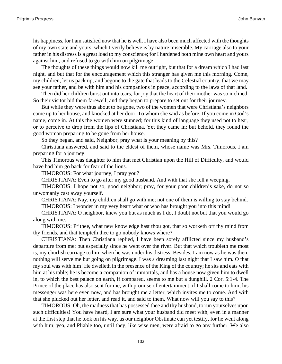his happiness, for I am satisfied now that he is well. I have also been much affected with the thoughts of my own state and yours, which I verily believe is by nature miserable. My carriage also to your father in his distress is a great load to my conscience; for I hardened both mine own heart and yours against him, and refused to go with him on pilgrimage.

The thoughts of these things would now kill me outright, but that for a dream which I had last night, and but that for the encouragement which this stranger has given me this morning. Come, my children, let us pack up, and begone to the gate that leads to the Celestial country, that we may see your father, and be with him and his companions in peace, according to the laws of that land.

Then did her children burst out into tears, for joy that the heart of their mother was so inclined. So their visitor bid them farewell; and they began to prepare to set out for their journey.

But while they were thus about to be gone, two of the women that were Christiana's neighbors came up to her house, and knocked at her door. To whom she said as before, If you come in God's name, come in. At this the women were stunned; for this kind of language they used not to hear, or to perceive to drop from the lips of Christiana. Yet they came in: but behold, they found the good woman preparing to be gone from her house.

So they began, and said, Neighbor, pray what is your meaning by this?

Christiana answered, and said to the eldest of them, whose name was Mrs. Timorous, I am preparing for a journey.

This Timorous was daughter to him that met Christian upon the Hill of Difficulty, and would have had him go back for fear of the lions.

TIMOROUS: For what journey, I pray you?

CHRISTIANA: Even to go after my good husband. And with that she fell a weeping.

TIMOROUS: I hope not so, good neighbor; pray, for your poor children's sake, do not so unwomanly cast away yourself.

CHRISTIANA: Nay, my children shall go with me; not one of them is willing to stay behind. TIMOROUS: I wonder in my very heart what or who has brought you into this mind!

CHRISTIANA: O neighbor, knew you but as much as I do, I doubt not but that you would go along with me.

TIMOROUS: Prithee, what new knowledge hast thou got, that so worketh off thy mind from thy friends, and that tempteth thee to go nobody knows where?

CHRISTIANA: Then Christiana replied, I have been sorely afflicted since my husband's departure from me; but especially since he went over the river. But that which troubleth me most is, my churlish carriage to him when he was under his distress. Besides, I am now as he was then; nothing will serve me but going on pilgrimage. I was a dreaming last night that I saw him. O that my soul was with him! He dwelleth in the presence of the King of the country; he sits and eats with him at his table; he is become a companion of immortals, and has a house now given him to dwell in, to which the best palace on earth, if compared, seems to me but a dunghill. [2 Cor. 5:1-4.](http://www.ccel.org/b/bible/asv/xml/asv.iiCor.5.xml#iiCor.5.1) The Prince of the place has also sent for me, with promise of entertainment, if I shall come to him; his messenger was here even now, and has brought me a letter, which invites me to come. And with that she plucked out her letter, and read it, and said to them, What now will you say to this?

TIMOROUS: Oh, the madness that has possessed thee and thy husband, to run yourselves upon such difficulties! You have heard, I am sure what your husband did meet with, even in a manner at the first step that he took on his way, as our neighbor Obstinate can yet testify, for he went along with him; yea, and Pliable too, until they, like wise men, were afraid to go any further. We also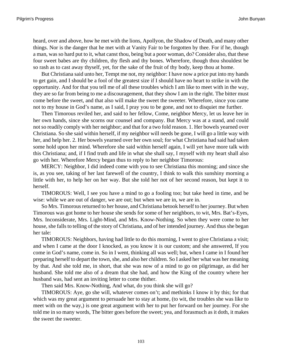heard, over and above, how he met with the lions, Apollyon, the Shadow of Death, and many other things. Nor is the danger that he met with at Vanity Fair to be forgotten by thee. For if he, though a man, was so hard put to it, what canst thou, being but a poor woman, do? Consider also, that these four sweet babes are thy children, thy flesh and thy bones. Wherefore, though thou shouldest be so rash as to cast away thyself, yet, for the sake of the fruit of thy body, keep thou at home.

But Christiana said unto her, Tempt me not, my neighbor: I have now a price put into my hands to get gain, and I should be a fool of the greatest size if I should have no heart to strike in with the opportunity. And for that you tell me of all these troubles which I am like to meet with in the way, they are so far from being to me a discouragement, that they show I am in the right. The bitter must come before the sweet, and that also will make the sweet the sweeter. Wherefore, since you came not to my house in God's name, as I said, I pray you to be gone, and not to disquiet me further.

Then Timorous reviled her, and said to her fellow, Come, neighbor Mercy, let us leave her in her own hands, since she scorns our counsel and company. But Mercy was at a stand, and could not so readily comply with her neighbor; and that for a two fold reason. 1. Her bowels yearned over Christiana. So she said within herself, if my neighbor will needs be gone, I will go a little way with her, and help her. 2. Her bowels yearned over her own soul; for what Christiana had said had taken some hold upon her mind. Wherefore she said within herself again, I will yet have more talk with this Christiana; and, if I find truth and life in what she shall say, I myself with my heart shall also go with her. Wherefore Mercy began thus to reply to her neighbor Timorous:

MERCY: Neighbor, I did indeed come with you to see Christiana this morning; and since she is, as you see, taking of her last farewell of the country, I think to walk this sunshiny morning a little with her, to help her on her way. But she told her not of her second reason, but kept it to herself.

TIMOROUS: Well, I see you have a mind to go a fooling too; but take heed in time, and be wise: while we are out of danger, we are out; but when we are in, we are in.

So Mrs. Timorous returned to her house, and Christiana betook herself to her journey. But when Timorous was got home to her house she sends for some of her neighbors, to wit, Mrs. Bat's-Eyes, Mrs. Inconsiderate, Mrs. Light-Mind, and Mrs. Know-Nothing. So when they were come to her house, she falls to telling of the story of Christiana, and of her intended journey. And thus she began her tale:

TIMOROUS: Neighbors, having had little to do this morning, I went to give Christiana a visit; and when I came at the door I knocked, as you know it is our custom; and she answered, If you come in God's name, come in. So in I went, thinking all was well; but, when I came in I found her preparing herself to depart the town, she, and also her children. So I asked her what was her meaning by that. And she told me, in short, that she was now of a mind to go on pilgrimage, as did her husband. She told me also of a dream that she had, and how the King of the country where her husband was, had sent an inviting letter to come thither.

Then said Mrs. Know-Nothing, And what, do you think she will go?

TIMOROUS: Aye, go she will, whatever comes on't; and methinks I know it by this; for that which was my great argument to persuade her to stay at home, (to wit, the troubles she was like to meet with on the way,) is one great argument with her to put her forward on her journey. For she told me in so many words, The bitter goes before the sweet; yea, and forasmuch as it doth, it makes the sweet the sweeter.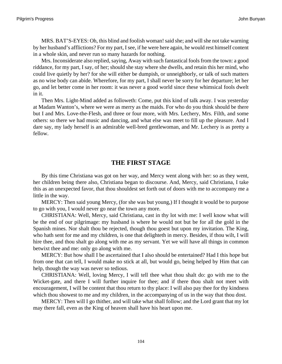MRS. BAT'S-EYES: Oh, this blind and foolish woman! said she; and will she not take warning by her husband's afflictions? For my part, I see, if he were here again, he would rest himself content in a whole skin, and never run so many hazards for nothing.

Mrs. Inconsiderate also replied, saying, Away with such fantastical fools from the town: a good riddance, for my part, I say, of her; should she stay where she dwells, and retain this her mind, who could live quietly by her? for she will either be dumpish, or unneighborly, or talk of such matters as no wise body can abide. Wherefore, for my part, I shall never be sorry for her departure; let her go, and let better come in her room: it was never a good world since these whimsical fools dwelt in it.

Then Mrs. Light-Mind added as followeth: Come, put this kind of talk away. I was yesterday at Madam Wanton's, where we were as merry as the maids. For who do you think should be there but I and Mrs. Love-the-Flesh, and three or four more, with Mrs. Lechery, Mrs. Filth, and some others: so there we had music and dancing, and what else was meet to fill up the pleasure. And I dare say, my lady herself is an admirable well-bred gentlewoman, and Mr. Lechery is as pretty a fellow.

# **THE FIRST STAGE**

By this time Christiana was got on her way, and Mercy went along with her: so as they went, her children being there also, Christiana began to discourse. And, Mercy, said Christiana, I take this as an unexpected favor, that thou shouldest set forth out of doors with me to accompany me a little in the way.

MERCY: Then said young Mercy, (for she was but young,) If I thought it would be to purpose to go with you, I would never go near the town any more.

CHRISTIANA: Well, Mercy, said Christiana, cast in thy lot with me: I well know what will be the end of our pilgrimage: my husband is where he would not but be for all the gold in the Spanish mines. Nor shalt thou be rejected, though thou goest but upon my invitation. The King, who hath sent for me and my children, is one that delighteth in mercy. Besides, if thou wilt, I will hire thee, and thou shalt go along with me as my servant. Yet we will have all things in common betwixt thee and me: only go along with me.

MERCY: But how shall I be ascertained that I also should be entertained? Had I this hope but from one that can tell, I would make no stick at all, but would go, being helped by Him that can help, though the way was never so tedious.

CHRISTIANA: Well, loving Mercy, I will tell thee what thou shalt do: go with me to the Wicket-gate, and there I will further inquire for thee; and if there thou shalt not meet with encouragement, I will be content that thou return to thy place: I will also pay thee for thy kindness which thou showest to me and my children, in the accompanying of us in the way that thou dost.

MERCY: Then will I go thither, and will take what shall follow; and the Lord grant that my lot may there fall, even as the King of heaven shall have his heart upon me.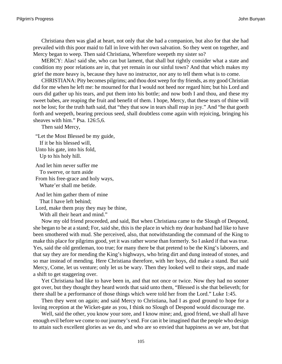Christiana then was glad at heart, not only that she had a companion, but also for that she had prevailed with this poor maid to fall in love with her own salvation. So they went on together, and Mercy began to weep. Then said Christiana, Wherefore weepeth my sister so?

MERCY: Alas! said she, who can but lament, that shall but rightly consider what a state and condition my poor relations are in, that yet remain in our sinful town? And that which makes my grief the more heavy is, because they have no instructor, nor any to tell them what is to come.

CHRISTIANA: Pity becomes pilgrims; and thou dost weep for thy friends, as my good Christian did for me when he left me: he mourned for that I would not heed nor regard him; but his Lord and ours did gather up his tears, and put them into his bottle; and now both I and thou, and these my sweet babes, are reaping the fruit and benefit of them. I hope, Mercy, that these tears of thine will not be lost; for the truth hath said, that "they that sow in tears shall reap in joy." And "he that goeth forth and weepeth, bearing precious seed, shall doubtless come again with rejoicing, bringing his sheaves with him." [Psa. 126:5,6.](http://www.ccel.org/b/bible/asv/xml/asv.Ps.126.xml#Ps.126.5 Bible:Ps.126.6)

Then said Mercy,

"Let the Most Blessed be my guide, If it be his blessed will, Unto his gate, into his fold, Up to his holy hill.

And let him never suffer me To swerve, or turn aside From his free-grace and holy ways, Whate'er shall me betide.

And let him gather them of mine That I have left behind;

Lord, make them pray they may be thine,

With all their heart and mind."

Now my old friend proceeded, and said, But when Christiana came to the Slough of Despond, she began to be at a stand; For, said she, this is the place in which my dear husband had like to have been smothered with mud. She perceived, also, that notwithstanding the command of the King to make this place for pilgrims good, yet it was rather worse than formerly. So I asked if that was true. Yes, said the old gentleman, too true; for many there be that pretend to be the King's laborers, and that say they are for mending the King's highways, who bring dirt and dung instead of stones, and so mar instead of mending. Here Christiana therefore, with her boys, did make a stand. But said Mercy, Come, let us venture; only let us be wary. Then they looked well to their steps, and made a shift to get staggering over.

Yet Christiana had like to have been in, and that not once or twice. Now they had no sooner got over, but they thought they heard words that said unto them, "Blessed is she that believeth; for there shall be a performance of those things which were told her from the Lord." [Luke 1:45.](http://www.ccel.org/b/bible/asv/xml/asv.Luke.1.xml#Luke.1.45)

Then they went on again; and said Mercy to Christiana, had I as good ground to hope for a loving reception at the Wicket-gate as you, I think no Slough of Despond would discourage me.

Well, said the other, you know your sore, and I know mine; and, good friend, we shall all have enough evil before we come to our journey's end. For can it be imagined that the people who design to attain such excellent glories as we do, and who are so envied that happiness as we are, but that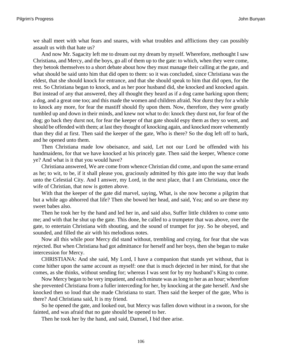we shall meet with what fears and snares, with what troubles and afflictions they can possibly assault us with that hate us?

And now Mr. Sagacity left me to dream out my dream by myself. Wherefore, methought I saw Christiana, and Mercy, and the boys, go all of them up to the gate: to which, when they were come, they betook themselves to a short debate about how they must manage their calling at the gate, and what should be said unto him that did open to them: so it was concluded, since Christiana was the eldest, that she should knock for entrance, and that she should speak to him that did open, for the rest. So Christiana began to knock, and as her poor husband did, she knocked and knocked again. But instead of any that answered, they all thought they heard as if a dog came barking upon them; a dog, and a great one too; and this made the women and children afraid. Nor durst they for a while to knock any more, for fear the mastiff should fly upon them. Now, therefore, they were greatly tumbled up and down in their minds, and knew not what to do: knock they durst not, for fear of the dog; go back they durst not, for fear the keeper of that gate should espy them as they so went, and should be offended with them; at last they thought of knocking again, and knocked more vehemently than they did at first. Then said the keeper of the gate, Who is there? So the dog left off to bark, and he opened unto them.

Then Christiana made low obeisance, and said, Let not our Lord be offended with his handmaidens, for that we have knocked at his princely gate. Then said the keeper, Whence come ye? And what is it that you would have?

Christiana answered, We are come from whence Christian did come, and upon the same errand as he; to wit, to be, if it shall please you, graciously admitted by this gate into the way that leads unto the Celestial City. And I answer, my Lord, in the next place, that I am Christiana, once the wife of Christian, that now is gotten above.

With that the keeper of the gate did marvel, saying, What, is she now become a pilgrim that but a while ago abhorred that life? Then she bowed her head, and said, Yea; and so are these my sweet babes also.

Then he took her by the hand and led her in, and said also, Suffer little children to come unto me; and with that he shut up the gate. This done, he called to a trumpeter that was above, over the gate, to entertain Christiana with shouting, and the sound of trumpet for joy. So he obeyed, and sounded, and filled the air with his melodious notes.

Now all this while poor Mercy did stand without, trembling and crying, for fear that she was rejected. But when Christiana had got admittance for herself and her boys, then she began to make intercession for Mercy.

CHRISTIANA: And she said, My Lord, I have a companion that stands yet without, that is come hither upon the same account as myself: one that is much dejected in her mind, for that she comes, as she thinks, without sending for; whereas I was sent for by my husband's King to come.

Now Mercy began to be very impatient, and each minute was as long to her as an hour; wherefore she prevented Christiana from a fuller interceding for her, by knocking at the gate herself. And she knocked then so loud that she made Christiana to start. Then said the keeper of the gate, Who is there? And Christiana said, It is my friend.

So he opened the gate, and looked out, but Mercy was fallen down without in a swoon, for she fainted, and was afraid that no gate should be opened to her.

Then he took her by the hand, and said, Damsel, I bid thee arise.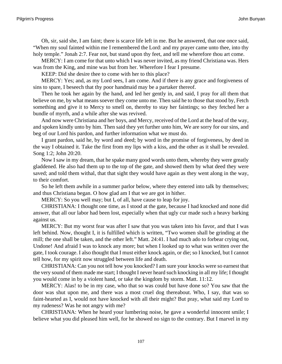Oh, sir, said she, I am faint; there is scarce life left in me. But he answered, that one once said, "When my soul fainted within me I remembered the Lord: and my prayer came unto thee, into thy holy temple." [Jonah 2:7.](http://www.ccel.org/b/bible/asv/xml/asv.Jonah.2.xml#Jonah.2.7) Fear not, but stand upon thy feet, and tell me wherefore thou art come.

MERCY: I am come for that unto which I was never invited, as my friend Christiana was. Hers was from the King, and mine was but from her. Wherefore I fear I presume.

KEEP: Did she desire thee to come with her to this place?

MERCY: Yes; and, as my Lord sees, I am come. And if there is any grace and forgiveness of sins to spare, I beseech that thy poor handmaid may be a partaker thereof.

Then he took her again by the hand, and led her gently in, and said, I pray for all them that believe on me, by what means soever they come unto me. Then said he to those that stood by, Fetch something and give it to Mercy to smell on, thereby to stay her faintings; so they fetched her a bundle of myrrh, and a while after she was revived.

And now were Christiana and her boys, and Mercy, received of the Lord at the head of the way, and spoken kindly unto by him. Then said they yet further unto him, We are sorry for our sins, and beg of our Lord his pardon, and further information what we must do.

I grant pardon, said he, by word and deed; by word in the promise of forgiveness, by deed in the way I obtained it. Take the first from my lips with a kiss, and the other as it shall be revealed. [Song 1:2](http://www.ccel.org/b/bible/asv/xml/asv.Song.1.xml#Song.1.2); [John 20:20](http://www.ccel.org/b/bible/asv/xml/asv.John.20.xml#John.20.20).

Now I saw in my dream, that he spake many good words unto them, whereby they were greatly gladdened. He also had them up to the top of the gate, and showed them by what deed they were saved; and told them withal, that that sight they would have again as they went along in the way, to their comfort.

So he left them awhile in a summer parlor below, where they entered into talk by themselves; and thus Christiana began. O how glad am I that we are got in hither.

MERCY: So you well may; but I, of all, have cause to leap for joy.

CHRISTIANA: I thought one time, as I stood at the gate, because I had knocked and none did answer, that all our labor had been lost, especially when that ugly cur made such a heavy barking against us.

MERCY: But my worst fear was after I saw that you was taken into his favor, and that I was left behind. Now, thought I, it is fulfilled which is written, "Two women shall be grinding at the mill; the one shall be taken, and the other left." [Matt. 24:41.](http://www.ccel.org/b/bible/asv/xml/asv.Matt.24.xml#Matt.24.41) I had much ado to forbear crying out, Undone! And afraid I was to knock any more; but when I looked up to what was written over the gate, I took courage. I also thought that I must either knock again, or die; so I knocked, but I cannot tell how, for my spirit now struggled between life and death.

CHRISTIANA: Can you not tell how you knocked? I am sure your knocks were so earnest that the very sound of them made me start; I thought I never heard such knocking in all my life; I thought you would come in by a violent hand, or take the kingdom by storm. [Matt. 11:12.](http://www.ccel.org/b/bible/asv/xml/asv.Matt.11.xml#Matt.11.12)

MERCY: Alas! to be in my case, who that so was could but have done so? You saw that the door was shut upon me, and there was a most cruel dog thereabout. Who, I say, that was so faint-hearted as I, would not have knocked with all their might? But pray, what said my Lord to my rudeness? Was he not angry with me?

CHRISTIANA: When he heard your lumbering noise, he gave a wonderful innocent smile; I believe what you did pleased him well, for he showed no sign to the contrary. But I marvel in my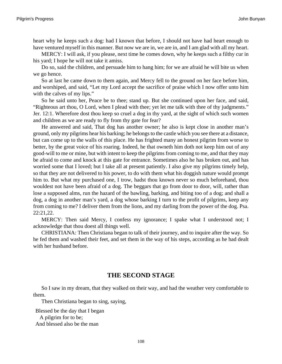heart why he keeps such a dog: had I known that before, I should not have had heart enough to have ventured myself in this manner. But now we are in, we are in, and I am glad with all my heart.

MERCY: I will ask, if you please, next time he comes down, why he keeps such a filthy cur in his yard; I hope he will not take it amiss.

Do so, said the children, and persuade him to hang him; for we are afraid he will bite us when we go hence.

So at last he came down to them again, and Mercy fell to the ground on her face before him, and worshiped, and said, "Let my Lord accept the sacrifice of praise which I now offer unto him with the calves of my lips."

So he said unto her, Peace be to thee; stand up. But she continued upon her face, and said, "Righteous art thou, O Lord, when I plead with thee; yet let me talk with thee of thy judgments." [Jer. 12:1.](http://www.ccel.org/b/bible/asv/xml/asv.Jer.12.xml#Jer.12.1) Wherefore dost thou keep so cruel a dog in thy yard, at the sight of which such women and children as we are ready to fly from thy gate for fear?

He answered and said, That dog has another owner; he also is kept close in another man's ground, only my pilgrims hear his barking; he belongs to the castle which you see there at a distance, but can come up to the walls of this place. He has frighted many an honest pilgrim from worse to better, by the great voice of his roaring. Indeed, he that owneth him doth not keep him out of any good-will to me or mine, but with intent to keep the pilgrims from coming to me, and that they may be afraid to come and knock at this gate for entrance. Sometimes also he has broken out, and has worried some that I loved; but I take all at present patiently. I also give my pilgrims timely help, so that they are not delivered to his power, to do with them what his doggish nature would prompt him to. But what my purchased one, I trow, hadst thou known never so much beforehand, thou wouldest not have been afraid of a dog. The beggars that go from door to door, will, rather than lose a supposed alms, run the hazard of the bawling, barking, and biting too of a dog; and shall a dog, a dog in another man's yard, a dog whose barking I turn to the profit of pilgrims, keep any from coming to me? I deliver them from the lions, and my darling from the power of the dog. [Psa.](http://www.ccel.org/b/bible/asv/xml/asv.Ps.22.xml#Ps.22.21 Bible:Ps.22.22) [22:21,22](http://www.ccel.org/b/bible/asv/xml/asv.Ps.22.xml#Ps.22.21 Bible:Ps.22.22).

MERCY: Then said Mercy, I confess my ignorance; I spake what I understood not; I acknowledge that thou doest all things well.

CHRISTIANA: Then Christiana began to talk of their journey, and to inquire after the way. So he fed them and washed their feet, and set them in the way of his steps, according as he had dealt with her husband before.

# **THE SECOND STAGE**

So I saw in my dream, that they walked on their way, and had the weather very comfortable to them.

Then Christiana began to sing, saying,

Blessed be the day that I began A pilgrim for to be; And blessed also be the man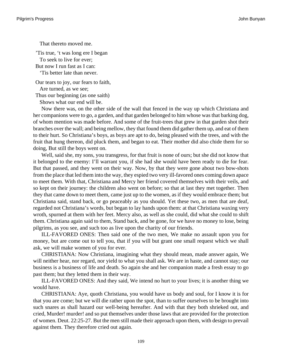That thereto moved me.

'Tis true, 't was long ere I began To seek to live for ever; But now I run fast as I can: 'Tis better late than never.

Our tears to joy, our fears to faith, Are turned, as we see; Thus our beginning (as one saith)

Shows what our end will be.

Now there was, on the other side of the wall that fenced in the way up which Christiana and her companions were to go, a garden, and that garden belonged to him whose was that barking dog, of whom mention was made before. And some of the fruit-trees that grew in that garden shot their branches over the wall; and being mellow, they that found them did gather them up, and eat of them to their hurt. So Christiana's boys, as boys are apt to do, being pleased with the trees, and with the fruit that hung thereon, did pluck them, and began to eat. Their mother did also chide them for so doing, But still the boys went on.

Well, said she, my sons, you transgress, for that fruit is none of ours; but she did not know that it belonged to the enemy: I'll warrant you, if she had she would have been ready to die for fear. But that passed, and they went on their way. Now, by that they were gone about two bow-shots from the place that led them into the way, they espied two very ill-favored ones coming down apace to meet them. With that, Christiana and Mercy her friend covered themselves with their veils, and so kept on their journey: the children also went on before; so that at last they met together. Then they that came down to meet them, came just up to the women, as if they would embrace them; but Christiana said, stand back, or go peaceably as you should. Yet these two, as men that are deaf, regarded not Christiana's words, but began to lay hands upon them: at that Christiana waxing very wroth, spurned at them with her feet. Mercy also, as well as she could, did what she could to shift them. Christiana again said to them, Stand back, and be gone, for we have no money to lose, being pilgrims, as you see, and such too as live upon the charity of our friends.

ILL-FAVORED ONES: Then said one of the two men, We make no assault upon you for money, but are come out to tell you, that if you will but grant one small request which we shall ask, we will make women of you for ever.

CHRISTIANA: Now Christiana, imagining what they should mean, made answer again, We will neither hear, nor regard, nor yield to what you shall ask. We are in haste, and cannot stay; our business is a business of life and death. So again she and her companion made a fresh essay to go past them; but they letted them in their way.

ILL-FAVORED ONES: And they said, We intend no hurt to your lives; it is another thing we would have.

CHRISTIANA: Aye, quoth Christiana, you would have us body and soul, for I know it is for that you are come; but we will die rather upon the spot, than to suffer ourselves to be brought into such snares as shall hazard our well-being hereafter. And with that they both shrieked out, and cried, Murder! murder! and so put themselves under those laws that are provided for the protection of women. [Deut. 22:25-27](http://www.ccel.org/b/bible/asv/xml/asv.Deut.22.xml#Deut.22.25). But the men still made their approach upon them, with design to prevail against them. They therefore cried out again.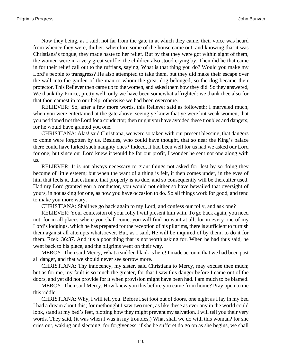Now they being, as I said, not far from the gate in at which they came, their voice was heard from whence they were, thither: wherefore some of the house came out, and knowing that it was Christiana's tongue, they made haste to her relief. But by that they were got within sight of them, the women were in a very great scuffle; the children also stood crying by. Then did he that came in for their relief call out to the ruffians, saying, What is that thing you do? Would you make my Lord's people to transgress? He also attempted to take them, but they did make their escape over the wall into the garden of the man to whom the great dog belonged; so the dog became their protector. This Reliever then came up to the women, and asked them how they did. So they answered, We thank thy Prince, pretty well, only we have been somewhat affrighted: we thank thee also for that thou camest in to our help, otherwise we had been overcome.

RELIEVER: So, after a few more words, this Reliever said as followeth: I marveled much, when you were entertained at the gate above, seeing ye knew that ye were but weak women, that you petitioned not the Lord for a conductor; then might you have avoided these troubles and dangers; for he would have granted you one.

CHRISTIANA: Alas! said Christiana, we were so taken with our present blessing, that dangers to come were forgotten by us. Besides, who could have thought, that so near the King's palace there could have lurked such naughty ones? Indeed, it had been well for us had we asked our Lord for one; but since our Lord knew it would be for our profit, I wonder he sent not one along with us.

RELIEVER: It is not always necessary to grant things not asked for, lest by so doing they become of little esteem; but when the want of a thing is felt, it then comes under, in the eyes of him that feels it, that estimate that properly is its due, and so consequently will be thereafter used. Had my Lord granted you a conductor, you would not either so have bewailed that oversight of yours, in not asking for one, as now you have occasion to do. So all things work for good, and tend to make you more wary.

CHRISTIANA: Shall we go back again to my Lord, and confess our folly, and ask one?

RELIEVER: Your confession of your folly I will present him with. To go back again, you need not, for in all places where you shall come, you will find no want at all; for in every one of my Lord's lodgings, which he has prepared for the reception of his pilgrims, there is sufficient to furnish them against all attempts whatsoever. But, as I said, He will be inquired of by them, to do it for them. [Ezek. 36:37](http://www.ccel.org/b/bible/asv/xml/asv.Ezek.36.xml#Ezek.36.37). And 'tis a poor thing that is not worth asking for. When he had thus said, he went back to his place, and the pilgrims went on their way.

MERCY: Then said Mercy, What a sudden blank is here! I made account that we had been past all danger, and that we should never see sorrow more.

CHRISTIANA: Thy innocency, my sister, said Christiana to Mercy, may excuse thee much; but as for me, my fault is so much the greater, for that I saw this danger before I came out of the doors, and yet did not provide for it when provision might have been had. I am much to be blamed.

MERCY: Then said Mercy, How knew you this before you came from home? Pray open to me this riddle.

CHRISTIANA: Why, I will tell you. Before I set foot out of doors, one night as I lay in my bed I had a dream about this; for methought I saw two men, as like these as ever any in the world could look, stand at my bed's feet, plotting how they might prevent my salvation. I will tell you their very words. They said, (it was when I was in my troubles,) What shall we do with this woman? for she cries out, waking and sleeping, for forgiveness: if she be sufferet do go on as she begins, we shall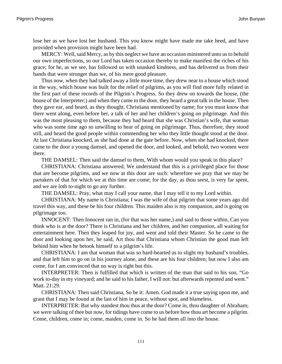lose her as we have lost her husband. This you know might have made me take heed, and have provided when provision might have been had.

MERCY: Well, said Mercy, as by this neglect we have an occasion ministered unto us to behold our own imperfections, so our Lord has taken occasion thereby to make manifest the riches of his grace; for he, as we see, has followed us with unasked kindness, and has delivered us from their hands that were stronger than we, of his mere good pleasure.

Thus now, when they had talked away a little more time, they drew near to a house which stood in the way, which house was built for the relief of pilgrims, as you will find more fully related in the first part of these records of the Pilgrim's Progress. So they drew on towards the house, (the house of the Interpreter;) and when they came to the door, they heard a great talk in the house. Then they gave ear, and heard, as they thought, Christiana mentioned by name; for you must know that there went along, even before her, a talk of her and her children's going on pilgrimage. And this was the most pleasing to them, because they had heard that she was Christian's wife, that woman who was some time ago so unwilling to hear of going on pilgrimage. Thus, therefore, they stood still, and heard the good people within commending her who they little thought stood at the door. At last Christiana knocked, as she had done at the gate before. Now, when she had knocked, there came to the door a young damsel, and opened the door, and looked, and behold, two women were there.

THE DAMSEL: Then said the damsel to them, With whom would you speak in this place?

CHRISTIANA: Christiana answered, We understand that this is a privileged place for those that are become pilgrims, and we now at this door are such: wherefore we pray that we may be partakers of that for which we at this time are come; for the day, as thou seest, is very far spent, and we are loth to-night to go any further.

THE DAMSEL: Pray, what may I call your name, that I may tell it to my Lord within.

CHRISTIANA: My name is Christiana; I was the wife of that pilgrim that some years ago did travel this way, and these be his four children. This maiden also is my companion, and is going on pilgrimage too.

INNOCENT: Then Innocent ran in, (for that was her name,) and said to those within, Can you think who is at the door? There is Christiana and her children, and her companion, all waiting for entertainment here. Then they leaped for joy, and went and told their Master. So he came to the door and looking upon her, he said, Art thou that Christiana whom Christian the good man left behind him when he betook himself to a pilgrim's life.

CHRISTIANA: I am that woman that was so hard-hearted as to slight my husband's troubles, and that left him to go on in his journey alone, and these are his four children; but now I also am come, for I am convinced that no way is right but this.

INTERPRETER: Then is fulfilled that which is written of the man that said to his son, "Go work to-day in my vineyard; and he said to his father, I will not: but afterwards repented and went." [Matt. 21:29](http://www.ccel.org/b/bible/asv/xml/asv.Matt.21.xml#Matt.21.29).

CHRISTIANA: Then said Christiana, So be it: Amen. God made it a true saying upon me, and grant that I may be found at the last of him in peace, without spot, and blameless.

INTERPRETER: But why standest thou thus at the door? Come in, thou daughter of Abraham; we were talking of thee but now, for tidings have come to us before how thou art become a pilgrim. Come, children, come in; come, maiden, come in. So he had them all into the house.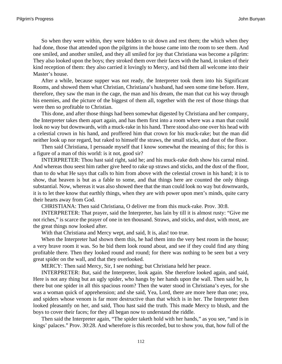So when they were within, they were bidden to sit down and rest them; the which when they had done, those that attended upon the pilgrims in the house came into the room to see them. And one smiled, and another smiled, and they all smiled for joy that Christiana was become a pilgrim: They also looked upon the boys; they stroked them over their faces with the hand, in token of their kind reception of them: they also carried it lovingly to Mercy, and bid them all welcome into their Master's house.

After a while, because supper was not ready, the Interpreter took them into his Significant Rooms, and showed them what Christian, Christiana's husband, had seen some time before. Here, therefore, they saw the man in the cage, the man and his dream, the man that cut his way through his enemies, and the picture of the biggest of them all, together with the rest of those things that were then so profitable to Christian.

This done, and after those things had been somewhat digested by Christiana and her company, the Interpreter takes them apart again, and has them first into a room where was a man that could look no way but downwards, with a muck-rake in his hand. There stood also one over his head with a celestial crown in his hand, and proffered him that crown for his muck-rake; but the man did neither look up nor regard, but raked to himself the straws, the small sticks, and dust of the floor.

Then said Christiana, I persuade myself that I know somewhat the meaning of this; for this is a figure of a man of this world: is it not, good sir?

INTERPRETER: Thou hast said right, said he; and his muck-rake doth show his carnal mind. And whereas thou seest him rather give heed to rake up straws and sticks, and the dust of the floor, than to do what He says that calls to him from above with the celestial crown in his hand; it is to show, that heaven is but as a fable to some, and that things here are counted the only things substantial. Now, whereas it was also showed thee that the man could look no way but downwards, it is to let thee know that earthly things, when they are with power upon men's minds, quite carry their hearts away from God.

CHRISTIANA: Then said Christiana, O deliver me from this muck-rake. [Prov. 30:8.](http://www.ccel.org/b/bible/asv/xml/asv.Prov.30.xml#Prov.30.8)

INTERPRETER: That prayer, said the Interpreter, has lain by till it is almost rusty: "Give me not riches," is scarce the prayer of one in ten thousand. Straws, and sticks, and dust, with most, are the great things now looked after.

With that Christiana and Mercy wept, and said, It is, alas! too true.

When the Interpreter had shown them this, he had them into the very best room in the house; a very brave room it was. So he bid them look round about, and see if they could find any thing profitable there. Then they looked round and round; for there was nothing to be seen but a very great spider on the wall, and that they overlooked.

MERCY: Then said Mercy, Sir, I see nothing; but Christiana held her peace.

INTERPRETER: But, said the Interpreter, look again. She therefore looked again, and said, Here is not any thing but an ugly spider, who hangs by her hands upon the wall. Then said he, Is there but one spider in all this spacious room? Then the water stood in Christiana's eyes, for she was a woman quick of apprehension; and she said, Yea, Lord, there are more here than one; yea, and spiders whose venom is far more destructive than that which is in her. The Interpreter then looked pleasantly on her, and said, Thou hast said the truth. This made Mercy to blush, and the boys to cover their faces; for they all began now to understand the riddle.

Then said the Interpreter again, "The spider taketh hold with her hands," as you see, "and is in kings' palaces." [Prov. 30:28](http://www.ccel.org/b/bible/asv/xml/asv.Prov.30.xml#Prov.30.28). And wherefore is this recorded, but to show you, that, how full of the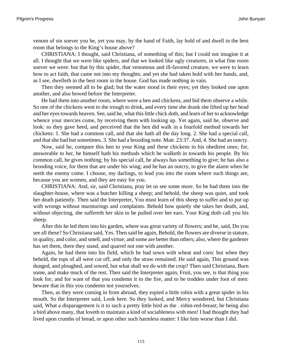venom of sin soever you be, yet you may, by the hand of Faith, lay hold of and dwell in the best room that belongs to the King's house above?

CHRISTIANA: I thought, said Christiana, of something of this; but I could not imagine it at all. I thought that we were like spiders, and that we looked like ugly creatures, in what fine room soever we were: but that by this spider, that venomous and ill-favored creature, we were to learn how to act faith, that came not into my thoughts; and yet she had taken hold with her hands, and, as I see, dwelleth in the best room in the house. God has made nothing in vain.

Then they seemed all to be glad; but the water stood in their eyes; yet they looked one upon another, and also bowed before the Interpreter.

He had them into another room, where were a hen and chickens, and bid them observe a while. So one of the chickens went to the trough to drink, and every time she drank she lifted up her head and her eyes towards heaven. See, said he, what this little chick doth, and learn of her to acknowledge whence your mercies come, by receiving them with looking up. Yet again, said he, observe and look: so they gave heed, and perceived that the hen did walk in a fourfold method towards her chickens: 1. She had a common call, and that she hath all the day long. 2. She had a special call, and that she had but sometimes. 3. She had a brooding note. [Matt. 23:37](http://www.ccel.org/b/bible/asv/xml/asv.Matt.23.xml#Matt.23.37). And, 4. She had an outcry.

Now, said he, compare this hen to your King and these chickens to his obedient ones; for, answerable to her, he himself hath his methods which he walketh in towards his people. By his common call, he gives nothing; by his special call, he always has something to give; he has also a brooding voice, for them that are under his wing; and he has an outcry, to give the alarm when he seeth the enemy come. I choose, my darlings, to lead you into the room where such things are, because you are women, and they are easy for you.

CHRISTIANA: And, sir, said Christiana, pray let us see some more. So he had them into the slaughter-house, where was a butcher killing a sheep; and behold, the sheep was quiet, and took her death patiently. Then said the Interpreter, You must learn of this sheep to suffer and to put up with wrongs without murmurings and complaints. Behold how quietly she takes her death, and, without objecting, she suffereth her skin to be pulled over her ears. Your King doth call you his sheep.

After this he led them into his garden, where was great variety of flowers; and he, said, Do you see all these? So Christiana said, Yes. Then said he again, Behold, the flowers are diverse in stature, in quality, and color, and smell, and virtue; and some are better than others; also, where the gardener has set them, there they stand, and quarrel not one with another.

Again, he had them into his field, which he had sown with wheat and corn: but when they beheld, the tops of all were cut off, and only the straw remained. He said again, This ground was dunged, and ploughed, and sowed, but what shall we do with the crop? Then said Christiana, Burn some, and make muck of the rest. Then said the Interpreter again, Fruit, you see, is that thing you look for; and for want of that you condemn it to the fire, and to be trodden under foot of men: beware that in this you condemn not yourselves.

Then, as they were coming in from abroad, they espied a little robin with a great spider in his mouth. So the Interpreter said, Look here. So they looked, and Mercy wondered, but Christiana said, What a disparagement is it to such a pretty little bird as the . robin-red-breast; he being also a bird above many, that loveth to maintain a kind of sociableness with men! I had thought they had lived upon crumbs of bread, or upon other such harmless matter: I like him worse than I did.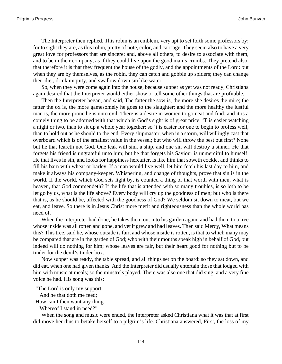The Interpreter then replied, This robin is an emblem, very apt to set forth some professors by; for to sight they are, as this robin, pretty of note, color, and carriage. They seem also to have a very great love for professors that are sincere; and, above all others, to desire to associate with them, and to be in their company, as if they could live upon the good man's crumbs. They pretend also, that therefore it is that they frequent the house of the godly, and the appointments of the Lord: but when they are by themselves, as the robin, they can catch and gobble up spiders; they can change their diet, drink iniquity, and swallow down sin like water.

So, when they were come again into the house, because supper as yet was not ready, Christiana again desired that the Interpreter would either show or tell some other things that are profitable.

Then the Interpreter began, and said, The fatter the sow is, the more she desires the mire; the fatter the ox is, the more gamesomely he goes to the slaughter; and the more healthy the lustful man is, the more prone he is unto evil. There is a desire in women to go neat and find; and it is a comely thing to be adorned with that which in God's sight is of great price. 'T is easier watching a night or two, than to sit up a whole year together: so 't is easier for one to begin to profess well, than to hold out as he should to the end. Every shipmaster, when in a storm, will willingly cast that overboard which is of the smallest value in the vessel; but who will throw the best out first? None but he that feareth not God. One leak will sink a ship, and one sin will destroy a sinner. He that forgets his friend is ungrateful unto him; but he that forgets his Saviour is unmerciful to himself. He that lives in sin, and looks for happiness hereafter, is like him that soweth cockle, and thinks to fill his barn with wheat or barley. If a man would live well, let him fetch his last day to him, and make it always his company-keeper. Whispering, and change of thoughts, prove that sin is in the world. If the world, which God sets light by, is counted a thing of that worth with men, what is heaven, that God commendeth? If the life that is attended with so many troubles, is so loth to be let go by us, what is the life above? Every body will cry up the goodness of men; but who is there that is, as he should be, affected with the goodness of God? We seldom sit down to meat, but we eat, and leave. So there is in Jesus Christ more merit and righteousness than the whole world has need of.

When the Interpreter had done, he takes them out into his garden again, and had them to a tree whose inside was all rotten and gone, and yet it grew and had leaves. Then said Mercy, What means this? This tree, said he, whose outside is fair, and whose inside is rotten, is that to which many may be compared that are in the garden of God; who with their mouths speak high in behalf of God, but indeed will do nothing for him; whose leaves are fair, but their heart good for nothing but to be tinder for the devil's tinder-box.

Now supper was ready, the table spread, and all things set on the board: so they sat down, and did eat, when one had given thanks. And the Interpreter did usually entertain those that lodged with him with music at meals; so the minstrels played. There was also one that did sing, and a very fine voice he had. His song was this:

"The Lord is only my support,

And he that doth me feed;

How can I then want any thing

Whereof I stand in need?"

When the song and music were ended, the Interpreter asked Christiana what it was that at first did move her thus to betake herself to a pilgrim's life. Christiana answered, First, the loss of my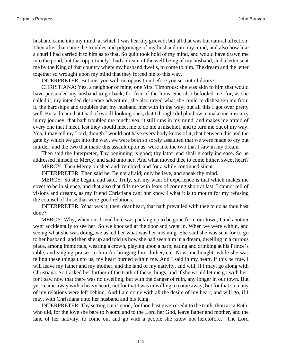husband came into my mind, at which I was heartily grieved; but all that was but natural affection. Then after that came the troubles and pilgrimage of my husband into my mind, and also how like a churl I had carried it to him as to that. So guilt took hold of my mind, and would have drawn me into the pond, but that opportunely I had a dream of the well-being of my husband, and a letter sent me by the King of that country where my husband dwells, to come to him. The dream and the letter together so wrought upon my mind that they forced me to this way.

INTERPRETER: But met you with no opposition before you set out of doors?

CHRISTIANA: Yes, a neighbor of mine, one Mrs. Timorous: she was akin to him that would have persuaded my husband to go back, for fear of the lions. She also befooled me, for, as she called it, my intended desperate adventure; she also urged what she could to dishearten me from it, the hardships and troubles that my husband met with in the way; but all this I got over pretty well. But a dream that I had of two ill-looking ones, that I thought did plot how to make me miscarry in my journey, that hath troubled me much: yea, it still runs in my mind, and makes me afraid of every one that I meet, lest they should meet me to do me a mischief, and to turn me out of my way. Yea, I may tell my Lord, though I would not have every body know of it, that between this and the gate by which we got into the way, we were both so sorely assaulted that we were made to cry out murder; and the two that made this assault upon us, were like the two that I saw in my dream.

Then said the Interpreter, Thy beginning is good; thy latter end shall greatly increase. So he addressed himself to Mercy, and said unto her, And what moved thee to come hither, sweet heart?

MERCY: Then Mercy blushed and trembled, and for a while continued silent.

INTERPRETER: Then said he, Be not afraid; only believe, and speak thy mind.

MERCY: So she began, and said, Truly, sir, my want of experience is that which makes me covet to be in silence, and that also that fills me with fears of coming short at last. I cannot tell of visions and dreams, as my friend Christiana can; nor know I what it is to mourn for my refusing the counsel of those that were good relations.

INTERPRETER: What was it, then, dear heart, that hath prevailed with thee to do as thou hast done?

MERCY: Why, when our friend here was packing up to be gone from our town, I and another went accidentally to see her. So we knocked at the door and went in. When we were within, and seeing what she was doing, we asked her what was her meaning. She said she was sent for to go to her husband; and then she up and told us how she had seen him in a dream, dwelling in a curious place, among immortals, wearing a crown, playing upon a harp, eating and drinking at his Prince's table, and singing praises to him for bringing him thither, etc. Now, methought, while she was telling these things unto us, my heart burned within me. And I said in my heart, If this be true, I will leave my father and my mother, and the land of my nativity, and will, if I may, go along with Christiana. So I asked her further of the truth of these things, and if she would let me go with her; for I saw now that there was no dwelling, but with the danger of ruin, any longer in our town. But yet I came away with a heavy heart; not for that I was unwilling to come away, but for that so many of my relations were left behind. And I am come with all the desire of my heart, and will go, if I may, with Christiana unto her husband and his King.

INTERPRETER: Thy setting out is good, for thou hast given credit to the truth; thou art a Ruth, who did, for the love she bare to Naomi and to the Lord her God, leave father and mother, and the land of her nativity, to come out and go with a people she knew not heretofore. "The Lord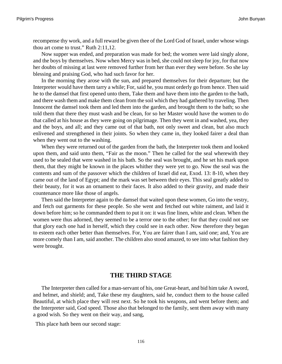recompense thy work, and a full reward be given thee of the Lord God of Israel, under whose wings thou art come to trust." [Ruth 2:11,12.](http://www.ccel.org/b/bible/asv/xml/asv.Ruth.2.xml#Ruth.2.11 Bible:Ruth.2.12)

Now supper was ended, and preparation was made for bed; the women were laid singly alone, and the boys by themselves. Now when Mercy was in bed, she could not sleep for joy, for that now her doubts of missing at last were removed further from her than ever they were before. So she lay blessing and praising God, who had such favor for her.

In the morning they arose with the sun, and prepared themselves for their departure; but the Interpreter would have them tarry a while; For, said he, you must orderly go from hence. Then said he to the damsel that first opened unto them, Take them and have them into the garden to the bath, and there wash them and make them clean from the soil which they had gathered by traveling. Then Innocent the damsel took them and led them into the garden, and brought them to the bath; so she told them that there they must wash and be clean, for so her Master would have the women to do that called at his house as they were going on pilgrimage. Then they went in and washed, yea, they and the boys, and all; and they came out of that bath, not only sweet and clean, but also much enlivened and strengthened in their joints. So when they came in, they looked fairer a deal than when they went out to the washing.

When they were returned out of the garden from the bath, the Interpreter took them and looked upon them, and said unto them, "Fair as the moon." Then he called for the seal wherewith they used to be sealed that were washed in his bath. So the seal was brought, and he set his mark upon them, that they might be known in the places whither they were yet to go. Now the seal was the contents and sum of the passover which the children of Israel did eat, [Exod. 13: 8-10,](http://www.ccel.org/b/bible/asv/xml/asv.Exod.13.xml#Exod.13.8) when they came out of the land of Egypt; and the mark was set between their eyes. This seal greatly added to their beauty, for it was an ornament to their faces. It also added to their gravity, and made their countenance more like those of angels.

Then said the Interpreter again to the damsel that waited upon these women, Go into the vestry, and fetch out garments for these people. So she went and fetched out white raiment, and laid it down before him; so he commanded them to put it on: it was fine linen, white and clean. When the women were thus adorned, they seemed to be a terror one to the other; for that they could not see that glory each one had in herself, which they could see in each other. Now therefore they began to esteem each other better than themselves. For, You are fairer than I am, said one; and, You are more comely than I am, said another. The children also stood amazed, to see into what fashion they were brought.

#### **THE THIRD STAGE**

The Interpreter then called for a man-servant of his, one Great-heart, and bid him take A sword, and helmet, and shield; and, Take these my daughters, said he, conduct them to the house called Beautiful, at which place they will rest next. So he took his weapons, and went before them; and the Interpreter said, God speed. Those also that belonged to the family, sent them away with many a good wish. So they went on their way, and sang,

This place hath been our second stage: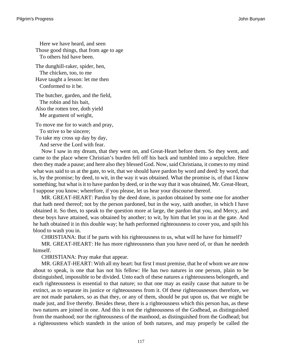Here we have heard, and seen Those good things, that from age to age To others hid have been.

The dunghill-raker, spider, hen, The chicken, too, to me Have taught a lesson: let me then Conformed to it be.

The butcher, garden, and the field, The robin and his bait, Also the rotten tree, doth yield Me argument of weight,

To move me for to watch and pray,

To strive to be sincere;

To take my cross up day by day,

And serve the Lord with fear.

Now I saw in my dream, that they went on, and Great-Heart before them. So they went, and came to the place where Christian's burden fell off his back and tumbled into a sepulchre. Here then they made a pause; and here also they blessed God. Now, said Christiana, it comes to my mind what was said to us at the gate, to wit, that we should have pardon by word and deed: by word, that is, by the promise; by deed, to wit, in the way it was obtained. What the promise is, of that I know something; but what is it to have pardon by deed, or in the way that it was obtained, Mr. Great-Heart, I suppose you know; wherefore, if you please, let us hear your discourse thereof.

MR. GREAT-HEART: Pardon by the deed done, is pardon obtained by some one for another that hath need thereof; not by the person pardoned, but in the way, saith another, in which I have obtained it. So then, to speak to the question more at large, the pardon that you, and Mercy, and these boys have attained, was obtained by another; to wit, by him that let you in at the gate. And he hath obtained it in this double way; he hath performed righteousness to cover you, and spilt his blood to wash you in.

CHRISTIANA: But if he parts with his righteousness to us, what will he have for himself?

MR. GREAT-HEART: He has more righteousness than you have need of, or than he needeth himself.

CHRISTIANA: Pray make that appear.

MR. GREAT-HEART: With all my heart: but first I must premise, that he of whom we are now about to speak, is one that has not his fellow: He has two natures in one person, plain to be distinguished, impossible to be divided. Unto each of these natures a righteousness belongeth, and each righteousness is essential to that nature; so that one may as easily cause that nature to be extinct, as to separate its justice or righteousness from it. Of these righteousnesses therefore, we are not made partakers, so as that they, or any of them, should be put upon us, that we might be made just, and live thereby. Besides these, there is a righteousness which this person has, as these two natures are joined in one. And this is not the righteousness of the Godhead, as distinguished from the manhood; nor the righteousness of the manhood, as distinguished from the Godhead; but a righteousness which standeth in the union of both natures, and may properly be called the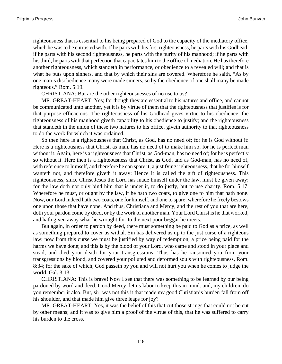righteousness that is essential to his being prepared of God to the capacity of the mediatory office, which he was to be entrusted with. If he parts with his first righteousness, he parts with his Godhead; if he parts with his second righteousness, he parts with the purity of his manhood; if he parts with his third, he parts with that perfection that capacitates him to the office of mediation. He has therefore another righteousness, which standeth in performance, or obedience to a revealed will; and that is what he puts upon sinners, and that by which their sins are covered. Wherefore he saith, "As by one man's disobedience many were made sinners, so by the obedience of one shall many be made righteous." [Rom. 5:19.](http://www.ccel.org/b/bible/asv/xml/asv.Rom.5.xml#Rom.5.19)

CHRISTIANA: But are the other righteousnesses of no use to us?

MR. GREAT-HEART: Yes; for though they are essential to his natures and office, and cannot be communicated unto another, yet it is by virtue of them that the righteousness that justifies is for that purpose efficacious. The righteousness of his Godhead gives virtue to his obedience; the righteousness of his manhood giveth capability to his obedience to justify; and the righteousness that standeth in the union of these two natures to his office, giveth authority to that righteousness to do the work for which it was ordained.

So then here is a righteousness that Christ, as God, has no need of; for he is God without it: Here is a righteousness that Christ, as man, has no need of to make him so; for he is perfect man without it. Again, here is a righteousness that Christ, as God-man, has no need of; for he is perfectly so without it. Here then is a righteousness that Christ, as God, and as God-man, has no need of, with reference to himself, and therefore he can spare it; a justifying righteousness, that he for himself wanteth not, and therefore giveth it away: Hence it is called the gift of righteousness. This righteousness, since Christ Jesus the Lord has made himself under the law, must be given away; for the law doth not only bind him that is under it, to do justly, but to use charity. [Rom. 5:17](http://www.ccel.org/b/bible/asv/xml/asv.Rom.5.xml#Rom.5.17). Wherefore he must, or ought by the law, if he hath two coats, to give one to him that hath none. Now, our Lord indeed hath two coats, one for himself, and one to spare; wherefore he freely bestows one upon those that have none. And thus, Christiana and Mercy, and the rest of you that are here, doth your pardon come by deed, or by the work of another man. Your Lord Christ is he that worked, and hath given away what he wrought for, to the next poor beggar he meets.

But again, in order to pardon by deed, there must something be paid to God as a price, as well as something prepared to cover us withal. Sin has delivered us up to the just curse of a righteous law: now from this curse we must be justified by way of redemption, a price being paid for the harms we have done; and this is by the blood of your Lord, who came and stood in your place and stead, and died your death for your transgressions: Thus has he ransomed you from your transgressions by blood, and covered your polluted and deformed souls with righteousness, [Rom.](http://www.ccel.org/b/bible/asv/xml/asv.Rom.8.xml#Rom.8.34) [8:34](http://www.ccel.org/b/bible/asv/xml/asv.Rom.8.xml#Rom.8.34); for the sake of which, God passeth by you and will not hurt you when he comes to judge the world. [Gal. 3:13.](http://www.ccel.org/b/bible/asv/xml/asv.Gal.3.xml#Gal.3.13)

CHRISTIANA: This is brave! Now I see that there was something to be learned by our being pardoned by word and deed. Good Mercy, let us labor to keep this in mind: and, my children, do you remember it also. But, sir, was not this it that made my good Christian's burden fall from off his shoulder, and that made him give three leaps for joy?

MR. GREAT-HEART: Yes, it was the belief of this that cut those strings that could not be cut by other means; and it was to give him a proof of the virtue of this, that he was suffered to carry his burden to the cross.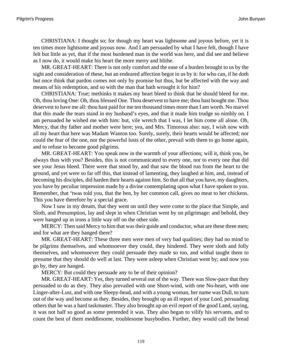CHRISTIANA: I thought so; for though my heart was lightsome and joyous before, yet it is ten times more lightsome and joyous now. And I am persuaded by what I have felt, though I have felt but little as yet, that if the most burdened man in the world was here, and did see and believe as I now do, it would make his heart the more merry and blithe.

MR. GREAT-HEART: There is not only comfort and the ease of a burden brought to us by the sight and consideration of these, but an endeared affection begot in us by it: for who can, if he doth but once think that pardon comes not only by promise but thus, but be affected with the way and means of his redemption, and so with the man that hath wrought it for him?

CHRISTIANA: True; methinks it makes my heart bleed to think that he should bleed for me. Oh, thou loving One: Oh, thou blessed One. Thou deservest to have me; thou hast bought me. Thou deservest to have me all: thou hast paid for me ten thousand times more than I am worth. No marvel that this made the tears stand in my husband's eyes, and that it made him trudge so nimbly on. I am persuaded he wished me with him: but, vile wretch that I was, I let him come all alone. Oh, Mercy, that thy father and mother were here; yea, and Mrs. Timorous also: nay, I wish now with all my heart that here was Madam Wanton too. Surely, surely, their hearts would be affected; nor could the fear of the one, nor the powerful lusts of the other, prevail with them to go home again, and to refuse to become good pilgrims.

MR. GREAT-HEART: You speak now in the warmth of your affections; will it, think you, be always thus with you? Besides, this is not communicated to every one, nor to every one that did see your Jesus bleed. There were that stood by, and that saw the blood run from the heart to the ground, and yet were so far off this, that instead of lamenting, they laughed at him, and, instead of becoming his disciples, did harden their hearts against him. So that all that you have, my daughters, you have by peculiar impression made by a divine contemplating upon what I have spoken to you. Remember, that 'twas told you, that the hen, by her common call, gives no meat to her chickens. This you have therefore by a special grace.

Now I saw in my dream, that they went on until they were come to the place that Simple, and Sloth, and Presumption, lay and slept in when Christian went by on pilgrimage: and behold, they were hanged up in irons a little way off on the other side.

MERCY: Then said Mercy to him that was their guide and conductor, what are these three men; and for what are they hanged there?

MR. GREAT-HEART: These three men were men of very bad qualities; they had no mind to be pilgrims themselves, and whomsoever they could, they hindered. They were sloth and folly themselves, and whomsoever they could persuade they made so too, and withal taught them to presume that they should do well at last. They were asleep when Christian went by; and now you go by, they are hanged.

MERCY: But could they persuade any to be of their opinion?

MR. GREAT-HEART: Yes, they turned several out of the way. There was Slow-pace that they persuaded to do as they. They also prevailed with one Short-wind, with one No-heart, with one Linger-after-Lust, and with one Sleepy-head, and with a young woman, her name was Dull, to turn out of the way and become as they. Besides, they brought up an ill report of your Lord, persuading others that he was a hard taskmaster. They also brought up an evil report of the good Land, saying, it was not half so good as some pretended it was. They also began to vilify his servants, and to count the best of them meddlesome, troublesome busybodies. Further, they would call the bread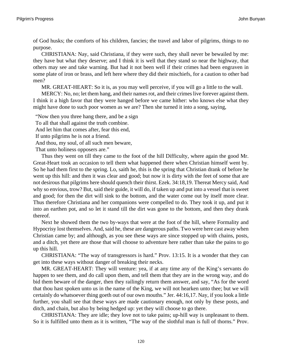of God husks; the comforts of his children, fancies; the travel and labor of pilgrims, things to no purpose.

CHRISTIANA: Nay, said Christiana, if they were such, they shall never be bewailed by me: they have but what they deserve; and I think it is well that they stand so near the highway, that others may see and take warning. But had it not been well if their crimes had been engraven in some plate of iron or brass, and left here where they did their mischiefs, for a caution to other bad men?

MR. GREAT-HEART: So it is, as you may well perceive, if you will go a little to the wall.

MERCY: No, no; let them hang, and their names rot, and their crimes live forever against them. I think it a high favor that they were hanged before we came hither: who knows else what they might have done to such poor women as we are? Then she turned it into a song, saying,

"Now then you three hang there, and be a sign To all that shall against the truth combine. And let him that comes after, fear this end, If unto pilgrims he is not a friend. And thou, my soul, of all such men beware, That unto holiness opposers are."

Thus they went on till they came to the foot of the hill Difficulty, where again the good Mr. Great-Heart took an occasion to tell them what happened there when Christian himself went by. So he had them first to the spring. Lo, saith he, this is the spring that Christian drank of before he went up this hill: and then it was clear and good; but now it is dirty with the feet of some that are not desirous that pilgrims here should quench their thirst. [Ezek. 34:18,19](http://www.ccel.org/b/bible/asv/xml/asv.Ezek.34.xml#Ezek.34.18 Bible:Ezek.34.19). Thereat Mercy said, And why so envious, trow? But, said their guide, it will do, if taken up and put into a vessel that is sweet and good; for then the dirt will sink to the bottom, and the water come out by itself more clear. Thus therefore Christiana and her companions were compelled to do. They took it up, and put it into an earthen pot, and so let it stand till the dirt was gone to the bottom, and then they drank thereof.

Next he showed them the two by-ways that were at the foot of the hill, where Formality and Hypocrisy lost themselves. And, said he, these are dangerous paths. Two were here cast away when Christian came by; and although, as you see these ways are since stopped up with chains, posts, and a ditch, yet there are those that will choose to adventure here rather than take the pains to go up this hill.

CHRISTIANA: "The way of transgressors is hard." [Prov. 13:15.](http://www.ccel.org/b/bible/asv/xml/asv.Prov.13.xml#Prov.13.15) It is a wonder that they can get into these ways without danger of breaking their necks.

MR. GREAT-HEART: They will venture: yea, if at any time any of the King's servants do happen to see them, and do call upon them, and tell them that they are in the wrong way, and do bid them beware of the danger, then they railingly return them answer, and say, "As for the word that thou hast spoken unto us in the name of the King, we will not hearken unto thee; but we will certainly do whatsoever thing goeth out of our own mouths." [Jer. 44:16,17.](http://www.ccel.org/b/bible/asv/xml/asv.Jer.44.xml#Jer.44.16 Bible:Jer.44.17) Nay, if you look a little further, you shall see that these ways are made cautionary enough, not only by these posts, and ditch, and chain, but also by being hedged up: yet they will choose to go there.

CHRISTIANA: They are idle; they love not to take pains; up-hill way is unpleasant to them. So it is fulfilled unto them as it is written, "The way of the slothful man is full of thorns." [Prov.](http://www.ccel.org/b/bible/asv/xml/asv.Prov.15.xml#Prov.15.19)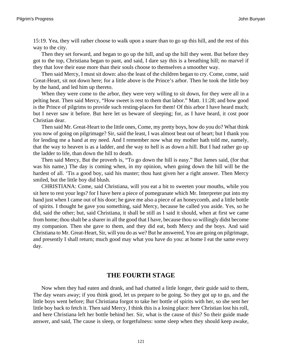[15:19](http://www.ccel.org/b/bible/asv/xml/asv.Prov.15.xml#Prov.15.19). Yea, they will rather choose to walk upon a snare than to go up this hill, and the rest of this way to the city.

Then they set forward, and began to go up the hill, and up the hill they went. But before they got to the top, Christiana began to pant, and said, I dare say this is a breathing hill; no marvel if they that love their ease more than their souls choose to themselves a smoother way.

Then said Mercy, I must sit down: also the least of the children began to cry. Come, come, said Great-Heart, sit not down here; for a little above is the Prince's arbor. Then he took the little boy by the hand, and led him up thereto.

When they were come to the arbor, they were very willing to sit down, for they were all in a pelting heat. Then said Mercy, "How sweet is rest to them that labor." [Matt. 11:28;](http://www.ccel.org/b/bible/asv/xml/asv.Matt.11.xml#Matt.11.28) and how good is the Prince of pilgrims to provide such resting-places for them! Of this arbor I have heard much; but I never saw it before. But here let us beware of sleeping; for, as I have heard, it cost poor Christian dear.

Then said Mr. Great-Heart to the little ones, Come, my pretty boys, how do you do? What think you now of going on pilgrimage? Sir, said the least, I was almost beat out of heart; but I thank you for lending me a hand at my need. And I remember now what my mother hath told me, namely, that the way to heaven is as a ladder, and the way to hell is as down a hill. But I had rather go up the ladder to life, than down the hill to death.

Then said Mercy, But the proverb is, "To go down the hill is easy." But James said, (for that was his name,) The day is coming when, in my opinion, when going down the hill will be the hardest of all. 'Tis a good boy, said his master; thou hast given her a right answer. Then Mercy smiled, but the little boy did blush.

CHRISTIANA: Come, said Christiana, will you eat a bit to sweeten your mouths, while you sit here to rest your legs? for I have here a piece of pomegranate which Mr. Interpreter put into my hand just when I came out of his door; he gave me also a piece of an honeycomb, and a little bottle of spirits. I thought he gave you something, said Mercy, because he called you aside. Yes, so he did, said the other; but, said Christiana, it shall be still as I said it should, when at first we came from home; thou shalt be a sharer in all the good that I have, because thou so willingly didst become my companion. Then she gave to them, and they did eat, both Mercy and the boys. And said Christiana to Mr. Great-Heart, Sir, will you do as we? But he answered, You are going on pilgrimage, and presently I shall return; much good may what you have do you: at home I eat the same every day.

## **THE FOURTH STAGE**

Now when they had eaten and drank, and had chatted a little longer, their guide said to them, The day wears away; if you think good, let us prepare to be going. So they got up to go, and the little boys went before; But Christiana forgot to take her bottle of spirits with her, so she sent her little boy back to fetch it. Then said Mercy, I think this is a losing place: here Christian lost his roll, and here Christiana left her bottle behind her. Sir, what is the cause of this? So their guide made answer, and said, The cause is sleep, or forgetfulness: some sleep when they should keep awake,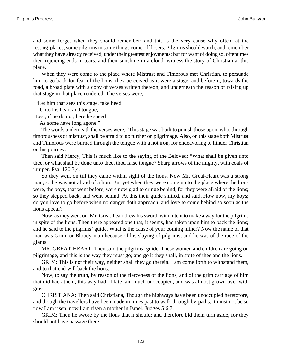and some forget when they should remember; and this is the very cause why often, at the resting-places, some pilgrims in some things come off losers. Pilgrims should watch, and remember what they have already received, under their greatest enjoyments; but for want of doing so, oftentimes their rejoicing ends in tears, and their sunshine in a cloud: witness the story of Christian at this place.

When they were come to the place where Mistrust and Timorous met Christian, to persuade him to go back for fear of the lions, they perceived as it were a stage, and before it, towards the road, a broad plate with a copy of verses written thereon, and underneath the reason of raising up that stage in that place rendered. The verses were,

"Let him that sees this stage, take heed

Unto his heart and tongue;

Lest, if he do not, here he speed

As some have long agone."

The words underneath the verses were, "This stage was built to punish those upon, who, through timorousness or mistrust, shall be afraid to go further on pilgrimage. Also, on this stage both Mistrust and Timorous were burned through the tongue with a hot iron, for endeavoring to hinder Christian on his journey."

Then said Mercy, This is much like to the saying of the Beloved: "What shall be given unto thee, or what shall be done unto thee, thou false tongue? Sharp arrows of the mighty, with coals of juniper. [Psa. 120:3,4](http://www.ccel.org/b/bible/asv/xml/asv.Ps.120.xml#Ps.120.3 Bible:Ps.120.4).

So they went on till they came within sight of the lions. Now Mr. Great-Heart was a strong man, so he was not afraid of a lion: But yet when they were come up to the place where the lions were, the boys, that went before, were now glad to cringe behind, for they were afraid of the lions; so they stepped back, and went behind. At this their guide smiled, and said, How now, my boys; do you love to go before when no danger doth approach, and love to come behind so soon as the lions appear?

Now, as they went on, Mr. Great-heart drew his sword, with intent to make a way for the pilgrims in spite of the lions. Then there appeared one that, it seems, had taken upon him to back the lions; and he said to the pilgrims' guide, What is the cause of your coming hither? Now the name of that man was Grim, or Bloody-man because of his slaying of pilgrims; and he was of the race of the giants.

MR. GREAT-HEART: Then said the pilgrims' guide, These women and children are going on pilgrimage, and this is the way they must go; and go it they shall, in spite of thee and the lions.

GRIM: This is not their way, neither shall they go therein. I am come forth to withstand them, and to that end will back the lions.

Now, to say the truth, by reason of the fierceness of the lions, and of the grim carriage of him that did back them, this way had of late lain much unoccupied, and was almost grown over with grass.

CHRISTIANA: Then said Christiana, Though the highways have been unoccupied heretofore, and though the travellers have been made in times past to walk through by-paths, it must not be so now I am risen, now I am risen a mother in Israel. [Judges 5:6,7.](http://www.ccel.org/b/bible/asv/xml/asv.Judg.5.xml#Judg.5.6 Bible:Judg.5.7)

GRIM: Then he swore by the lions that it should; and therefore bid them turn aside, for they should not have passage there.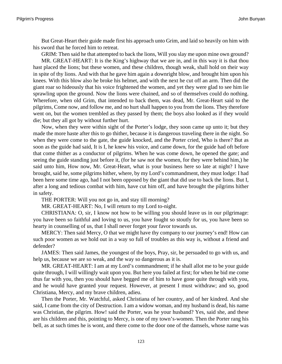But Great-Heart their guide made first his approach unto Grim, and laid so heavily on him with his sword that he forced him to retreat.

GRIM: Then said he that attempted to back the lions, Will you slay me upon mine own ground? MR. GREAT-HEART: It is the King's highway that we are in, and in this way it is that thou hast placed the lions; but these women, and these children, though weak, shall hold on their way in spite of thy lions. And with that he gave him again a downright blow, and brought him upon his knees. With this blow also he broke his helmet, and with the next he cut off an arm. Then did the giant roar so hideously that his voice frightened the women, and yet they were glad to see him lie sprawling upon the ground. Now the lions were chained, and so of themselves could do nothing. Wherefore, when old Grim, that intended to back them, was dead, Mr. Great-Heart said to the pilgrims, Come now, and follow me, and no hurt shall happen to you from the lions. They therefore went on, but the women trembled as they passed by them; the boys also looked as if they would die; but they all got by without further hurt.

Now, when they were within sight of the Porter's lodge, they soon came up unto it; but they made the more haste after this to go thither, because it is dangerous traveling there in the night. So when they were come to the gate, the guide knocked, and the Porter cried, Who is there? But as soon as the guide had said, It is I, he knew his voice, and came down, for the guide had oft before that come thither as a conductor of pilgrims. When he was come down, he opened the gate; and seeing the guide standing just before it, (for he saw not the women, for they were behind him,) he said unto him, How now, Mr. Great-Heart, what is your business here so late at night? I have brought, said he, some pilgrims hither, where, by my Lord's commandment, they must lodge: I had been here some time ago, had I not been opposed by the giant that did use to back the lions. But I, after a long and tedious combat with him, have cut him off, and have brought the pilgrims hither in safety.

THE PORTER: Will you not go in, and stay till morning?

MR. GREAT-HEART: No, I will return to my Lord to-night.

CHRISTIANA: O, sir, I know not how to be willing you should leave us in our pilgrimage: you have been so faithful and loving to us, you have fought so stoutly for us, you have been so hearty in counselling of us, that I shall never forget your favor towards us.

MERCY: Then said Mercy, O that we might have thy company to our journey's end! How can such poor women as we hold out in a way so full of troubles as this way is, without a friend and defender?

JAMES: Then said James, the youngest of the boys, Pray, sir, be persuaded to go with us, and help us, because we are so weak, and the way so dangerous as it is.

MR. GREAT-HEART: I am at my Lord's commandment; if he shall allot me to be your guide quite through, I will willingly wait upon you. But here you failed at first; for when he bid me come thus far with you, then you should have begged me of him to have gone quite through with you, and he would have granted your request. However, at present I must withdraw; and so, good Christiana, Mercy, and my brave children, adieu.

Then the Porter, Mr. Watchful, asked Christiana of her country, and of her kindred. And she said, I came from the city of Destruction. I am a widow woman, and my husband is dead, his name was Christian, the pilgrim. How! said the Porter, was he your husband? Yes, said she, and these are his children and this, pointing to Mercy, is one of my town's-women. Then the Porter rang his bell, as at such times he is wont, and there come to the door one of the damsels, whose name was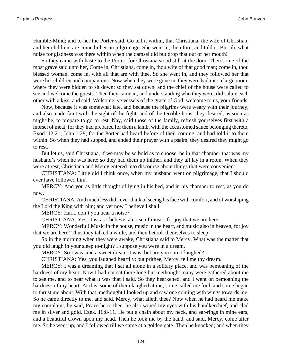Humble-Mind; and to her the Porter said, Go tell it within, that Christiana, the wife of Christian, and her children, are come hither on pilgrimage. She went in, therefore, and told it. But oh, what noise for gladness was there within when the damsel did but drop that out of her mouth!

So they came with haste to the Porter, for Christana stood still at the door. Then some of the most grave said unto her, Come in, Christiana, come in, thou wife of that good man; come in, thou blessed woman, come in, with all that are with thee. So she went in, and they followed her that were her children and companions. Now when they were gone in, they were had into a large room, where they were bidden to sit down: so they sat down, and the chief of the house were called to see and welcome the guests. Then they came in, and understanding who they were, did salute each other with a kiss, and said, Welcome, ye vessels of the grace of God; welcome to us, your friends.

Now, because it was somewhat late, and because the pilgrims were weary with their journey, and also made faint with the sight of the fight, and of the terrible lions, they desired, as soon as might be, to prepare to go to rest. Nay, said those of the family, refresh yourselves first with a morsel of meat; for they had prepared for them a lamb, with the accustomed sauce belonging thereto, [Exod. 12:21](http://www.ccel.org/b/bible/asv/xml/asv.Exod.12.xml#Exod.12.21); [John 1:29;](http://www.ccel.org/b/bible/asv/xml/asv.John.1.xml#John.1.29) for the Porter had heard before of their coming, and had told it to them within. So when they had supped, and ended their prayer with a psalm, they desired they might go to rest.

But let us, said Christiana, if we may be so bold as to choose, be in that chamber that was my husband's when he was here; so they had them up thither, and they all lay in a room. When they were at rest, Christiana and Mercy entered into discourse about things that were convenient.

CHRISTIANA: Little did I think once, when my husband went on pilgrimage, that I should ever have followed him.

MERCY: And you as little thought of lying in his bed, and in his chamber to rest, as you do now.

CHRISTIANA: And much less did I ever think of seeing his face with comfort, and of worshiping the Lord the King with him; and yet now I believe I shall.

MERCY: Hark, don't you hear a noise?

CHRISTIANA: Yes, it is, as I believe, a noise of music, for joy that we are here.

MERCY: Wonderful! Music in the house, music in the heart, and music also in heaven, for joy that we are here! Thus they talked a while, and then betook themselves to sleep.

So in the morning when they were awake, Christiana said to Mercy, What was the matter that you did laugh in your sleep to-night? I suppose you were in a dream.

MERCY: So I was, and a sweet dream it was; but are you sure I laughed?

CHRISTIANA: Yes, you laughed heartily; but prithee, Mercy, tell me thy dream.

MERCY: I was a dreaming that I sat all alone in a solitary place, and was bemoaning of the hardness of my heart. Now I had not sat there long but methought many were gathered about me to see me, and to hear what it was that I said. So they hearkened, and I went on bemoaning the hardness of my heart. At this, some of them laughed at me, some called me fool, and some began to thrust me about. With that, methought I looked up and saw one coming with wings towards me. So he came directly to me, and said, Mercy, what aileth thee? Now when he had heard me make my complaint, he said, Peace be to thee; he also wiped my eyes with his handkerchief, and clad me in silver and gold. [Ezek. 16:8-11](http://www.ccel.org/b/bible/asv/xml/asv.Ezek.16.xml#Ezek.16.8). He put a chain about my neck, and ear-rings in mine ears, and a beautiful crown upon my head. Then he took me by the hand, and said, Mercy, come after me. So he went up, and I followed till we came at a golden gate. Then he knocked; and when they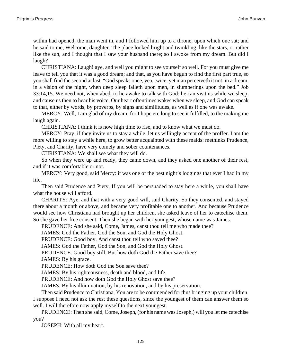within had opened, the man went in, and I followed him up to a throne, upon which one sat; and he said to me, Welcome, daughter. The place looked bright and twinkling, like the stars, or rather like the sun, and I thought that I saw your husband there; so I awoke from my dream. But did I laugh?

CHRISTIANA: Laugh! aye, and well you might to see yourself so well. For you must give me leave to tell you that it was a good dream; and that, as you have begun to find the first part true, so you shall find the second at last. "God speaks once, yea, twice, yet man perceiveth it not; in a dream, in a vision of the night, when deep sleep falleth upon men, in slumberings upon the bed." [Job](http://www.ccel.org/b/bible/asv/xml/asv.Job.33.xml#Job.33.14 Bible:Job.33.15) [33:14,15](http://www.ccel.org/b/bible/asv/xml/asv.Job.33.xml#Job.33.14 Bible:Job.33.15). We need not, when abed, to lie awake to talk with God; he can visit us while we sleep, and cause us then to hear his voice. Our heart oftentimes wakes when we sleep, and God can speak to that, either by words, by proverbs, by signs and similitudes, as well as if one was awake.

MERCY: Well, I am glad of my dream; for I hope ere long to see it fulfilled, to the making me laugh again.

CHRISTIANA: I think it is now high time to rise, and to know what we must do.

MERCY: Pray, if they invite us to stay a while, let us willingly accept of the proffer. I am the more willing to stay a while here, to grow better acquainted with these maids: methinks Prudence, Piety, and Charity, have very comely and sober countenances.

CHRISTIANA: We shall see what they will do.

So when they were up and ready, they came down, and they asked one another of their rest, and if it was comfortable or not.

MERCY: Very good, said Mercy: it was one of the best night's lodgings that ever I had in my life.

Then said Prudence and Piety, If you will be persuaded to stay here a while, you shall have what the house will afford.

CHARITY: Aye, and that with a very good will, said Charity. So they consented, and stayed there about a month or above, and became very profitable one to another. And because Prudence would see how Christiana had brought up her children, she asked leave of her to catechise them. So she gave her free consent. Then she began with her youngest, whose name was James.

PRUDENCE: And she said, Come, James, canst thou tell me who made thee?

JAMES: God the Father, God the Son, and God the Holy Ghost.

PRUDENCE: Good boy. And canst thou tell who saved thee?

JAMES: God the Father, God the Son, and God the Holy Ghost.

PRUDENCE: Good boy still. But how doth God the Father save thee?

JAMES: By his grace.

PRUDENCE: How doth God the Son save thee?

JAMES: By his righteousness, death and blood, and life.

PRUDENCE: And how doth God the Holy Ghost save thee?

JAMES: By his illumination, by his renovation, and by his preservation.

Then said Prudence to Christiana, You are to be commended for thus bringing up your children. I suppose I need not ask the rest these questions, since the youngest of them can answer them so

well. I will therefore now apply myself to the next youngest.

PRUDENCE: Then she said, Come, Joseph, (for his name was Joseph,) will you let me catechise you?

JOSEPH: With all my heart.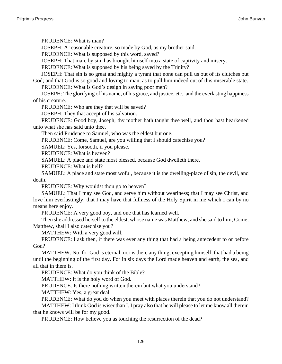PRUDENCE: What is man?

JOSEPH: A reasonable creature, so made by God, as my brother said.

PRUDENCE: What is supposed by this word, saved?

JOSEPH: That man, by sin, has brought himself into a state of captivity and misery.

PRUDENCE: What is supposed by his being saved by the Trinity?

JOSEPH: That sin is so great and mighty a tyrant that none can pull us out of its clutches but God; and that God is so good and loving to man, as to pull him indeed out of this miserable state.

PRUDENCE: What is God's design in saving poor men?

JOSEPH: The glorifying of his name, of his grace, and justice, etc., and the everlasting happiness of his creature.

PRUDENCE: Who are they that will be saved?

JOSEPH: They that accept of his salvation.

PRUDENCE: Good boy, Joseph; thy mother hath taught thee well, and thou hast hearkened unto what she has said unto thee.

Then said Prudence to Samuel, who was the eldest but one,

PRUDENCE: Come, Samuel, are you willing that I should catechise you?

SAMUEL: Yes, forsooth, if you please.

PRUDENCE: What is heaven?

SAMUEL: A place and state most blessed, because God dwelleth there.

PRUDENCE: What is hell?

SAMUEL: A place and state most woful, because it is the dwelling-place of sin, the devil, and death.

PRUDENCE: Why wouldst thou go to heaven?

SAMUEL: That I may see God, and serve him without weariness; that I may see Christ, and love him everlastingly; that I may have that fullness of the Holy Spirit in me which I can by no means here enjoy.

PRUDENCE: A very good boy, and one that has learned well.

Then she addressed herself to the eldest, whose name was Matthew; and she said to him, Come, Matthew, shall I also catechise you?

MATTHEW: With a very good will.

PRUDENCE: I ask then, if there was ever any thing that had a being antecedent to or before God?

MATTHEW: No, for God is eternal; nor is there any thing, excepting himself, that had a being until the beginning of the first day. For in six days the Lord made heaven and earth, the sea, and all that in them is.

PRUDENCE: What do you think of the Bible?

MATTHEW: It is the holy word of God.

PRUDENCE: Is there nothing written therein but what you understand?

MATTHEW: Yes, a great deal.

PRUDENCE: What do you do when you meet with places therein that you do not understand?

MATTHEW: I think God is wiser than I. I pray also that he will please to let me know all therein that he knows will be for my good.

PRUDENCE: How believe you as touching the resurrection of the dead?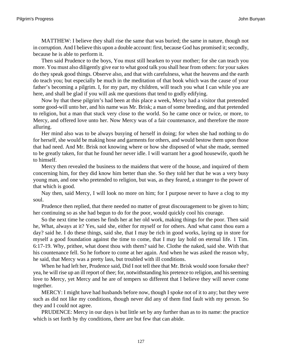MATTHEW: I believe they shall rise the same that was buried; the same in nature, though not in corruption. And I believe this upon a double account: first, because God has promised it; secondly, because he is able to perform it.

Then said Prudence to the boys, You must still hearken to your mother; for she can teach you more. You must also diligently give ear to what good talk you shall hear from others: for your sakes do they speak good things. Observe also, and that with carefulness, what the heavens and the earth do teach you; but especially be much in the meditation of that book which was the cause of your father's becoming a pilgrim. I, for my part, my children, will teach you what I can while you are here, and shall be glad if you will ask me questions that tend to godly edifying.

Now by that these pilgrim's had been at this place a week, Mercy had a visitor that pretended some good-will unto her, and his name was Mr. Brisk; a man of some breeding, and that pretended to religion, but a man that stuck very close to the world. So he came once or twice, or more, to Mercy, and offered love unto her. Now Mercy was of a fair countenance, and therefore the more alluring.

Her mind also was to be always busying of herself in doing; for when she had nothing to do for herself, she would be making hose and garments for others, and would bestow them upon those that had need. And Mr. Brisk not knowing where or how she disposed of what she made, seemed to be greatly taken, for that he found her never idle. I will warrant her a good housewife, quoth he to himself.

Mercy then revealed the business to the maidens that were of the house, and inquired of them concerning him, for they did know him better than she. So they told her that he was a very busy young man, and one who pretended to religion, but was, as they feared, a stranger to the power of that which is good.

Nay then, said Mercy, I will look no more on him; for I purpose never to have a clog to my soul.

Prudence then replied, that there needed no matter of great discouragement to be given to him; her continuing so as she had begun to do for the poor, would quickly cool his courage.

So the next time he comes he finds her at her old work, making things for the poor. Then said he, What, always at it? Yes, said she, either for myself or for others. And what canst thou earn a day? said he. I do these things, said she, that I may be rich in good works, laying up in store for myself a good foundation against the time to come, that I may lay hold on eternal life. [1 Tim.](http://www.ccel.org/b/bible/asv/xml/asv.iTim.6.xml#iTim.6.17) [6:17-19](http://www.ccel.org/b/bible/asv/xml/asv.iTim.6.xml#iTim.6.17). Why, prithee, what doest thou with them? said he. Clothe the naked, said she. With that his countenance fell. So he forbore to come at her again. And when he was asked the reason why, he said, that Mercy was a pretty lass, but troubled with ill conditions.

When he had left her, Prudence said, Did I not tell thee that Mr. Brisk would soon forsake thee? yea, he will rise up an ill report of thee; for, notwithstanding his pretence to religion, and his seeming love to Mercy, yet Mercy and he are of tempers so different that I believe they will never come together.

MERCY: I might have had husbands before now, though I spoke not of it to any; but they were such as did not like my conditions, though never did any of them find fault with my person. So they and I could not agree.

PRUDENCE: Mercy in our days is but little set by any further than as to its name: the practice which is set forth by thy conditions, there are but few that can abide.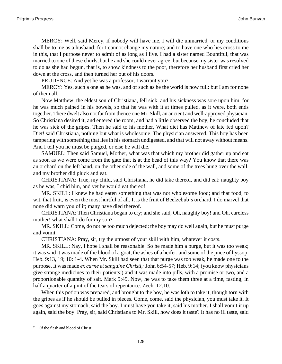MERCY: Well, said Mercy, if nobody will have me, I will die unmarried, or my conditions shall be to me as a husband: for I cannot change my nature; and to have one who lies cross to me in this, that I purpose never to admit of as long as I live. I had a sister named Bountiful, that was married to one of these churls, but he and she could never agree; but because my sister was resolved to do as she had begun, that is, to show kindness to the poor, therefore her husband first cried her down at the cross, and then turned her out of his doors.

PRUDENCE: And yet he was a professor, I warrant you?

MERCY: Yes, such a one as he was, and of such as he the world is now full: but I am for none of them all.

Now Matthew, the eldest son of Christiana, fell sick, and his sickness was sore upon him, for he was much pained in his bowels, so that he was with it at times pulled, as it were, both ends together. There dwelt also not far from thence one Mr. Skill, an ancient and well-approved physician. So Christiana desired it, and entered the room, and had a little observed the boy, he concluded that he was sick of the gripes. Then he said to his mother, What diet has Matthew of late fed upon? Diet! said Christiana, nothing but what is wholesome. The physician answered, This boy has been tampering with something that lies in his stomach undigested, and that will not away without means. And I tell you he must be purged, or else he will die.

SAMUEL: Then said Samuel, Mother, what was that which my brother did gather up and eat as soon as we were come from the gate that is at the head of this way? You know that there was an orchard on the left hand, on the other side of the wall, and some of the trees hung over the wall, and my brother did pluck and eat.

CHRISTIANA: True, my child, said Christiana, he did take thereof, and did eat: naughty boy as he was, I chid him, and yet he would eat thereof.

MR. SKILL: I knew he had eaten something that was not wholesome food; and that food, to wit, that fruit, is even the most hurtful of all. It is the fruit of Beelzebub's orchard. I do marvel that none did warn you of it; many have died thereof.

CHRISTIANA: Then Christiana began to cry; and she said, Oh, naughty boy! and Oh, careless mother! what shall I do for my son?

MR. SKILL: Come, do not be too much dejected; the boy may do well again, but he must purge and vomit.

CHRISTIANA: Pray, sir, try the utmost of your skill with him, whatever it costs.

MR. SKILL: Nay, I hope I shall be reasonable. So he made him a purge, but it was too weak; it was said it was made of the blood of a goat, the ashes of a heifer, and some of the juice of hyssop. [Heb. 9:13](http://www.ccel.org/b/bible/asv/xml/asv.Heb.9.xml#Heb.9.13), [19](http://www.ccel.org/b/bible/asv/xml/asv.Heb.9.xml#Heb.9.19); [10: 1-4.](http://www.ccel.org/b/bible/asv/xml/asv.Heb.10.xml#Heb.10.1) When Mr. Skill had seen that that purge was too weak, he made one to the purpose. It was made *ex carne et sanguine Christi*, 7 [John 6:54-57;](http://www.ccel.org/b/bible/asv/xml/asv.John.6.xml#John.6.54) [Heb. 9:14](http://www.ccel.org/b/bible/asv/xml/asv.Heb.9.xml#Heb.9.14); (you know physicians give strange medicines to their patients:) and it was made into pills, with a promise or two, and a proportionable quantity of salt. [Mark 9:49.](http://www.ccel.org/b/bible/asv/xml/asv.Mark.9.xml#Mark.9.49) Now, he was to take them three at a time, fasting, in half a quarter of a pint of the tears of repentance. [Zech. 12:10.](http://www.ccel.org/b/bible/asv/xml/asv.Zech.12.xml#Zech.12.10)

When this potion was prepared, and brought to the boy, he was loth to take it, though torn with the gripes as if he should be pulled in pieces. Come, come, said the physician, you must take it. It goes against my stomach, said the boy. I must have you take it, said his mother. I shall vomit it up again, said the boy. Pray, sir, said Christiana to Mr. Skill, how does it taste? It has no ill taste, said

<sup>7</sup> Of the flesh and blood of Christ.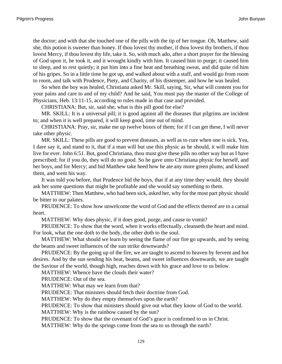the doctor; and with that she touched one of the pills with the tip of her tongue. Oh, Matthew, said she, this potion is sweeter than honey. If thou lovest thy mother, if thou lovest thy brothers, if thou lovest Mercy, if thou lovest thy life, take it. So, with much ado, after a short prayer for the blessing of God upon it, he took it, and it wrought kindly with him. It caused him to purge; it caused him to sleep, and to rest quietly; it put him into a fine heat and breathing sweat, and did quite rid him of his gripes. So in a little time he got up, and walked about with a staff, and would go from room to room, and talk with Prudence, Piety, and Charity, of his distemper, and how he was healed.

So when the boy was healed, Christiana asked Mr. Skill, saying, Sir, what will content you for your pains and care to and of my child? And he said, You must pay the master of the College of Physicians, [Heb. 13:11-15,](http://www.ccel.org/b/bible/asv/xml/asv.Heb.13.xml#Heb.13.11) according to rules made in that case and provided.

CHRISTIANA: But, sir, said she, what is this pill good for else?

MR. SKILL: It is a universal pill; it is good against all the diseases that pilgrims are incident to; and when it is well prepared, it will keep good, time out of mind.

CHRISTIANA: Pray, sir, make me up twelve boxes of them; for if I can get these, I will never take other physic.

MR. SKILL: These pills are good to prevent diseases, as well as to cure when one is sick. Yea, I dare say it, and stand to it, that if a man will but use this physic as he should, it will make him live for ever. [John 6:51](http://www.ccel.org/b/bible/asv/xml/asv.John.6.xml#John.6.51). But, good Christiana, thou must give these pills no other way but as I have prescribed; for if you do, they will do no good. So he gave unto Christiana physic for herself, and her boys, and for Mercy; and bid Matthew take heed how he ate any more green plums; and kissed them, and went his way.

It was told you before, that Prudence bid the boys, that if at any time they would, they should ask her some questions that might be profitable and she would say something to them.

MATTHEW: Then Matthew, who had been sick, asked her, why for the most part physic should be bitter to our palates.

PRUDENCE: To show how unwelcome the word of God and the effects thereof are to a carnal heart.

MATTHEW: Why does physic, if it does good, purge, and cause to vomit?

PRUDENCE: To show that the word, when it works effectually, cleanseth the heart and mind. For look, what the one doth to the body, the other doth to the soul.

MATTHEW: What should we learn by seeing the flame of our fire go upwards, and by seeing the beams and sweet influences of the sun strike downwards?

PRUDENCE: By the going up of the fire, we are taught to ascend to heaven by fervent and hot desires. And by the sun sending his heat, beams, and sweet influences downwards, we are taught the Saviour of the world, though high, reaches down with his grace and love to us below.

MATTHEW: Whence have the clouds their water?

PRUDENCE: Out of the sea.

MATTHEW: What may we learn from that?

PRUDENCE: That ministers should fetch their doctrine from God.

MATTHEW: Why do they empty themselves upon the earth?

PRUDENCE: To show that ministers should give out what they know of God to the world.

MATTHEW: Why is the rainbow caused by the sun?

PRUDENCE: To show that the covenant of God's grace is confirmed to us in Christ.

MATTHEW: Why do the springs come from the sea to us through the earth?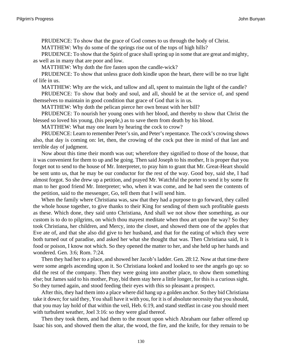PRUDENCE: To show that the grace of God comes to us through the body of Christ.

MATTHEW: Why do some of the springs rise out of the tops of high hills?

PRUDENCE: To show that the Spirit of grace shall spring up in some that are great and mighty, as well as in many that are poor and low.

MATTHEW: Why doth the fire fasten upon the candle-wick?

PRUDENCE: To show that unless grace doth kindle upon the heart, there will be no true light of life in us.

MATTHEW: Why are the wick, and tallow and all, spent to maintain the light of the candle?

PRUDENCE: To show that body and soul, and all, should be at the service of, and spend themselves to maintain in good condition that grace of God that is in us.

MATTHEW: Why doth the pelican pierce her own breast with her bill?

PRUDENCE: To nourish her young ones with her blood, and thereby to show that Christ the blessed so loved his young, (his people,) as to save them from death by his blood.

MATTHEW: What may one learn by hearing the cock to crow?

PRUDENCE: Learn to remember Peter's sin, and Peter's repentance. The cock's crowing shows also, that day is coming on: let, then, the crowing of the cock put thee in mind of that last and terrible day of judgment.

Now about this time their month was out; wherefore they signified to those of the house, that it was convenient for them to up and be going. Then said Joseph to his mother, It is proper that you forget not to send to the house of Mr. Interpreter, to pray him to grant that Mr. Great-Heart should be sent unto us, that he may be our conductor for the rest of the way. Good boy, said she, I had almost forgot. So she drew up a petition, and prayed Mr. Watchful the porter to send it by some fit man to her good friend Mr. Interpreter; who, when it was come, and he had seen the contents of the petition, said to the messenger, Go, tell them that I will send him.

When the family where Christiana was, saw that they had a purpose to go forward, they called the whole house together, to give thanks to their King for sending of them such profitable guests as these. Which done, they said unto Christiana, And shall we not show thee something, as our custom is to do to pilgrims, on which thou mayest meditate when thou art upon the way? So they took Christiana, her children, and Mercy, into the closet, and showed them one of the apples that Eve ate of, and that she also did give to her husband, and that for the eating of which they were both turned out of paradise, and asked her what she thought that was. Then Christiana said, It is food or poison, I know not which. So they opened the matter to her, and she held up her hands and wondered. [Gen. 3:6;](http://www.ccel.org/b/bible/asv/xml/asv.Gen.3.xml#Gen.3.6) [Rom. 7:24.](http://www.ccel.org/b/bible/asv/xml/asv.Rom.7.xml#Rom.7.24)

Then they had her to a place, and showed her Jacob's ladder. [Gen. 28:12.](http://www.ccel.org/b/bible/asv/xml/asv.Gen.28.xml#Gen.28.12) Now at that time there were some angels ascending upon it. So Christiana looked and looked to see the angels go up: so did the rest of the company. Then they were going into another place, to show them something else; but James said to his mother, Pray, bid them stay here a little longer, for this is a curious sight. So they turned again, and stood feeding their eyes with this so pleasant a prospect.

After this, they had them into a place where did hang up a golden anchor. So they bid Christiana take it down; for said they, You shall have it with you, for it is of absolute necessity that you should, that you may lay hold of that within the veil, [Heb. 6:19,](http://www.ccel.org/b/bible/asv/xml/asv.Heb.6.xml#Heb.6.19) and stand stedfast in case you should meet with turbulent weather, [Joel 3:16](http://www.ccel.org/b/bible/asv/xml/asv.Joel.3.xml#Joel.3.16): so they were glad thereof.

Then they took them, and had them to the mount upon which Abraham our father offered up Isaac his son, and showed them the altar, the wood, the fire, and the knife, for they remain to be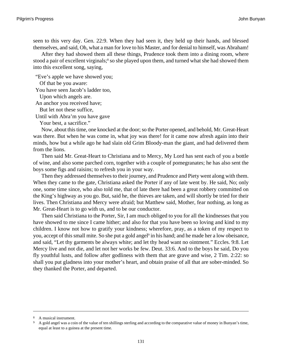seen to this very day. [Gen. 22:9.](http://www.ccel.org/b/bible/asv/xml/asv.Gen.22.xml#Gen.22.9) When they had seen it, they held up their hands, and blessed themselves, and said, Oh, what a man for love to his Master, and for denial to himself, was Abraham!

After they had showed them all these things, Prudence took them into a dining room, where stood a pair of excellent virginals;<sup>8</sup> so she played upon them, and turned what she had showed them into this excellent song, saying,

"Eve's apple we have showed you;

Of that be you aware:

You have seen Jacob's ladder too,

Upon which angels are.

An anchor you received have;

But let not these suffice,

Until with Abra'm you have gave

Your best, a sacrifice."

Now, about this time, one knocked at the door; so the Porter opened, and behold, Mr. Great-Heart was there. But when he was come in, what joy was there! for it came now afresh again into their minds, how but a while ago he had slain old Grim Bloody-man the giant, and had delivered them from the lions.

Then said Mr. Great-Heart to Christiana and to Mercy, My Lord has sent each of you a bottle of wine, and also some parched corn, together with a couple of pomegranates; he has also sent the boys some figs and raisins; to refresh you in your way.

Then they addressed themselves to their journey, and Prudence and Piety went along with them. When they came to the gate, Christiana asked the Porter if any of late went by. He said, No; only one, some time since, who also told me, that of late there had been a great robbery committed on the King's highway as you go. But, said he, the thieves are taken, and will shortly be tried for their lives. Then Christiana and Mercy were afraid; but Matthew said, Mother, fear nothing, as long as Mr. Great-Heart is to go with us, and to be our conductor.

Then said Christiana to the Porter, Sir, I am much obliged to you for all the kindnesses that you have showed to me since I came hither; and also for that you have been so loving and kind to my children. I know not how to gratify your kindness; wherefore, pray, as a token of my respect to you, accept of this small mite. So she put a gold angel<sup>9</sup> in his hand; and he made her a low obeisance, and said, "Let thy garments be always white; and let thy head want no ointment." [Eccles. 9:8](http://www.ccel.org/b/bible/asv/xml/asv.Eccl.9.xml#Eccl.9.8). Let Mercy live and not die, and let not her works be few. [Deut. 33:6.](http://www.ccel.org/b/bible/asv/xml/asv.Deut.33.xml#Deut.33.6) And to the boys he said, Do you fly youthful lusts, and follow after godliness with them that are grave and wise, [2 Tim. 2:22](http://www.ccel.org/b/bible/asv/xml/asv.iiTim.2.xml#iiTim.2.22): so shall you put gladness into your mother's heart, and obtain praise of all that are sober-minded. So they thanked the Porter, and departed.

A musical instrument.

<sup>9</sup> A gold angel was a coin of the value of ten shillings sterling and according to the comparative value of money in Bunyan's time, equal at least to a guinea at the present time.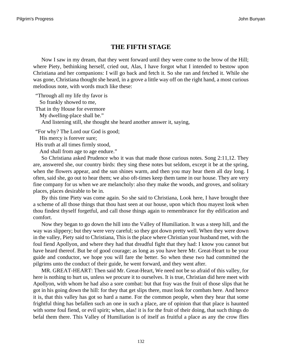## **THE FIFTH STAGE**

Now I saw in my dream, that they went forward until they were come to the brow of the Hill; where Piety, bethinking herself, cried out, Alas, I have forgot what I intended to bestow upon Christiana and her companions: I will go back and fetch it. So she ran and fetched it. While she was gone, Christiana thought she heard, in a grove a little way off on the right hand, a most curious melodious note, with words much like these:

"Through all my life thy favor is

So frankly showed to me,

That in thy House for evermore

My dwelling-place shall be."

And listening still, she thought she heard another answer it, saying,

"For why? The Lord our God is good;

His mercy is forever sure;

His truth at all times firmly stood,

And shall from age to age endure."

So Christiana asked Prudence who it was that made those curious notes. [Song 2:11,12.](http://www.ccel.org/b/bible/asv/xml/asv.Song.2.xml#Song.2.11 Bible:Song.2.12) They are, answered she, our country birds: they sing these notes but seldom, except it be at the spring, when the flowers appear, and the sun shines warm, and then you may hear them all day long. I often, said she, go out to hear them; we also oft-times keep them tame in our house. They are very fine company for us when we are melancholy: also they make the woods, and groves, and solitary places, places desirable to be in.

By this time Piety was come again. So she said to Christiana, Look here, I have brought thee a scheme of all those things that thou hast seen at our house, upon which thou mayest look when thou findest thyself forgetful, and call those things again to remembrance for thy edification and comfort.

Now they began to go down the hill into the Valley of Humiliation. It was a steep hill, and the way was slippery; but they were very careful; so they got down pretty well. When they were down in the valley, Piety said to Christiana, This is the place where Christian your husband met, with the foul fiend Apollyon, and where they had that dreadful fight that they had: I know you cannot but have heard thereof. But be of good courage; as long as you have here Mr. Great-Heart to be your guide and conductor, we hope you will fare the better. So when these two had committed the pilgrims unto the conduct of their guide, he went forward, and they went after.

MR. GREAT-HEART: Then said Mr. Great-Heart, We need not be so afraid of this valley, for here is nothing to hurt us, unless we procure it to ourselves. It is true, Christian did here meet with Apollyon, with whom he had also a sore combat: but that fray was the fruit of those slips that he got in his going down the hill: for they that get slips there, must look for combats here. And hence it is, that this valley has got so hard a name. For the common people, when they hear that some frightful thing has befallen such an one in such a place, are of opinion that that place is haunted with some foul fiend, or evil spirit; when, alas! it is for the fruit of their doing, that such things do befal them there. This Valley of Humiliation is of itself as fruitful a place as any the crow flies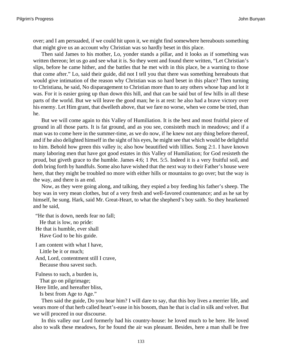over; and I am persuaded, if we could hit upon it, we might find somewhere hereabouts something that might give us an account why Christian was so hardly beset in this place.

Then said James to his mother, Lo, yonder stands a pillar, and it looks as if something was written thereon; let us go and see what it is. So they went and found there written, "Let Christian's slips, before he came hither, and the battles that he met with in this place, be a warning to those that come after." Lo, said their guide, did not I tell you that there was something hereabouts that would give intimation of the reason why Christian was so hard beset in this place? Then turning to Christiana, he said, No disparagement to Christian more than to any others whose hap and lot it was. For it is easier going up than down this hill, and that can be said but of few hills in all these parts of the world. But we will leave the good man; he is at rest: he also had a brave victory over his enemy. Let Him grant, that dwelleth above, that we fare no worse, when we come be tried, than he.

But we will come again to this Valley of Humiliation. It is the best and most fruitful piece of ground in all those parts. It is fat ground, and as you see, consisteth much in meadows; and if a man was to come here in the summer-time, as we do now, if he knew not any thing before thereof, and if he also delighted himself in the sight of his eyes, he might see that which would be delightful to him. Behold how green this valley is; also how beautified with lillies. [Song 2:1.](http://www.ccel.org/b/bible/asv/xml/asv.Song.2.xml#Song.2.1) I have known many laboring men that have got good estates in this Valley of Humiliation; for God resisteth the proud, but giveth grace to the humble. [James 4:6;](http://www.ccel.org/b/bible/asv/xml/asv.Jas.4.xml#Jas.4.6) [1 Pet. 5:5](http://www.ccel.org/b/bible/asv/xml/asv.iPet.5.xml#iPet.5.5). Indeed it is a very fruitful soil, and doth bring forth by handfuls. Some also have wished that the next way to their Father's house were here, that they might be troubled no more with either hills or mountains to go over; but the way is the way, and there is an end.

Now, as they were going along, and talking, they espied a boy feeding his father's sheep. The boy was in very mean clothes, but of a very fresh and well-favored countenance; and as he sat by himself, he sung. Hark, said Mr. Great-Heart, to what the shepherd's boy saith. So they hearkened and he said,

"He that is down, needs fear no fall; He that is low, no pride: He that is humble, ever shall Have God to be his guide.

I am content with what I have, Little be it or much; And, Lord, contentment still I crave, Because thou savest such.

Fulness to such, a burden is,

That go on pilgrimage;

Here little, and hereafter bliss,

Is best from Age to Age."

Then said the guide, Do you hear him? I will dare to say, that this boy lives a merrier life, and wears more of that herb called heart's-ease in his bosom, than he that is clad in silk and velvet. But we will proceed in our discourse.

In this valley our Lord formerly had his country-house: he loved much to be here. He loved also to walk these meadows, for he found the air was pleasant. Besides, here a man shall be free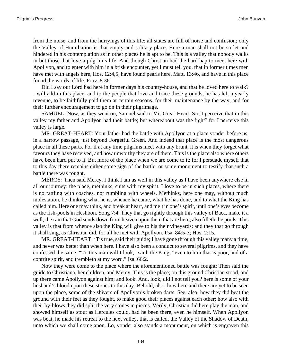from the noise, and from the hurryings of this life: all states are full of noise and confusion; only the Valley of Humiliation is that empty and solitary place. Here a man shall not be so let and hindered in his contemplation as in other places he is apt to be. This is a valley that nobody walks in but those that love a pilgrim's life. And though Christian had the hard hap to meet here with Apollyon, and to enter with him in a brisk encounter, yet I must tell you, that in former times men have met with angels here, [Hos. 12:4,5,](http://www.ccel.org/b/bible/asv/xml/asv.Hos.12.xml#Hos.12.4 Bible:Hos.12.5) have found pearls here, [Matt. 13:46,](http://www.ccel.org/b/bible/asv/xml/asv.Matt.13.xml#Matt.13.46) and have in this place found the words of life. [Prov. 8:36.](http://www.ccel.org/b/bible/asv/xml/asv.Prov.8.xml#Prov.8.36)

Did I say our Lord had here in former days his country-house, and that he loved here to walk? I will add-in this place, and to the people that love and trace these grounds, he has left a yearly revenue, to be faithfully paid them at certain seasons, for their maintenance by the way, and for their further encouragement to go on in their pilgrimage.

SAMUEL: Now, as they went on, Samuel said to Mr. Great-Heart, Sir, I perceive that in this valley my father and Apollyon had their battle; but whereabout was the fight? for I perceive this valley is large.

MR. GREAT-HEART: Your father had the battle with Apollyon at a place yonder before us, in a narrow passage, just beyond Forgetful Green. And indeed that place is the most dangerous place in all these parts. For if at any time pilgrims meet with any brunt, it is when they forget what favours they have received, and how unworthy they are of them. This is the place also where others have been hard put to it. But more of the place when we are come to it; for I persuade myself that to this day there remains either some sign of the battle, or some monument to testify that such a battle there was fought.

MERCY: Then said Mercy, I think I am as well in this valley as I have been anywhere else in all our journey: the place, methinks, suits with my spirit. I love to be in such places, where there is no rattling with coaches, nor rumbling with wheels. Methinks, here one may, without much molestation, be thinking what he is, whence he came, what he has done, and to what the King has called him. Here one may think, and break at heart, and melt in one's spirit, until one's eyes become as the fish-pools in Heshbon. [Song 7:4.](http://www.ccel.org/b/bible/asv/xml/asv.Song.7.xml#Song.7.4) They that go rightly through this valley of Baca, make it a well; the rain that God sends down from heaven upon them that are here, also filleth the pools. This valley is that from whence also the King will give to his their vineyards; and they that go through it shall sing, as Christian did, for all he met with Apollyon. [Psa. 84:5-7;](http://www.ccel.org/b/bible/asv/xml/asv.Ps.84.xml#Ps.84.5) [Hos. 2:15.](http://www.ccel.org/b/bible/asv/xml/asv.Hos.2.xml#Hos.2.15)

MR. GREAT-HEART: 'Tis true, said their guide; I have gone through this valley many a time, and never was better than when here. I have also been a conduct to several pilgrims, and they have confessed the same. "To this man will I look," saith the King, "even to him that is poor, and of a contrite spirit, and trembleth at my word." [Isa. 66:2.](http://www.ccel.org/b/bible/asv/xml/asv.Isa.66.xml#Isa.66.2)

Now they were come to the place where the aforementioned battle was fought: Then said the guide to Christiana, her children, and Mercy, This is the place; on this ground Christian stood, and up there came Apollyon against him; and look. And, look, did I not tell you? here is some of your husband's blood upon these stones to this day: Behold, also, how here and there are yet to be seen upon the place, some of the shivers of Apollyon's broken darts. See, also, how they did beat the ground with their feet as they fought, to make good their places against each other; how also with their by-blows they did split the very stones in pieces. Verily, Christian did here play the man, and showed himself as stout as Hercules could, had he been there, even he himself. When Apollyon was beat, he made his retreat to the next valley, that is called, the Valley of the Shadow of Death, unto which we shall come anon. Lo, yonder also stands a monument, on which is engraven this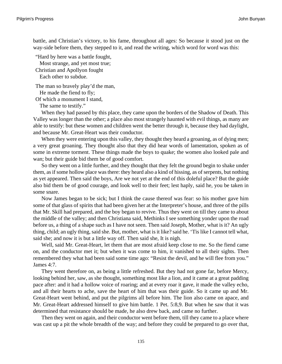battle, and Christian's victory, to his fame, throughout all ages: So because it stood just on the way-side before them, they stepped to it, and read the writing, which word for word was this:

"Hard by here was a battle fought,

Most strange, and yet most true;

Christian and Apollyon fought

Each other to subdue.

The man so bravely play'd the man,

He made the fiend to fly;

Of which a monument I stand,

The same to testify."

When they had passed by this place, they came upon the borders of the Shadow of Death. This Valley was longer than the other; a place also most strangely haunted with evil things, as many are able to testify: but these women and children went the better through it, because they had daylight, and because Mr. Great-Heart was their conductor.

When they were entering upon this valley, they thought they heard a groaning, as of dying men; a very great groaning. They thought also that they did hear words of lamentation, spoken as of some in extreme torment. These things made the boys to quake; the women also looked pale and wan; but their guide bid them be of good comfort.

So they went on a little further, and they thought that they felt the ground begin to shake under them, as if some hollow place was there: they heard also a kind of hissing, as of serpents, but nothing as yet appeared. Then said the boys, Are we not yet at the end of this doleful place? But the guide also bid them be of good courage, and look well to their feet; lest haply, said he, you be taken in some snare.

Now James began to be sick; but I think the cause thereof was fear: so his mother gave him some of that glass of spirits that had been given her at the Interpreter's house, and three of the pills that Mr. Skill had prepared, and the boy began to revive. Thus they went on till they came to about the middle of the valley; and then Christiana said, Methinks I see something yonder upon the road before us, a thing of a shape such as I have not seen. Then said Joseph, Mother, what is it? An ugly thing, child; an ugly thing, said she. But, mother, what is it like? said he. 'Tis like I cannot tell what, said she; and now it is but a little way off. Then said she, It is nigh.

Well, said Mr. Great-Heart, let them that are most afraid keep close to me. So the fiend came on, and the conductor met it; but when it was come to him, it vanished to all their sights. Then remembered they what had been said some time ago: "Resist the devil, and he will flee from you." [James 4:7.](http://www.ccel.org/b/bible/asv/xml/asv.Jas.4.xml#Jas.4.7)

They went therefore on, as being a little refreshed. But they had not gone far, before Mercy, looking behind her, saw, as she thought, something most like a lion, and it came at a great padding pace after: and it had a hollow voice of roaring; and at every roar it gave, it made the valley echo, and all their hearts to ache, save the heart of him that was their guide. So it came up and Mr. Great-Heart went behind, and put the pilgrims all before him. The lion also came on apace, and Mr. Great-Heart addressed himself to give him battle. [1 Pet. 5:8,9](http://www.ccel.org/b/bible/asv/xml/asv.iPet.5.xml#iPet.5.8 Bible:1Pet.5.9). But when he saw that it was determined that resistance should be made, he also drew back, and came no further.

Then they went on again, and their conductor went before them, till they came to a place where was cast up a pit the whole breadth of the way; and before they could be prepared to go over that,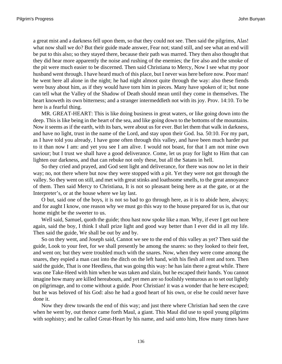a great mist and a darkness fell upon them, so that they could not see. Then said the pilgrims, Alas! what now shall we do? But their guide made answer, Fear not; stand still, and see what an end will be put to this also; so they stayed there, because their path was marred. They then also thought that they did hear more apparently the noise and rushing of the enemies; the fire also and the smoke of the pit were much easier to be discerned. Then said Christiana to Mercy, Now I see what my poor husband went through. I have heard much of this place, but I never was here before now. Poor man! he went here all alone in the night; he had night almost quite through the way: also these fiends were busy about him, as if they would have torn him in pieces. Many have spoken of it; but none can tell what the Valley of the Shadow of Death should mean until they come in themselves. The heart knoweth its own bitterness; and a stranger intermeddleth not with its joy. [Prov. 14:10](http://www.ccel.org/b/bible/asv/xml/asv.Prov.14.xml#Prov.14.10). To be here is a fearful thing.

MR. GREAT-HEART: This is like doing business in great waters, or like going down into the deep. This is like being in the heart of the sea, and like going down to the bottoms of the mountains. Now it seems as if the earth, with its bars, were about us for ever. But let them that walk in darkness, and have no light, trust in the name of the Lord, and stay upon their God. [Isa. 50:10](http://www.ccel.org/b/bible/asv/xml/asv.Isa.50.xml#Isa.50.10). For my part, as I have told you already, I have gone often through this valley, and have been much harder put to it than now I am: and yet you see I am alive. I would not boast, for that I am not mine own saviour; but I trust we shall have a good deliverance. Come, let us pray for light to Him that can lighten our darkness, and that can rebuke not only these, but all the Satans in hell.

So they cried and prayed, and God sent light and deliverance, for there was now no let in their way; no, not there where but now they were stopped with a pit. Yet they were not got through the valley. So they went on still, and met with great stinks and loathsome smells, to the great annoyance of them. Then said Mercy to Christiana, It is not so pleasant being here as at the gate, or at the Interpreter's, or at the house where we lay last.

O but, said one of the boys, it is not so bad to go through here, as it is to abide here, always; and for aught I know, one reason why we must go this way to the house prepared for us is, that our home might be the sweeter to us.

Well said, Samuel, quoth the guide; thou hast now spoke like a man. Why, if ever I get out here again, said the boy, I think I shall prize light and good way better than I ever did in all my life. Then said the guide, We shall be out by and by.

So on they went, and Joseph said, Cannot we see to the end of this valley as yet? Then said the guide, Look to your feet, for we shall presently be among the snares: so they looked to their feet, and went on; but they were troubled much with the snares. Now, when they were come among the snares, they espied a man cast into the ditch on the left hand, with his flesh all rent and torn. Then said the guide, That is one Heedless, that was going this way: he has lain there a great while. There was one Take-Heed with him when he was taken and slain, but he escaped their hands. You cannot imagine how many are killed hereabouts, and yet men are so foolishly venturous as to set out lightly on pilgrimage, and to come without a guide. Poor Christian! it was a wonder that he here escaped; but he was beloved of his God: also he had a good heart of his own, or else he could never have done it.

Now they drew towards the end of this way; and just there where Christian had seen the cave when he went by, out thence came forth Maul, a giant. This Maul did use to spoil young pilgrims with sophistry; and he called Great-Heart by his name, and said unto him, How many times have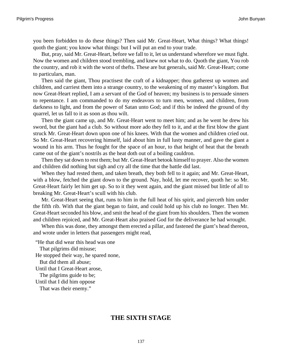you been forbidden to do these things? Then said Mr. Great-Heart, What things? What things! quoth the giant; you know what things: but I will put an end to your trade.

But, pray, said Mr. Great-Heart, before we fall to it, let us understand wherefore we must fight. Now the women and children stood trembling, and knew not what to do. Quoth the giant, You rob the country, and rob it with the worst of thefts. These are but generals, said Mr. Great-Heart; come to particulars, man.

Then said the giant, Thou practisest the craft of a kidnapper; thou gatherest up women and children, and carriest them into a strange country, to the weakening of my master's kingdom. But now Great-Heart replied, I am a servant of the God of heaven; my business is to persuade sinners to repentance. I am commanded to do my endeavors to turn men, women, and children, from darkness to light, and from the power of Satan unto God; and if this be indeed the ground of thy quarrel, let us fall to it as soon as thou wilt.

Then the giant came up, and Mr. Great-Heart went to meet him; and as he went he drew his sword, but the giant had a club. So without more ado they fell to it, and at the first blow the giant struck Mr. Great-Heart down upon one of his knees. With that the women and children cried out. So Mr. Great-Heart recovering himself, laid about him in full lusty manner, and gave the giant a wound in his arm. Thus he fought for the space of an hour, to that height of heat that the breath came out of the giant's nostrils as the heat doth out of a boiling cauldron.

Then they sat down to rest them; but Mr. Great-Heart betook himself to prayer. Also the women and children did nothing but sigh and cry all the time that the battle did last.

When they had rested them, and taken breath, they both fell to it again; and Mr. Great-Heart, with a blow, fetched the giant down to the ground. Nay, hold, let me recover, quoth he: so Mr. Great-Heart fairly let him get up. So to it they went again, and the giant missed but little of all to breaking Mr. Great-Heart's scull with his club.

Mr. Great-Heart seeing that, runs to him in the full heat of his spirit, and pierceth him under the fifth rib. With that the giant began to faint, and could hold up his club no longer. Then Mr. Great-Heart seconded his blow, and smit the head of the giant from his shoulders. Then the women and children rejoiced, and Mr. Great-Heart also praised God for the deliverance he had wrought.

When this was done, they amongst them erected a pillar, and fastened the giant's head thereon, and wrote under in letters that passengers might read,

"He that did wear this head was one That pilgrims did misuse; He stopped their way, he spared none, But did them all abuse; Until that I Great-Heart arose, The pilgrims guide to be; Until that I did him oppose That was their enemy."

## **THE SIXTH STAGE**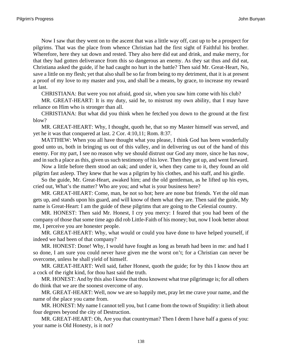Now I saw that they went on to the ascent that was a little way off, cast up to be a prospect for pilgrims. That was the place from whence Christian had the first sight of Faithful his brother. Wherefore, here they sat down and rested. They also here did eat and drink, and make merry, for that they had gotten deliverance from this so dangerous an enemy. As they sat thus and did eat, Christiana asked the guide, if he had caught no hurt in the battle? Then said Mr. Great-Heart, No, save a little on my flesh; yet that also shall be so far from being to my detriment, that it is at present a proof of my love to my master and you, and shall be a means, by grace, to increase my reward at last.

CHRISTIANA: But were you not afraid, good sir, when you saw him come with his club?

MR. GREAT-HEART: It is my duty, said he, to mistrust my own ability, that I may have reliance on Him who is stronger than all.

CHRISTIANA: But what did you think when he fetched you down to the ground at the first blow?

MR. GREAT-HEART: Why, I thought, quoth he, that so my Master himself was served, and yet he it was that conquered at last. [2 Cor. 4:10,11;](http://www.ccel.org/b/bible/asv/xml/asv.iiCor.4.xml#iiCor.4.10 Bible:2Cor.4.11) [Rom. 8:37.](http://www.ccel.org/b/bible/asv/xml/asv.Rom.8.xml#Rom.8.37)

MATTHEW: When you all have thought what you please, I think God has been wonderfully good unto us, both in bringing us out of this valley, and in delivering us out of the hand of this enemy. For my part, I see no reason why we should distrust our God any more, since he has now, and in such a place as this, given us such testimony of his love. Then they got up, and went forward.

Now a little before them stood an oak; and under it, when they came to it, they found an old pilgrim fast asleep. They knew that he was a pilgrim by his clothes, and his staff, and his girdle.

So the guide, Mr. Great-Heart, awaked him; and the old gentleman, as he lifted up his eyes, cried out, What's the matter? Who are you; and what is your business here?

MR. GREAT-HEART: Come, man, be not so hot; here are none but friends. Yet the old man gets up, and stands upon his guard, and will know of them what they are. Then said the guide, My name is Great-Heart: I am the guide of these pilgrims that are going to the Celestial country.

MR. HONEST: Then said Mr. Honest, I cry you mercy: I feared that you had been of the company of those that some time ago did rob Little-Faith of his money; but, now I look better about me, I perceive you are honester people.

MR. GREAT-HEART: Why, what would or could you have done to have helped yourself, if indeed we had been of that company?

MR. HONEST: Done! Why, I would have fought as long as breath had been in me: and had I so done, I am sure you could never have given me the worst on't; for a Christian can never be overcome, unless he shall yield of himself.

MR. GREAT-HEART: Well said, father Honest, quoth the guide; for by this I know thou art a cock of the right kind, for thou hast said the truth.

MR. HONEST: And by this also I know that thou knowest what true pilgrimage is; for all others do think that we are the soonest overcome of any.

MR. GREAT-HEART: Well, now we are so happily met, pray let me crave your name, and the name of the place you came from.

MR. HONEST: My name I cannot tell you, but I came from the town of Stupidity: it lieth about four degrees beyond the city of Destruction.

MR. GREAT-HEART: Oh, Are you that countryman? Then I deem I have half a guess of you: your name is Old Honesty, is it not?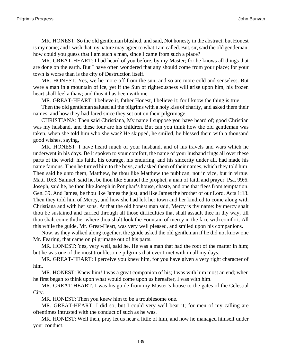MR. HONEST: So the old gentleman blushed, and said, Not honesty in the abstract, but Honest is my name; and I wish that my nature may agree to what I am called. But, sir, said the old gentleman, how could you guess that I am such a man, since I came from such a place?

MR. GREAT-HEART: I had heard of you before, by my Master; for he knows all things that are done on the earth. But I have often wondered that any should come from your place; for your town is worse than is the city of Destruction itself.

MR. HONEST: Yes, we lie more off from the sun, and so are more cold and senseless. But were a man in a mountain of ice, yet if the Sun of righteousness will arise upon him, his frozen heart shall feel a thaw; and thus it has been with me.

MR. GREAT-HEART: I believe it, father Honest, I believe it; for I know the thing is true.

Then the old gentleman saluted all the pilgrims with a holy kiss of charity, and asked them their names, and how they had fared since they set out on their pilgrimage.

CHRISTIANA: Then said Christiana, My name I suppose you have heard of; good Christian was my husband, and these four are his children. But can you think how the old gentleman was taken, when she told him who she was? He skipped, he smiled, he blessed them with a thousand good wishes, saying,

MR. HONEST: I have heard much of your husband, and of his travels and wars which he underwent in his days. Be it spoken to your comfort, the name of your husband rings all over these parts of the world: his faith, his courage, his enduring, and his sincerity under all, had made his name famous. Then he turned him to the boys, and asked them of their names, which they told him. Then said he unto them, Matthew, be thou like Matthew the publican, not in vice, but in virtue. [Matt. 10:3.](http://www.ccel.org/b/bible/asv/xml/asv.Matt.10.xml#Matt.10.3) Samuel, said he, be thou like Samuel the prophet, a man of faith and prayer. [Psa. 99:6](http://www.ccel.org/b/bible/asv/xml/asv.Ps.99.xml#Ps.99.6). Joseph, said he, be thou like Joseph in Potiphar's house, chaste, and one that flees from temptation. [Gen. 39.](http://www.ccel.org/b/bible/asv/xml/asv.Gen.39.xml#Gen.39.1) And James, be thou like James the just, and like James the brother of our Lord. [Acts 1:13](http://www.ccel.org/b/bible/asv/xml/asv.Acts.1.xml#Acts.1.13). Then they told him of Mercy, and how she had left her town and her kindred to come along with Christiana and with her sons. At that the old honest man said, Mercy is thy name: by mercy shalt thou be sustained and carried through all those difficulties that shall assault thee in thy way, till thou shalt come thither where thou shalt look the Fountain of mercy in the face with comfort. All this while the guide, Mr. Great-Heart, was very well pleased, and smiled upon his companions.

Now, as they walked along together, the guide asked the old gentleman if he did not know one Mr. Fearing, that came on pilgrimage out of his parts.

MR. HONEST: Yes, very well, said he. He was a man that had the root of the matter in him; but he was one of the most troublesome pilgrims that ever I met with in all my days.

MR. GREAT-HEART: I perceive you knew him, for you have given a very right character of him.

MR. HONEST: Knew him! I was a great companion of his; I was with him most an end; when he first began to think upon what would come upon us hereafter, I was with him.

MR. GREAT-HEART: I was his guide from my Master's house to the gates of the Celestial City.

MR. HONEST: Then you knew him to be a troublesome one.

MR. GREAT-HEART: I did so; but I could very well bear it; for men of my calling are oftentimes intrusted with the conduct of such as he was.

MR. HONEST: Well then, pray let us hear a little of him, and how he managed himself under your conduct.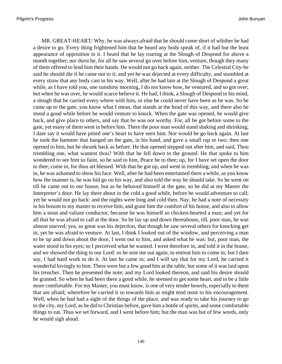MR. GREAT-HEART: Why, he was always afraid that he should come short of whither he had a desire to go. Every thing frightened him that he heard any body speak of, if it had but the least appearance of opposition in it. I heard that he lay roaring at the Slough of Despond for above a month together; nor durst he, for all he saw several go over before him, venture, though they many of them offered to lend him their hands. He would not go back again, neither. The Celestial City-he said he should die if he came not to it; and yet he was dejected at every difficulty, and stumbled at every straw that any body cast in his way. Well, after he had lain at the Slough of Despond a great while, as I have told you, one sunshiny morning, I do not know how, he ventured, and so got over; but when he was over, he would scarce believe it. He had, I think, a Slough of Despond in his mind, a slough that he carried every where with him, or else he could never have been as he was. So he came up to the gate, you know what I mean, that stands at the head of this way, and there also he stood a good while before he would venture to knock. When the gate was opened, he would give back, and give place to others, and say that he was not worthy. For, all he got before some to the gate, yet many of them went in before him. There the poor man would stand shaking and shrinking; I dare say it would have pitied one's heart to have seen him. Nor would he go back again. At last he took the hammer that hanged on the gate, in his hand, and gave a small rap or two; then one opened to him, but he shrunk back as before. He that opened stepped out after him, and said, Thou trembling one, what wantest thou? With that he fell down to the ground. He that spoke to him wondered to see him so faint, so he said to him, Peace be to thee; up, for I have set open the door to thee; come in, for thou art blessed. With that he got up, and went in trembling; and when he was in, he was ashamed to show his face. Well, after he had been entertained there a while, as you know how the manner is, he was bid go on his way, and also told the way he should take. So he went on till he came out to our house; but as he behaved himself at the gate, so he did at my Master the Interpreter's door. He lay there about in the cold a good while, before he would adventure to call; yet he would not go back: and the nights were long and cold then. Nay, he had a note of necessity in his bosom to my master to receive him, and grant him the comfort of his house, and also to allow him a stout and valiant conductor, because he was himself so chicken-hearted a man; and yet for all that he was afraid to call at the door. So he lay up and down thereabouts, till, poor man, he was almost starved; yea, so great was his dejection, that though he saw several others for knocking get in, yet he was afraid to venture. At last, I think I looked out of the window, and perceiving a man to be up and down about the door, I went out to him, and asked what he was: but, poor man, the water stood in his eyes; so I perceived what he wanted. I went therefore in, and told it in the house, and we showed the thing to our Lord: so he sent me out again, to entreat him to come in; but I dare say, I had hard work to do it. At last he came in; and I will say that for my Lord, he carried it wonderful lovingly to him. There were but a few good bits at the table, but some of it was laid upon his trencher. Then he presented the note; and my Lord looked thereon, and said his desire should be granted. So when he had been there a good while, he seemed to get some heart, and to be a little more comfortable. For my Master, you must know, is one of very tender bowels, especially to them that are afraid; wherefore he carried it so towards him as might tend most to his encouragement. Well, when he had had a sight of the things of the place, and was ready to take his journey to go to the city, my Lord, as he did to Christian before, gave him a bottle of spirits, and some comfortable things to eat. Thus we set forward, and I went before him; but the man was but of few words, only he would sigh aloud.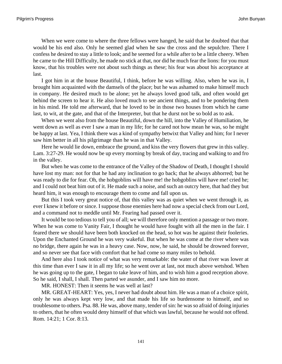When we were come to where the three fellows were hanged, he said that he doubted that that would be his end also. Only he seemed glad when he saw the cross and the sepulchre. There I confess he desired to stay a little to look; and he seemed for a while after to be a little cheery. When he came to the Hill Difficulty, he made no stick at that, nor did he much fear the lions: for you must know, that his troubles were not about such things as these; his fear was about his acceptance at last.

I got him in at the house Beautiful, I think, before he was willing. Also, when he was in, I brought him acquainted with the damsels of the place; but he was ashamed to make himself much in company. He desired much to be alone; yet he always loved good talk, and often would get behind the screen to hear it. He also loved much to see ancient things, and to be pondering them in his mind. He told me afterward, that he loved to be in those two houses from which he came last, to wit, at the gate, and that of the Interpreter, but that he durst not be so bold as to ask.

When we went also from the house Beautiful, down the hill, into the Valley of Humiliation, he went down as well as ever I saw a man in my life; for he cared not how mean he was, so he might be happy at last. Yea, I think there was a kind of sympathy betwixt that Valley and him; for I never saw him better in all his pilgrimage than he was in that Valley.

<span id="page-144-1"></span>Here he would lie down, embrace the ground, and kiss the very flowers that grew in this valley. [Lam. 3:27-29](http://www.ccel.org/b/bible/asv/xml/asv.Lam.3.xml#Lam.3.27). He would now be up every morning by break of day, tracing and walking to and fro in the valley.

But when he was come to the entrance of the Valley of the Shadow of Death, I thought I should have lost my man: not for that he had any inclination to go back; that he always abhorred; but he was ready to die for fear. Oh, the hobgoblins will have me! the hobgoblins will have me! cried he; and I could not beat him out of it. He made such a noise, and such an outcry here, that had they but heard him, it was enough to encourage them to come and fall upon us.

But this I took very great notice of, that this valley was as quiet when we went through it, as ever I knew it before or since. I suppose those enemies here had now a special check from our Lord, and a command not to meddle until Mr. Fearing had passed over it.

It would be too tedious to tell you of all; we will therefore only mention a passage or two more. When he was come to Vanity Fair, I thought he would have fought with all the men in the fair. I feared there we should have been both knocked on the head, so hot was he against their fooleries. Upon the Enchanted Ground he was very wakeful. But when he was come at the river where was no bridge, there again he was in a heavy case. Now, now, he said, he should be drowned forever, and so never see that face with comfort that he had come so many miles to behold.

And here also I took notice of what was very remarkable: the water of that river was lower at this time than ever I saw it in all my life; so he went over at last, not much above wetshod. When he was going up to the gate, I began to take leave of him, and to wish him a good reception above. So he said, I shall, I shall. Then parted we asunder, and I saw him no more.

<span id="page-144-0"></span>MR. HONEST: Then it seems he was well at last?

MR. GREAT-HEART: Yes, yes, I never had doubt about him. He was a man of a choice spirit, only he was always kept very low, and that made his life so burdensome to himself, and so troublesome to others. [Psa. 88](http://www.ccel.org/b/bible/asv/xml/asv.Ps.88.xml#Ps.88.1). He was, above many, tender of sin: he was so afraid of doing injuries to others, that he often would deny himself of that which was lawful, because he would not offend. [Rom. 14:21;](http://www.ccel.org/b/bible/asv/xml/asv.Rom.14.xml#Rom.14.21) [1 Cor. 8:13](http://www.ccel.org/b/bible/asv/xml/asv.iCor.8.xml#iCor.8.13).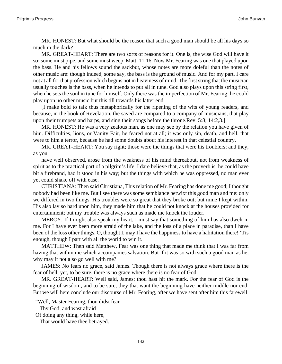MR. HONEST: But what should be the reason that such a good man should be all his days so much in the dark?

<span id="page-145-0"></span>MR. GREAT-HEART: There are two sorts of reasons for it. One is, the wise God will have it so: some must pipe, and some must weep. [Matt. 11:16.](http://www.ccel.org/b/bible/asv/xml/asv.Matt.11.xml#Matt.11.16) Now Mr. Fearing was one that played upon the bass. He and his fellows sound the sackbut, whose notes are more doleful than the notes of other music are: though indeed, some say, the bass is the ground of music. And for my part, I care not at all for that profession which begins not in heaviness of mind. The first string that the musician usually touches is the bass, when he intends to put all in tune. God also plays upon this string first, when he sets the soul in tune for himself. Only there was the imperfection of Mr. Fearing; he could play upon no other music but this till towards his latter end.

[I make bold to talk thus metaphorically for the ripening of the wits of young readers, and because, in the book of Revelation, the saved are compared to a company of musicians, that play upon their trumpets and harps, and sing their songs before the throne.[Rev. 5:8;](http://www.ccel.org/b/bible/asv/xml/asv.Rev.5.xml#Rev.5.8) [14:2,3](http://www.ccel.org/b/bible/asv/xml/asv.Rev.14.xml#Rev.14.2 Bible:Rev.14.3).]

MR. HONEST: He was a very zealous man, as one may see by the relation you have given of him. Difficulties, lions, or Vanity Fair, he feared not at all; it was only sin, death, and hell, that were to him a terror, because he had some doubts about his interest in that celestial country.

MR. GREAT-HEART: You say right; those were the things that were his troublers; and they, as you

have well observed, arose from the weakness of his mind thereabout, not from weakness of spirit as to the practical part of a pilgrim's life. I dare believe that, as the proverb is, he could have bit a firebrand, had it stood in his way; but the things with which he was oppressed, no man ever yet could shake off with ease.

CHRISTIANA: Then said Christiana, This relation of Mr. Fearing has done me good; I thought nobody had been like me. But I see there was some semblance betwixt this good man and me: only we differed in two things. His troubles were so great that they broke out; but mine I kept within. His also lay so hard upon him, they made him that he could not knock at the houses provided for entertainment; but my trouble was always such as made me knock the louder.

MERCY: If I might also speak my heart, I must say that something of him has also dwelt in me. For I have ever been more afraid of the lake, and the loss of a place in paradise, than I have been of the loss other things. O, thought I, may I have the happiness to have a habitation there! 'Tis enough, though I part with all the world to win it.

MATTHEW: Then said Matthew, Fear was one thing that made me think that I was far from having that within me which accompanies salvation. But if it was so with such a good man as he, why may it not also go well with me?

JAMES: No fears no grace, said James. Though there is not always grace where there is the fear of hell, yet, to be sure, there is no grace where there is no fear of God.

MR. GREAT-HEART: Well said, James; thou hast hit the mark. For the fear of God is the beginning of wisdom; and to be sure, they that want the beginning have neither middle nor end. But we will here conclude our discourse of Mr. Fearing, after we have sent after him this farewell.

"Well, Master Fearing, thou didst fear

Thy God, and wast afraid

Of doing any thing, while here,

That would have thee betrayed.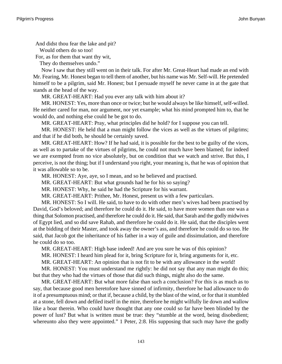And didst thou fear the lake and pit?

Would others do so too!

For, as for them that want thy wit,

They do themselves undo."

Now I saw that they still went on in their talk. For after Mr. Great-Heart had made an end with Mr. Fearing, Mr. Honest began to tell them of another, but his name was Mr. Self-will. He pretended himself to be a pilgrim, said Mr. Honest; but I persuade myself he never came in at the gate that stands at the head of the way.

MR. GREAT-HEART: Had you ever any talk with him about it?

MR. HONEST: Yes, more than once or twice; but he would always be like himself, self-willed. He neither cared for man, nor argument, nor yet example; what his mind prompted him to, that he would do, and nothing else could he be got to do.

MR. GREAT-HEART: Pray, what principles did he hold? for I suppose you can tell.

MR. HONEST: He held that a man might follow the vices as well as the virtues of pilgrims; and that if he did both, he should be certainly saved.

MR. GREAT-HEART: How? If he had said, it is possible for the best to be guilty of the vices, as well as to partake of the virtues of pilgrims, he could not much have been blamed; for indeed we are exempted from no vice absolutely, but on condition that we watch and strive. But this, I perceive, is not the thing; but if I understand you right, your meaning is, that he was of opinion that it was allowable so to be.

MR. HONEST: Aye, aye, so I mean, and so he believed and practised.

MR. GREAT-HEART: But what grounds had he for his so saying?

MR. HONEST: Why, he said he had the Scripture for his warrant.

MR. GREAT-HEART: Prithee, Mr. Honest, present us with a few particulars.

MR. HONEST: So I will. He said, to have to do with other men's wives had been practised by David, God's beloved; and therefore he could do it. He said, to have more women than one was a thing that Solomon practised, and therefore he could do it. He said, that Sarah and the godly midwives of Egypt lied, and so did save Rahab, and therefore he could do it. He said, that the disciples went at the bidding of their Master, and took away the owner's ass, and therefore he could do so too. He said, that Jacob got the inheritance of his father in a way of guile and dissimulation, and therefore he could do so too.

MR. GREAT-HEART: High base indeed! And are you sure he was of this opinion?

MR. HONEST: I heard him plead for it, bring Scripture for it, bring arguments for it, etc.

MR. GREAT-HEART: An opinion that is not fit to be with any allowance in the world!

MR. HONEST: You must understand me rightly: he did not say that any man might do this; but that they who had the virtues of those that did such things, might also do the same.

MR. GREAT-HEART: But what more false than such a conclusion? For this is as much as to say, that because good men heretofore have sinned of infirmity, therefore he had allowance to do it of a presumptuous mind; or that if, because a child, by the blast of the wind, or for that it stumbled at a stone, fell down and defiled itself in the mire, therefore he might wilfully lie down and wallow like a boar therein. Who could have thought that any one could so far have been blinded by the power of lust? But what is written must be true: they "stumble at the word, being disobedient; whereunto also they were appointed." [1 Peter, 2:8.](http://www.ccel.org/b/bible/asv/xml/asv.iPet.2.xml#iPet.2.8) His supposing that such may have the godly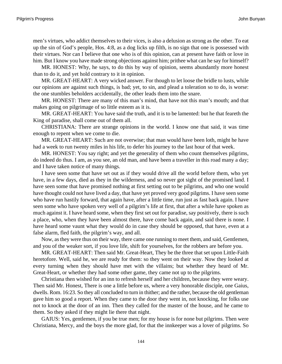<span id="page-147-0"></span>men's virtues, who addict themselves to their vices, is also a delusion as strong as the other. To eat up the sin of God's people, [Hos. 4:8,](http://www.ccel.org/b/bible/asv/xml/asv.Hos.4.xml#Hos.4.8) as a dog licks up filth, is no sign that one is possessed with their virtues. Nor can I believe that one who is of this opinion, can at present have faith or love in him. But I know you have made strong objections against him; prithee what can he say for himself?

MR. HONEST: Why, he says, to do this by way of opinion, seems abundantly more honest than to do it, and yet hold contrary to it in opinion.

MR. GREAT-HEART: A very wicked answer. For though to let loose the bridle to lusts, while our opinions are against such things, is bad; yet, to sin, and plead a toleration so to do, is worse: the one stumbles beholders accidentally, the other leads them into the snare.

MR. HONEST: There are many of this man's mind, that have not this man's mouth; and that makes going on pilgrimage of so little esteem as it is.

MR. GREAT-HEART: You have said the truth, and it is to be lamented: but he that feareth the King of paradise, shall come out of them all.

CHRISTIANA: There are strange opinions in the world. I know one that said, it was time enough to repent when we come to die.

MR. GREAT-HEART: Such are not overwise; that man would have been loth, might he have had a week to run twenty miles in his life, to defer his journey to the last hour of that week.

MR. HONEST: You say right; and yet the generality of them who count themselves pilgrims, do indeed do thus. I am, as you see, an old man, and have been a traveller in this road many a day; and I have taken notice of many things.

I have seen some that have set out as if they would drive all the world before them, who yet have, in a few days, died as they in the wilderness, and so never got sight of the promised land. I have seen some that have promised nothing at first setting out to be pilgrims, and who one would have thought could not have lived a day, that have yet proved very good pilgrims. I have seen some who have run hastily forward, that again have, after a little time, run just as fast back again. I have seen some who have spoken very well of a pilgrim's life at first, that after a while have spoken as much against it. I have heard some, when they first set out for paradise, say positively, there is such a place, who, when they have been almost there, have come back again, and said there is none. I have heard some vaunt what they would do in case they should be opposed, that have, even at a false alarm, fled faith, the pilgrim's way, and all.

Now, as they were thus on their way, there came one running to meet them, and said, Gentlemen, and you of the weaker sort, if you love life, shift for yourselves, for the robbers are before you.

MR. GREAT-HEART: Then said Mr. Great-Heart, They be the three that set upon Little-Faith heretofore. Well, said he, we are ready for them: so they went on their way. Now they looked at every turning when they should have met with the villains; but whether they heard of Mr. Great-Heart, or whether they had some other game, they came not up to the pilgrims.

Christiana then wished for an inn to refresh herself and her children, because they were weary. Then said Mr. Honest, There is one a little before us, where a very honorable disciple, one Gaius, dwells. [Rom. 16:23.](http://www.ccel.org/b/bible/asv/xml/asv.Rom.16.xml#Rom.16.23) So they all concluded to turn in thither; and the rather, because the old gentleman gave him so good a report. When they came to the door they went in, not knocking, for folks use not to knock at the door of an inn. Then they called for the master of the house, and he came to them. So they asked if they might lie there that night.

GAIUS: Yes, gentlemen, if you be true men; for my house is for none but pilgrims. Then were Christiana, Mercy, and the boys the more glad, for that the innkeeper was a lover of pilgrims. So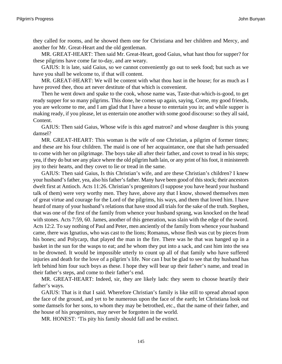they called for rooms, and he showed them one for Christiana and her children and Mercy, and another for Mr. Great-Heart and the old gentleman.

MR. GREAT-HEART: Then said Mr. Great-Heart, good Gaius, what hast thou for supper? for these pilgrims have come far to-day, and are weary.

GAIUS: It is late, said Gaius, so we cannot conveniently go out to seek food; but such as we have you shall be welcome to, if that will content.

MR. GREAT-HEART: We will be content with what thou hast in the house; for as much as I have proved thee, thou art never destitute of that which is convenient.

Then he went down and spake to the cook, whose name was, Taste-that-which-is-good, to get ready supper for so many pilgrims. This done, he comes up again, saying, Come, my good friends, you are welcome to me, and I am glad that I have a house to entertain you in; and while supper is making ready, if you please, let us entertain one another with some good discourse: so they all said, Content.

GAIUS: Then said Gaius, Whose wife is this aged matron? and whose daughter is this young damsel?

MR. GREAT-HEART: This woman is the wife of one Christian, a pilgrim of former times; and these are his four children. The maid is one of her acquaintance, one that she hath persuaded to come with her on pilgrimage. The boys take all after their father, and covet to tread in his steps; yea, if they do but see any place where the old pilgrim hath lain, or any print of his foot, it ministereth joy to their hearts, and they covet to lie or tread in the same.

GAIUS: Then said Gaius, Is this Christian's wife, and are these Christian's children? I knew your husband's father, yea, also his father's father. Many have been good of this stock; their ancestors dwelt first at Antioch. [Acts 11:26](http://www.ccel.org/b/bible/asv/xml/asv.Acts.11.xml#Acts.11.26). Christian's progenitors (I suppose you have heard your husband talk of them) were very worthy men. They have, above any that I know, showed themselves men of great virtue and courage for the Lord of the pilgrims, his ways, and them that loved him. I have heard of many of your husband's relations that have stood all trials for the sake of the truth. Stephen, that was one of the first of the family from whence your husband sprang, was knocked on the head with stones. [Acts 7:59, 60.](http://www.ccel.org/b/bible/asv/xml/asv.Acts.7.xml#Acts.7.59 Bible:Acts.7.60) James, another of this generation, was slain with the edge of the sword. [Acts 12:2](http://www.ccel.org/b/bible/asv/xml/asv.Acts.12.xml#Acts.12.2). To say nothing of Paul and Peter, men anciently of the family from whence your husband came, there was Ignatius, who was cast to the lions; Romanus, whose flesh was cut by pieces from his bones; and Polycarp, that played the man in the fire. There was he that was hanged up in a basket in the sun for the wasps to eat; and he whom they put into a sack, and cast him into the sea to be drowned. It would be impossible utterly to count up all of that family who have suffered injuries and death for the love of a pilgrim's life. Nor can I but be glad to see that thy husband has left behind him four such boys as these. I hope they will bear up their father's name, and tread in their father's steps, and come to their father's end.

MR. GREAT-HEART: Indeed, sir, they are likely lads: they seem to choose heartily their father's ways.

GAIUS: That is it that I said. Wherefore Christian's family is like still to spread abroad upon the face of the ground, and yet to be numerous upon the face of the earth; let Christiana look out some damsels for her sons, to whom they may be betrothed, etc., that the name of their father, and the house of his progenitors, may never be forgotten in the world.

MR. HONEST: 'Tis pity his family should fall and be extinct.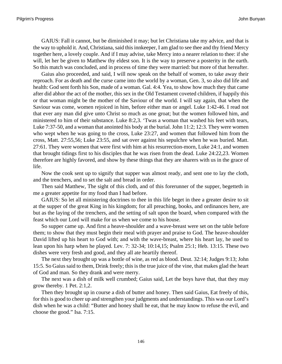GAIUS: Fall it cannot, but be diminished it may; but let Christiana take my advice, and that is the way to uphold it. And, Christiana, said this innkeeper, I am glad to see thee and thy friend Mercy together here, a lovely couple. And if I may advise, take Mercy into a nearer relation to thee: if she will, let her be given to Matthew thy eldest son. It is the way to preserve a posterity in the earth. So this match was concluded, and in process of time they were married: but more of that hereafter.

<span id="page-149-8"></span><span id="page-149-7"></span><span id="page-149-6"></span><span id="page-149-5"></span><span id="page-149-0"></span>Gaius also proceeded, and said, I will now speak on the behalf of women, to take away their reproach. For as death and the curse came into the world by a woman, [Gen. 3](http://www.ccel.org/b/bible/asv/xml/asv.Gen.3.xml#Gen.3.1), so also did life and health: God sent forth his Son, made of a woman. [Gal. 4:4.](http://www.ccel.org/b/bible/asv/xml/asv.Gal.4.xml#Gal.4.4) Yea, to show how much they that came after did abhor the act of the mother, this sex in the Old Testament coveted children, if happily this or that woman might be the mother of the Saviour of the world. I will say again, that when the Saviour was come, women rejoiced in him, before either man or angel. [Luke 1:42-46.](http://www.ccel.org/b/bible/asv/xml/asv.Luke.1.xml#Luke.1.42) I read not that ever any man did give unto Christ so much as one groat; but the women followed him, and ministered to him of their substance. [Luke 8:2,3](http://www.ccel.org/b/bible/asv/xml/asv.Luke.8.xml#Luke.8.2 Bible:Luke.8.3). 'Twas a woman that washed his feet with tears, [Luke 7:37-50](http://www.ccel.org/b/bible/asv/xml/asv.Luke.7.xml#Luke.7.37), and a woman that anointed his body at the burial. [John 11:2](http://www.ccel.org/b/bible/asv/xml/asv.John.11.xml#John.11.2); [12:3.](http://www.ccel.org/b/bible/asv/xml/asv.John.12.xml#John.12.3) They were women who wept when he was going to the cross, [Luke 23:27,](http://www.ccel.org/b/bible/asv/xml/asv.Luke.23.xml#Luke.23.27) and women that followed him from the cross, [Matt. 27:55,56;](http://www.ccel.org/b/bible/asv/xml/asv.Matt.27.xml#Matt.27.55 Bible:Matt.27.56) [Luke 23:55](http://www.ccel.org/b/bible/asv/xml/asv.Luke.23.xml#Luke.23.55), and sat over against his sepulchre when he was buried. [Matt.](http://www.ccel.org/b/bible/asv/xml/asv.Matt.27.xml#Matt.27.61) [27:61](http://www.ccel.org/b/bible/asv/xml/asv.Matt.27.xml#Matt.27.61). They were women that were first with him at his resurrection-morn, [Luke 24:1](http://www.ccel.org/b/bible/asv/xml/asv.Luke.24.xml#Luke.24.1), and women that brought tidings first to his disciples that he was risen from the dead. [Luke 24:22,23.](http://www.ccel.org/b/bible/asv/xml/asv.Luke.24.xml#Luke.24.22 Bible:Luke.24.23) Women therefore are highly favored, and show by these things that they are sharers with us in the grace of life.

<span id="page-149-10"></span><span id="page-149-9"></span><span id="page-149-4"></span>Now the cook sent up to signify that supper was almost ready, and sent one to lay the cloth, and the trenchers, and to set the salt and bread in order.

Then said Matthew, The sight of this cloth, and of this forerunner of the supper, begetteth in me a greater appetite for my food than I had before.

GAIUS: So let all ministering doctrines to thee in this life beget in thee a greater desire to sit at the supper of the great King in his kingdom; for all preaching, books, and ordinances here, are but as the laying of the trenchers, and the setting of salt upon the board, when compared with the feast which our Lord will make for us when we come to his house.

<span id="page-149-2"></span><span id="page-149-1"></span>So supper came up. And first a heave-shoulder and a wave-breast were set on the table before them; to show that they must begin their meal with prayer and praise to God. The heave-shoulder David lifted up his heart to God with; and with the wave-breast, where his heart lay, he used to lean upon his harp when he played. [Lev. 7: 32-34](http://www.ccel.org/b/bible/asv/xml/asv.Lev.7.xml#Lev.7.32); [10:14,15](http://www.ccel.org/b/bible/asv/xml/asv.Lev.10.xml#Lev.10.14 Bible:Lev.10.15); [Psalm 25:1](http://www.ccel.org/b/bible/asv/xml/asv.Ps.25.xml#Ps.25.1); [Heb. 13:15.](http://www.ccel.org/b/bible/asv/xml/asv.Heb.13.xml#Heb.13.15) These two dishes were very fresh and good, and they all ate heartily thereof.

The next they brought up was a bottle of wine, as red as blood. [Deut. 32:14](http://www.ccel.org/b/bible/asv/xml/asv.Deut.32.xml#Deut.32.14); [Judges 9:13](http://www.ccel.org/b/bible/asv/xml/asv.Judg.9.xml#Judg.9.13); [John](http://www.ccel.org/b/bible/asv/xml/asv.John.15.xml#John.15.5) [15:5](http://www.ccel.org/b/bible/asv/xml/asv.John.15.xml#John.15.5). So Gaius said to them, Drink freely; this is the true juice of the vine, that makes glad the heart of God and man. So they drank and were merry.

<span id="page-149-3"></span>The next was a dish of milk well crumbed; Gaius said, Let the boys have that, that they may grow thereby. [1 Pet. 2:1,2](http://www.ccel.org/b/bible/asv/xml/asv.iPet.2.xml#iPet.2.1 Bible:1Pet.2.2).

Then they brought up in course a dish of butter and honey. Then said Gaius, Eat freely of this, for this is good to cheer up and strengthen your judgments and understandings. This was our Lord's dish when he was a child: "Butter and honey shall he eat, that he may know to refuse the evil, and choose the good." [Isa. 7:15.](http://www.ccel.org/b/bible/asv/xml/asv.Isa.7.xml#Isa.7.15)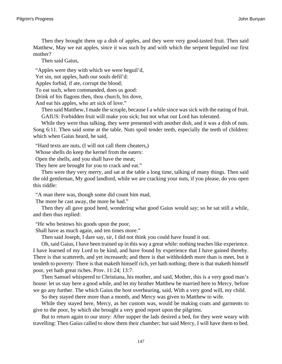Then they brought them up a dish of apples, and they were very good-tasted fruit. Then said Matthew, May we eat apples, since it was such by and with which the serpent beguiled our first mother?

Then said Gaius,

"Apples were they with which we were beguil'd,

Yet sin, not apples, hath our souls defil'd:

Apples forbid, if ate, corrupt the blood;

To eat such, when commanded, does us good:

Drink of his flagons then, thou church, his dove,

And eat his apples, who art sick of love."

Then said Matthew, I made the scruple, because I a while since was sick with the eating of fruit. GAIUS: Forbidden fruit will make you sick; but not what our Lord has tolerated.

<span id="page-150-1"></span>While they were thus talking, they were presented with another dish, and it was a dish of nuts. [Song 6:11.](http://www.ccel.org/b/bible/asv/xml/asv.Song.6.xml#Song.6.11) Then said some at the table, Nuts spoil tender teeth, especially the teeth of children: which when Gaius heard, he said,

"Hard texts are nuts, (I will not call them cheaters,)

Whose shells do keep the kernel from the eaters:

Open the shells, and you shall have the meat;

They here are brought for you to crack and eat."

Then were they very merry, and sat at the table a long time, talking of many things. Then said the old gentleman, My good landlord, while we are cracking your nuts, if you please, do you open this riddle:

"A man there was, though some did count him mad,

The more he cast away, the more he had."

Then they all gave good heed, wondering what good Gaius would say; so he sat still a while, and then thus replied:

"He who bestows his goods upon the poor,

Shall have as much again, and ten times more."

Then said Joseph, I dare say, sir, I did not think you could have found it out.

<span id="page-150-0"></span>Oh, said Gaius, I have been trained up in this way a great while: nothing teaches like experience. I have learned of my Lord to be kind, and have found by experience that I have gained thereby. There is that scattereth, and yet increaseth; and there is that withholdeth more than is meet, but it tendeth to poverty: There is that maketh himself rich, yet hath nothing; there is that maketh himself poor, yet hath great riches. [Prov. 11:24;](http://www.ccel.org/b/bible/asv/xml/asv.Prov.11.xml#Prov.11.24) [13:7.](http://www.ccel.org/b/bible/asv/xml/asv.Prov.13.xml#Prov.13.7)

Then Samuel whispered to Christiana, his mother, and said, Mother, this is a very good man's house: let us stay here a good while, and let my brother Matthew be married here to Mercy, before we go any further. The which Gaius the host overhearing, said, With a very good will, my child.

So they stayed there more than a month, and Mercy was given to Matthew to wife.

While they stayed here, Mercy, as her custom was, would be making coats and garments to give to the poor, by which she brought a very good report upon the pilgrims.

But to return again to our story: After supper the lads desired a bed, for they were weary with travelling: Then Gaius called to show them their chamber; but said Mercy, I will have them to bed.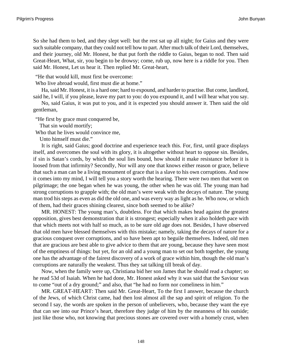So she had them to bed, and they slept well: but the rest sat up all night; for Gaius and they were such suitable company, that they could not tell how to part. After much talk of their Lord, themselves, and their journey, old Mr. Honest, he that put forth the riddle to Gaius, began to nod. Then said Great-Heart, What, sir, you begin to be drowsy; come, rub up, now here is a riddle for you. Then said Mr. Honest, Let us hear it. Then replied Mr. Great-heart,

"He that would kill, must first be overcome:

Who live abroad would, first must die at home."

Ha, said Mr. Honest, it is a hard one; hard to expound, and harder to practise. But come, landlord, said he, I will, if you please, leave my part to you: do you expound it, and I will hear what you say.

No, said Gaius, it was put to you, and it is expected you should answer it. Then said the old gentleman,

"He first by grace must conquered be,

That sin would mortify;

Who that he lives would convince me,

Unto himself must die."

It is right, said Gaius; good doctrine and experience teach this. For, first, until grace displays itself, and overcomes the soul with its glory, it is altogether without heart to oppose sin. Besides, if sin is Satan's cords, by which the soul lies bound, how should it make resistance before it is loosed from that infirmity? Secondly, Nor will any one that knows either reason or grace, believe that such a man can be a living monument of grace that is a slave to his own corruptions. And now it comes into my mind, I will tell you a story worth the hearing. There were two men that went on pilgrimage; the one began when he was young, the other when he was old. The young man had strong corruptions to grapple with; the old man's were weak with the decays of nature. The young man trod his steps as even as did the old one, and was every way as light as he. Who now, or which of them, had their graces shining clearest, since both seemed to be alike?

MR. HONEST: The young man's, doubtless. For that which makes head against the greatest opposition, gives best demonstration that it is strongest; especially when it also holdeth pace with that which meets not with half so much, as to be sure old age does not. Besides, I have observed that old men have blessed themselves with this mistake; namely, taking the decays of nature for a gracious conquest over corruptions, and so have been apt to beguile themselves. Indeed, old men that are gracious are best able to give advice to them that are young, because they have seen most of the emptiness of things: but yet, for an old and a young man to set out both together, the young one has the advantage of the fairest discovery of a work of grace within him, though the old man's corruptions are naturally the weakest. Thus they sat talking till break of day.

Now, when the family were up, Christiana bid her son James that he should read a chapter; so he read 53d of Isaiah. When he had done, Mr. Honest asked why it was said that the Saviour was to come "out of a dry ground;" and also, that "he had no form nor comeliness in him."

MR. GREAT-HEART: Then said Mr. Great-Heart, To the first I answer, because the church of the Jews, of which Christ came, had then lost almost all the sap and spirit of religion. To the second I say, the words are spoken in the person of unbelievers, who, because they want the eye that can see into our Prince's heart, therefore they judge of him by the meanness of his outside; just like those who, not knowing that precious stones are covered over with a homely crust, when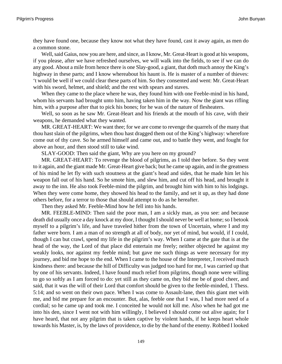they have found one, because they know not what they have found, cast it away again, as men do a common stone.

Well, said Gaius, now you are here, and since, as I know, Mr. Great-Heart is good at his weapons, if you please, after we have refreshed ourselves, we will walk into the fields, to see if we can do any good. About a mile from hence there is one Slay-good, a giant, that doth much annoy the King's highway in these parts; and I know whereabout his haunt is. He is master of a number of thieves: 't would be well if we could clear these parts of him. So they consented and went: Mr. Great-Heart with his sword, helmet, and shield; and the rest with spears and staves.

When they came to the place where he was, they found him with one Feeble-mind in his hand, whom his servants had brought unto him, having taken him in the way. Now the giant was rifling him, with a purpose after that to pick his bones; for he was of the nature of flesheaters.

Well, so soon as he saw Mr. Great-Heart and his friends at the mouth of his cave, with their weapons, he demanded what they wanted.

MR. GREAT-HEART: We want thee; for we are come to revenge the quarrels of the many that thou hast slain of the pilgrims, when thou hast dragged them out of the King's highway: wherefore come out of thy cave. So he armed himself and came out, and to battle they went, and fought for above an hour, and then stood still to take wind.

SLAY-GOOD: Then said the giant, Why are you here on my ground?

MR. GREAT-HEART: To revenge the blood of pilgrims, as I told thee before. So they went to it again, and the giant made Mr. Great-Heart give back; but he came up again, and in the greatness of his mind he let fly with such stoutness at the giant's head and sides, that he made him let his weapon fall out of his hand. So he smote him, and slew him, and cut off his head, and brought it away to the inn. He also took Feeble-mind the pilgrim, and brought him with him to his lodgings. When they were come home, they showed his head to the family, and set it up, as they had done others before, for a terror to those that should attempt to do as he hereafter.

Then they asked Mr. Feeble-Mind how he fell into his hands.

MR. FEEBLE-MIND: Then said the poor man, I am a sickly man, as you see: and because death did usually once a day knock at my door, I thought I should never be well at home; so I betook myself to a pilgrim's life, and have traveled hither from the town of Uncertain, where I and my father were born. I am a man of no strength at all of body, nor yet of mind, but would, if I could, though I can but crawl, spend my life in the pilgrim's way. When I came at the gate that is at the head of the way, the Lord of that place did entertain me freely; neither objected he against my weakly looks, nor against my feeble mind; but gave me such things as were necessary for my journey, and bid me hope to the end. When I came to the house of the Interpreter, I received much kindness there: and because the hill of Difficulty was judged too hard for me, I was carried up that by one of his servants. Indeed, I have found much relief from pilgrims, though none were willing to go so softly as I am forced to do: yet still as they came on, they bid me be of good cheer, and said, that it was the will of their Lord that comfort should be given to the feeble-minded, [1 Thess.](http://www.ccel.org/b/bible/asv/xml/asv.iThess.5.xml#iThess.5.14) [5:14](http://www.ccel.org/b/bible/asv/xml/asv.iThess.5.xml#iThess.5.14); and so went on their own pace. When I was come to Assault-lane, then this giant met with me, and bid me prepare for an encounter. But, alas, feeble one that I was, I had more need of a cordial; so he came up and took me. I conceited he would not kill me. Also when he had got me into his den, since I went not with him willingly, I believed I should come out alive again; for I have heard, that not any pilgrim that is taken captive by violent hands, if he keeps heart whole towards his Master, is, by the laws of providence, to die by the hand of the enemy. Robbed I looked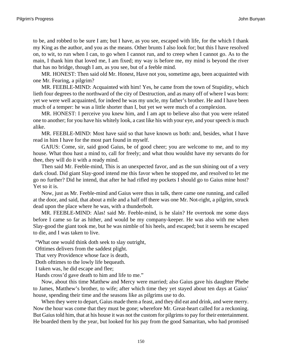to be, and robbed to be sure I am; but I have, as you see, escaped with life, for the which I thank my King as the author, and you as the means. Other brunts I also look for; but this I have resolved on, to wit, to run when I can, to go when I cannot run, and to creep when I cannot go. As to the main, I thank him that loved me, I am fixed; my way is before me, my mind is beyond the river that has no bridge, though I am, as you see, but of a feeble mind.

MR. HONEST: Then said old Mr. Honest, Have not you, sometime ago, been acquainted with one Mr. Fearing, a pilgrim?

MR. FEEBLE-MIND: Acquainted with him! Yes, he came from the town of Stupidity, which lieth four degrees to the northward of the city of Destruction, and as many off of where I was born: yet we were well acquainted, for indeed he was my uncle, my father's brother. He and I have been much of a temper: he was a little shorter than I, but yet we were much of a complexion.

MR. HONEST: I perceive you knew him, and I am apt to believe also that you were related one to another; for you have his whitely look, a cast like his with your eye, and your speech is much alike.

MR. FEEBLE-MIND: Most have said so that have known us both: and, besides, what I have read in him I have for the most part found in myself.

GAIUS: Come, sir, said good Gaius, be of good cheer; you are welcome to me, and to my house. What thou hast a mind to, call for freely; and what thou wouldst have my servants do for thee, they will do it with a ready mind.

Then said Mr. Feeble-mind, This is an unexpected favor, and as the sun shining out of a very dark cloud. Did giant Slay-good intend me this favor when he stopped me, and resolved to let me go no further? Did he intend, that after he had rifled my pockets I should go to Gaius mine host? Yet so it is.

Now, just as Mr. Feeble-mind and Gaius were thus in talk, there came one running, and called at the door, and said, that about a mile and a half off there was one Mr. Not-right, a pilgrim, struck dead upon the place where he was, with a thunderbolt.

MR. FEEBLE-MIND: Alas! said Mr. Feeble-mind, is he slain? He overtook me some days before I came so far as hither, and would be my company-keeper. He was also with me when Slay-good the giant took me, but he was nimble of his heels, and escaped; but it seems he escaped to die, and I was taken to live.

"What one would think doth seek to slay outright,

Ofttimes delivers from the saddest plight.

That very Providence whose face is death,

Doth ofttimes to the lowly life bequeath.

I taken was, he did escape and flee;

Hands cross'd gave death to him and life to me."

Now, about this time Matthew and Mercy were married; also Gaius gave his daughter Phebe to James, Matthew's brother, to wife; after which time they yet stayed about ten days at Gaius' house, spending their time and the seasons like as pilgrims use to do.

When they were to depart, Gaius made them a feast, and they did eat and drink, and were merry. Now the hour was come that they must be gone; wherefore Mr. Great-heart called for a reckoning. But Gaius told him, that at his house it was not the custom for pilgrims to pay for their entertainment. He boarded them by the year, but looked for his pay from the good Samaritan, who had promised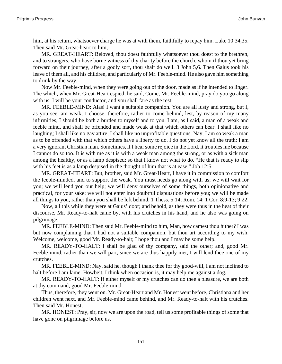<span id="page-154-1"></span>him, at his return, whatsoever charge he was at with them, faithfully to repay him. [Luke 10:34,35](http://www.ccel.org/b/bible/asv/xml/asv.Luke.10.xml#Luke.10.34 Bible:Luke.10.35). Then said Mr. Great-heart to him,

MR. GREAT-HEART: Beloved, thou doest faithfully whatsoever thou doest to the brethren, and to strangers, who have borne witness of thy charity before the church, whom if thou yet bring forward on their journey, after a godly sort, thou shalt do well. [3 John 5,6](http://www.ccel.org/b/bible/asv/xml/asv.iiiJohn.1.xml#iiiJohn.1.5 Bible:3John.1.6). Then Gaius took his leave of them all, and his children, and particularly of Mr. Feeble-mind. He also gave him something to drink by the way.

Now Mr. Feeble-mind, when they were going out of the door, made as if he intended to linger. The which, when Mr. Great-Heart espied, he said, Come, Mr. Feeble-mind, pray do you go along with us: I will be your conductor, and you shall fare as the rest.

MR. FEEBLE-MIND: Alas! I want a suitable companion. You are all lusty and strong, but I, as you see, am weak; I choose, therefore, rather to come behind, lest, by reason of my many infirmities, I should be both a burden to myself and to you. I am, as I said, a man of a weak and feeble mind, and shall be offended and made weak at that which others can bear. I shall like no laughing; I shall like no gay attire; I shall like no unprofitable questions. Nay, I am so weak a man as to be offended with that which others have a liberty to do. I do not yet know all the truth: I am a very ignorant Christian man. Sometimes, if I hear some rejoice in the Lord, it troubles me because I cannot do so too. It is with me as it is with a weak man among the strong, or as with a sick man among the healthy, or as a lamp despised; so that I know not what to do. "He that is ready to slip with his feet is as a lamp despised in the thought of him that is at ease." [Job 12:5.](http://www.ccel.org/b/bible/asv/xml/asv.Job.12.xml#Job.12.5)

<span id="page-154-0"></span>MR. GREAT-HEART: But, brother, said Mr. Great-Heart, I have it in commission to comfort the feeble-minded, and to support the weak. You must needs go along with us; we will wait for you; we will lend you our help; we will deny ourselves of some things, both opinionative and practical, for your sake: we will not enter into doubtful disputations before you; we will be made all things to you, rather than you shall be left behind. [1 Thess. 5:14;](http://www.ccel.org/b/bible/asv/xml/asv.iThess.5.xml#iThess.5.14) [Rom. 14](http://www.ccel.org/b/bible/asv/xml/asv.Rom.14.xml#Rom.14.1); [1 Cor. 8:9-13;](http://www.ccel.org/b/bible/asv/xml/asv.iCor.8.xml#iCor.8.9) [9:22](http://www.ccel.org/b/bible/asv/xml/asv.iCor.9.xml#iCor.9.22).

Now, all this while they were at Gaius' door; and behold, as they were thus in the heat of their discourse, Mr. Ready-to-halt came by, with his crutches in his hand, and he also was going on pilgrimage.

MR. FEEBLE-MIND: Then said Mr. Feeble-mind to him, Man, how camest thou hither? I was but now complaining that I had not a suitable companion, but thou art according to my wish. Welcome, welcome, good Mr. Ready-to-halt; I hope thou and I may be some help.

MR. READY-TO-HALT: I shall be glad of thy company, said the other; and, good Mr. Feeble-mind, rather than we will part, since we are thus happily met, I will lend thee one of my crutches.

MR. FEEBLE-MIND: Nay, said he, though I thank thee for thy good-will, I am not inclined to halt before I am lame. Howbeit, I think when occasion is, it may help me against a dog.

MR. READY-TO-HALT: If either myself or my crutches can do thee a pleasure, we are both at thy command, good Mr. Feeble-mind.

Thus, therefore, they went on. Mr. Great-Heart and Mr. Honest went before, Christiana and her children went next, and Mr. Feeble-mind came behind, and Mr. Ready-to-halt with his crutches. Then said Mr. Honest,

MR. HONEST: Pray, sir, now we are upon the road, tell us some profitable things of some that have gone on pilgrimage before us.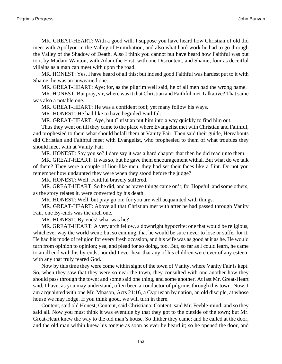MR. GREAT-HEART: With a good will. I suppose you have heard how Christian of old did meet with Apollyon in the Valley of Humiliation, and also what hard work he had to go through the Valley of the Shadow of Death. Also I think you cannot but have heard how Faithful was put to it by Madam Wanton, with Adam the First, with one Discontent, and Shame; four as deceitful villains as a man can meet with upon the road.

MR. HONEST: Yes, I have heard of all this; but indeed good Faithful was hardest put to it with Shame: he was an unwearied one.

MR. GREAT-HEART: Aye; for, as the pilgrim well said, he of all men had the wrong name.

MR. HONEST: But pray, sir, where was it that Christian and Faithful met Talkative? That same was also a notable one.

MR. GREAT-HEART: He was a confident fool; yet many follow his ways.

MR. HONEST: He had like to have beguiled Faithful.

MR. GREAT-HEART: Aye, but Christian put him into a way quickly to find him out.

Thus they went on till they came to the place where Evangelist met with Christian and Faithful, and prophesied to them what should befall them at Vanity Fair. Then said their guide, Hereabouts did Christian and Faithful meet with Evangelist, who prophesied to them of what troubles they should meet with at Vanity Fair.

MR. HONEST: Say you so? I dare say it was a hard chapter that then he did read unto them.

MR. GREAT-HEART: It was so, but he gave them encouragement withal. But what do we talk of them? They were a couple of lion-like men; they had set their faces like a flint. Do not you remember how undaunted they were when they stood before the judge?

MR. HONEST: Well: Faithful bravely suffered.

MR. GREAT-HEART: So he did, and as brave things came on't; for Hopeful, and some others, as the story relates it, were converted by his death.

MR. HONEST: Well, but pray go on; for you are well acquainted with things.

MR. GREAT-HEART: Above all that Christian met with after he had passed through Vanity Fair, one By-ends was the arch one.

MR. HONEST: By-ends! what was he?

MR. GREAT-HEART: A very arch fellow, a downright hypocrite; one that would be religious, whichever way the world went; but so cunning, that he would be sure never to lose or suffer for it. He had his mode of religion for every fresh occasion, and his wife was as good at it as he. He would turn from opinion to opinion; yea, and plead for so doing, too. But, so far as I could learn, he came to an ill end with his by-ends; nor did I ever hear that any of his children were ever of any esteem with any that truly feared God.

Now by this time they were come within sight of the town of Vanity, where Vanity Fair is kept. So, when they saw that they were so near the town, they consulted with one another how they should pass through the town; and some said one thing, and some another. At last Mr. Great-Heart said, I have, as you may understand, often been a conductor of pilgrims through this town. Now, I am acquainted with one Mr. Mnason, [Acts 21:16,](http://www.ccel.org/b/bible/asv/xml/asv.Acts.21.xml#Acts.21.16) a Cyprusian by nation, an old disciple, at whose house we may lodge. If you think good, we will turn in there.

Content, said old Honest; Content, said Christiana; Content, said Mr. Feeble-mind; and so they said all. Now you must think it was eventide by that they got to the outside of the town; but Mr. Great-Heart knew the way to the old man's house. So thither they came; and he called at the door, and the old man within knew his tongue as soon as ever he heard it; so he opened the door, and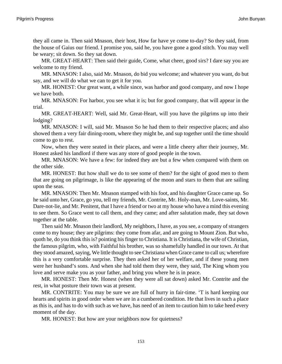they all came in. Then said Mnason, their host, How far have ye come to-day? So they said, from the house of Gaius our friend. I promise you, said he, you have gone a good stitch. You may well be weary; sit down. So they sat down.

MR. GREAT-HEART: Then said their guide, Come, what cheer, good sirs? I dare say you are welcome to my friend.

MR. MNASON: I also, said Mr. Mnason, do bid you welcome; and whatever you want, do but say, and we will do what we can to get it for you.

MR. HONEST: Our great want, a while since, was harbor and good company, and now I hope we have both.

MR. MNASON: For harbor, you see what it is; but for good company, that will appear in the trial.

MR. GREAT-HEART: Well, said Mr. Great-Heart, will you have the pilgrims up into their lodging?

MR. MNASON: I will, said Mr. Mnason So he had them to their respective places; and also showed them a very fair dining-room, where they might be, and sup together until the time should come to go to rest.

Now, when they were seated in their places, and were a little cheery after their journey, Mr. Honest asked his landlord if there was any store of good people in the town.

MR. MNASON: We have a few: for indeed they are but a few when compared with them on the other side.

MR. HONEST: But how shall we do to see some of them? for the sight of good men to them that are going on pilgrimage, is like the appearing of the moon and stars to them that are sailing upon the seas.

MR. MNASON: Then Mr. Mnason stamped with his foot, and his daughter Grace came up. So he said unto her, Grace, go you, tell my friends, Mr. Contrite, Mr. Holy-man, Mr. Love-saints, Mr. Dare-not-lie, and Mr. Penitent, that I have a friend or two at my house who have a mind this evening to see them. So Grace went to call them, and they came; and after salutation made, they sat down together at the table.

Then said Mr. Mnason their landlord, My neighbors, I have, as you see, a company of strangers come to my house; they are pilgrims: they come from afar, and are going to Mount Zion. But who, quoth he, do you think this is? pointing his finger to Christiana. It is Christiana, the wife of Christian, the famous pilgrim, who, with Faithful his brother, was so shamefully handled in our town. At that they stood amazed, saying, We little thought to see Christiana when Grace came to call us; wherefore this is a very comfortable surprise. They then asked her of her welfare, and if these young men were her husband's sons. And when she had told them they were, they said, The King whom you love and serve make you as your father, and bring you where he is in peace.

MR. HONEST: Then Mr. Honest (when they were all sat down) asked Mr. Contrite and the rest, in what posture their town was at present.

MR. CONTRITE: You may be sure we are full of hurry in fair-time. 'T is hard keeping our hearts and spirits in good order when we are in a cumbered condition. He that lives in such a place as this is, and has to do with such as we have, has need of an item to caution him to take heed every moment of the day.

MR. HONEST: But how are your neighbors now for quietness?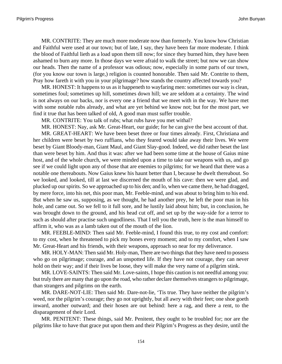MR. CONTRITE: They are much more moderate now than formerly. You know how Christian and Faithful were used at our town; but of late, I say, they have been far more moderate. I think the blood of Faithful lieth as a load upon them till now; for since they burned him, they have been ashamed to burn any more. In those days we were afraid to walk the street; but now we can show our heads. Then the name of a professor was odious; now, especially in some parts of our town, (for you know our town is large,) religion is counted honorable. Then said Mr. Contrite to them, Pray how fareth it with you in your pilgrimage? how stands the country affected towards you?

MR. HONEST: It happens to us as it happeneth to wayfaring men: sometimes our way is clean, sometimes foul; sometimes up hill, sometimes down hill; we are seldom at a certainty. The wind is not always on our backs, nor is every one a friend that we meet with in the way. We have met with some notable rubs already, and what are yet behind we know not; but for the most part, we find it true that has been talked of old, A good man must suffer trouble.

MR. CONTRITE: You talk of rubs; what rubs have you met withal?

MR. HONEST: Nay, ask Mr. Great-Heart, our guide; for he can give the best account of that.

MR. GREAT-HEART: We have been beset three or four times already. First, Christiana and her children were beset by two ruffians, who they feared would take away their lives. We were beset by Giant Bloody-man, Giant Maul, and Giant Slay-good. Indeed, we did rather beset the last than were beset by him. And thus it was: after we had been some time at the house of Gaius mine host, and of the whole church, we were minded upon a time to take our weapons with us, and go see if we could light upon any of those that are enemies to pilgrims; for we heard that there was a notable one thereabouts. Now Gaius knew his haunt better than I, because he dwelt thereabout. So we looked, and looked, till at last we discerned the mouth of his cave: then we were glad, and plucked up our spirits. So we approached up to his den; and lo, when we came there, he had dragged, by mere force, into his net, this poor man, Mr. Feeble-mind, and was about to bring him to his end. But when he saw us, supposing, as we thought, he had another prey, he left the poor man in his hole, and came out. So we fell to it full sore, and he lustily laid about him; but, in conclusion, he was brought down to the ground, and his head cut off, and set up by the way-side for a terror to such as should after practise such ungodliness. That I tell you the truth, here is the man himself to affirm it, who was as a lamb taken out of the mouth of the lion.

MR. FEEBLE-MIND: Then said Mr. Feeble-mind, I found this true, to my cost and comfort: to my cost, when he threatened to pick my bones every moment; and to my comfort, when I saw Mr. Great-Heart and his friends, with their weapons, approach so near for my deliverance.

MR. HOLY-MAN: Then said Mr. Holy-man, There are two things that they have need to possess who go on pilgrimage; courage, and an unspotted life. If they have not courage, they can never hold on their way; and if their lives be loose, they will make the very name of a pilgrim stink.

MR. LOVE-SAINTS: Then said Mr. Love-saints, I hope this caution is not needful among you: but truly there are many that go upon the road, who rather declare themselves strangers to pilgrimage, than strangers and pilgrims on the earth.

MR. DARE-NOT-LIE: Then said Mr. Dare-not-lie, 'Tis true. They have neither the pilgrim's weed, nor the pilgrim's courage; they go not uprightly, but all awry with their feet; one shoe goeth inward, another outward; and their hosen are out behind: here a rag, and there a rent, to the disparagement of their Lord.

MR. PENITENT: These things, said Mr. Penitent, they ought to be troubled for; nor are the pilgrims like to have that grace put upon them and their Pilgrim's Progress as they desire, until the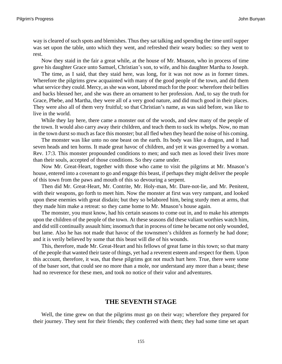way is cleared of such spots and blemishes. Thus they sat talking and spending the time until supper was set upon the table, unto which they went, and refreshed their weary bodies: so they went to rest.

Now they staid in the fair a great while, at the house of Mr. Mnason, who in process of time gave his daughter Grace unto Samuel, Christian's son, to wife, and his daughter Martha to Joseph.

The time, as I said, that they staid here, was long, for it was not now as in former times. Wherefore the pilgrims grew acquainted with many of the good people of the town, and did them what service they could. Mercy, as she was wont, labored much for the poor: wherefore their bellies and backs blessed her, and she was there an ornament to her profession. And, to say the truth for Grace, Phebe, and Martha, they were all of a very good nature, and did much good in their places. They were also all of them very fruitful; so that Christian's name, as was said before, was like to live in the world.

While they lay here, there came a monster out of the woods, and slew many of the people of the town. It would also carry away their children, and teach them to suck its whelps. Now, no man in the town durst so much as face this monster; but all fled when they heard the noise of his coming.

The monster was like unto no one beast on the earth. Its body was like a dragon, and it had seven heads and ten horns. It made great havoc of children, and yet it was governed by a woman. [Rev. 17:3](http://www.ccel.org/b/bible/asv/xml/asv.Rev.17.xml#Rev.17.3). This monster propounded conditions to men; and such men as loved their lives more than their souls, accepted of those conditions. So they came under.

Now Mr. Great-Heart, together with those who came to visit the pilgrims at Mr. Mnason's house, entered into a covenant to go and engage this beast, if perhaps they might deliver the people of this town from the paws and mouth of this so devouring a serpent.

Then did Mr. Great-Heart, Mr. Contrite, Mr. Holy-man, Mr. Dare-not-lie, and Mr. Penitent, with their weapons, go forth to meet him. Now the monster at first was very rampant, and looked upon these enemies with great disdain; but they so belabored him, being sturdy men at arms, that they made him make a retreat: so they came home to Mr. Mnason's house again.

The monster, you must know, had his certain seasons to come out in, and to make his attempts upon the children of the people of the town. At these seasons did these valiant worthies watch him, and did still continually assault him; insomuch that in process of time he became not only wounded, but lame. Also he has not made that havoc of the townsmen's children as formerly he had done; and it is verily believed by some that this beast will die of his wounds.

This, therefore, made Mr. Great-Heart and his fellows of great fame in this town; so that many of the people that wanted their taste of things, yet had a reverent esteem and respect for them. Upon this account, therefore, it was, that these pilgrims got not much hurt here. True, there were some of the baser sort, that could see no more than a mole, nor understand any more than a beast; these had no reverence for these men, and took no notice of their valor and adventures.

## **THE SEVENTH STAGE**

Well, the time grew on that the pilgrims must go on their way; wherefore they prepared for their journey. They sent for their friends; they conferred with them; they had some time set apart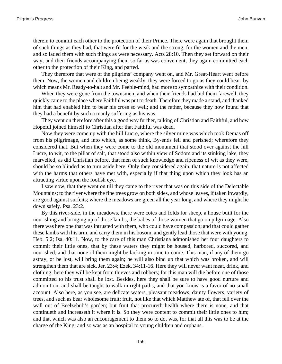therein to commit each other to the protection of their Prince. There were again that brought them of such things as they had, that were fit for the weak and the strong, for the women and the men, and so laded them with such things as were necessary. [Acts 28:10](http://www.ccel.org/b/bible/asv/xml/asv.Acts.28.xml#Acts.28.10). Then they set forward on their way; and their friends accompanying them so far as was convenient, they again committed each other to the protection of their King, and parted.

They therefore that were of the pilgrims' company went on, and Mr. Great-Heart went before them. Now, the women and children being weakly, they were forced to go as they could bear; by which means Mr. Ready-to-halt and Mr. Feeble-mind, had more to sympathize with their condition.

When they were gone from the townsmen, and when their friends had bid them farewell, they quickly came to the place where Faithful was put to death. Therefore they made a stand, and thanked him that had enabled him to bear his cross so well; and the rather, because they now found that they had a benefit by such a manly suffering as his was.

They went on therefore after this a good way further, talking of Christian and Faithful, and how Hopeful joined himself to Christian after that Faithful was dead.

Now they were come up with the hill Lucre, where the silver mine was which took Demas off from his pilgrimage, and into which, as some think, By-ends fell and perished; wherefore they considered that. But when they were come to the old monument that stood over against the hill Lucre, to wit, to the pillar of salt, that stood also within view of Sodom and its stinking lake, they marvelled, as did Christian before, that men of such knowledge and ripeness of wit as they were, should be so blinded as to turn aside here. Only they considered again, that nature is not affected with the harms that others have met with, especially if that thing upon which they look has an attracting virtue upon the foolish eye.

<span id="page-159-0"></span>I saw now, that they went on till they came to the river that was on this side of the Delectable Mountains; to the river where the fine trees grow on both sides, and whose leaves, if taken inwardly, are good against surfeits; where the meadows are green all the year long, and where they might lie down safely. [Psa. 23:2](http://www.ccel.org/b/bible/asv/xml/asv.Ps.23.xml#Ps.23.2).

<span id="page-159-2"></span><span id="page-159-1"></span>By this river-side, in the meadows, there were cotes and folds for sheep, a house built for the nourishing and bringing up of those lambs, the babes of those women that go on pilgrimage. Also there was here one that was intrusted with them, who could have compassion; and that could gather these lambs with his arm, and carry them in his bosom, and gently lead those that were with young. [Heb. 5:2](http://www.ccel.org/b/bible/asv/xml/asv.Heb.5.xml#Heb.5.2); [Isa. 40:11.](http://www.ccel.org/b/bible/asv/xml/asv.Isa.40.xml#Isa.40.11) Now, to the care of this man Christiana admonished her four daughters to commit their little ones, that by these waters they might be housed, harbored, succored, and nourished, and that none of them might be lacking in time to come. This man, if any of them go astray, or be lost, will bring them again; he will also bind up that which was broken, and will strengthen them that are sick. [Jer. 23:4](http://www.ccel.org/b/bible/asv/xml/asv.Jer.23.xml#Jer.23.4); [Ezek. 34:11-16.](http://www.ccel.org/b/bible/asv/xml/asv.Ezek.34.xml#Ezek.34.11) Here they will never want meat, drink, and clothing; here they will be kept from thieves and robbers; for this man will die before one of those committed to his trust shall be lost. Besides, here they shall be sure to have good nurture and admonition, and shall be taught to walk in right paths, and that you know is a favor of no small account. Also here, as you see, are delicate waters, pleasant meadows, dainty flowers, variety of trees, and such as bear wholesome fruit: fruit, not like that which Matthew ate of, that fell over the wall out of Beelzebub's garden; but fruit that procureth health where there is none, and that continueth and increaseth it where it is. So they were content to commit their little ones to him; and that which was also an encouragement to them so to do, was, for that all this was to be at the charge of the King, and so was as an hospital to young children and orphans.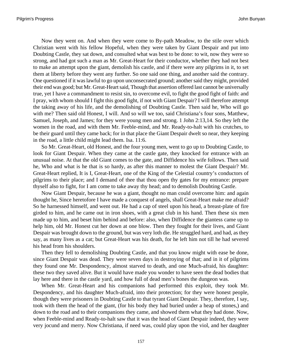Now they went on. And when they were come to By-path Meadow, to the stile over which Christian went with his fellow Hopeful, when they were taken by Giant Despair and put into Doubting Castle, they sat down, and consulted what was best to be done: to wit, now they were so strong, and had got such a man as Mr. Great-Heart for their conductor, whether they had not best to make an attempt upon the giant, demolish his castle, and if there were any pilgrims in it, to set them at liberty before they went any further. So one said one thing, and another said the contrary. One questioned if it was lawful to go upon unconsecrated ground; another said they might, provided their end was good; but Mr. Great-Heart said, Though that assertion offered last cannot be universally true, yet I have a commandment to resist sin, to overcome evil, to fight the good fight of faith: and I pray, with whom should I fight this good fight, if not with Giant Despair? I will therefore attempt the taking away of his life, and the demolishing of Doubting Castle. Then said he, Who will go with me? Then said old Honest, I will. And so will we too, said Christiana's four sons, Matthew, Samuel, Joseph, and James; for they were young men and strong. [1 John 2:13,14.](http://www.ccel.org/b/bible/asv/xml/asv.iJohn.2.xml#iJohn.2.13 Bible:1John.2.14) So they left the women in the road, and with them Mr. Feeble-mind, and Mr. Ready-to-halt with his crutches, to be their guard until they came back; for in that place the Giant Despair dwelt so near, they keeping in the road, a little child might lead them. [Isa. 11:6.](http://www.ccel.org/b/bible/asv/xml/asv.Isa.11.xml#Isa.11.6)

<span id="page-160-0"></span>So Mr. Great-Heart, old Honest, and the four young men, went to go up to Doubting Castle, to look for Giant Despair. When they came at the castle gate, they knocked for entrance with an unusual noise. At that the old Giant comes to the gate, and Diffidence his wife follows. Then said he, Who and what is he that is so hardy, as after this manner to molest the Giant Despair? Mr. Great-Heart replied, It is I, Great-Heart, one of the King of the Celestial country's conductors of pilgrims to their place; and I demand of thee that thou open thy gates for my entrance: prepare thyself also to fight, for I am come to take away thy head; and to demolish Doubting Castle.

Now Giant Despair, because he was a giant, thought no man could overcome him: and again thought he, Since heretofore I have made a conquest of angels, shall Great-Heart make me afraid? So he harnessed himself, and went out. He had a cap of steel upon his head, a breast-plate of fire girded to him, and he came out in iron shoes, with a great club in his hand. Then these six men made up to him, and beset him behind and before: also, when Diffidence the giantess came up to help him, old Mr. Honest cut her down at one blow. Then they fought for their lives, and Giant Despair was brought down to the ground, but was very loth die. He struggled hard, and had, as they say, as many lives as a cat; but Great-Heart was his death, for he left him not till he had severed his head from his shoulders.

Then they fell to demolishing Doubting Castle, and that you know might with ease be done, since Giant Despair was dead. They were seven days in destroying of that; and in it of pilgrims they found one Mr. Despondency, almost starved to death, and one Much-afraid, his daughter: these two they saved alive. But it would have made you wonder to have seen the dead bodies that lay here and there in the castle yard, and how full of dead men's bones the dungeon was.

When Mr. Great-Heart and his companions had performed this exploit, they took Mr. Despondency, and his daughter Much-afraid, into their protection; for they were honest people, though they were prisoners in Doubting Castle to that tyrant Giant Despair. They, therefore, I say, took with them the head of the giant, (for his body they had buried under a heap of stones,) and down to the road and to their companions they came, and showed them what they had done. Now, when Feeble-mind and Ready-to-halt saw that it was the head of Giant Despair indeed, they were very jocund and merry. Now Christiana, if need was, could play upon the viol, and her daughter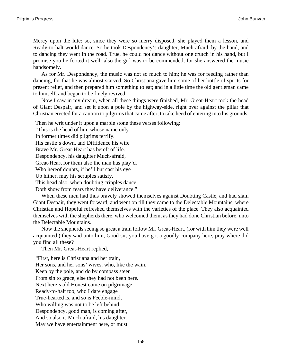Mercy upon the lute: so, since they were so merry disposed, she played them a lesson, and Ready-to-halt would dance. So he took Despondency's daughter, Much-afraid, by the hand, and to dancing they went in the road. True, he could not dance without one crutch in his hand, but I promise you he footed it well: also the girl was to be commended, for she answered the music handsomely.

As for Mr. Despondency, the music was not so much to him; he was for feeding rather than dancing, for that he was almost starved. So Christiana gave him some of her bottle of spirits for present relief, and then prepared him something to eat; and in a little time the old gentleman came to himself, and began to be finely revived.

Now I saw in my dream, when all these things were finished, Mr. Great-Heart took the head of Giant Despair, and set it upon a pole by the highway-side, right over against the pillar that Christian erected for a caution to pilgrims that came after, to take heed of entering into his grounds.

Then he writ under it upon a marble stone these verses following:

"This is the head of him whose name only

In former times did pilgrims terrify.

His castle's down, and Diffidence his wife

Brave Mr. Great-Heart has bereft of life.

Despondency, his daughter Much-afraid,

Great-Heart for them also the man has play'd.

Who hereof doubts, if he'll but cast his eye

Up hither, may his scruples satisfy.

This head also, when doubting cripples dance,

Doth show from fears they have deliverance."

When these men had thus bravely showed themselves against Doubting Castle, and had slain Giant Despair, they went forward, and went on till they came to the Delectable Mountains, where Christian and Hopeful refreshed themselves with the varieties of the place. They also acquainted themselves with the shepherds there, who welcomed them, as they had done Christian before, unto the Delectable Mountains.

Now the shepherds seeing so great a train follow Mr. Great-Heart, (for with him they were well acquainted,) they said unto him, Good sir, you have got a goodly company here; pray where did you find all these?

Then Mr. Great-Heart replied,

"First, here is Christiana and her train, Her sons, and her sons' wives, who, like the wain, Keep by the pole, and do by compass steer From sin to grace, else they had not been here. Next here's old Honest come on pilgrimage, Ready-to-halt too, who I dare engage True-hearted is, and so is Feeble-mind, Who willing was not to be left behind. Despondency, good man, is coming after, And so also is Much-afraid, his daughter. May we have entertainment here, or must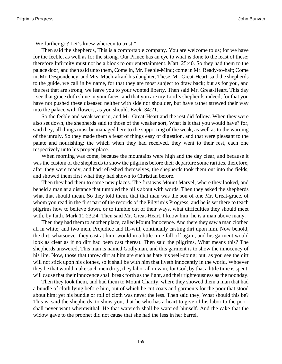We further go? Let's knew whereon to trust."

<span id="page-162-1"></span>Then said the shepherds, This is a comfortable company. You are welcome to us; for we have for the feeble, as well as for the strong. Our Prince has an eye to what is done to the least of these; therefore Infirmity must not be a block to our entertainment. [Matt. 25:40.](http://www.ccel.org/b/bible/asv/xml/asv.Matt.25.xml#Matt.25.40) So they had them to the palace door, and then said unto them, Come in, Mr. Feeble-Mind; come in Mr. Ready-to-halt; Come in, Mr. Despondency, and Mrs. Much-afraid his daughter. These, Mr. Great-Heart, said the shepherds to the guide, we call in by name, for that they are most subject to draw back; but as for you, and the rest that are strong, we leave you to your wonted liberty. Then said Mr. Great-Heart, This day I see that grace doth shine in your faces, and that you are my Lord's shepherds indeed; for that you have not pushed these diseased neither with side nor shoulder, but have rather strewed their way into the palace with flowers, as you should. [Ezek. 34:21.](http://www.ccel.org/b/bible/asv/xml/asv.Ezek.34.xml#Ezek.34.21)

<span id="page-162-0"></span>So the feeble and weak went in, and Mr. Great-Heart and the rest did follow. When they were also set down, the shepherds said to those of the weaker sort, What is it that you would have? for, said they, all things must be managed here to the supporting of the weak, as well as to the warning of the unruly. So they made them a feast of things easy of digestion, and that were pleasant to the palate and nourishing; the which when they had received, they went to their rest, each one respectively unto his proper place.

When morning was come, because the mountains were high and the day clear, and because it was the custom of the shepherds to show the pilgrims before their departure some rarities, therefore, after they were ready, and had refreshed themselves, the shepherds took them out into the fields, and showed them first what they had shown to Christian before.

<span id="page-162-2"></span>Then they had them to some new places. The first was Mount Marvel, where they looked, and beheld a man at a distance that tumbled the hills about with words. Then they asked the shepherds what that should mean. So they told them, that that man was the son of one Mr. Great-grace, of whom you read in the first part of the records of the Pilgrim's Progress; and he is set there to teach pilgrims how to believe down, or to tumble out of their ways, what difficulties they should meet with, by faith. [Mark 11:23,24.](http://www.ccel.org/b/bible/asv/xml/asv.Mark.11.xml#Mark.11.23 Bible:Mark.11.24) Then said Mr. Great-Heart, I know him; he is a man above many.

Then they had them to another place, called Mount Innocence. And there they saw a man clothed all in white; and two men, Prejudice and Ill-will, continually casting dirt upon him. Now behold, the dirt, whatsoever they cast at him, would in a little time fall off again, and his garment would look as clear as if no dirt had been cast thereat. Then said the pilgrims, What means this? The shepherds answered, This man is named Godlyman, and this garment is to show the innocency of his life. Now, those that throw dirt at him are such as hate his well-doing; but, as you see the dirt will not stick upon his clothes, so it shall be with him that liveth innocently in the world. Whoever they be that would make such men dirty, they labor all in vain; for God, by that a little time is spent, will cause that their innocence shall break forth as the light, and their righteousness as the noonday.

Then they took them, and had them to Mount Charity, where they showed them a man that had a bundle of cloth lying before him, out of which he cut coats and garments for the poor that stood about him; yet his bundle or roll of cloth was never the less. Then said they, What should this be? This is, said the shepherds, to show you, that he who has a heart to give of his labor to the poor, shall never want wherewithal. He that watereth shall be watered himself. And the cake that the widow gave to the prophet did not cause that she had the less in her barrel.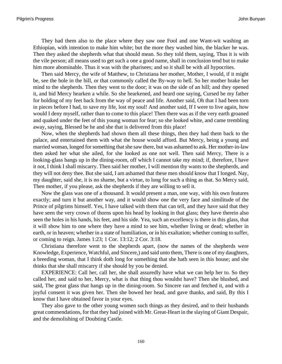They had them also to the place where they saw one Fool and one Want-wit washing an Ethiopian, with intention to make him white; but the more they washed him, the blacker he was. Then they asked the shepherds what that should mean. So they told them, saying, Thus it is with the vile person; all means used to get such a one a good name, shall in conclusion tend but to make him more abominable. Thus it was with the pharisees; and so it shall be with all hypocrites.

Then said Mercy, the wife of Matthew, to Christiana her mother, Mother, I would, if it might be, see the hole in the hill, or that commonly called the By-way to hell. So her mother brake her mind to the shepherds. Then they went to the door; it was on the side of an hill; and they opened it, and bid Mercy hearken a while. So she hearkened, and heard one saying, Cursed be my father for holding of my feet back from the way of peace and life. Another said, Oh that I had been torn in pieces before I had, to save my life, lost my soul! And another said, If I were to live again, how would I deny myself, rather than to come to this place! Then there was as if the very earth groaned and quaked under the feet of this young woman for fear; so she looked white, and came trembling away, saying, Blessed be he and she that is delivered from this place!

Now, when the shepherds had shown them all these things, then they had them back to the palace, and entertained them with what the house would afford. But Mercy, being a young and married woman, longed for something that she saw there, but was ashamed to ask. Her mother-in-law then asked her what she ailed, for she looked as one not well. Then said Mercy, There is a looking-glass hangs up in the dining-room, off which I cannot take my mind; if, therefore, I have it not, I think I shall miscarry. Then said her mother, I will mention thy wants to the shepherds, and they will not deny thee. But she said, I am ashamed that these men should know that I longed. Nay, my daughter, said she, it is no shame, but a virtue, to long for such a thing as that. So Mercy said, Then mother, if you please, ask the shepherds if they are willing to sell it.

Now the glass was one of a thousand. It would present a man, one way, with his own features exactly; and turn it but another way, and it would show one the very face and similitude of the Prince of pilgrims himself. Yes, I have talked with them that can tell, and they have said that they have seen the very crown of thorns upon his head by looking in that glass; they have therein also seen the holes in his hands, his feet, and his side. Yea, such an excellency is there in this glass, that it will show him to one where they have a mind to see him, whether living or dead; whether in earth, or in heaven; whether in a state of humiliation, or in his exaltation; whether coming to suffer, or coming to reign. [James 1:23;](http://www.ccel.org/b/bible/asv/xml/asv.Jas.1.xml#Jas.1.23) [1 Cor. 13:12](http://www.ccel.org/b/bible/asv/xml/asv.iCor.13.xml#iCor.13.12); [2 Cor. 3:18](http://www.ccel.org/b/bible/asv/xml/asv.iiCor.3.xml#iiCor.3.18).

Christiana therefore went to the shepherds apart, (now the names of the shepherds were Knowledge, Experience, Watchful, and Sincere,) and said unto them, There is one of my daughters, a breeding woman, that I think doth long for something that she hath seen in this house; and she thinks that she shall miscarry if she should by you be denied.

EXPERIENCE: Call her, call her, she shall assuredly have what we can help her to. So they called her, and said to her, Mercy, what is that thing thou wouldst have? Then she blushed, and said, The great glass that hangs up in the dining-room. So Sincere ran and fetched it, and with a joyful consent it was given her. Then she bowed her head, and gave thanks, and said, By this I know that I have obtained favor in your eyes.

They also gave to the other young women such things as they desired, and to their husbands great commendations, for that they had joined with Mr. Great-Heart in the slaying of Giant Despair, and the demolishing of Doubting Castle.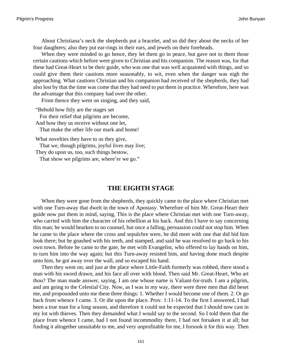About Christiana's neck the shepherds put a bracelet, and so did they about the necks of her four daughters; also they put ear-rings in their ears, and jewels on their foreheads.

When they were minded to go hence, they let them go in peace, but gave not to them those certain cautions which before were given to Christian and his companion. The reason was, for that these had Great-Heart to be their guide, who was one that was well acquainted with things, and so could give them their cautions more seasonably, to wit, even when the danger was nigh the approaching. What cautions Christian and his companion had received of the shepherds, they had also lost by that the time was come that they had need to put them in practice. Wherefore, here was the advantage that this company had over the other.

From thence they went on singing, and they said,

"Behold how fitly are the stages set For their relief that pilgrims are become, And how they us receive without one let, That make the other life our mark and home!

What novelties they have to us they give, That we, though pilgrims, joyful lives may live; They do upon us, too, such things bestow, That show we pilgrims are, where'er we go."

## **THE EIGHTH STAGE**

When they were gone from the shepherds, they quickly came to the place where Christian met with one Turn-away that dwelt in the town of Apostasy. Wherefore of him Mr. Great-Heart their guide now put them in mind, saying, This is the place where Christian met with one Turn-away, who carried with him the character of his rebellion at his back. And this I have to say concerning this man; he would hearken to no counsel, but once a falling, persuasion could not stop him. When he came to the place where the cross and sepulchre were, he did meet with one that did bid him look there; but he gnashed with his teeth, and stamped, and said he was resolved to go back to his own town. Before he came to the gate, he met with Evangelist, who offered to lay hands on him, to turn him into the way again; but this Turn-away resisted him, and having done much despite unto him, he got away over the wall, and so escaped his hand.

<span id="page-164-0"></span>Then they went on; and just at the place where Little-Faith formerly was robbed, there stood a man with his sword drawn, and his face all over with blood. Then said Mr. Great-Heart, Who art thou? The man made answer, saying, I am one whose name is Valiant-for-truth. I am a pilgrim, and am going to the Celestial City. Now, as I was in my way, there were three men that did beset me, and propounded unto me these three things: 1. Whether I would become one of them. 2. Or go back from whence I came. 3. Or die upon the place. [Prov. 1:11-14.](http://www.ccel.org/b/bible/asv/xml/asv.Prov.1.xml#Prov.1.11) To the first I answered, I had been a true man for a long season, and therefore it could not be expected that I should now cast in my lot with thieves. Then they demanded what I would say to the second. So I told them that the place from whence I came, had I not found incommodity there, I had not forsaken it at all; but finding it altogether unsuitable to me, and very unprofitable for me, I forsook it for this way. Then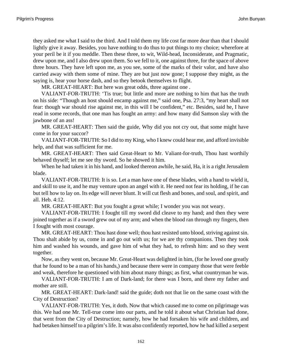they asked me what I said to the third. And I told them my life cost far more dear than that I should lightly give it away. Besides, you have nothing to do thus to put things to my choice; wherefore at your peril be it if you meddle. Then these three, to wit, Wild-head, Inconsiderate, and Pragmatic, drew upon me, and I also drew upon them. So we fell to it, one against three, for the space of above three hours. They have left upon me, as you see, some of the marks of their valor, and have also carried away with them some of mine. They are but just now gone; I suppose they might, as the saying is, hear your horse dash, and so they betook themselves to flight.

MR. GREAT-HEART: But here was great odds, three against one.

<span id="page-165-0"></span>VALIANT-FOR-TRUTH: 'Tis true; but little and more are nothing to him that has the truth on his side: "Though an host should encamp against me," said one, [Psa. 27:3,](http://www.ccel.org/b/bible/asv/xml/asv.Ps.27.xml#Ps.27.3) "my heart shall not fear: though war should rise against me, in this will I be confident," etc. Besides, said he, I have read in some records, that one man has fought an army: and how many did Samson slay with the jawbone of an ass!

MR. GREAT-HEART: Then said the guide, Why did you not cry out, that some might have come in for your succor?

VALIANT-FOR-TRUTH: So I did to my King, who I knew could hear me, and afford invisible help, and that was sufficient for me.

MR. GREAT-HEART: Then said Great-Heart to Mr. Valiant-for-truth, Thou hast worthily behaved thyself; let me see thy sword. So he showed it him.

When he had taken it in his hand, and looked thereon awhile, he said, Ha, it is a right Jerusalem blade.

VALIANT-FOR-TRUTH: It is so. Let a man have one of these blades, with a hand to wield it, and skill to use it, and he may venture upon an angel with it. He need not fear its holding, if he can but tell how to lay on. Its edge will never blunt. It will cut flesh and bones, and soul, and spirit, and all. [Heb. 4:12](http://www.ccel.org/b/bible/asv/xml/asv.Heb.4.xml#Heb.4.12).

MR. GREAT-HEART: But you fought a great while; I wonder you was not weary.

VALIANT-FOR-TRUTH: I fought till my sword did cleave to my hand; and then they were joined together as if a sword grew out of my arm; and when the blood ran through my fingers, then I fought with most courage.

MR. GREAT-HEART: Thou hast done well; thou hast resisted unto blood, striving against sin. Thou shalt abide by us, come in and go out with us; for we are thy companions. Then they took him and washed his wounds, and gave him of what they had, to refresh him: and so they went together.

Now, as they went on, because Mr. Great-Heart was delighted in him, (for he loved one greatly that he found to be a man of his hands,) and because there were in company those that were feeble and weak, therefore he questioned with him about many things; as first, what countryman he was.

VALIANT-FOR-TRUTH: I am of Dark-land; for there was I born, and there my father and mother are still.

MR. GREAT-HEART: Dark-land! said the guide; doth not that lie on the same coast with the City of Destruction?

VALIANT-FOR-TRUTH: Yes, it doth. Now that which caused me to come on pilgrimage was this. We had one Mr. Tell-true come into our parts, and he told it about what Christian had done, that went from the City of Destruction; namely, how he had forsaken his wife and children, and had betaken himself to a pilgrim's life. It was also confidently reported, how he had killed a serpent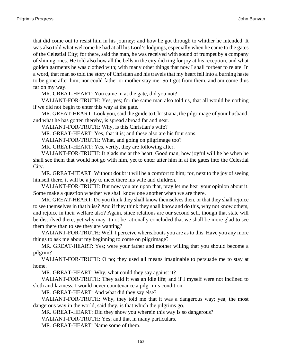that did come out to resist him in his journey; and how he got through to whither he intended. It was also told what welcome he had at all his Lord's lodgings, especially when he came to the gates of the Celestial City; for there, said the man, he was received with sound of trumpet by a company of shining ones. He told also how all the bells in the city did ring for joy at his reception, and what golden garments he was clothed with; with many other things that now I shall forbear to relate. In a word, that man so told the story of Christian and his travels that my heart fell into a burning haste to be gone after him; nor could father or mother stay me. So I got from them, and am come thus far on my way.

MR. GREAT-HEART: You came in at the gate, did you not?

VALIANT-FOR-TRUTH: Yes, yes; for the same man also told us, that all would be nothing if we did not begin to enter this way at the gate.

MR. GREAT-HEART: Look you, said the guide to Christiana, the pilgrimage of your husband, and what he has gotten thereby, is spread abroad far and near.

VALIANT-FOR-TRUTH: Why, is this Christian's wife?

MR. GREAT-HEART: Yes, that it is; and these also are his four sons.

VALIANT-FOR-TRUTH: What, and going on pilgrimage too?

MR. GREAT-HEART: Yes, verily, they are following after.

VALIANT-FOR-TRUTH: It glads me at the heart. Good man, how joyful will he be when he shall see them that would not go with him, yet to enter after him in at the gates into the Celestial City.

MR. GREAT-HEART: Without doubt it will be a comfort to him; for, next to the joy of seeing himself there, it will be a joy to meet there his wife and children.

VALIANT-FOR-TRUTH: But now you are upon that, pray let me hear your opinion about it. Some make a question whether we shall know one another when we are there.

MR. GREAT-HEART: Do you think they shall know themselves then, or that they shall rejoice to see themselves in that bliss? And if they think they shall know and do this, why not know others, and rejoice in their welfare also? Again, since relations are our second self, though that state will be dissolved there, yet why may it not be rationally concluded that we shall be more glad to see them there than to see they are wanting?

VALIANT-FOR-TRUTH: Well, I perceive whereabouts you are as to this. Have you any more things to ask me about my beginning to come on pilgrimage?

MR. GREAT-HEART: Yes; were your father and mother willing that you should become a pilgrim?

VALIANT-FOR-TRUTH: O no; they used all means imaginable to persuade me to stay at home.

MR. GREAT-HEART: Why, what could they say against it?

VALIANT-FOR-TRUTH: They said it was an idle life; and if I myself were not inclined to sloth and laziness, I would never countenance a pilgrim's condition.

MR. GREAT-HEART: And what did they say else?

VALIANT-FOR-TRUTH: Why, they told me that it was a dangerous way; yea, the most dangerous way in the world, said they, is that which the pilgrims go.

MR. GREAT-HEART: Did they show you wherein this way is so dangerous?

VALIANT-FOR-TRUTH: Yes; and that in many particulars.

MR. GREAT-HEART: Name some of them.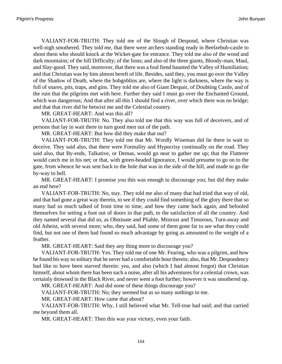VALIANT-FOR-TRUTH: They told me of the Slough of Despond, where Christian was well-nigh smothered. They told me, that there were archers standing ready in Beelzebub-castle to shoot them who should knock at the Wicket-gate for entrance. They told me also of the wood and dark mountains; of the hill Difficulty; of the lions; and also of the three giants, Bloody-man, Maul, and Slay-good. They said, moreover, that there was a foul fiend haunted the Valley of Humiliation; and that Christian was by him almost bereft of life. Besides, said they, you must go over the Valley of the Shadow of Death, where the hobgoblins are, where the light is darkness, where the way is full of snares, pits, traps, and gins. They told me also of Giant Despair, of Doubting Castle, and of the ruin that the pilgrims met with here. Further they said I must go over the Enchanted Ground, which was dangerous; And that after all this I should find a river, over which there was no bridge; and that that river did lie betwixt me and the Celestial country.

MR. GREAT-HEART: And was this all?

VALIANT-FOR-TRUTH: No. They also told me that this way was full of deceivers, and of persons that lay in wait there to turn good men out of the path.

MR. GREAT-HEART: But how did they make that out?

VALIANT-FOR-TRUTH: They told me that Mr. Wordly Wiseman did lie there in wait to deceive. They said also, that there were Formality and Hypocrisy continually on the road. They said also, that By-ends, Talkative, or Demas, would go near to gather me up; that the Flatterer would catch me in his net; or that, with green-headed Ignorance, I would presume to go on to the gate, from whence he was sent back to the hole that was in the side of the hill, and made to go the by-way to hell.

MR. GREAT-HEART: I promise you this was enough to discourage you; but did they make an end here?

VALIANT-FOR-TRUTH: No, stay. They told me also of many that had tried that way of old, and that had gone a great way therein, to see if they could find something of the glory there that so many had so much talked of from time to time, and how they came back again, and befooled themselves for setting a foot out of doors in that path, to the satisfaction of all the country. And they named several that did so, as Obstinate and Pliable, Mistrust and Timorous, Turn-away and old Atheist, with several more; who, they said, had some of them gone far to see what they could find, but not one of them had found so much advantage by going as amounted to the weight of a feather.

MR. GREAT-HEART: Said they any thing more to discourage you?

VALIANT-FOR-TRUTH: Yes. They told me of one Mr. Fearing, who was a pilgrim, and how he found his way so solitary that he never had a comfortable hour therein; also, that Mr. Despondency had like to have been starved therein: yea, and also (which I had almost forgot) that Christian himself, about whom there has been such a noise, after all his adventures for a celestial crown, was certainly drowned in the Black River, and never went a foot further; however it was smothered up.

MR. GREAT-HEART: And did none of these things discourage you?

VALIANT-FOR-TRUTH: No; they seemed but as so many nothings to me.

MR. GREAT-HEART: How came that about?

VALIANT-FOR-TRUTH: Why, I still believed what Mr. Tell-true had said; and that carried me beyond them all.

MR. GREAT-HEART: Then this was your victory, even your faith.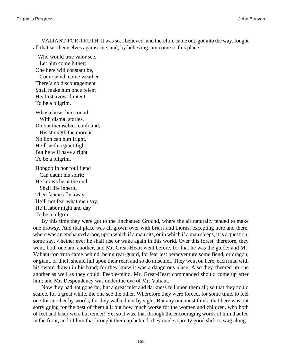VALIANT-FOR-TRUTH: It was so. I believed, and therefore came out, got into the way, fought all that set themselves against me, and, by believing, am come to this place.

"Who would true valor see,

 Let him come hither; One here will constant be,

 Come wind, come weather There's no discouragement Shall make him once relent His first avow'd intent To be a pilgrim.

Whoso beset him round With dismal stories, Do but themselves confound; His strength the more is. No lion can him fright, He'll with a giant fight, But he will have a right To be a pilgrim.

Hobgoblin nor foul fiend Can daunt his spirit; He knows he at the end Shall life inherit. Then fancies fly away, He'll not fear what men say; He'll labor night and day To be a pilgrim.

By this time they were got to the Enchanted Ground, where the air naturally tended to make one drowsy. And that place was all grown over with briars and thorns, excepting here and there, where was an enchanted arbor, upon which if a man sits, or in which if a man sleeps, it is a question, some say, whether ever he shall rise or wake again in this world. Over this forest, therefore, they went, both one and another, and Mr. Great-Heart went before, for that he was the guide; and Mr. Valiant-for-truth came behind, being rear-guard, for fear lest peradventure some fiend, or dragon, or giant, or thief, should fall upon their rear, and so do mischief. They went on here, each man with his sword drawn in his hand; for they knew it was a dangerous place. Also they cheered up one another as well as they could. Feeble-mind, Mr. Great-Heart commanded should come up after him; and Mr. Despondency was under the eye of Mr. Valiant.

Now they had not gone far, but a great mist and darkness fell upon them all; so that they could scarce, for a great while, the one see the other. Wherefore they were forced, for some time, to feel one for another by words; for they walked not by sight. But any one must think, that here was but sorry going for the best of them all; but how much worse for the women and children, who both of feet and heart were but tender! Yet so it was, that through the encouraging words of him that led in the front, and of him that brought them up behind, they made a pretty good shift to wag along.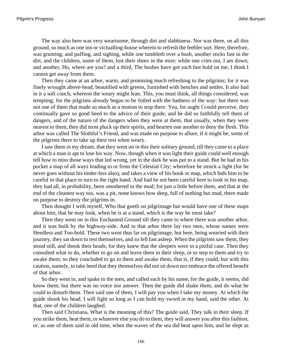The way also here was very wearisome, through dirt and slabbiness. Nor was there, on all this ground, so much as one inn or victualling-house wherein to refresh the feebler sort. Here, therefore, was grunting, and puffing, and sighing, while one tumbleth over a bush, another sticks fast in the dirt, and the children, some of them, lost their shoes in the mire; while one cries out, I am down; and another, Ho, where are you? and a third, The bushes have got such fast hold on me, I think I cannot get away from them.

Then they came at an arbor, warm, and promising much refreshing to the pilgrims; for it was finely wrought above-head, beautified with greens, furnished with benches and settles. It also had in it a soft couch, whereon the weary might lean. This, you must think, all things considered, was tempting; for the pilgrims already began to be foiled with the badness of the way: but there was not one of them that made so much as a motion to stop there. Yea, for aught I could perceive, they continually gave so good heed to the advice of their guide, and he did so faithfully tell them of dangers, and of the nature of the dangers when they were at them, that usually, when they were nearest to them, they did most pluck up their spirits, and hearten one another to deny the flesh. This arbor was called The Slothful's Friend, and was made on purpose to allure, if it might be, some of the pilgrims there to take up their rest when weary.

I saw them in my dream, that they went on in this their solitary ground, till they came to a place at which a man is apt to lose his way. Now, though when it was light their guide could well enough tell how to miss those ways that led wrong, yet in the dark he was put to a stand. But he had in his pocket a map of all ways leading to or from the Celestial City; wherefore he struck a light (for he never goes without his tinder-box also), and takes a view of his book or map, which bids him to be careful in that place to turn to the right hand. And had he not been careful here to look in his map, they had all, in probability, been smothered in the mud; for just a little before them, and that at the end of the cleanest way too, was a pit, none knows how deep, full of nothing but mud, there made on purpose to destroy the pilgrims in.

Then thought I with myself, Who that goeth on pilgrimage but would have one of these maps about him, that he may look, when he is at a stand, which is the way he must take?

Then they went on in this Enchanted Ground till they came to where there was another arbor, and it was built by the highway-side. And in that arbor there lay two men, whose names were Heedless and Too-bold. These two went thus far on pilgrimage; but here, being wearied with their journey, they sat down to rest themselves, and so fell fast asleep. When the pilgrims saw them, they stood still, and shook their heads; for they knew that the sleepers were in a pitiful case. Then they consulted what to do, whether to go on and leave them in their sleep, or to step to them and try to awake them; so they concluded to go to them and awake them, that is, if they could; but with this caution, namely, to take heed that they themselves did not sit down nor embrace the offered benefit of that arbor.

So they went in, and spake to the men, and called each by his name, for the guide, it seems, did know them; but there was no voice nor answer. Then the guide did shake them, and do what he could to disturb them. Then said one of them, I will pay you when I take my money. At which the guide shook his head. I will fight so long as I can hold my sword in my hand, said the other. At that, one of the children laughed.

Then said Christiana, What is the meaning of this? The guide said, They talk in their sleep. If you strike them, beat them, or whatever else you do to them, they will answer you after this fashion; or, as one of them said in old time, when the waves of the sea did beat upon him, and he slept as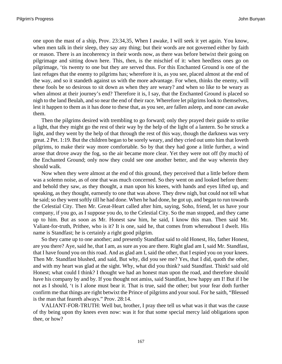<span id="page-170-0"></span>one upon the mast of a ship, [Prov. 23:34,35](http://www.ccel.org/b/bible/asv/xml/asv.Prov.23.xml#Prov.23.34 Bible:Prov.23.35), When I awake, I will seek it yet again. You know, when men talk in their sleep, they say any thing; but their words are not governed either by faith or reason. There is an incoherency in their words now, as there was before betwixt their going on pilgrimage and sitting down here. This, then, is the mischief of it: when heedless ones go on pilgrimage, 'tis twenty to one but they are served thus. For this Enchanted Ground is one of the last refuges that the enemy to pilgrims has; wherefore it is, as you see, placed almost at the end of the way, and so it standeth against us with the more advantage. For when, thinks the enemy, will these fools be so desirous to sit down as when they are weary? and when so like to be weary as when almost at their journey's end? Therefore it is, I say, that the Enchanted Ground is placed so nigh to the land Beulah, and so near the end of their race. Wherefore let pilgrims look to themselves, lest it happen to them as it has done to these that, as you see, are fallen asleep, and none can awake them.

Then the pilgrims desired with trembling to go forward; only they prayed their guide to strike a light, that they might go the rest of their way by the help of the light of a lantern. So he struck a light, and they went by the help of that through the rest of this way, though the darkness was very great. [2 Pet. 1:19.](http://www.ccel.org/b/bible/asv/xml/asv.iiPet.1.xml#iiPet.1.19) But the children began to be sorely weary, and they cried out unto him that loveth pilgrims, to make their way more comfortable. So by that they had gone a little further, a wind arose that drove away the fog, so the air became more clear. Yet they were not off (by much) of the Enchanted Ground; only now they could see one another better, and the way wherein they should walk.

Now when they were almost at the end of this ground, they perceived that a little before them was a solemn noise, as of one that was much concerned. So they went on and looked before them: and behold they saw, as they thought, a man upon his knees, with hands and eyes lifted up, and speaking, as they thought, earnestly to one that was above. They drew nigh, but could not tell what he said; so they went softly till he had done. When he had done, he got up, and began to run towards the Celestial City. Then Mr. Great-Heart called after him, saying, Soho, friend, let us have your company, if you go, as I suppose you do, to the Celestial City. So the man stopped, and they came up to him. But as soon as Mr. Honest saw him, he said, I know this man. Then said Mr. Valiant-for-truth, Prithee, who is it? It is one, said he, that comes from whereabout I dwelt. His name is Standfast; he is certainly a right good pilgrim.

<span id="page-170-1"></span>So they came up to one another; and presently Standfast said to old Honest, Ho, father Honest, are you there? Aye, said he, that I am, as sure as you are there. Right glad am I, said Mr. Standfast, that I have found you on this road. And as glad am I, said the other, that I espied you on your knees. Then Mr. Standfast blushed, and said, But why, did you see me? Yes, that I did, quoth the other, and with my heart was glad at the sight. Why, what did you think? said Standfast. Think! said old Honest; what could I think? I thought we had an honest man upon the road, and therefore should have his company by and by. If you thought not amiss, said Standfast, how happy am I! But if I be not as I should, 't is I alone must bear it. That is true, said the other; but your fear doth further confirm me that things are right betwixt the Prince of pilgrims and your soul. For he saith, "Blessed is the man that feareth always." [Prov. 28:14](http://www.ccel.org/b/bible/asv/xml/asv.Prov.28.xml#Prov.28.14).

VALIANT-FOR-TRUTH: Well but, brother, I pray thee tell us what was it that was the cause of thy being upon thy knees even now: was it for that some special mercy laid obligations upon thee, or how?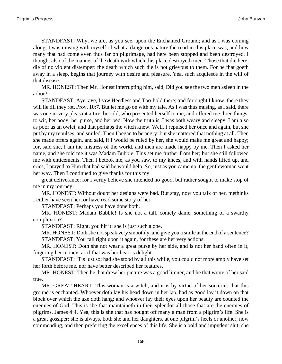STANDFAST: Why, we are, as you see, upon the Enchanted Ground; and as I was coming along, I was musing with myself of what a dangerous nature the road in this place was, and how many that had come even thus far on pilgrimage, had here been stopped and been destroyed. I thought also of the manner of the death with which this place destroyeth men. Those that die here, die of no violent distemper: the death which such die is not grievous to them. For he that goeth away in a sleep, begins that journey with desire and pleasure. Yea, such acquiesce in the will of that disease.

MR. HONEST: Then Mr. Honest interrupting him, said, Did you see the two men asleep in the arbor?

<span id="page-171-0"></span>STANDFAST: Aye, aye, I saw Heedless and Too-bold there; and for ought I know, there they will lie till they rot. [Prov. 10:7.](http://www.ccel.org/b/bible/asv/xml/asv.Prov.10.xml#Prov.10.7) But let me go on with my tale. As I was thus musing, as I said, there was one in very pleasant attire, but old, who presented herself to me, and offered me three things, to wit, her body, her purse, and her bed. Now the truth is, I was both weary and sleepy. I am also as poor as an owlet, and that perhaps the witch knew. Well, I repulsed her once and again, but she put by my repulses, and smiled. Then I began to be angry; but she mattered that nothing at all. Then she made offers again, and said, if I would be ruled by her, she would make me great and happy; for, said she, I am the mistress of the world, and men are made happy by me. Then I asked her name, and she told me it was Madam Bubble. This set me further from her; but she still followed me with enticements. Then I betook me, as you saw, to my knees, and with hands lifted up, and cries, I prayed to Him that had said he would help. So, just as you came up, the gentlewoman went her way. Then I continued to give thanks for this my

great deliverance; for I verily believe she intended no good, but rather sought to make stop of me in my journey.

MR. HONEST: Without doubt her designs were bad. But stay, now you talk of her, methinks I either have seen her, or have read some story of her.

STANDFAST: Perhaps you have done both.

MR. HONEST: Madam Bubble! Is she not a tall, comely dame, something of a swarthy complexion?

STANDFAST: Right, you hit it: she is just such a one.

MR. HONEST: Doth she not speak very smoothly, and give you a smile at the end of a sentence? STANDFAST: You fall right upon it again, for these are her very actions.

MR. HONEST: Doth she not wear a great purse by her side, and is not her hand often in it, fingering her money, as if that was her heart's delight.

STANDFAST: 'Tis just so; had she stood by all this while, you could not more amply have set her forth before me, nor have better described her features.

MR. HONEST: Then he that drew her picture was a good limner, and he that wrote of her said true.

MR. GREAT-HEART: This woman is a witch, and it is by virtue of her sorceries that this ground is enchanted. Whoever doth lay his head down in her lap, had as good lay it down on that block over which the axe doth hang; and whoever lay their eyes upon her beauty are counted the enemies of God. This is she that maintaineth in their splendor all those that are the enemies of pilgrims. [James 4:4](http://www.ccel.org/b/bible/asv/xml/asv.Jas.4.xml#Jas.4.4). Yea, this is she that has bought off many a man from a pilgrim's life. She is a great gossiper; she is always, both she and her daughters, at one pilgrim's heels or another, now commending, and then preferring the excellences of this life. She is a bold and impudent slut: she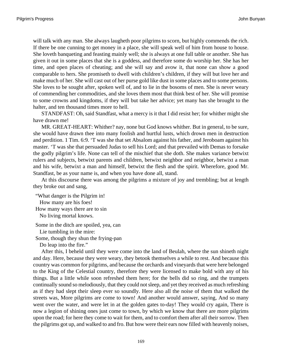will talk with any man. She always laugheth poor pilgrims to scorn, but highly commends the rich. If there be one cunning to get money in a place, she will speak well of him from house to house. She loveth banqueting and feasting mainly well; she is always at one full table or another. She has given it out in some places that she is a goddess, and therefore some do worship her. She has her time, and open places of cheating; and she will say and avow it, that none can show a good comparable to hers. She promiseth to dwell with children's children, if they will but love her and make much of her. She will cast out of her purse gold like dust in some places and to some persons. She loves to be sought after, spoken well of, and to lie in the bosoms of men. She is never weary of commending her commodities, and she loves them most that think best of her. She will promise to some crowns and kingdoms, if they will but take her advice; yet many has she brought to the halter, and ten thousand times more to hell.

STANDFAST: Oh, said Standfast, what a mercy is it that I did resist her; for whither might she have drawn me!

MR. GREAT-HEART: Whither? nay, none but God knows whither. But in general, to be sure, she would have drawn thee into many foolish and hurtful lusts, which drown men in destruction and perdition. [1 Tim. 6:9.](http://www.ccel.org/b/bible/asv/xml/asv.iTim.6.xml#iTim.6.9) 'T was she that set Absalom against his father, and Jeroboam against his master. 'T was she that persuaded Judas to sell his Lord; and that prevailed with Demas to forsake the godly pilgrim's life. None can tell of the mischief that she doth. She makes variance betwixt rulers and subjects, betwixt parents and children, betwixt neighbor and neighbor, betwixt a man and his wife, betwixt a man and himself, betwixt the flesh and the spirit. Wherefore, good Mr. Standfast, be as your name is, and when you have done all, stand.

At this discourse there was among the pilgrims a mixture of joy and trembling; but at length they broke out and sang,

"What danger is the Pilgrim in! How many are his foes! How many ways there are to sin No living mortal knows.

Some in the ditch are spoiled, yea, can

Lie tumbling in the mire:

Some, though they shun the frying-pan

Do leap into the fire."

After this, I beheld until they were come into the land of Beulah, where the sun shineth night and day. Here, because they were weary, they betook themselves a while to rest. And because this country was common for pilgrims, and because the orchards and vineyards that were here belonged to the King of the Celestial country, therefore they were licensed to make bold with any of his things. But a little while soon refreshed them here; for the bells did so ring, and the trumpets continually sound so melodiously, that they could not sleep, and yet they received as much refreshing as if they had slept their sleep ever so soundly. Here also all the noise of them that walked the streets was, More pilgrims are come to town! And another would answer, saying, And so many went over the water, and were let in at the golden gates to-day! They would cry again, There is now a legion of shining ones just come to town, by which we know that there are more pilgrims upon the road; for here they come to wait for them, and to comfort them after all their sorrow. Then the pilgrims got up, and walked to and fro. But how were their ears now filled with heavenly noises,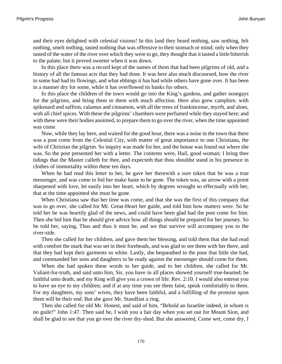and their eyes delighted with celestial visions! In this land they heard nothing, saw nothing, felt nothing, smelt nothing, tasted nothing that was offensive to their stomach or mind; only when they tasted of the water of the river over which they were to go, they thought that it tasted a little bitterish to the palate; but it proved sweeter when it was down.

In this place there was a record kept of the names of them that had been pilgrims of old, and a history of all the famous acts that they had done. It was here also much discoursed, how the river to some had had its flowings, and what ebbings it has had while others have gone over. It has been in a manner dry for some, while it has overflowed its banks for others.

In this place the children of the town would go into the King's gardens, and gather nosegays for the pilgrims, and bring them to them with much affection. Here also grew camphire, with spikenard and saffron, calamus and cinnamon, with all the trees of frankincense, myrrh, and aloes, with all chief spices. With these the pilgrims' chambers were perfumed while they stayed here; and with these were their bodies anointed, to prepare them to go over the river, when the time appointed was come.

Now, while they lay here, and waited for the good hour, there was a noise in the town that there was a post come from the Celestial City, with matter of great importance to one Christiana, the wife of Christian the pilgrim. So inquiry was made for her, and the house was found out where she was. So the post presented her with a letter. The contents were, Hail, good woman; I bring thee tidings that the Master calleth for thee, and expecteth that thou shouldst stand in his presence in clothes of immortality within these ten days.

When he had read this letter to her, he gave her therewith a sure token that he was a true messenger, and was come to bid her make haste to be gone. The token was, an arrow with a point sharpened with love, let easily into her heart, which by degrees wrought so effectually with her, that at the time appointed she must be gone.

When Christiana saw that her time was come, and that she was the first of this company that was to go over, she called for Mr. Great-Heart her guide, and told him how matters were. So he told her he was heartily glad of the news, and could have been glad had the post come for him. Then she bid him that he should give advice how all things should be prepared for her journey. So he told her, saying, Thus and thus it must be, and we that survive will accompany you to the river-side.

Then she called for her children, and gave them her blessing, and told them that she had read with comfort the mark that was set in their foreheads, and was glad to see them with her there, and that they had kept their garments so white. Lastly, she bequeathed to the poor that little she had, and commanded her sons and daughters to be ready against the messenger should come for them.

<span id="page-173-0"></span>When she had spoken these words to her guide, and to her children, she called for Mr. Valiant-for-truth, and said unto him, Sir, you have in all places showed yourself true-hearted; be faithful unto death, and my King will give you a crown of life. [Rev. 2:10.](http://www.ccel.org/b/bible/asv/xml/asv.Rev.2.xml#Rev.2.10) I would also entreat you to have an eye to my children; and if at any time you see them faint, speak comfortably to them. For my daughters, my sons' wives, they have been faithful, and a fulfilling of the promise upon them will be their end. But she gave Mr. Standfast a ring.

Then she called for old Mr. Honest, and said of him, "Behold an Israelite indeed, in whom is no guile!" [John 1:47](http://www.ccel.org/b/bible/asv/xml/asv.John.1.xml#John.1.47). Then said he, I wish you a fair day when you set out for Mount Sion, and shall be glad to see that you go over the river dry-shod. But she answered, Come wet, come dry, I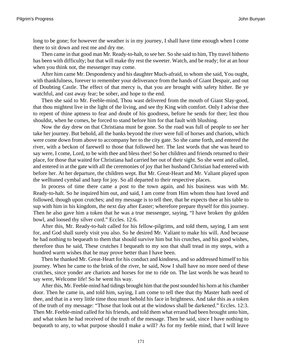long to be gone; for however the weather is in my journey, I shall have time enough when I come there to sit down and rest me and dry me.

Then came in that good man Mr. Ready-to-halt, to see her. So she said to him, Thy travel hitherto has been with difficulty; but that will make thy rest the sweeter. Watch, and be ready; for at an hour when you think not, the messenger may come.

After him came Mr. Despondency and his daughter Much-afraid, to whom she said, You ought, with thankfulness, forever to remember your deliverance from the hands of Giant Despair, and out of Doubting Castle. The effect of that mercy is, that you are brought with safety hither. Be ye watchful, and cast away fear; be sober, and hope to the end.

Then she said to Mr. Feeble-mind, Thou wast delivered from the mouth of Giant Slay-good, that thou mightest live in the light of the living, and see thy King with comfort. Only I advise thee to repent of thine aptness to fear and doubt of his goodness, before he sends for thee; lest thou shouldst, when he comes, be forced to stand before him for that fault with blushing.

Now the day drew on that Christiana must be gone. So the road was full of people to see her take her journey. But behold, all the banks beyond the river were full of horses and chariots, which were come down from above to accompany her to the city gate. So she came forth, and entered the river, with a beckon of farewell to those that followed her. The last words that she was heard to say were, I come, Lord, to be with thee and bless thee! So her children and friends returned to their place, for those that waited for Christiana had carried her out of their sight. So she went and called, and entered in at the gate with all the ceremonies of joy that her husband Christian had entered with before her. At her departure, the children wept. But Mr. Great-Heart and Mr. Valiant played upon the welltuned cymbal and harp for joy. So all departed to their respective places.

<span id="page-174-1"></span>In process of time there came a post to the town again, and his business was with Mr. Ready-to-halt. So he inquired him out, and said, I am come from Him whom thou hast loved and followed, though upon crutches; and my message is to tell thee, that he expects thee at his table to sup with him in his kingdom, the next day after Easter; wherefore prepare thyself for this journey. Then he also gave him a token that he was a true messenger, saying, "I have broken thy golden bowl, and loosed thy silver cord." [Eccles. 12:6.](http://www.ccel.org/b/bible/asv/xml/asv.Eccl.12.xml#Eccl.12.6)

After this, Mr. Ready-to-halt called for his fellow-pilgrims, and told them, saying, I am sent for, and God shall surely visit you also. So he desired Mr. Valiant to make his will. And because he had nothing to bequeath to them that should survive him but his crutches, and his good wishes, therefore thus he said, These crutches I bequeath to my son that shall tread in my steps, with a hundred warm wishes that he may prove better than I have been.

Then he thanked Mr. Great-Heart for his conduct and kindness, and so addressed himself to his journey. When he came to the brink of the river, he said, Now I shall have no more need of these crutches, since yonder are chariots and horses for me to ride on. The last words he was heard to say were, Welcome life! So he went his way.

<span id="page-174-0"></span>After this, Mr. Feeble-mind had tidings brought him that the post sounded his horn at his chamber door. Then he came in, and told him, saying, I am come to tell thee that thy Master hath need of thee, and that in a very little time thou must behold his face in brightness. And take this as a token of the truth of my message: "Those that look out at the windows shall be darkened." [Eccles. 12:3](http://www.ccel.org/b/bible/asv/xml/asv.Eccl.12.xml#Eccl.12.3). Then Mr. Feeble-mind called for his friends, and told them what errand had been brought unto him, and what token he had received of the truth of the message. Then he said, since I have nothing to bequeath to any, to what purpose should I make a will? As for my feeble mind, that I will leave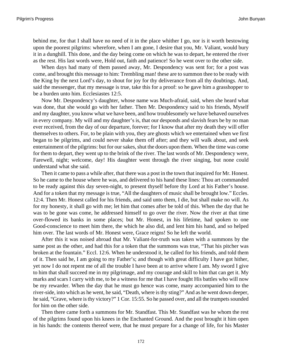behind me, for that I shall have no need of it in the place whither I go, nor is it worth bestowing upon the poorest pilgrims: wherefore, when I am gone, I desire that you, Mr. Valiant, would bury it in a dunghill. This done, and the day being come on which he was to depart, he entered the river as the rest. His last words were, Hold out, faith and patience! So he went over to the other side.

<span id="page-175-1"></span>When days had many of them passed away, Mr. Despondency was sent for; for a post was come, and brought this message to him: Trembling man! these are to summon thee to be ready with the King by the next Lord's day, to shout for joy for thy deliverance from all thy doubtings. And, said the messenger, that my message is true, take this for a proof: so he gave him a grasshopper to be a burden unto him. [Ecclesiastes 12:5](http://www.ccel.org/b/bible/asv/xml/asv.Eccl.12.xml#Eccl.12.5).

Now Mr. Despondency's daughter, whose name was Much-afraid, said, when she heard what was done, that she would go with her father. Then Mr. Despondency said to his friends, Myself and my daughter, you know what we have been, and how troublesomely we have behaved ourselves in every company. My will and my daughter's is, that our desponds and slavish fears be by no man ever received, from the day of our departure, forever; for I know that after my death they will offer themselves to others. For, to be plain with you, they are ghosts which we entertained when we first began to be pilgrims, and could never shake them off after; and they will walk about, and seek entertainment of the pilgrims: but for our sakes, shut the doors upon them. When the time was come for them to depart, they went up to the brink of the river. The last words of Mr. Despondency were, Farewell, night; welcome, day! His daughter went through the river singing, but none could understand what she said.

<span id="page-175-0"></span>Then it came to pass a while after, that there was a post in the town that inquired for Mr. Honest. So he came to the house where he was, and delivered to his hand these lines: Thou art commanded to be ready against this day seven-night, to present thyself before thy Lord at his Father's house. And for a token that my message is true, "All the daughters of music shall be brought low." [Eccles.](http://www.ccel.org/b/bible/asv/xml/asv.Eccl.12.xml#Eccl.12.4) [12:4](http://www.ccel.org/b/bible/asv/xml/asv.Eccl.12.xml#Eccl.12.4). Then Mr. Honest called for his friends, and said unto them, I die, but shall make no will. As for my honesty, it shall go with me; let him that comes after be told of this. When the day that he was to be gone was come, he addressed himself to go over the river. Now the river at that time over-flowed its banks in some places; but Mr. Honest, in his lifetime, had spoken to one Good-conscience to meet him there, the which he also did, and lent him his hand, and so helped him over. The last words of Mr. Honest were, Grace reigns! So he left the world.

<span id="page-175-2"></span>After this it was noised abroad that Mr. Valiant-for-truth was taken with a summons by the same post as the other, and had this for a token that the summons was true, "That his pitcher was broken at the fountain." [Eccl. 12:6](http://www.ccel.org/b/bible/asv/xml/asv.Eccl.12.xml#Eccl.12.6). When he understood it, he called for his friends, and told them of it. Then said he, I am going to my Father's; and though with great difficulty I have got hither, yet now I do not repent me of all the trouble I have been at to arrive where I am. My sword I give to him that shall succeed me in my pilgrimage, and my courage and skill to him that can get it. My marks and scars I carry with me, to be a witness for me that I have fought His battles who will now be my rewarder. When the day that he must go hence was come, many accompanied him to the river-side, into which as he went, he said, "Death, where is thy sting?" And as he went down deeper, he said, "Grave, where is thy victory?" [1 Cor. 15:55.](http://www.ccel.org/b/bible/asv/xml/asv.iCor.15.xml#iCor.15.55) So he passed over, and all the trumpets sounded for him on the other side.

Then there came forth a summons for Mr. Standfast. This Mr. Standfast was he whom the rest of the pilgrims found upon his knees in the Enchanted Ground. And the post brought it him open in his hands: the contents thereof were, that he must prepare for a change of life, for his Master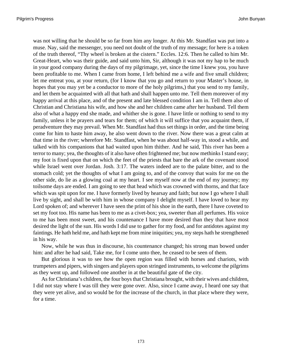<span id="page-176-1"></span>was not willing that he should be so far from him any longer. At this Mr. Standfast was put into a muse. Nay, said the messenger, you need not doubt of the truth of my message; for here is a token of the truth thereof, "Thy wheel is broken at the cistern." [Eccles. 12:6.](http://www.ccel.org/b/bible/asv/xml/asv.Eccl.12.xml#Eccl.12.6) Then he called to him Mr. Great-Heart, who was their guide, and said unto him, Sir, although it was not my hap to be much in your good company during the days of my pilgrimage, yet, since the time I knew you, you have been profitable to me. When I came from home, I left behind me a wife and five small children; let me entreat you, at your return, (for I know that you go and return to your Master's house, in hopes that you may yet be a conductor to more of the holy pilgrims,) that you send to my family, and let them be acquainted with all that hath and shall happen unto me. Tell them moreover of my happy arrival at this place, and of the present and late blessed condition I am in. Tell them also of Christian and Christiana his wife, and how she and her children came after her husband. Tell them also of what a happy end she made, and whither she is gone. I have little or nothing to send to my family, unless it be prayers and tears for them; of which it will suffice that you acquaint them, if peradventure they may prevail. When Mr. Standfast had thus set things in order, and the time being come for him to haste him away, he also went down to the river. Now there was a great calm at that time in the river; wherefore Mr. Standfast, when he was about half-way in, stood a while, and talked with his companions that had waited upon him thither. And he said, This river has been a terror to many; yea, the thoughts of it also have often frightened me; but now methinks I stand easy; my foot is fixed upon that on which the feet of the priests that bare the ark of the covenant stood while Israel went over Jordan. [Josh. 3:17](http://www.ccel.org/b/bible/asv/xml/asv.Josh.3.xml#Josh.3.17). The waters indeed are to the palate bitter, and to the stomach cold; yet the thoughts of what I am going to, and of the convoy that waits for me on the other side, do lie as a glowing coal at my heart. I see myself now at the end of my journey; my toilsome days are ended. I am going to see that head which was crowned with thorns, and that face which was spit upon for me. I have formerly lived by hearsay and faith; but now I go where I shall live by sight, and shall be with him in whose company I delight myself. I have loved to hear my Lord spoken of; and wherever I have seen the print of his shoe in the earth, there I have coveted to set my foot too. His name has been to me as a civet-box; yea, sweeter than all perfumes. His voice to me has been most sweet, and his countenance I have more desired than they that have most desired the light of the sun. His words I did use to gather for my food, and for antidotes against my faintings. He hath held me, and hath kept me from mine iniquities; yea, my steps hath he strengthened in his way.

<span id="page-176-0"></span>Now, while he was thus in discourse, his countenance changed; his strong man bowed under him: and after he had said, Take me, for I come unto thee, he ceased to be seen of them.

But glorious it was to see how the open region was filled with horses and chariots, with trumpeters and pipers, with singers and players upon stringed instruments, to welcome the pilgrims as they went up, and followed one another in at the beautiful gate of the city.

As for Christiana's children, the four boys that Christiana brought, with their wives and children, I did not stay where I was till they were gone over. Also, since I came away, I heard one say that they were yet alive, and so would be for the increase of the church, in that place where they were, for a time.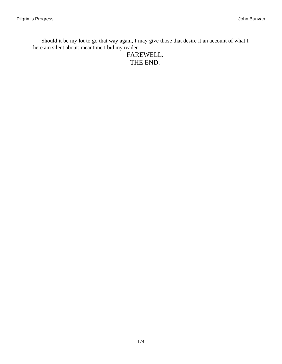Should it be my lot to go that way again, I may give those that desire it an account of what I here am silent about: meantime I bid my reader

## FAREWELL. THE END.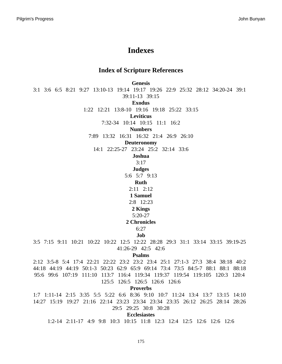# **Indexes**

## **Index of Scripture References**

**Genesis**

[3:1](#page-149-0) [3:6](#page-133-0) [6:5](#page-85-0) [8:21](#page-85-1) [9:27](#page-32-0) [13:10-13](#page-66-0) [19:14](#page-35-0) [19:17](#page-14-0) [19:26](#page-65-0) [22:9](#page-134-0) [25:32](#page-75-0) [28:12](#page-133-1) [34:20-24](#page-63-0) [39:1](#page-142-0) [39:11-13](#page-44-0) [39:15](#page-51-0)

**Exodus**

[1:22](#page-58-0) [12:21](#page-127-0) [13:8-10](#page-119-0) [19:16](#page-19-0) [19:18](#page-19-0) [25:22](#page-82-0) [33:15](#page-77-0)

**Leviticus**

[7:32-34](#page-149-1) [10:14](#page-149-1) [10:15](#page-149-1) [11:1](#page-50-0) [16:2](#page-82-0)

**Numbers**

[7:89](#page-82-0) [13:32](#page-40-0) [16:31](#page-65-1) [16:32](#page-65-1) [21:4](#page-66-1) [26:9](#page-65-2) [26:10](#page-65-2)

**Deuteronomy**

[14:1](#page-50-0) [22:25-27](#page-112-0) [23:24](#page-90-0) [25:2](#page-78-0) [32:14](#page-149-2) [33:6](#page-134-1)

**Joshua**

[3:17](#page-176-0)

**Judges**

[5:6](#page-125-0) [5:7](#page-125-0) [9:13](#page-149-2)

**Ruth**

[2:11](#page-119-1) [2:12](#page-119-1)

**1 Samuel**

[2:8](#page-36-0) [12:23](#page-17-0)

## **2 Kings**

## [5:20-27](#page-64-0)

### **2 Chronicles**

[6:27](#page-78-0) **Job**

[3:5](#page-41-0) [7:15](#page-68-0) [9:11](#page-42-0) [10:21](#page-13-0) [10:22](#page-13-0) [10:22](#page-41-0) [12:5](#page-154-0) [12:22](#page-42-1) [28:28](#page-87-0) [29:3](#page-42-2) [31:1](#page-44-1) [33:14](#page-128-0) [33:15](#page-128-0) [39:19-25](#page-76-0) [41:26-29](#page-76-1) [42:5](#page-52-0) [42:6](#page-52-0)

#### **Psalms**

[2:12](#page-21-0) [3:5-8](#page-77-1) [5:4](#page-27-0) [17:4](#page-78-1) [22:21](#page-111-0) [22:22](#page-111-0) [23:2](#page-66-2) [23:2](#page-159-0) [23:4](#page-42-3) [25:1](#page-149-1) [27:1-3](#page-77-1) [27:3](#page-165-0) [38:4](#page-13-1) [38:18](#page-52-1) [40:2](#page-16-0) [44:18](#page-41-1) [44:19](#page-40-1) [44:19](#page-41-1) [50:1-3](#page-27-0) [50:23](#page-52-0) [62:9](#page-55-0) [65:9](#page-66-3) [69:14](#page-41-2) [73:4](#page-91-0) [73:5](#page-91-0) [84:5-7](#page-137-0) [88:1](#page-76-2) [88:1](#page-144-0) [88:18](#page-68-1) [95:6](#page-82-1) [99:6](#page-142-1) [107:19](#page-40-1) [111:10](#page-87-0) [113:7](#page-36-0) [116:4](#page-41-3) [119:34](#page-51-1) [119:37](#page-56-0) [119:54](#page-104-0) [119:105](#page-14-1) [120:3](#page-125-1) [120:4](#page-125-1) [125:5](#page-85-2) [126:5](#page-102-0) [126:5](#page-108-0) [126:6](#page-102-0) [126:6](#page-108-0)

**Proverbs**

[1:7](#page-87-0) [1:11-14](#page-164-0) [2:15](#page-85-3) [3:35](#page-47-0) [5:5](#page-44-2) [5:22](#page-73-0) [6:6](#page-30-0) [8:36](#page-137-1) [9:10](#page-87-0) [10:7](#page-171-0) [11:24](#page-150-0) [13:4](#page-84-0) [13:7](#page-150-0) [13:15](#page-123-0) [14:10](#page-139-0) [14:27](#page-103-0) [15:19](#page-123-1) [19:27](#page-79-0) [21:16](#page-71-0) [22:14](#page-44-3) [23:23](#page-56-1) [23:34](#page-28-0) [23:34](#page-170-0) [23:35](#page-170-0) [26:12](#page-73-1) [26:25](#page-60-0) [28:14](#page-170-1) [28:26](#page-84-1) [29:5](#page-77-2) [29:25](#page-88-0) [30:8](#page-115-0) [30:28](#page-115-1)

#### **Ecclesiastes**

[1:2-14](#page-55-1) [2:11-17](#page-55-2) [4:9](#page-79-1) [9:8](#page-134-2) [10:3](#page-73-2) [10:15](#page-79-2) [11:8](#page-55-1) [12:3](#page-174-0) [12:4](#page-175-0) [12:5](#page-175-1) [12:6](#page-174-1) [12:6](#page-175-2) [12:6](#page-176-1)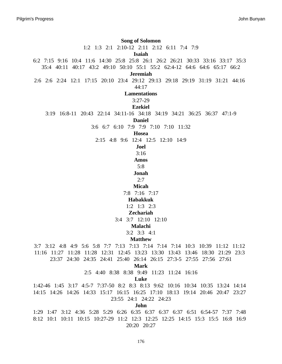**Song of Solomon**

[1:2](#page-110-0) [1:3](#page-104-1) [2:1](#page-136-0) [2:10-12](#page-89-0) [2:11](#page-135-0) [2:12](#page-135-0) [6:11](#page-150-1) [7:4](#page-137-2) [7:9](#page-90-1)

**Isaiah**

[6:2](#page-15-0) [7:15](#page-149-3) [9:16](#page-67-0) [10:4](#page-77-3) [11:6](#page-160-0) [14:30](#page-66-2) [25:8](#page-34-0) [25:8](#page-15-1) [26:1](#page-28-1) [26:2](#page-93-0) [26:21](#page-27-0) [30:33](#page-14-2) [33:16](#page-37-0) [33:17](#page-37-0) [35:3](#page-16-1) [35:4](#page-16-1) [40:11](#page-159-1) [40:17](#page-55-2) [43:2](#page-91-1) [49:10](#page-30-1) [50:10](#page-139-1) [55:1](#page-16-2) [55:2](#page-16-2) [62:4-12](#page-89-1) [64:6](#page-13-1) [64:6](#page-81-0) [65:17](#page-15-2) [66:2](#page-137-3)

**Jeremiah**

[2:6](#page-40-2) [2:6](#page-41-1) [2:24](#page-75-1) [12:1](#page-111-1) [17:15](#page-79-2) [20:10](#page-14-3) [23:4](#page-159-2) [29:12](#page-82-1) [29:13](#page-82-1) [29:18](#page-44-4) [29:19](#page-44-4) [31:19](#page-52-1) [31:21](#page-67-1) [44:16](#page-123-2) [44:17](#page-123-2)

**Lamentations**

[3:27-29](#page-144-1)

**Ezekiel**

[3:19](#page-35-1) [16:8-11](#page-127-1) [20:43](#page-52-0) [22:14](#page-13-2) [34:11-16](#page-159-2) [34:18](#page-123-3) [34:19](#page-123-3) [34:21](#page-162-0) [36:25](#page-52-2) [36:37](#page-113-0) [47:1-9](#page-66-3)

**Daniel**

[3:6](#page-59-0) [6:7](#page-59-1) [6:10](#page-82-1) [7:9](#page-27-0) [7:9](#page-92-0) [7:10](#page-27-0) [7:10](#page-92-0) [11:32](#page-78-2)

**Hosea**

[2:15](#page-137-0) [4:8](#page-147-0) [9:6](#page-64-1) [12:4](#page-137-4) [12:5](#page-137-4) [12:10](#page-95-0) [14:9](#page-71-1)

**Joel**

[3:16](#page-133-2)

**Amos**

[5:8](#page-42-4)

**Jonah** [2:7](#page-110-1)

**Micah**

[7:8](#page-39-0) [7:16](#page-27-0) [7:17](#page-27-0)

### **Habakkuk**

[1:2](#page-13-3) [1:3](#page-13-3) [2:3](#page-83-0)

### **Zechariah**

[3:4](#page-28-2) [3:7](#page-102-1) [12:10](#page-28-3) [12:10](#page-131-0)

#### **Malachi**

[3:2](#page-27-0) [3:3](#page-27-0) [4:1](#page-27-1)

#### **Matthew**

[3:7](#page-14-4) [3:12](#page-27-2) [4:8](#page-55-3) [4:9](#page-55-3) [5:6](#page-52-3) [5:8](#page-52-0) [7:7](#page-21-1) [7:13](#page-14-5) [7:13](#page-20-0) [7:14](#page-14-5) [7:14](#page-20-0) [7:14](#page-23-0) [10:3](#page-142-1) [10:39](#page-20-1) [11:12](#page-26-0) [11:12](#page-110-2) [11:16](#page-145-0) [11:27](#page-86-0) [11:28](#page-82-2) [11:28](#page-124-0) [12:31](#page-20-2) [12:45](#page-73-0) [13:23](#page-50-1) [13:30](#page-50-2) [13:43](#page-15-3) [13:46](#page-137-4) [18:30](#page-27-2) [21:29](#page-114-0) [23:3](#page-49-0) [23:37](#page-116-0) [24:30](#page-27-2) [24:35](#page-82-3) [24:41](#page-110-3) [25:40](#page-162-1) [26:14](#page-64-0) [26:15](#page-64-0) [27:3-5](#page-64-0) [27:55](#page-149-4) [27:56](#page-149-4) [27:61](#page-149-4)

**Mark**

[2:5](#page-28-2) [4:40](#page-32-1) [8:38](#page-20-1) [8:38](#page-47-1) [9:49](#page-131-1) [11:23](#page-162-2) [11:24](#page-162-2) [16:16](#page-52-1)

**Luke**

[1:42-46](#page-149-5) [1:45](#page-108-1) [3:17](#page-27-3) [4:5-7](#page-55-3) [7:37-50](#page-149-6) [8:2](#page-149-7) [8:3](#page-149-7) [8:13](#page-26-1) [9:62](#page-14-6) [10:16](#page-102-2) [10:34](#page-154-1) [10:35](#page-154-1) [13:24](#page-20-3) [14:14](#page-102-1) [14:15](#page-102-1) [14:26](#page-14-7) [14:26](#page-20-1) [14:33](#page-13-1) [15:17](#page-14-8) [16:15](#page-46-0) [16:25](#page-25-0) [17:10](#page-81-1) [18:13](#page-103-1) [19:14](#page-26-2) [20:46](#page-63-1) [20:47](#page-63-1) [23:27](#page-149-8) [23:55](#page-149-4) [24:1](#page-149-9) [24:22](#page-149-10) [24:23](#page-149-10)

#### **John**

[1:29](#page-127-0) [1:47](#page-173-0) [3:12](#page-35-2) [4:36](#page-54-0) [5:28](#page-27-4) [5:29](#page-27-4) [6:26](#page-63-2) [6:35](#page-83-1) [6:37](#page-16-3) [6:37](#page-22-0) [6:37](#page-83-2) [6:51](#page-132-0) [6:54-57](#page-131-2) [7:37](#page-16-3) [7:48](#page-46-1) [8:12](#page-103-2) [10:1](#page-29-0) [10:11](#page-70-0) [10:15](#page-70-0) [10:27-29](#page-15-2) [11:2](#page-149-6) [12:3](#page-149-6) [12:25](#page-15-4) 12:25 [14:15](#page-52-0) [15:3](#page-24-0) [15:5](#page-149-2) [16:8](#page-52-1) [16:9](#page-52-3) [20:20](#page-110-0) [20:27](#page-20-2)

176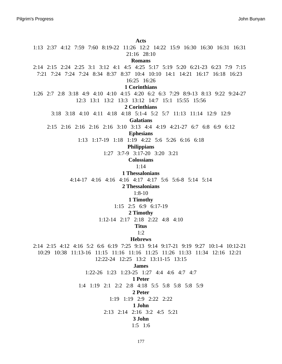**Acts** [1:13](#page-142-0) [2:37](#page-13-0) [4:12](#page-52-0) [7:59](#page-148-0) [7:60](#page-148-0) [8:19-22](#page-63-0) [11:26](#page-148-1) [12:2](#page-148-2) [14:22](#page-26-0) [15:9](#page-24-0) [16:30](#page-13-0) [16:30](#page-13-1) [16:31](#page-13-1) [16:31](#page-83-0) [21:16](#page-155-0) [28:10](#page-159-0) **Romans** [2:14](#page-27-0) [2:15](#page-27-0) [2:24](#page-49-0) [2:25](#page-49-0) [3:1](#page-85-0) [3:12](#page-85-1) [4:1](#page-83-1) [4:5](#page-82-0) [4:25](#page-83-1) [5:17](#page-121-0) [5:19](#page-121-1) [5:20](#page-24-1) [6:21-23](#page-80-0) [6:23](#page-38-0) [7:9](#page-24-2) [7:15](#page-34-0) [7:21](#page-34-0) [7:24](#page-45-0) [7:24](#page-52-1) [7:24](#page-133-0) [8:34](#page-121-2) [8:37](#page-39-0) [8:37](#page-141-0) [10:4](#page-83-2) [10:10](#page-52-2) [14:1](#page-154-0) [14:21](#page-144-0) [16:17](#page-78-0) [16:18](#page-78-0) [16:23](#page-147-0) [16:25](#page-24-0) [16:26](#page-24-0) **1 Corinthians** [1:26](#page-46-0) [2:7](#page-56-0) [2:8](#page-56-0) [3:18](#page-46-0) [4:9](#page-55-0) [4:10](#page-55-1) [4:10](#page-55-0) [4:15](#page-23-0) [4:20](#page-49-1) [6:2](#page-92-0) [6:3](#page-92-0) [7:29](#page-17-0) [8:9-13](#page-154-0) [8:13](#page-144-0) [9:22](#page-154-0) [9:24-27](#page-54-0) [12:3](#page-86-0) [13:1](#page-50-0) [13:2](#page-51-0) [13:3](#page-50-0) [13:12](#page-163-0) [14:7](#page-50-1) [15:1](#page-27-1) [15:55](#page-175-0) [15:56](#page-24-2) **2 Corinthians** [3:18](#page-90-0) [3:18](#page-163-0) [4:10](#page-141-0) [4:11](#page-141-0) [4:18](#page-14-0) [4:18](#page-25-0) [5:1-4](#page-105-0) [5:2](#page-15-0) [5:7](#page-79-0) [11:13](#page-78-1) [11:14](#page-78-1) [12:9](#page-25-1) [12:9](#page-83-3) **Galatians** [2:15](#page-52-0) [2:16](#page-29-0) [2:16](#page-52-1) [2:16](#page-52-0) [2:16](#page-81-0) [3:10](#page-21-0) [3:13](#page-121-3) [4:4](#page-149-0) [4:19](#page-23-1) [4:21-27](#page-20-0) [6:7](#page-92-1) [6:8](#page-92-1) [6:9](#page-54-1) [6:12](#page-20-1) **Ephesians** [1:13](#page-28-0) [1:17-19](#page-86-0) [1:18](#page-83-4) [1:19](#page-83-4) [4:22](#page-45-1) [5:6](#page-80-1) [5:26](#page-24-0) [6:16](#page-77-0) [6:18](#page-41-0) **Philippians** [1:27](#page-52-3) [3:7-9](#page-46-0) [3:17-20](#page-52-3) [3:20](#page-56-1) [3:21](#page-56-1) **Colossians** [1:14](#page-82-0) **1 Thessalonians** [4:14-17](#page-92-0) [4:16](#page-15-1) [4:16](#page-27-2) [4:16](#page-27-1) [4:17](#page-15-1) [4:17](#page-27-2) [5:6](#page-79-1) [5:6-8](#page-31-0) [5:14](#page-152-0) [5:14](#page-154-0) **2 Thessalonians**  $1:8-10$ **1 Timothy** [1:15](#page-83-2) [2:5](#page-83-5) [6:9](#page-172-0) [6:17-19](#page-130-0) **2 Timothy** [1:12-14](#page-74-0) [2:17](#page-71-0) [2:18](#page-71-0) [2:22](#page-134-0) [4:8](#page-15-2) [4:10](#page-64-0) **Titus** [1:2](#page-15-3) **Hebrews** [2:14](#page-35-0) [2:15](#page-35-0) [4:12](#page-165-0) [4:16](#page-82-1) [5:2](#page-159-1) [6:6](#page-26-1) [6:19](#page-133-1) [7:25](#page-83-6) [9:13](#page-131-0) [9:14](#page-131-1) [9:17-21](#page-15-4) [9:19](#page-131-0) [9:27](#page-13-2) [10:1-4](#page-131-0) [10:12-21](#page-82-2) [10:29](#page-26-2) [10:38](#page-19-0) [11:13-16](#page-56-2) [11:15](#page-34-1) [11:16](#page-34-1) [11:16](#page-14-1) [11:25](#page-20-2) [11:26](#page-20-2) [11:33](#page-36-0) [11:34](#page-36-0) [12:16](#page-75-0) [12:21](#page-19-1) [12:22-24](#page-92-2) [12:25](#page-19-2) [13:2](#page-71-1) [13:11-15](#page-132-0) [13:15](#page-149-1) **James** [1:22-26](#page-50-2) [1:23](#page-163-0) [1:23-25](#page-103-0) [1:27](#page-50-2) [4:4](#page-171-0) [4:6](#page-136-0) [4:7](#page-39-1) [4:7](#page-138-0) **1 Peter** [1:4](#page-14-2) [1:19](#page-82-0) [2:1](#page-149-2) [2:2](#page-149-2) [2:8](#page-146-0) [4:18](#page-74-1) [5:5](#page-136-0) [5:8](#page-29-1) [5:8](#page-76-0) [5:8](#page-138-1) [5:9](#page-138-1) **2 Peter** [1:19](#page-14-3) [1:19](#page-170-0) [2:9](#page-74-0) [2:22](#page-44-0) [2:22](#page-88-0) **1 John** [2:13](#page-160-0) [2:14](#page-160-0) [2:16](#page-45-2) [3:2](#page-92-3) [4:5](#page-20-3) [5:21](#page-79-2) **3 John**

[1:5](#page-154-1) [1:6](#page-154-1)